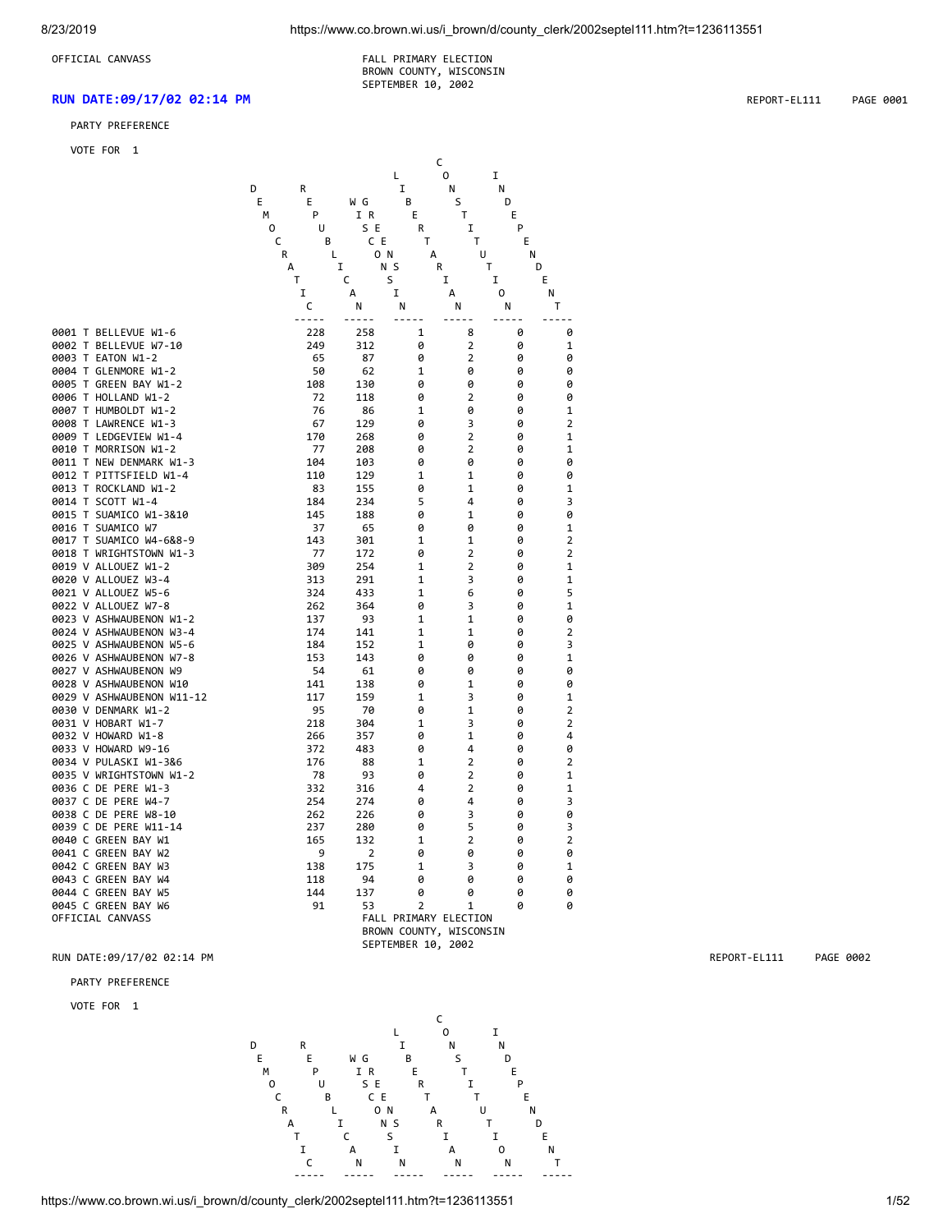OFFICIAL CANVASS **FALL PRIMARY ELECTION**  BROWN COUNTY, WISCONSIN SEPTEMBER 10, 2002

### **RUN DATE:09/17/02 02:14 PM** REPORT-EL111 PAGE 0001

### PARTY PREFERENCE

VOTE FO

| VOTE FOR<br>1                                      |             |            |                         |                         |                  |                                |
|----------------------------------------------------|-------------|------------|-------------------------|-------------------------|------------------|--------------------------------|
|                                                    |             |            | С                       |                         |                  |                                |
|                                                    | D           |            | Г<br>I                  | 0                       | $\mathbf I$<br>N |                                |
|                                                    | R<br>E      |            | B                       | N                       | D                |                                |
|                                                    | E<br>M<br>P | W G<br>I R | Е                       | S<br>Τ                  | E                |                                |
|                                                    | 0<br>U      | S E        | R                       | I                       | P                |                                |
|                                                    | C<br>B      | C E        | T                       | T                       | E                |                                |
|                                                    | R           | 0 N<br>Г   | А                       | U                       | Ν                |                                |
|                                                    | А           | I          | N S<br>R                |                         | Т                | D                              |
|                                                    | т           | C          | S                       | I                       | I                | E                              |
|                                                    | I           | A          | I                       | А                       | 0                | Ν                              |
|                                                    | C           | N          | Ν                       | N                       | N                | Т                              |
|                                                    | $- - - -$   | $- - -$    |                         |                         |                  |                                |
| 0001 T BELLEVUE W1-6                               | 228         | 258        | $\mathbf{1}$            | 8                       | 0                | 0                              |
| 0002 T BELLEVUE W7-10                              | 249         | 312        | 0                       | $\overline{2}$          | 0                | $\mathbf 1$                    |
| 0003 T EATON W1-2                                  | 65          | 87         | 0                       | $\overline{\mathbf{2}}$ | 0                | 0                              |
| 0004 T GLENMORE W1-2                               | 50          | 62         | 1                       | 0                       | 0                | 0                              |
| 0005 T GREEN BAY W1-2                              | 108         | 130        | 0                       | 0                       | 0                | 0                              |
| 0006 T HOLLAND W1-2                                | 72          | 118        | 0                       | $\overline{2}$          | 0                | 0                              |
| 0007 T HUMBOLDT W1-2                               | 76          | 86         | 1                       | 0                       | 0                | $\mathbf{1}$                   |
| 0008 T LAWRENCE W1-3                               | 67          | 129        | 0                       | 3<br>$\overline{2}$     | 0                | $\overline{2}$<br>$\mathbf{1}$ |
| 0009 T LEDGEVIEW W1-4<br>0010 T MORRISON W1-2      | 170<br>77   | 268<br>208 | 0<br>0                  | 2                       | 0<br>0           | 1                              |
| 0011 T NEW DENMARK W1-3                            | 104         | 103        | 0                       | 0                       | 0                | 0                              |
| 0012 T PITTSFIELD W1-4                             | 110         | 129        | $\mathbf{1}$            | $\mathbf{1}$            | 0                | 0                              |
| 0013 T ROCKLAND W1-2                               | 83          | 155        | 0                       | 1                       | 0                | 1                              |
| 0014 T SCOTT W1-4                                  | 184         | 234        | 5                       | 4                       | 0                | 3                              |
| 0015 T SUAMICO W1-3&10                             | 145         | 188        | 0                       | 1                       | 0                | 0                              |
| 0016 T SUAMICO W7                                  | 37          | 65         | 0                       | 0                       | 0                | $\mathbf 1$                    |
| 0017 T SUAMICO W4-6&8-9                            | 143         | 301        | $\mathbf{1}$            | $\mathbf{1}$            | 0                | $\overline{2}$                 |
| 0018 T WRIGHTSTOWN W1-3                            | 77          | 172        | 0                       | $\overline{2}$          | 0                | $\overline{2}$                 |
| 0019 V ALLOUEZ W1-2                                | 309         | 254        | 1                       | $\overline{2}$          | 0                | $\mathbf 1$                    |
| 0020 V ALLOUEZ W3-4                                | 313         | 291        | 1                       | 3                       | 0                | 1                              |
| 0021 V ALLOUEZ W5-6                                | 324         | 433        | 1                       | 6                       | 0                | 5                              |
| 0022 V ALLOUEZ W7-8                                | 262         | 364        | 0                       | 3                       | 0                | $\mathbf 1$                    |
| 0023 V ASHWAUBENON W1-2                            | 137         | 93         | 1                       | $\mathbf 1$             | 0                | 0                              |
| 0024 V ASHWAUBENON W3-4<br>0025 V ASHWAUBENON W5-6 | 174<br>184  | 141        | 1<br>1                  | 1<br>0                  | 0<br>0           | $\overline{2}$<br>3            |
| 0026 V ASHWAUBENON W7-8                            | 153         | 152<br>143 | 0                       | 0                       | 0                | $\mathbf 1$                    |
| 0027 V ASHWAUBENON W9                              | 54          | 61         | 0                       | 0                       | 0                | 0                              |
| 0028 V ASHWAUBENON W10                             | 141         | 138        | 0                       | 1                       | 0                | 0                              |
| 0029 V ASHWAUBENON W11-12                          | 117         | 159        | 1                       | 3                       | 0                | $\mathbf 1$                    |
| 0030 V DENMARK W1-2                                | 95          | 70         | 0                       | $\mathbf{1}$            | 0                | 2                              |
| 0031 V HOBART W1-7                                 | 218         | 304        | $\mathbf{1}$            | 3                       | 0                | $\overline{2}$                 |
| 0032 V HOWARD W1-8                                 | 266         | 357        | 0                       | 1                       | 0                | 4                              |
| 0033 V HOWARD W9-16                                | 372         | 483        | 0                       | 4                       | 0                | 0                              |
| 0034 V PULASKI W1-3&6                              | 176         | 88         | 1                       | $\overline{2}$          | 0                | $\overline{2}$                 |
| 0035 V WRIGHTSTOWN W1-2                            | 78          | 93         | 0                       | $\overline{2}$          | 0                | $\mathbf{1}$                   |
| 0036 C DE PERE W1-3                                | 332         | 316        | 4                       | $\overline{2}$          | 0                | $\mathbf 1$                    |
| 0037 C DE PERE W4-7                                | 254         | 274        | 0                       | 4                       | 0                | 3                              |
| 0038 C DE PERE W8-10                               | 262         | 226        | 0                       | 3                       | 0                | 0                              |
| 0039 C DE PERE W11-14                              | 237         | 280        | 0                       | 5<br>$\overline{2}$     | 0                | 3<br>$\overline{2}$            |
| 0040 C GREEN BAY W1<br>0041 C GREEN BAY W2         | 165<br>9    | 132        | 1                       |                         | 0<br>0           | 0                              |
| 0042 C GREEN BAY W3                                | 138         | 2<br>175   | 0<br>1                  | 0<br>3                  | 0                | $\mathbf 1$                    |
| 0043 C GREEN BAY W4                                | 118         | 94         | 0                       | 0                       | 0                | 0                              |
| 0044 C GREEN BAY W5                                | 144         | 137        | 0                       | 0                       | 0                | 0                              |
| 0045 C GREEN BAY W6                                | 91          | 53         | $\overline{2}$          | $\mathbf{1}$            | Ø                | 0                              |
| OFFICIAL CANVASS                                   |             |            | FALL PRIMARY ELECTION   |                         |                  |                                |
|                                                    |             |            | BROWN COUNTY, WISCONSIN |                         |                  |                                |
|                                                    |             |            | SEPTEMBER 10,           | 2002                    |                  |                                |

### RUN DATE:09/17/02 02:14 PM REPORT-EL111 PAGE 0002

### PARTY PREFERENCE

VOTE FOR 1

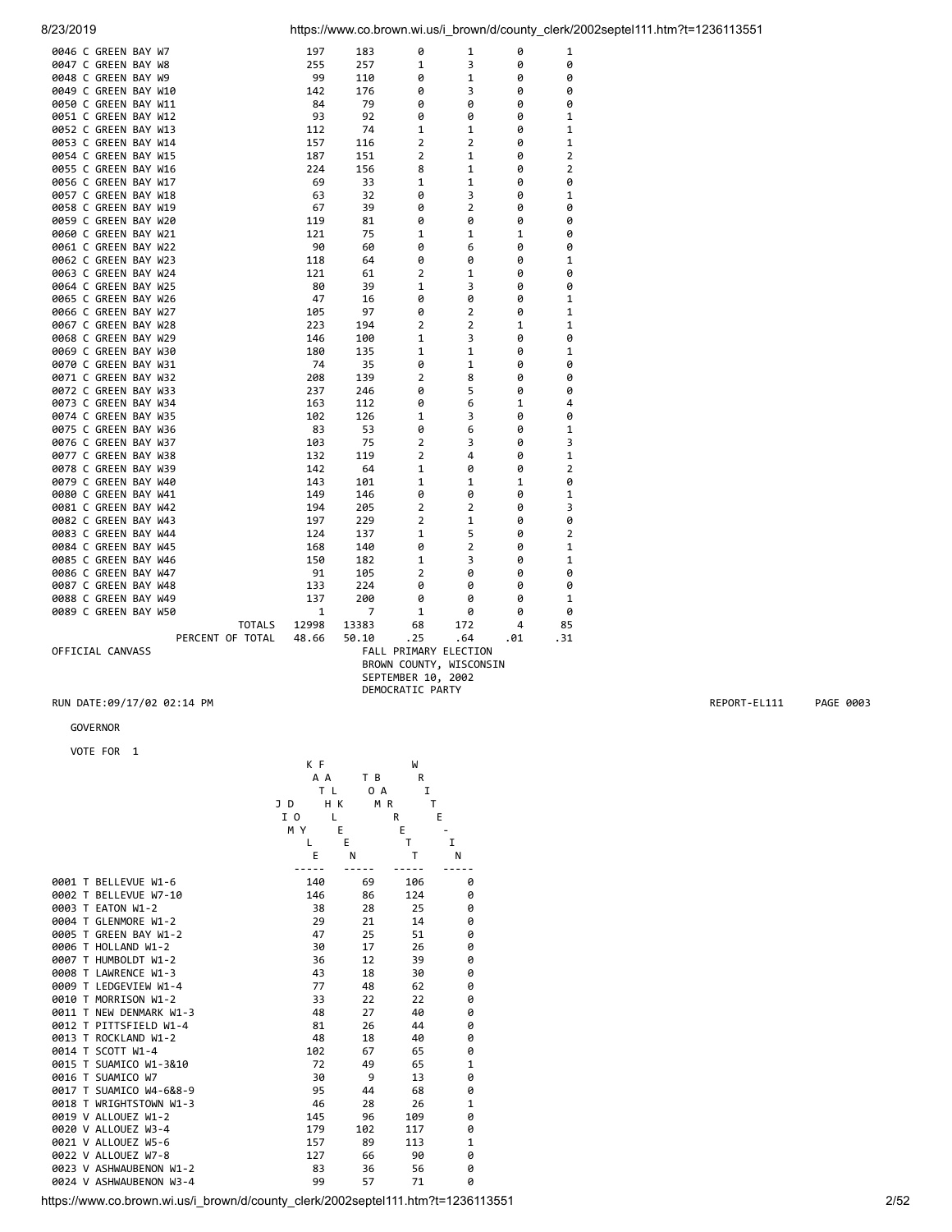| 0046 C GREEN BAY W7  |               | 197          | 183                          | 0              | 1              | 0            | 1            |
|----------------------|---------------|--------------|------------------------------|----------------|----------------|--------------|--------------|
| 0047 C GREEN BAY W8  |               | 255          | 257                          | $\mathbf{1}$   | 3              | 0            | 0            |
| 0048 C GREEN BAY W9  |               | 99           | 110                          | 0              | $\mathbf{1}$   | 0            | 0            |
| 0049 C GREEN BAY W10 |               | 142          | 176                          | 0              | 3              | 0            | 0            |
| 0050 C GREEN BAY W11 |               | 84           | 79                           | 0              | 0              | 0            | 0            |
| 0051 C GREEN BAY W12 |               | 93           | 92                           | 0              | 0              | 0            | 1            |
| 0052 C GREEN BAY W13 |               | 112          | 74                           | 1              | 1              | 0            | 1            |
| 0053 C GREEN BAY W14 |               | 157          | 116                          | 2              | $\overline{2}$ | ø            | 1            |
| 0054 C GREEN BAY W15 |               | 187          | 151                          | 2              | 1              | 0            | 2            |
| 0055 C GREEN BAY W16 |               | 224          | 156                          | 8              | 1              | 0            | 2            |
| 0056 C GREEN BAY W17 |               | 69           | 33                           | 1              | 1              | 0            | 0            |
| 0057 C GREEN BAY W18 |               | 63           | 32                           | 0              | 3              | 0            | 1            |
| 0058 C GREEN BAY W19 |               | 67           | 39                           | 0              | 2              | 0            | 0            |
| 0059 C GREEN BAY W20 |               | 119          | 81                           | 0              | 0              | 0            | 0            |
| 0060 C GREEN BAY W21 |               | 121          | 75                           | $\mathbf{1}$   | 1              | $\mathbf{1}$ | 0            |
| 0061 C GREEN BAY W22 |               |              |                              |                |                |              |              |
|                      |               | 90           | 60                           | 0              | 6              | 0            | 0            |
| 0062 C GREEN BAY W23 |               | 118          | 64                           | 0              | 0              | 0            | 1            |
| 0063 C GREEN BAY W24 |               | 121          | 61                           | 2              | 1              | 0            | 0            |
| 0064 C GREEN BAY W25 |               | 80           | 39                           | 1              | 3              | 0            | 0            |
| 0065 C GREEN BAY W26 |               | 47           | 16                           | 0              | 0              | 0            | 1            |
| 0066 C GREEN BAY W27 |               | 105          | 97                           | 0              | 2              | 0            | 1            |
| 0067 C GREEN BAY W28 |               | 223          | 194                          | 2              | 2              | 1            | 1            |
| 0068 C GREEN BAY W29 |               | 146          | 100                          | 1              | 3              | 0            | 0            |
| 0069 C GREEN BAY W30 |               | 180          | 135                          | $\mathbf{1}$   | $\mathbf{1}$   | 0            | 1            |
| 0070 C GREEN BAY W31 |               | 74           | 35                           | 0              | $\mathbf{1}$   | ø            | 0            |
| 0071 C GREEN BAY W32 |               | 208          | 139                          | $\overline{2}$ | 8              | 0            | 0            |
| 0072 C GREEN BAY W33 |               | 237          | 246                          | 0              | 5              | 0            | 0            |
| 0073 C GREEN BAY W34 |               | 163          | 112                          | 0              | 6              | 1            | 4            |
| 0074 C GREEN BAY W35 |               | 102          | 126                          | $\mathbf{1}$   | 3              | 0            | 0            |
| 0075 C GREEN BAY W36 |               | 83           | 53                           | 0              | 6              | 0            | $\mathbf{1}$ |
| 0076 C GREEN BAY W37 |               | 103          | 75                           | 2              | 3              | 0            | 3            |
| 0077 C GREEN BAY W38 |               | 132          | 119                          | $\overline{2}$ | 4              | 0            | 1            |
| 0078 C GREEN BAY W39 |               | 142          | 64                           | 1              | 0              | 0            | 2            |
| 0079 C GREEN BAY W40 |               | 143          | 101                          | $\mathbf{1}$   | $\mathbf{1}$   | $\mathbf{1}$ | 0            |
| 0080 C GREEN BAY W41 |               | 149          | 146                          | 0              | 0              | 0            | 1            |
| 0081 C GREEN BAY W42 |               | 194          | 205                          | $\overline{2}$ | $\overline{2}$ | 0            | 3            |
| 0082 C GREEN BAY W43 |               | 197          | 229                          | $\overline{2}$ | $\mathbf{1}$   | 0            | 0            |
| 0083 C GREEN BAY W44 |               | 124          | 137                          | 1              | 5              | 0            | 2            |
| 0084 C GREEN BAY W45 |               | 168          | 140                          | 0              | 2              | 0            | 1            |
| 0085 C GREEN BAY W46 |               | 150          | 182                          | 1              | 3              | 0            | 1            |
| 0086 C GREEN BAY W47 |               | 91           | 105                          | 2              | 0              | 0            | 0            |
| 0087 C GREEN BAY W48 |               | 133          | 224                          | 0              | 0              | 0            | 0            |
| 0088 C GREEN BAY W49 |               | 137          | 200                          | 0              | 0              | 0            | 1            |
| 0089 C GREEN BAY W50 |               | $\mathbf{1}$ | 7                            | $\mathbf{1}$   | 0              | 0            | 0            |
|                      | <b>TOTALS</b> | 12998        | 13383                        | 68             | 172            | 4            | 85           |
| PERCENT OF TOTAL     |               | 48.66        | 50.10                        | .25            | .64            | .31<br>.01   |              |
| OFFICIAL CANVASS     |               |              | <b>FALL PRIMARY ELECTION</b> |                |                |              |              |
|                      |               |              | BROWN COUNTY, WISCONSIN      |                |                |              |              |
|                      |               |              |                              |                |                |              |              |

### GOVERNOR

VOTE FOR 1

|                         | K F |           | W   |              |
|-------------------------|-----|-----------|-----|--------------|
|                         | A A | T B       | R   |              |
|                         | T L | 0 A       | I   |              |
|                         | J D | H K<br>MR | T   |              |
|                         | I 0 | L         | R   | E            |
|                         | MY  | E         | E   |              |
|                         | L   | E         | T   | T            |
|                         | E   | N         | T   | N            |
|                         |     |           |     |              |
| 0001 T BELLEVUE W1-6    | 140 | 69        | 106 | 0            |
| 0002 T BELLEVUE W7-10   | 146 | 86        | 124 | 0            |
| 0003 T EATON W1-2       | 38  | 28        | 25  | 0            |
| 0004 T GLENMORE W1-2    | 29  | 21        | 14  | 0            |
| 0005 T GREEN BAY W1-2   | 47  | 25        | 51  | 0            |
| 0006 T HOLLAND W1-2     | 30  | 17        | 26  | 0            |
| 0007 T HUMBOLDT W1-2    | 36  | 12        | 39  | 0            |
| 0008 T LAWRENCE W1-3    | 43  | 18        | 30  | 0            |
| 0009 T LEDGEVIEW W1-4   | 77  | 48        | 62  | 0            |
| 0010 T MORRISON W1-2    | 33  | 22        | 22  | 0            |
| 0011 T NEW DENMARK W1-3 | 48  | 27        | 40  | 0            |
| 0012 T PITTSFIELD W1-4  | 81  | 26        | 44  | 0            |
| 0013 T ROCKLAND W1-2    | 48  | 18        | 40  | 0            |
| 0014 T SCOTT W1-4       | 102 | 67        | 65  | 0            |
| 0015 T SUAMICO W1-3&10  | 72  | 49        | 65  | $\mathbf{1}$ |
| 0016 T SUAMICO W7       | 30  | 9         | 13  | 0            |
| 0017 T SUAMICO W4-6&8-9 | 95  | 44        | 68  | 0            |
| 0018 T WRIGHTSTOWN W1-3 | 46  | 28        | 26  | $\mathbf{1}$ |
| 0019 V ALLOUEZ W1-2     | 145 | 96        | 109 | 0            |
| 0020 V ALLOUEZ W3-4     | 179 | 102       | 117 | 0            |
| 0021 V ALLOUEZ W5-6     | 157 | 89        | 113 | $\mathbf{1}$ |
| 0022 V ALLOUEZ W7-8     | 127 | 66        | 90  | 0            |
| 0023 V ASHWAUBENON W1-2 | 83  | 36        | 56  | 0            |
| 0024 V ASHWAUBENON W3-4 | 99  | 57        | 71  | 0            |
|                         |     |           |     |              |

 SEPTEMBER 10, 2002 DEMOCRATIC PARTY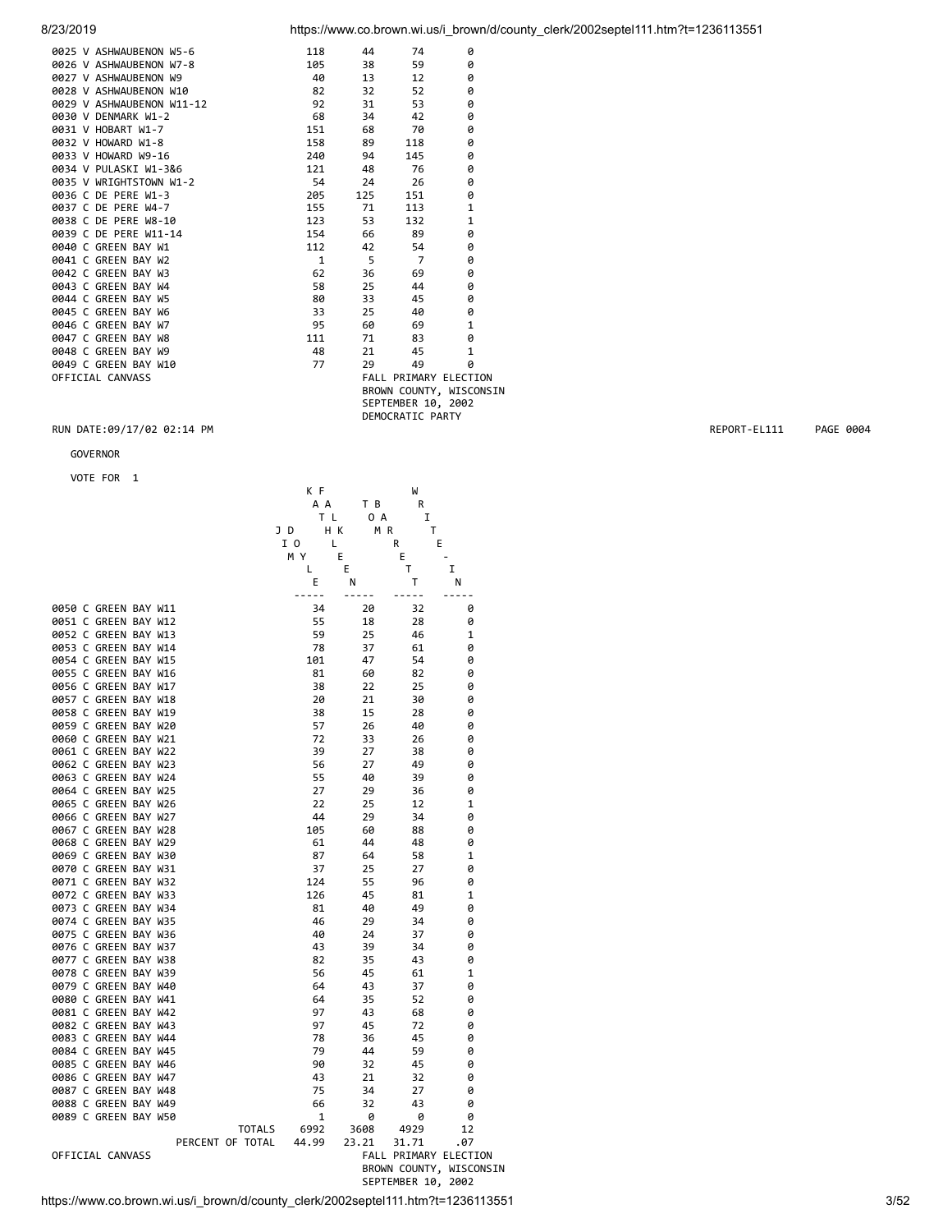| 8/23/2019                 |     |     |                         |   | https://www.co.brown.wi.us/i brown/d/county clerk/2002septel111.htm?t=1236113551 |
|---------------------------|-----|-----|-------------------------|---|----------------------------------------------------------------------------------|
| 0025 V ASHWAUBENON W5-6   | 118 | 44  | 74                      | 0 |                                                                                  |
| 0026 V ASHWAUBENON W7-8   | 105 | 38  | 59                      | 0 |                                                                                  |
| 0027 V ASHWAUBENON W9     | 40  | 13  | 12                      | 0 |                                                                                  |
| 0028 V ASHWAUBENON W10    | 82  | 32  | 52                      | 0 |                                                                                  |
| 0029 V ASHWAUBENON W11-12 | 92  | 31  | 53                      | 0 |                                                                                  |
| 0030 V DENMARK W1-2       | 68  | 34  | 42                      | 0 |                                                                                  |
| 0031 V HOBART W1-7        | 151 | 68  | 70                      | 0 |                                                                                  |
| 0032 V HOWARD W1-8        | 158 | 89  | 118                     | 0 |                                                                                  |
| 0033 V HOWARD W9-16       | 240 | 94  | 145                     | 0 |                                                                                  |
| 0034 V PULASKI W1-3&6     | 121 | 48  | 76                      | 0 |                                                                                  |
| 0035 V WRIGHTSTOWN W1-2   | 54  | 24  | 26                      | 0 |                                                                                  |
| 0036 C DE PERE W1-3       | 205 | 125 | 151                     | 0 |                                                                                  |
| 0037 C DE PERE W4-7       | 155 | 71  | 113                     | 1 |                                                                                  |
| 0038 C DE PERE W8-10      | 123 | 53  | 132                     | 1 |                                                                                  |
| 0039 C DE PERE W11-14     | 154 | 66  | 89                      | 0 |                                                                                  |
| 0040 C GREEN BAY W1       | 112 | 42  | 54                      | 0 |                                                                                  |
| 0041 C GREEN BAY W2       | 1   | 5   | 7                       | 0 |                                                                                  |
| 0042 C GREEN BAY W3       | 62  | 36  | 69                      | 0 |                                                                                  |
| 0043 C GREEN BAY W4       | 58  | 25  | 44                      | 0 |                                                                                  |
| 0044 C GREEN BAY W5       | 80  | 33  | 45                      | 0 |                                                                                  |
| 0045 C GREEN BAY W6       | 33  | 25  | 40                      | 0 |                                                                                  |
| 0046 C GREEN BAY W7       | 95  | 60  | 69                      | 1 |                                                                                  |
| 0047 C GREEN BAY W8       | 111 | 71  | 83                      | 0 |                                                                                  |
| 0048 C GREEN BAY W9       | 48  | 21  | 45                      | 1 |                                                                                  |
| 0049 C GREEN BAY W10      | 77  | 29  | 49                      | 0 |                                                                                  |
| OFFICIAL CANVASS          |     |     | FALL PRIMARY ELECTION   |   |                                                                                  |
|                           |     |     | BROWN COUNTY, WISCONSIN |   |                                                                                  |

 SEPTEMBER 10, 2002 DEMOCRATIC PARTY

# RUN DATE:09/17/02 02:14 PM **REPORT-EL111** PAGE 0004

GOVERNOR

|                                              | K F          |             | W                            |                         |
|----------------------------------------------|--------------|-------------|------------------------------|-------------------------|
|                                              | A A          | ТB          | R                            |                         |
|                                              | ΤL           | 0 A         | I                            |                         |
|                                              | JD           | HК<br>M R   | т                            |                         |
|                                              | I 0          | L           | E<br>R                       |                         |
|                                              | МY           | Ε           | E                            |                         |
|                                              | L            | E           | T                            | I                       |
|                                              | Ε            | Ν           | T                            | Ν                       |
| 0050 C GREEN BAY W11                         | -----<br>34  | -----<br>20 | .<br>32                      | -----<br>0              |
| 0051 C GREEN BAY W12                         | 55           | 18          | 28                           | 0                       |
| 0052 C GREEN BAY W13                         | 59           | 25          | 46                           | 1                       |
| 0053 C GREEN BAY W14                         | 78           | 37          | 61                           | 0                       |
| 0054 C GREEN BAY W15                         | 101          | 47          | 54                           | 0                       |
| 0055 C GREEN BAY W16                         | 81           | 60          | 82                           | 0                       |
| 0056 C GREEN BAY W17                         | 38           | 22          | 25                           | 0                       |
| 0057 C GREEN BAY W18                         | 20           | 21          | 30                           | 0                       |
| 0058 C GREEN BAY W19                         | 38           | 15          | 28                           | 0                       |
| 0059 C GREEN BAY W20                         | 57           | 26          | 40                           | 0                       |
| 0060 C GREEN BAY W21                         | 72           | 33          | 26                           | 0                       |
| 0061 C GREEN BAY W22                         | 39           | 27          | 38                           | 0                       |
| 0062 C GREEN BAY W23                         | 56           | 27          | 49                           | 0                       |
| 0063 C GREEN BAY W24                         | 55           | 40          | 39                           | 0                       |
| 0064 C GREEN BAY W25                         | 27           | 29          | 36                           | 0                       |
| 0065 C GREEN BAY W26                         | 22           | 25          | 12                           | 1                       |
| 0066 C GREEN BAY W27                         | 44           | 29          | 34                           | 0                       |
| 0067 C GREEN BAY W28                         | 105          | 60          | 88                           | 0                       |
| 0068 C GREEN BAY W29                         | 61           | 44          | 48                           | 0                       |
| 0069 C GREEN BAY W30                         | 87           | 64          | 58                           | 1                       |
| 0070 C GREEN BAY W31                         | 37           | 25          | 27                           | 0                       |
| 0071 C GREEN BAY W32                         | 124          | 55          | 96                           | 0                       |
| 0072 C GREEN BAY W33                         | 126          | 45          | 81                           | $\mathbf{1}$            |
| 0073 C GREEN BAY W34                         | 81           | 40          | 49                           | 0                       |
| 0074 C GREEN BAY W35                         | 46           | 29          | 34                           | 0                       |
| 0075 C GREEN BAY W36                         | 40           | 24          | 37                           | 0                       |
| 0076 C GREEN BAY W37                         | 43           | 39          | 34                           | 0                       |
| 0077 C GREEN BAY W38                         | 82           | 35          | 43                           | 0                       |
| 0078 C GREEN BAY W39                         | 56           | 45          | 61                           | 1                       |
| 0079 C GREEN BAY W40                         | 64           | 43          | 37                           | 0                       |
| 0080 C GREEN BAY W41                         | 64           | 35          | 52                           | 0                       |
| 0081 C GREEN BAY W42<br>0082 C GREEN BAY W43 | 97<br>97     | 43<br>45    | 68                           | 0<br>0                  |
| 0083 C GREEN BAY W44                         | 78           |             | 72<br>45                     |                         |
| 0084 C GREEN BAY W45                         | 79           | 36<br>44    | 59                           | 0<br>0                  |
| 0085 C GREEN BAY W46                         | 90           | 32          | 45                           | 0                       |
| 0086 C GREEN BAY W47                         | 43           | 21          | 32                           | 0                       |
| 0087 C GREEN BAY W48                         | 75           | 34          | 27                           | 0                       |
| 0088 C GREEN BAY W49                         | 66           | 32          | 43                           | 0                       |
| 0089 C GREEN BAY W50                         | $\mathbf{1}$ | 0           | 0                            | 0                       |
| <b>TOTALS</b>                                | 6992         | 3608        | 4929                         | 12                      |
| PERCENT OF TOTAL                             | 44.99        | 23.21       | 31.71                        | .07                     |
| OFFICIAL CANVASS                             |              |             | <b>FALL PRIMARY ELECTION</b> |                         |
|                                              |              |             |                              | BROWN COUNTY, WISCONSIN |
|                                              |              |             | SEPTEMBER 10, 2002           |                         |

https://www.co.brown.wi.us/i\_brown/d/county\_clerk/2002septel111.htm?t=1236113551 3/52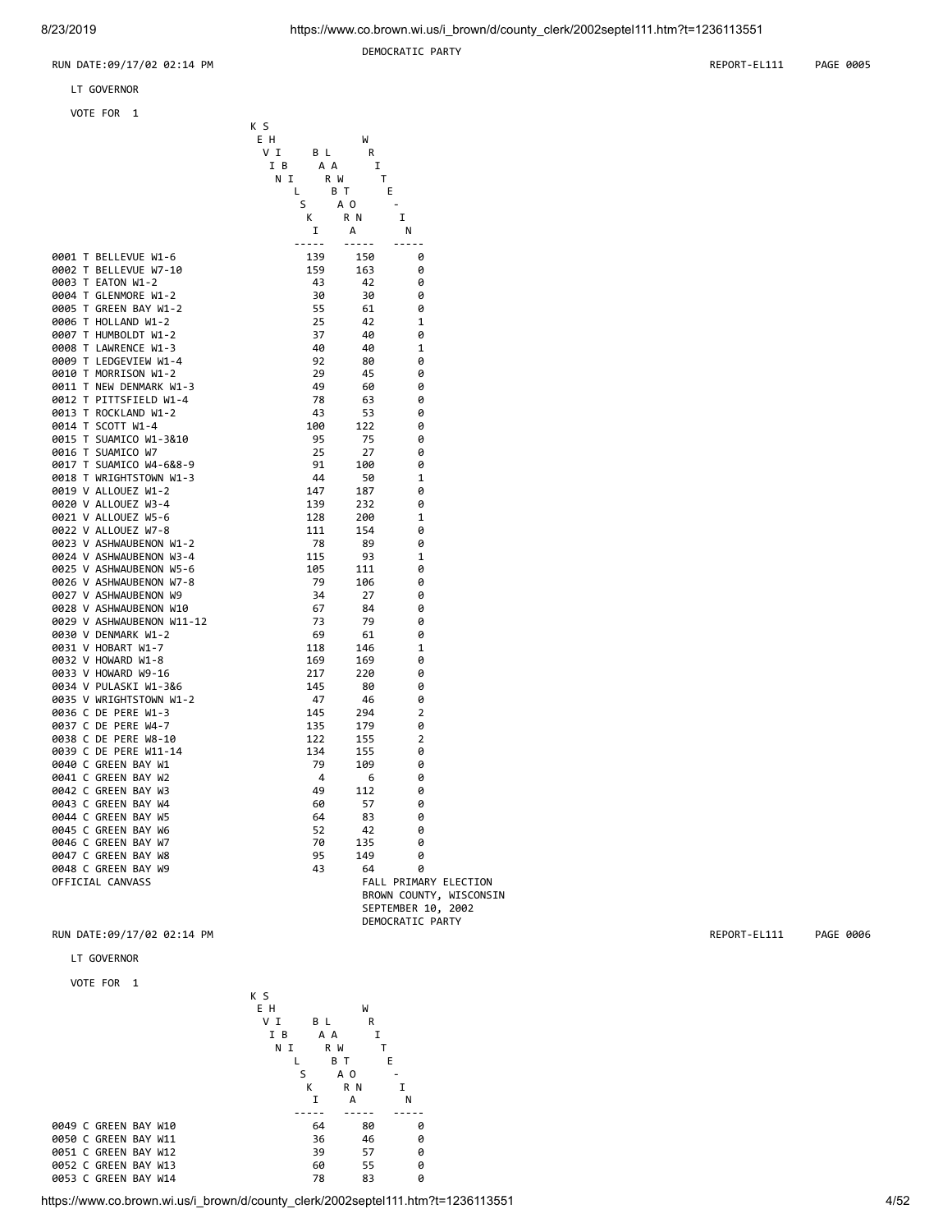0003 T<br>0004 T

0009 T<br>0010 T

0024 V<br>0025 V

0042 C<br>0043 C

DEMOCRATIC PARTY

RUN DATE:09/17/02 02:14 PM REPORT-EL111 PAGE 0005

LT GOVERNOR

**VOTE** 

| VOTE FOR<br>1                                                                                                                                                                                                                                                |     |       |                     |                    |                         |
|--------------------------------------------------------------------------------------------------------------------------------------------------------------------------------------------------------------------------------------------------------------|-----|-------|---------------------|--------------------|-------------------------|
|                                                                                                                                                                                                                                                              | K S |       |                     |                    |                         |
|                                                                                                                                                                                                                                                              | E H |       | W                   |                    |                         |
|                                                                                                                                                                                                                                                              | V I | B L   | R                   |                    |                         |
|                                                                                                                                                                                                                                                              | I B | A A   | I                   |                    |                         |
|                                                                                                                                                                                                                                                              | ΝI  |       | $\mathsf{T}$<br>R W |                    |                         |
|                                                                                                                                                                                                                                                              | L.  |       | B T<br>E            |                    |                         |
|                                                                                                                                                                                                                                                              |     | S     | A O                 | $\sim$             |                         |
|                                                                                                                                                                                                                                                              |     | K     | R N                 | I                  |                         |
|                                                                                                                                                                                                                                                              |     |       |                     |                    |                         |
|                                                                                                                                                                                                                                                              |     | I     | А                   | N                  |                         |
|                                                                                                                                                                                                                                                              |     | ----- | $- - - - -$         | -----              |                         |
| 0001 T BELLEVUE W1-6                                                                                                                                                                                                                                         |     | 139   | 150                 | 0                  |                         |
|                                                                                                                                                                                                                                                              |     | 159   | 163                 | 0                  |                         |
|                                                                                                                                                                                                                                                              |     | 43    | 42                  | 0                  |                         |
|                                                                                                                                                                                                                                                              |     | 30    | 30                  | 0                  |                         |
|                                                                                                                                                                                                                                                              |     | 55    | 61                  | 0                  |                         |
|                                                                                                                                                                                                                                                              |     | 25    | 42                  | 1                  |                         |
|                                                                                                                                                                                                                                                              |     | 37    | 40                  | 0                  |                         |
|                                                                                                                                                                                                                                                              |     | - 40  | 40                  | 1                  |                         |
|                                                                                                                                                                                                                                                              |     | 92    | 80                  | 0                  |                         |
|                                                                                                                                                                                                                                                              |     | 29    | 45                  | 0                  |                         |
|                                                                                                                                                                                                                                                              |     | 49    | 60                  | 0                  |                         |
|                                                                                                                                                                                                                                                              |     | 78    | 63                  | 0                  |                         |
|                                                                                                                                                                                                                                                              |     | -43   | 53                  | 0                  |                         |
|                                                                                                                                                                                                                                                              |     | 100   | 122                 | 0                  |                         |
| 0001 T BELLEVUE W1-6<br>0002 T BELLEVUE W7-10<br>0004 T GLENMORE W1-2<br>0004 T GLENMORE W1-2<br>0006 T GREEN BAY W1-2<br>0006 T HOLLAND W1-2<br>0006 T HOLLAND W1-2<br>0008 T LAWRENCE W1-3<br>0008 T LAWRENCE W1-3<br>0009 T LEDGEVIEW W1-4<br>0011 T NEW  |     | - 95  | 75                  | 0                  |                         |
|                                                                                                                                                                                                                                                              |     | 25    | 27                  | 0                  |                         |
| 0016 T SUAMICO W7<br>0017 T SUAMICO W4-6&8-9<br>0018 T WRIGHTSTOWN W1-3<br>0019 V ALLOUEZ W1-2<br>0020 V ALLOUEZ W3-4<br>0021 V ALLOUEZ W5-6<br>0022 V ALLOUEZ W7-8<br>0022 V ASHWAUBENON W3-4<br>0025 V ASHWAUBENON W5-6<br>0026 V ASHWAUBENON W7-8<br>0026 |     | 91    | 100                 | 0                  |                         |
|                                                                                                                                                                                                                                                              |     | -44   | 50                  | 1                  |                         |
|                                                                                                                                                                                                                                                              |     | 147   | 187                 | 0                  |                         |
|                                                                                                                                                                                                                                                              |     | 139   | 232                 | 0                  |                         |
|                                                                                                                                                                                                                                                              |     | 128   | 200                 | 1                  |                         |
|                                                                                                                                                                                                                                                              |     | 111   | 154                 | 0                  |                         |
|                                                                                                                                                                                                                                                              |     | 78    | 89                  | 0                  |                         |
|                                                                                                                                                                                                                                                              |     | 115   |                     |                    |                         |
|                                                                                                                                                                                                                                                              |     |       | 93                  | 1                  |                         |
|                                                                                                                                                                                                                                                              |     | 105   | 111                 | 0                  |                         |
|                                                                                                                                                                                                                                                              |     | 79    | 106                 | 0                  |                         |
|                                                                                                                                                                                                                                                              |     | 34    | 27                  | 0                  |                         |
|                                                                                                                                                                                                                                                              |     | - 67  | 84                  | 0                  |                         |
| 0029 V ASHWAUBENON W11-12                                                                                                                                                                                                                                    |     | -73   | 79                  | 0                  |                         |
|                                                                                                                                                                                                                                                              |     | 69    | 61                  | 0                  |                         |
|                                                                                                                                                                                                                                                              |     | 118   | 146                 | 1                  |                         |
|                                                                                                                                                                                                                                                              |     | 169   | 169                 | 0                  |                         |
|                                                                                                                                                                                                                                                              |     | 217   | 220                 | 0                  |                         |
|                                                                                                                                                                                                                                                              |     | 145   | 80                  | 0                  |                         |
| WI W1-7<br>WHOWARD W1-8<br>0033 V HOWARD W9-16<br>0034 V PULASKI W1-3&6<br>3035 V WRIGHTSTOWN W1-2<br>1036 C DE PERE W1-3<br>037 C DE PERE W4-7<br>038 C DE PERE W1-14<br>340 C GREEN BAY W1<br>341 C GREEN BAY W1<br>142 C C                                |     | - 47  | 46                  | 0                  |                         |
|                                                                                                                                                                                                                                                              |     | 145   | 294                 | 2                  |                         |
|                                                                                                                                                                                                                                                              |     | 135   | 179                 | 0                  |                         |
|                                                                                                                                                                                                                                                              |     | 122   | 155                 | 2                  |                         |
|                                                                                                                                                                                                                                                              |     | 134   | 155                 | 0                  |                         |
|                                                                                                                                                                                                                                                              |     | 79    | 109                 | 0                  |                         |
|                                                                                                                                                                                                                                                              |     | 4     | 6                   | 0                  |                         |
| 0042 C GREEN BAY W3                                                                                                                                                                                                                                          |     | 49    | 112                 | 0                  |                         |
| 0043 C GREEN BAY W4                                                                                                                                                                                                                                          |     | 60    | 57                  | A                  |                         |
| 0044 C GREEN BAY W5                                                                                                                                                                                                                                          |     | 64    | 83                  | 0                  |                         |
| 0045 C GREEN BAY W6                                                                                                                                                                                                                                          |     | 52    | 42                  | 0                  |                         |
| 0046 C GREEN BAY W7                                                                                                                                                                                                                                          |     | 70    | 135                 | 0                  |                         |
| 0047 C GREEN BAY W8                                                                                                                                                                                                                                          |     | 95    | 149                 | 0                  |                         |
| 0048 C GREEN BAY W9                                                                                                                                                                                                                                          |     | 43    | 64                  | 0                  |                         |
| OFFICIAL CANVASS                                                                                                                                                                                                                                             |     |       |                     |                    | FALL PRIMARY ELECTION   |
|                                                                                                                                                                                                                                                              |     |       |                     |                    | BROWN COUNTY, WISCONSIN |
|                                                                                                                                                                                                                                                              |     |       |                     | SEPTEMBER 10, 2002 |                         |
|                                                                                                                                                                                                                                                              |     |       |                     | DEMOCRATIC PARTY   |                         |

# RUN DATE:09/17/02 02:14 PM **REPORT-EL111** PAGE 0006

LT GOVERNOR

VOTE FOR 1



https://www.co.brown.wi.us/i\_brown/d/county\_clerk/2002septel111.htm?t=1236113551 4/52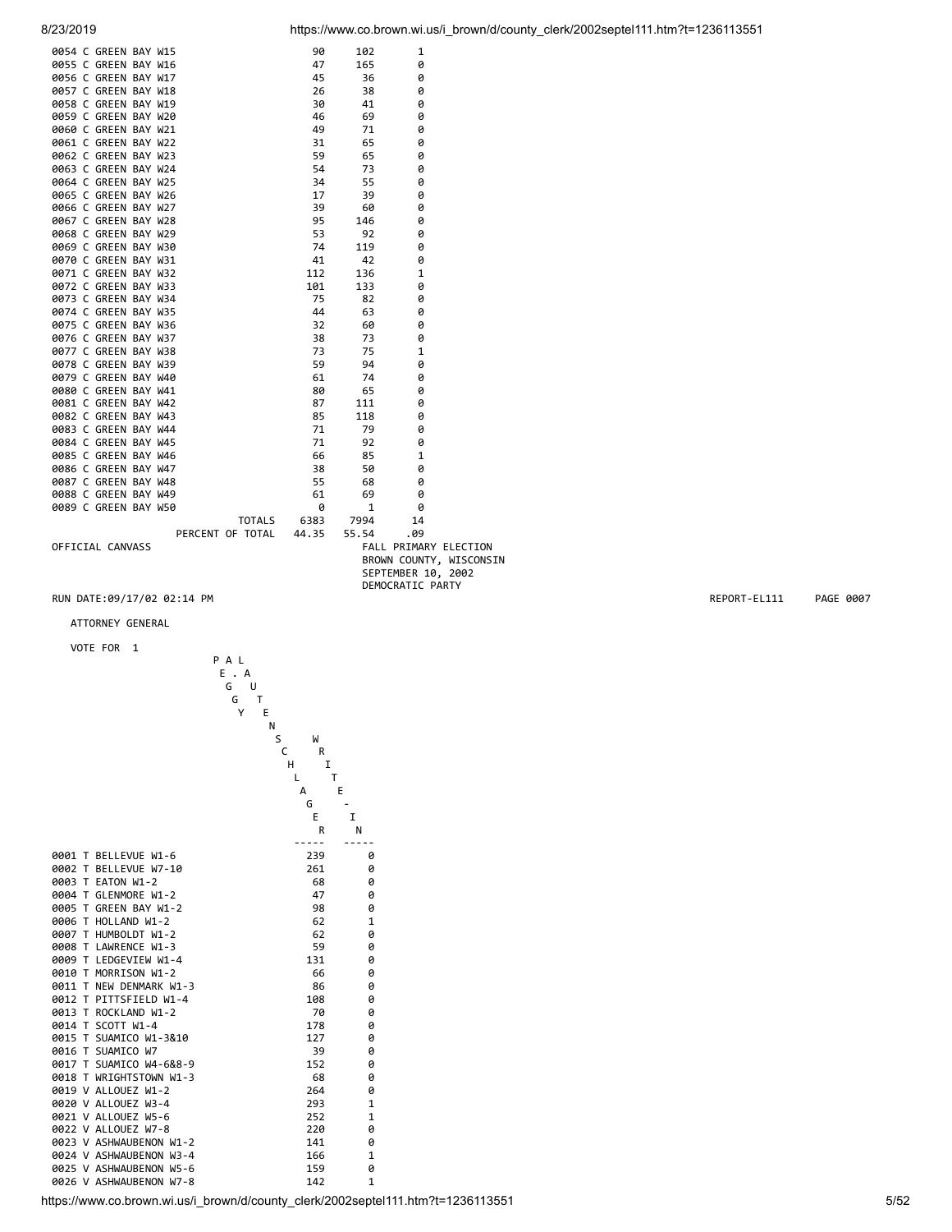| 0054 C GREEN BAY W15 |                        |      | 102              | 1                     |                         |
|----------------------|------------------------|------|------------------|-----------------------|-------------------------|
| 0055 C GREEN BAY W16 |                        |      | 165              | 0                     |                         |
| 0056 C GREEN BAY W17 |                        |      | - 36             | 0                     |                         |
| 0057 C GREEN BAY W18 |                        |      | 38               | 0                     |                         |
| 0058 C GREEN BAY W19 |                        |      | 41               | 0                     |                         |
| 0059 C GREEN BAY W20 |                        |      | 69               | 0                     |                         |
| 0060 C GREEN BAY W21 |                        |      | 71               | 0                     |                         |
| 0061 C GREEN BAY W22 |                        |      | 65               | 0                     |                         |
| 0062 C GREEN BAY W23 |                        |      | 65               | 0                     |                         |
| 0063 C GREEN BAY W24 |                        |      | 73               | 0                     |                         |
| 0064 C GREEN BAY W25 |                        |      | 55               | 0                     |                         |
| 0065 C GREEN BAY W26 |                        |      | 39               | 0                     |                         |
| 0066 C GREEN BAY W27 |                        |      | 60               | 0                     |                         |
| 0067 C GREEN BAY W28 |                        |      | 146              | ø                     |                         |
| 0068 C GREEN BAY W29 |                        |      | 92               | 0                     |                         |
| 0069 C GREEN BAY W30 |                        |      | 119              | 0                     |                         |
| 0070 C GREEN BAY W31 |                        |      | 42               | 0                     |                         |
| 0071 C GREEN BAY W32 |                        |      | 136              | 1                     |                         |
| 0072 C GREEN BAY W33 |                        |      | 133              | 0                     |                         |
| 0073 C GREEN BAY W34 |                        |      | 82               | 0                     |                         |
| 0074 C GREEN BAY W35 |                        |      | 63               | 0                     |                         |
| 0075 C GREEN BAY W36 |                        |      | 60               | 0                     |                         |
| 0076 C GREEN BAY W37 |                        |      | 73               | 0                     |                         |
| 0077 C GREEN BAY W38 |                        |      | 75               | 1                     |                         |
| 0078 C GREEN BAY W39 |                        |      | 94               | 0                     |                         |
| 0079 C GREEN BAY W40 |                        |      | 74               | 0                     |                         |
| 0080 C GREEN BAY W41 |                        |      | 65               | 0                     |                         |
| 0081 C GREEN BAY W42 |                        | 87 — | 111              | 0                     |                         |
| 0082 C GREEN BAY W43 |                        |      | 118              | 0                     |                         |
| 0083 C GREEN BAY W44 |                        |      | 79               | 0                     |                         |
| 0084 C GREEN BAY W45 |                        |      | 92               | 0                     |                         |
| 0085 C GREEN BAY W46 |                        |      | 85               | $\mathbf{1}$          |                         |
| 0086 C GREEN BAY W47 |                        | 38   | 50               | 0                     |                         |
| 0087 C GREEN BAY W48 |                        | 55   | 68               | 0                     |                         |
| 0088 C GREEN BAY W49 |                        | 61   | 69               | 0                     |                         |
| 0089 C GREEN BAY W50 |                        | 0    | $\mathbf{1}$     | 0                     |                         |
|                      |                        |      | TOTALS 6383 7994 | 14                    |                         |
|                      | PERCENT OF TOTAL 44.35 |      | 55.54            | .09                   |                         |
| OFFICIAL CANVASS     |                        |      |                  | FALL PRIMARY ELECTION |                         |
|                      |                        |      |                  |                       | BROWN COUNTY, WISCONSIN |
|                      |                        |      |                  | SEPTEMBER 10, 2002    |                         |
|                      |                        |      |                  | DEMOCRATIC PARTY      |                         |

ATTORNEY GENERAL



https://www.co.brown.wi.us/i\_brown/d/county\_clerk/2002septel111.htm?t=1236113551 5/52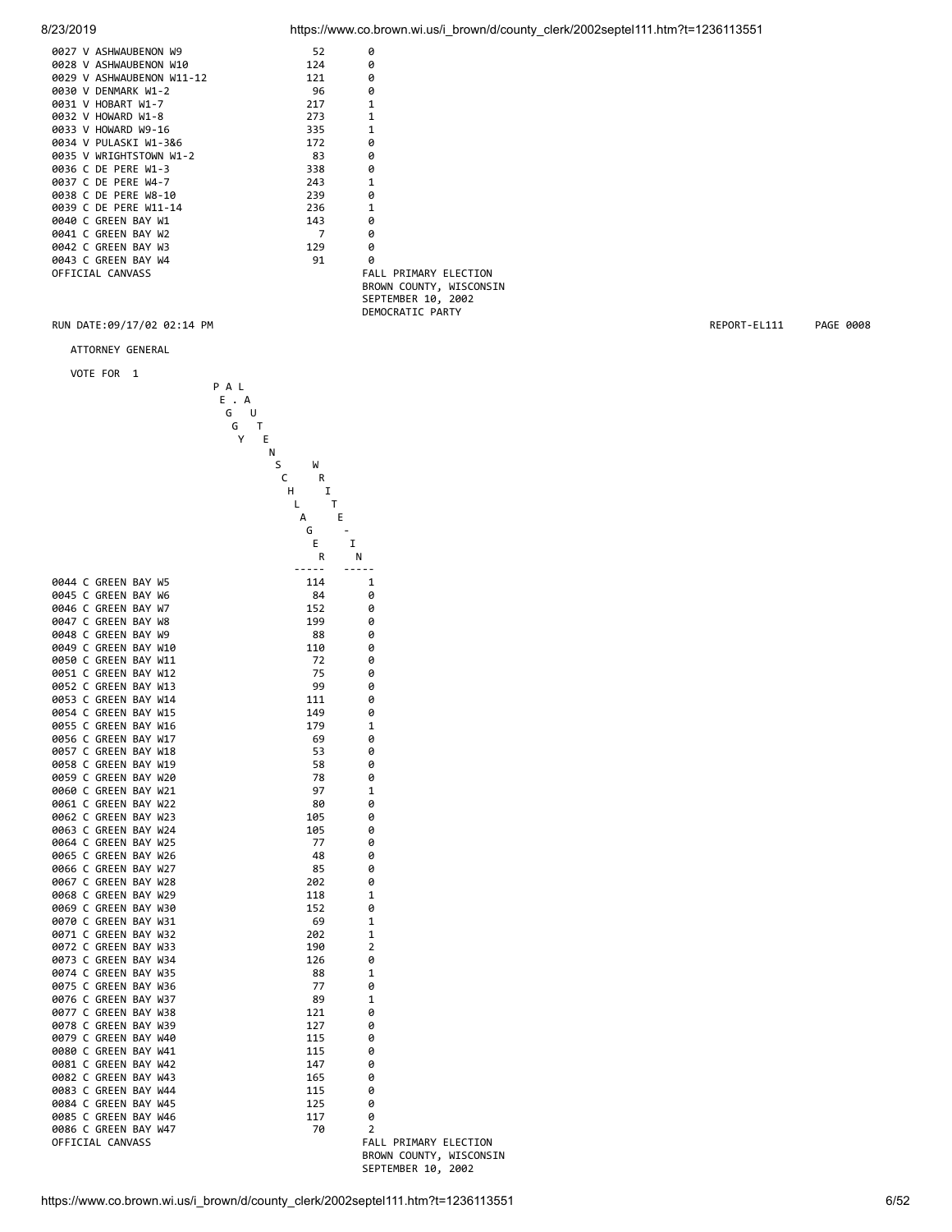| 0027 V ASHWAUBENON W9     | 52  | ø            |
|---------------------------|-----|--------------|
| 0028 V ASHWAUBENON W10    | 124 | ø            |
| 0029 V ASHWAUBENON W11-12 | 121 | ø            |
| 0030 V DENMARK W1-2       | 96  | ø            |
| 0031 V HOBART W1-7        | 217 | $\mathbf{1}$ |
| 0032 V HOWARD W1-8        | 273 | $\mathbf{1}$ |
| 0033 V HOWARD W9-16       | 335 | $\mathbf{1}$ |
| 0034 V PULASKI W1-3&6     | 172 | Ø            |
| 0035 V WRIGHTSTOWN W1-2   | 83  | 0            |
| 0036 C DE PERE W1-3       | 338 | Ø            |
| 0037 C DE PERE W4-7       | 243 | $\mathbf{1}$ |
| 0038 C DE PERE W8-10      | 239 | Ø            |
| 0039 C DE PERE W11-14     | 236 | $\mathbf{1}$ |
| 0040 C GREEN BAY W1       | 143 | Ø            |
| 0041 C GREEN BAY W2       | 7   | ø            |
| 0042 C GREEN BAY W3       | 129 | ø            |
| 0043 C GREEN BAY W4       | 91  | ø            |
| OFFICIAL CANVASS          |     | FALL<br>P    |

8/23/2019 https://www.co.brown.wi.us/i\_brown/d/county\_clerk/2002septel111.htm?t=1236113551

RIMARY ELECTION BROWN COUNTY, WISCONSIN SEPTEMBER 10, 2002 DEMOCRATIC PARTY

### RUN DATE:09/17/02 02:14 PM REPORT-EL111 PAGE 0008

ATTORNEY GENERAL

| VOTE FOR<br>1                                | P A L                |                                                  |
|----------------------------------------------|----------------------|--------------------------------------------------|
|                                              | E . A<br>G<br>U<br>т |                                                  |
|                                              | G<br>Y<br>Е          |                                                  |
|                                              | Ν                    |                                                  |
|                                              | S<br>W<br>C<br>R     |                                                  |
|                                              | н                    | I                                                |
|                                              | L                    | Т                                                |
|                                              | А<br>G               | E                                                |
|                                              | E                    | I                                                |
|                                              | R                    | Ν                                                |
| 0044 C GREEN BAY W5                          | -----<br>114         | -----<br>1                                       |
| 0045 C GREEN BAY W6                          | 84                   | 0                                                |
| 0046 C GREEN BAY W7                          | 152                  | 0                                                |
| 0047 C GREEN BAY W8                          | 199                  | 0                                                |
| 0048 C GREEN BAY W9<br>0049 C GREEN BAY W10  | 88<br>110            | 0<br>0                                           |
| 0050 C GREEN BAY W11                         | 72                   | 0                                                |
| 0051 C GREEN BAY W12                         | 75                   | 0                                                |
| 0052 C GREEN BAY W13                         | 99                   | 0                                                |
| 0053 C GREEN BAY W14                         | 111                  | 0                                                |
| 0054 C GREEN BAY W15<br>0055 C GREEN BAY W16 | 149<br>179           | 0<br>$\mathbf 1$                                 |
| 0056 C GREEN BAY W17                         | 69                   | 0                                                |
| 0057 C GREEN BAY W18                         | 53                   | 0                                                |
| 0058 C GREEN BAY W19                         | 58                   | 0                                                |
| 0059 C GREEN BAY W20                         | 78                   | 0                                                |
| 0060 C GREEN BAY W21<br>0061 C GREEN BAY W22 | 97<br>80             | $\mathbf 1$<br>0                                 |
| 0062 C GREEN BAY W23                         | 105                  | 0                                                |
| 0063 C GREEN BAY W24                         | 105                  | 0                                                |
| 0064 C GREEN BAY W25                         | 77                   | 0                                                |
| 0065 C GREEN BAY W26<br>0066 C GREEN BAY W27 | 48<br>85             | 0<br>0                                           |
| 0067 C GREEN BAY W28                         | 202                  | 0                                                |
| 0068 C GREEN BAY W29                         | 118                  | 1                                                |
| 0069 C GREEN BAY W30                         | 152                  | 0                                                |
| 0070 C GREEN BAY W31<br>0071 C GREEN BAY W32 | 69                   | $\mathbf 1$                                      |
| 0072 C GREEN BAY W33                         | 202<br>190           | 1<br>2                                           |
| 0073 C GREEN BAY W34                         | 126                  | 0                                                |
| 0074 C GREEN BAY W35                         | 88                   | $\mathbf{1}$                                     |
| 0075 C GREEN BAY W36                         | 77                   | 0                                                |
| 0076 C GREEN BAY W37<br>0077 C GREEN BAY W38 | 89<br>121            | 1<br>0                                           |
| 0078 C GREEN BAY W39                         | 127                  | 0                                                |
| 0079 C GREEN BAY W40                         | 115                  | 0                                                |
| 0080 C GREEN BAY W41                         | 115                  | 0                                                |
| 0081 C GREEN BAY W42                         | 147                  | 0                                                |
| 0082 C GREEN BAY W43<br>0083 C GREEN BAY W44 | 165<br>115           | Ø<br>0                                           |
| 0084 C GREEN BAY W45                         | 125                  | 0                                                |
| 0085 C GREEN BAY W46                         | 117                  | 0                                                |
| 0086 C GREEN BAY W47                         | 70                   | 2                                                |
| OFFICIAL CANVASS                             |                      | FALL PRIMARY ELECTION<br>BROWN COUNTY, WISCONSIN |

SEPTEMBER 10, 2002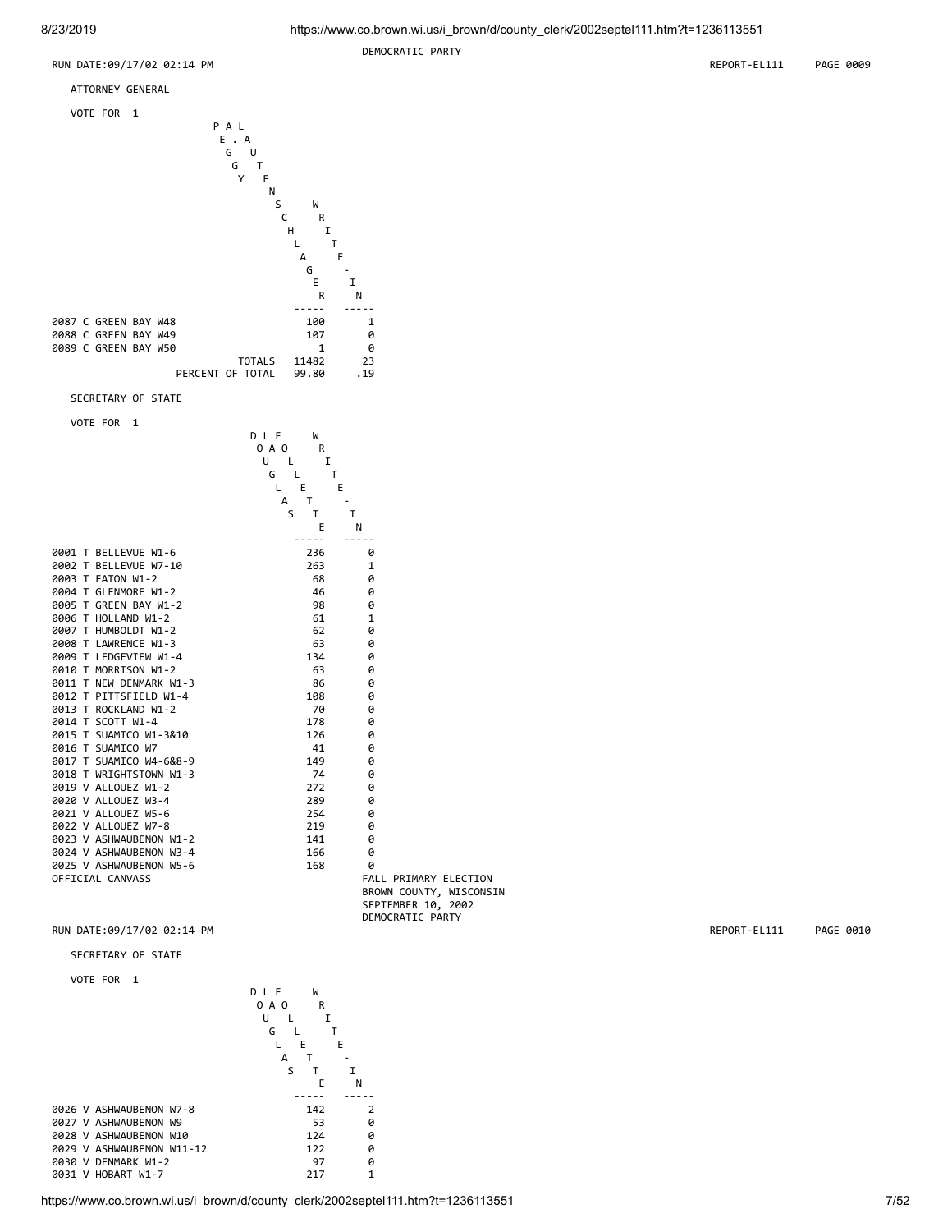

SECRETARY OF STATE

VOTE FOR 1

|                         | DLF<br>W               |                         |
|-------------------------|------------------------|-------------------------|
|                         | 0 A O<br>R             |                         |
|                         | $\mathbf I$<br>U L     |                         |
|                         | T<br>G<br>$\mathsf{L}$ |                         |
|                         | L E                    | E                       |
|                         | T.<br>A                |                         |
|                         | T<br>S.                | I                       |
|                         | E                      | N                       |
|                         |                        |                         |
| 0001 T BELLEVUE W1-6    | 236                    | 0                       |
| 0002 T BELLEVUE W7-10   | 263                    | $\mathbf{1}$            |
| 0003 T EATON W1-2       | 68                     | 0                       |
| 0004 T GLENMORE W1-2    | 46                     | 0                       |
| 0005 T GREEN BAY W1-2   | 98                     | 0                       |
| 0006 T HOLLAND W1-2     | 61                     | $\mathbf{1}$            |
| 0007 T HUMBOLDT W1-2    | 62                     | 0                       |
| 0008 T LAWRENCE W1-3    | 63                     | 0                       |
| 0009 T LEDGEVIEW W1-4   | 134                    | 0                       |
| 0010 T MORRISON W1-2    | 63                     | 0                       |
| 0011 T NEW DENMARK W1-3 | 86                     | 0                       |
| 0012 T PITTSFIELD W1-4  | 108                    | 0                       |
| 0013 T ROCKLAND W1-2    | 70                     | 0                       |
| 0014 T SCOTT W1-4       | 178                    | 0                       |
| 0015 T SUAMICO W1-3&10  | 126                    | 0                       |
| 0016 T SUAMICO W7       | 41                     | 0                       |
| 0017 T SUAMICO W4-6&8-9 | 149                    | 0                       |
| 0018 T WRIGHTSTOWN W1-3 | 74                     | 0                       |
| 0019 V ALLOUEZ W1-2     | 272                    | 0                       |
| 0020 V ALLOUEZ W3-4     | 289                    | 0                       |
| 0021 V ALLOUEZ W5-6     | 254                    | 0                       |
| 0022 V ALLOUEZ W7-8     | 219                    | 0                       |
| 0023 V ASHWAUBENON W1-2 | 141                    | 0                       |
| 0024 V ASHWAUBENON W3-4 | 166                    | 0                       |
| 0025 V ASHWAUBENON W5-6 | 168                    | 0                       |
| OFFICIAL CANVASS        |                        | FALL PRIMARY ELECTION   |
|                         |                        | BROWN COUNTY, WISCONSIN |
|                         |                        | SEPTEMBER 10, 2002      |
|                         |                        | DEMOCRATIC PARTY        |

# RUN DATE:09/17/02 02:14 PM **REPORT-EL111** PAGE 0010

SECRETARY OF STATE

VOTE FOR 1



https://www.co.brown.wi.us/i\_brown/d/county\_clerk/2002septel111.htm?t=1236113551 7/52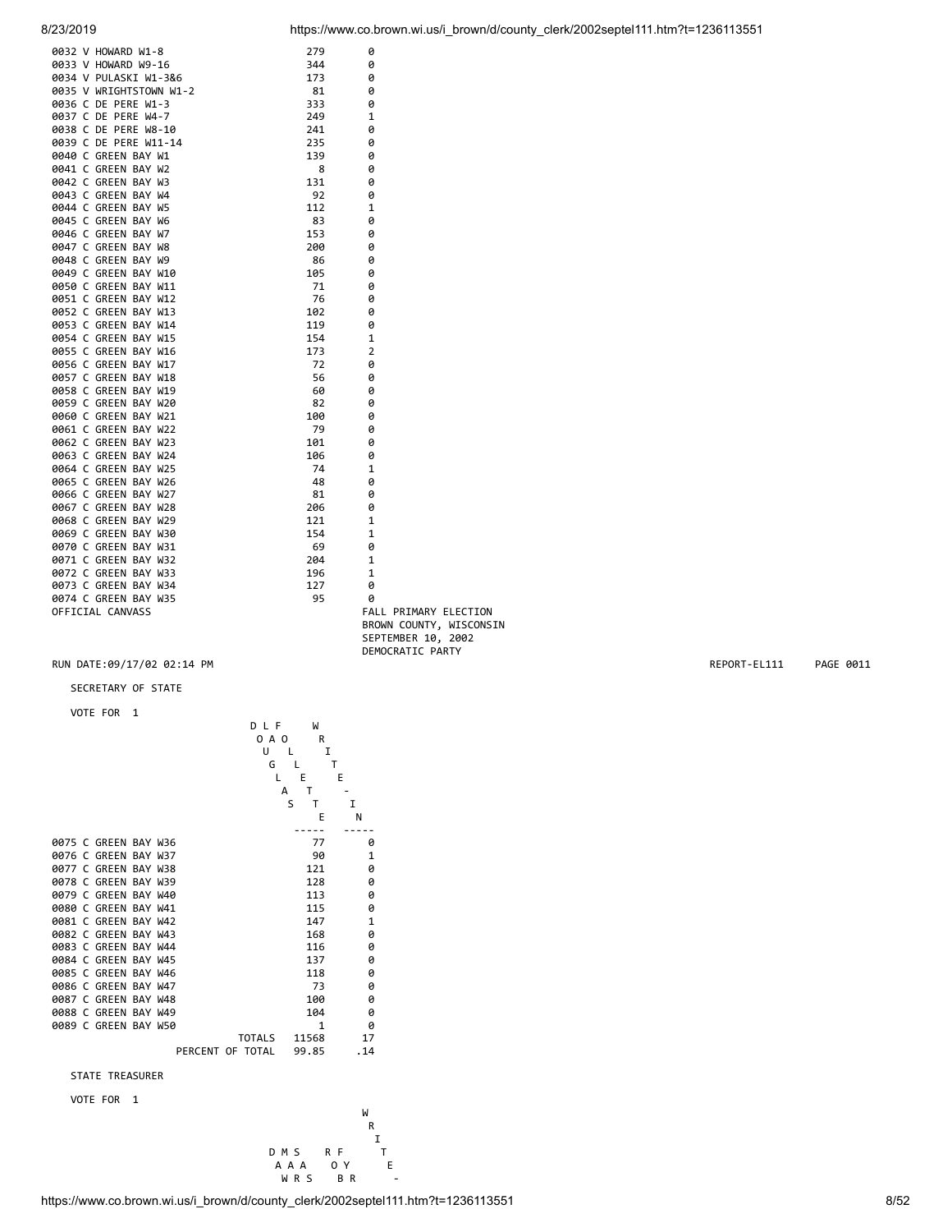| 0032 V HOWARD W1-8                        | 279  | 0                            |
|-------------------------------------------|------|------------------------------|
| 0033 V HOWARD W9-16                       | 344  | 0                            |
| 0034 V PULASKI W1-3&6                     | 173  | 0                            |
| 0034 V ruchung<br>0035 V WRIGHTSTOWN W1-2 | 81   | 0                            |
|                                           | 333  | 0                            |
| 0037 C DE PERE W4-7                       | 249  | 1                            |
| 0038 C DE PERE W8-10                      | 241  | 0                            |
| 0039 C DE PERE W11-14                     | 235  | 0                            |
| 0040 C GREEN BAY W1                       | 139  | 0                            |
| 0041 C GREEN BAY W2                       | 8    | 0                            |
| 0042 C GREEN BAY W3                       | 131  | 0                            |
| 0043 C GREEN BAY W4                       | 92   | 0                            |
| 0044 C GREEN BAY W5                       | 112  | 1                            |
| 0045 C GREEN BAY W6                       | - 83 | 0                            |
| 0046 C GREEN BAY W7                       | 153  | 0                            |
| 0047 C GREEN BAY W8                       | 200  | 0                            |
| 0048 C GREEN BAY W9                       | 86   | 0                            |
| 0049 C GREEN BAY W10                      | 105  | 0                            |
| 0050 C GREEN BAY W11                      | 71   | 0                            |
| 0051 C GREEN BAY W12                      | 76   | 0                            |
| 0052 C GREEN BAY W13                      | 102  | 0                            |
| 0053 C GREEN BAY W14                      | 119  | 0                            |
| 0054 C GREEN BAY W15                      | 154  | 1                            |
| 0055 C GREEN BAY W16                      | 173  | 2                            |
| 0056 C GREEN BAY W17                      | 72   | 0                            |
| 0057 C GREEN BAY W18                      | 56   | 0                            |
| 0058 C GREEN BAY W19                      | 60   | 0                            |
| 0059 C GREEN BAY W20                      | 82   | 0                            |
| 0060 C GREEN BAY W21                      | 100  | 0                            |
| 0061 C GREEN BAY W22                      | 79   | 0                            |
| 0062 C GREEN BAY W23                      | 101  | 0                            |
| 0063 C GREEN BAY W24                      | 106  | 0                            |
| 0064 C GREEN BAY W25                      | 74   | 1                            |
| 0065 C GREEN BAY W26                      | 48   | 0                            |
| 0066 C GREEN BAY W27                      | - 81 | ø                            |
| 0067 C GREEN BAY W28                      | 206  | ø                            |
| 0068 C GREEN BAY W29                      | 121  | 1                            |
| 0069 C GREEN BAY W30                      | 154  | $\mathbf{1}$                 |
| 0070 C GREEN BAY W31                      | - 69 | 0                            |
| 0071 C GREEN BAY W32                      | 204  | 1                            |
| 0072 C GREEN BAY W33                      | 196  | 1                            |
| 0073 C GREEN BAY W34                      | 127  | 0                            |
| 0074 C GREEN BAY W35                      | 95   | ø                            |
| OFFICIAL CANVASS                          |      | <b>FALL PRIMARY ELECTION</b> |
|                                           |      | BROWN COUNTY, WISCONSIN      |

SECRETARY OF STATE

VOTE FOR 1

| VOIE FOR               | ı | DLF              | W            |              |
|------------------------|---|------------------|--------------|--------------|
|                        |   | 0 A O            | R            |              |
|                        |   | U                | I<br>L       |              |
|                        |   | G                |              | т            |
|                        |   | L                | Ε            | E            |
|                        |   |                  | T<br>A       |              |
|                        |   |                  | S<br>т       | I            |
|                        |   |                  | E            | N            |
|                        |   |                  |              |              |
| 0075 C GREEN BAY W36   |   |                  | 77           | 0            |
| 0076 C GREEN BAY W37   |   |                  | 90           | $\mathbf{1}$ |
| 0077 C GREEN BAY W38   |   |                  | 121          | 0            |
| 0078 C GREEN BAY W39   |   |                  | 128          | 0            |
| 0079 C GREEN BAY W40   |   |                  | 113          | 0            |
| 0080 C GREEN BAY W41   |   |                  | 115          | 0            |
| 0081 C GREEN BAY W42   |   |                  | 147          | $\mathbf{1}$ |
| 0082 C GREEN BAY W43   |   |                  | 168          | Ø            |
| 0083 C GREEN BAY W44   |   |                  | 116          | 0            |
| 0084 C GREEN BAY W45   |   |                  | 137          | 0            |
| 0085 C GREEN BAY W46   |   |                  | 118          | 0            |
| 0086 C GREEN BAY W47   |   |                  | 73           | 0            |
| 0087 C GREEN BAY W48   |   |                  | 100          | 0            |
| 0088 C GREEN BAY W49   |   |                  | 104          | 0            |
| 0089 C GREEN BAY W50   |   |                  | $\mathbf{1}$ | Ø            |
|                        |   | <b>TOTALS</b>    | 11568        | 17           |
|                        |   | PERCENT OF TOTAL | 99.85        | .14          |
| <b>STATE TREASURER</b> |   |                  |              |              |
| <b>VOTE FOR</b>        | 1 |                  |              |              |

 SEPTEMBER 10, 2002 DEMOCRATIC PARTY

W<sub>1</sub> **R**  I W<br>
R<br>
D M S R F T<br>
A A A O Y E<br>
W R S B R . A A A O Y E WRS BR -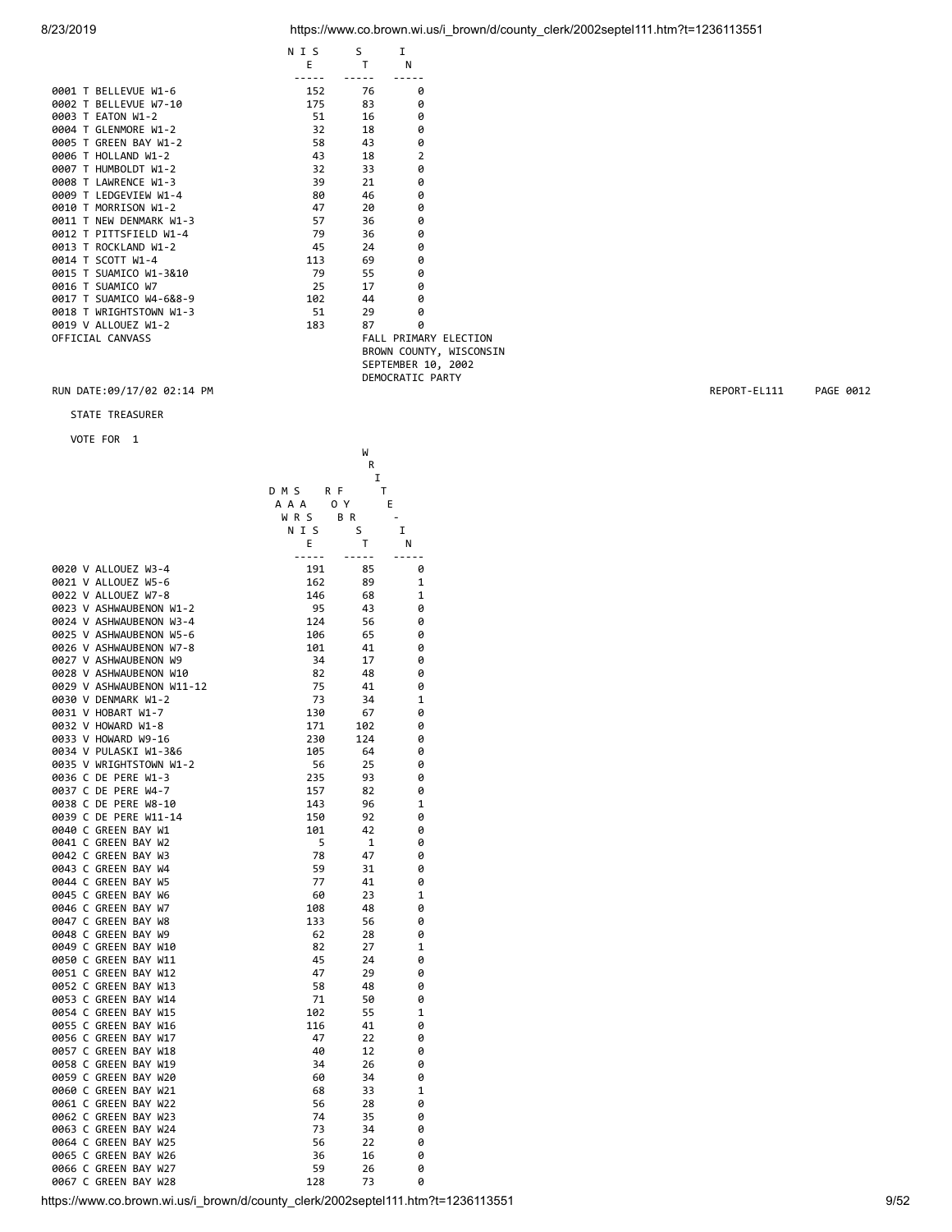# 8/23/2019 https://www.co.brown.wi.us/i\_brown/d/county\_clerk/2002septel111.htm?t=1236113551

|                         | N I S  | S.                    | I.                 |                         |
|-------------------------|--------|-----------------------|--------------------|-------------------------|
|                         | E      | $\mathsf{T}$          | N                  |                         |
|                         |        |                       |                    |                         |
| 0001 T BELLEVUE W1-6    | 152    | 76                    | ø                  |                         |
| 0002 T BELLEVUE W7-10   |        | 175 83                | ø                  |                         |
| 0003 T EATON W1-2       | 51 7   | 16                    | 0                  |                         |
| 0004 T GLENMORE W1-2    | $32 -$ | 18                    | ø                  |                         |
| 0005 T GREEN BAY W1-2   | 58 —   | 43                    | 0                  |                         |
| 0006 T HOLLAND W1-2     | 43     | 18                    | $\overline{2}$     |                         |
| 0007 T HUMBOLDT W1-2    | 32 —   | 33                    | 0                  |                         |
| 0008 T LAWRENCE W1-3    | 39     | 21                    | 0                  |                         |
| 0009 T LEDGEVIEW W1-4   | 80     | 46                    | 0                  |                         |
| 0010 T MORRISON W1-2    | 47     | 20                    | 0                  |                         |
| 0011 T NEW DENMARK W1-3 |        | 36                    | 0                  |                         |
| 0012 T PITTSFIELD W1-4  | 79     | 36                    | 0                  |                         |
| 0013 T ROCKLAND W1-2    | 45     | 24                    | 0                  |                         |
| 0014 T SCOTT W1-4       | 113    | 69                    | 0                  |                         |
| 0015 T SUAMICO W1-3&10  | 79 —   | 55                    | 0                  |                         |
| 0016 T SUAMICO W7       | 25     | 17                    | 0                  |                         |
| 0017 T SUAMICO W4-6&8-9 | 102    | 44                    | 0                  |                         |
| 0018 T WRIGHTSTOWN W1-3 | 51     | 29                    | 0                  |                         |
| 0019 V ALLOUEZ W1-2     | 183    | 87                    | 0                  |                         |
| OFFICIAL CANVASS        |        | FALL PRIMARY ELECTION |                    |                         |
|                         |        |                       |                    | BROWN COUNTY, WISCONSIN |
|                         |        |                       | SEPTEMBER 10, 2002 |                         |

DEMOCRATIC PARTY

### RUN DATE:09/17/02 02:14 PM REPORT-EL111 PAGE 0012

# STATE TREASURER

|                                                                                  | W<br>R                |                     |                          |
|----------------------------------------------------------------------------------|-----------------------|---------------------|--------------------------|
|                                                                                  |                       | I                   |                          |
|                                                                                  | D M S<br>R F<br>A A A | $\mathsf T$<br>0 Y  | Е                        |
|                                                                                  | WRS                   | B R                 | $\overline{\phantom{a}}$ |
|                                                                                  | N I S                 | S                   | I                        |
|                                                                                  | Е<br>$- - - - -$      | Τ                   | N                        |
| 0020 V ALLOUEZ W3-4                                                              | 191                   | $\sim$ $\sim$<br>85 | $ -$<br>0                |
| 0021 V ALLOUEZ W5-6                                                              | 162                   | 89                  | $\mathbf 1$              |
| 0022 V ALLOUEZ W7-8                                                              | 146                   | 68                  | $\mathbf 1$              |
| 0023 V ASHWAUBENON W1-2                                                          | 95                    | 43                  | 0                        |
| 0024 V ASHWAUBENON W3-4                                                          | 124                   | 56                  | 0                        |
| 0025 V ASHWAUBENON W5-6                                                          | 106                   | 65                  | 0                        |
| 0026 V ASHWAUBENON W7-8                                                          | 101                   | 41                  | 0                        |
| 0027 V ASHWAUBENON W9                                                            | 34                    | 17                  | 0                        |
| 0028 V ASHWAUBENON W10                                                           | 82                    | 48                  | 0                        |
| 0029 V ASHWAUBENON W11-12                                                        | 75                    | 41                  | 0                        |
| 0030 V DENMARK W1-2                                                              | 73                    | 34                  | $\mathbf 1$              |
| 0031 V HOBART W1-7                                                               | 130                   | 67                  | 0                        |
| 0032 V HOWARD W1-8                                                               | 171                   | 102                 | 0                        |
| 0033 V HOWARD W9-16                                                              | 230                   | 124                 | 0                        |
| 0034 V PULASKI W1-3&6                                                            | 105                   | 64                  | 0                        |
| 0035 V WRIGHTSTOWN W1-2                                                          | 56                    | 25                  | 0                        |
| 0036 C DE PERE W1-3                                                              | 235                   | 93                  | 0                        |
| 0037 C DE PERE W4-7                                                              | 157                   | 82                  | 0                        |
| 0038 C DE PERE W8-10                                                             | 143                   | 96                  | $\mathbf 1$              |
| 0039 C DE PERE W11-14                                                            | 150                   | 92                  | 0                        |
| 0040 C GREEN BAY W1                                                              | 101                   | 42                  | 0                        |
| 0041 C GREEN BAY W2                                                              | 5                     | $\mathbf{1}$        | 0                        |
| 0042 C GREEN BAY W3                                                              | 78                    | 47                  | 0                        |
| 0043 C GREEN BAY W4                                                              | 59                    | 31                  | 0                        |
| 0044 C GREEN BAY W5                                                              | 77                    | 41                  | 0                        |
| 0045 C GREEN BAY W6                                                              | 60                    | 23                  | 1                        |
| 0046 C GREEN BAY W7                                                              | 108                   | 48                  | 0                        |
| 0047 C GREEN BAY W8                                                              | 133                   | 56                  | 0                        |
| 0048 C GREEN BAY W9                                                              | 62                    | 28                  | 0                        |
| 0049 C GREEN BAY W10                                                             | 82                    | 27                  | $\mathbf 1$              |
| 0050 C GREEN BAY W11                                                             | 45                    | 24                  | 0                        |
| 0051 C GREEN BAY W12                                                             | 47                    | 29                  | 0                        |
| 0052 C GREEN BAY W13                                                             | 58                    | 48                  | 0                        |
| 0053 C GREEN BAY W14                                                             | 71                    | 50                  | 0                        |
| 0054 C GREEN BAY W15                                                             | 102                   | 55                  | 1                        |
| 0055 C GREEN BAY W16                                                             | 116                   | 41                  | 0                        |
| 0056 C GREEN BAY W17                                                             | 47                    | 22                  | 0                        |
| 0057 C GREEN BAY W18                                                             | 40                    | 12                  | 0                        |
| 0058 C GREEN BAY W19                                                             | 34                    | 26                  | 0                        |
| 0059 C GREEN BAY W20                                                             | 60                    | 34                  | 0                        |
| 0060 C GREEN BAY W21                                                             | 68                    | 33                  | $\mathbf 1$              |
| 0061 C GREEN BAY W22                                                             | 56                    | 28                  | 0                        |
|                                                                                  |                       |                     |                          |
| 0062 C GREEN BAY W23                                                             | 74                    | 35                  | 0                        |
| 0063 C GREEN BAY W24                                                             | 73                    | 34                  | 0                        |
| 0064 C GREEN BAY W25                                                             | 56                    | 22                  | 0                        |
| 0065 C GREEN BAY W26                                                             | 36                    | 16                  | 0                        |
| 0066 C GREEN BAY W27                                                             | 59                    | 26                  | 0                        |
| 0067 C GREEN BAY W28                                                             | 128                   | 73                  | 0                        |
| https://www.co.brown.wi.us/i_brown/d/county_clerk/2002septel111.htm?t=1236113551 |                       |                     |                          |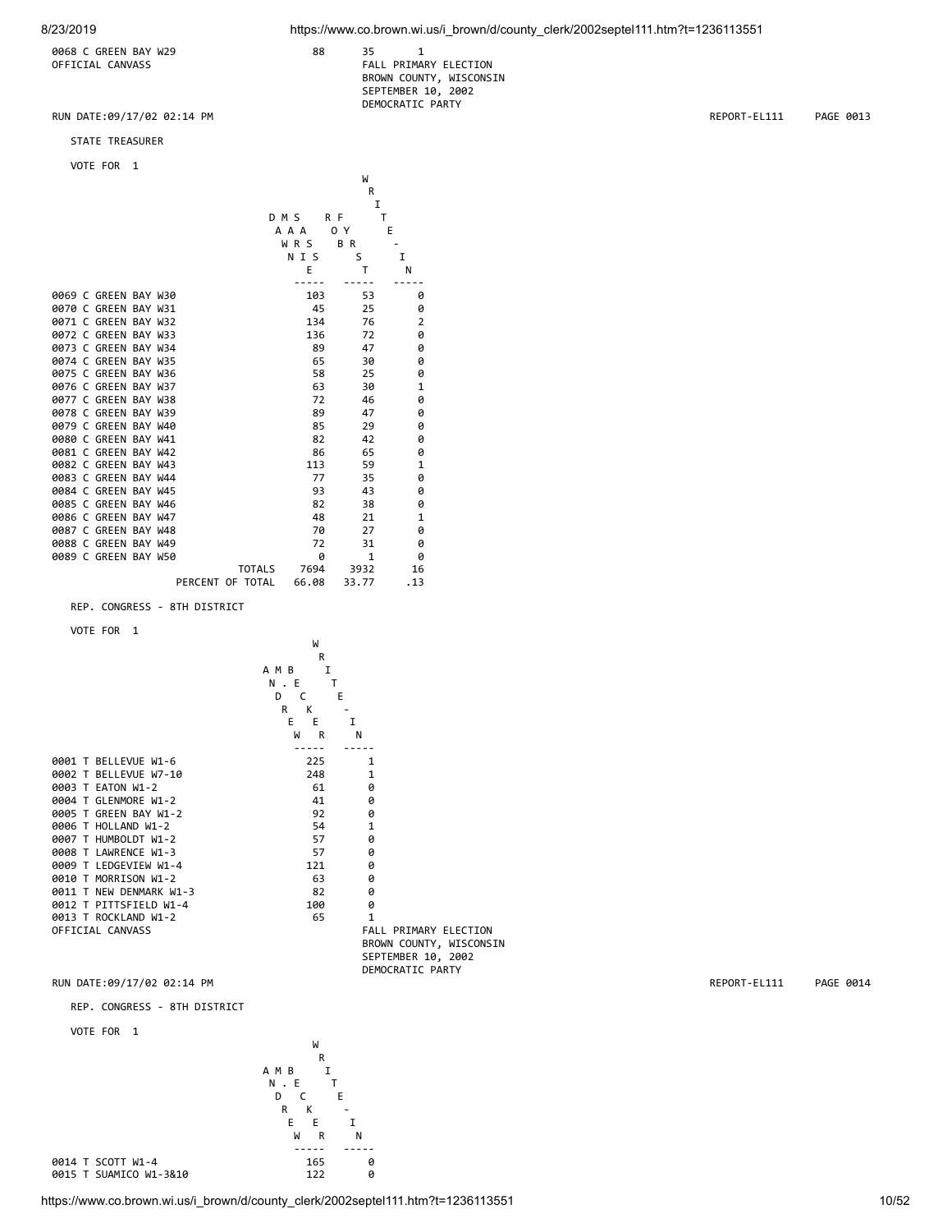0068 C GREEN BAY W29 88 35 1

### OFFICIAL CANVASS **FALL PRIMARY ELECTION** BROWN COUNTY, WISCONSIN SEPTEMBER 10, 2002 DEMOCRATIC PARTY

RUN DATE:09/17/02 02:14 PM REPORT-EL111 PAGE 0013

STATE TREASURER

# VOTE FOR 1

|                      |               |       | W            |                |
|----------------------|---------------|-------|--------------|----------------|
|                      |               |       | R            |                |
|                      |               |       | I            |                |
|                      |               | DMS   | R F          | т              |
|                      |               | A A A | 0 Y          | E              |
|                      |               | WRS   | B R          |                |
|                      |               | N I S | S            | T              |
|                      |               | E     | т            | N              |
|                      |               |       |              |                |
| 0069 C GREEN BAY W30 |               | 103   | 53           | 0              |
| 0070 C GREEN BAY W31 |               | 45    | 25           | 0              |
| 0071 C GREEN BAY W32 |               | 134   | 76           | $\overline{2}$ |
| 0072 C GREEN BAY W33 |               | 136   | 72           | 0              |
| 0073 C GREEN BAY W34 |               | 89    | 47           | 0              |
| 0074 C GREEN BAY W35 |               | 65    | 30           | 0              |
| 0075 C GREEN BAY W36 |               | 58    | 25           | 0              |
| 0076 C GREEN BAY W37 |               | 63    | 30           | $\mathbf{1}$   |
| 0077 C GREEN BAY W38 |               | 72    | 46           | 0              |
| 0078 C GREEN BAY W39 |               | 89    | 47           | 0              |
| 0079 C GREEN BAY W40 |               | 85    | 29           | 0              |
| 0080 C GREEN BAY W41 |               | 82    | 42           | 0              |
| 0081 C GREEN BAY W42 |               | 86    | 65           | 0              |
| 0082 C GREEN BAY W43 |               | 113   | 59           | $\mathbf{1}$   |
| 0083 C GREEN BAY W44 |               | 77    | 35           | 0              |
| 0084 C GREEN BAY W45 |               | 93    | 43           | 0              |
| 0085 C GREEN BAY W46 |               | 82    | 38           | 0              |
| 0086 C GREEN BAY W47 |               | 48    | 21           | $\mathbf{1}$   |
| 0087 C GREEN BAY W48 |               | 70    | 27           | 0              |
| 0088 C GREEN BAY W49 |               | 72    | 31           | 0              |
| 0089 C GREEN BAY W50 |               | 0     | $\mathbf{1}$ | 0              |
|                      | <b>TOTALS</b> | 7694  | 3932         | 16             |
|                      |               |       |              |                |

### REP. CONGRESS - 8TH DISTRICT

VOTE FOR 1



### REP. CONGRESS - 8TH DISTRICT

VOTE FOR 1



0015 T SUAMICO W1-3&10

https://www.co.brown.wi.us/i\_brown/d/county\_clerk/2002septel111.htm?t=1236113551 10/52

RUN DATE:09/17/02 02:14 PM REPORT-EL111 PAGE 0014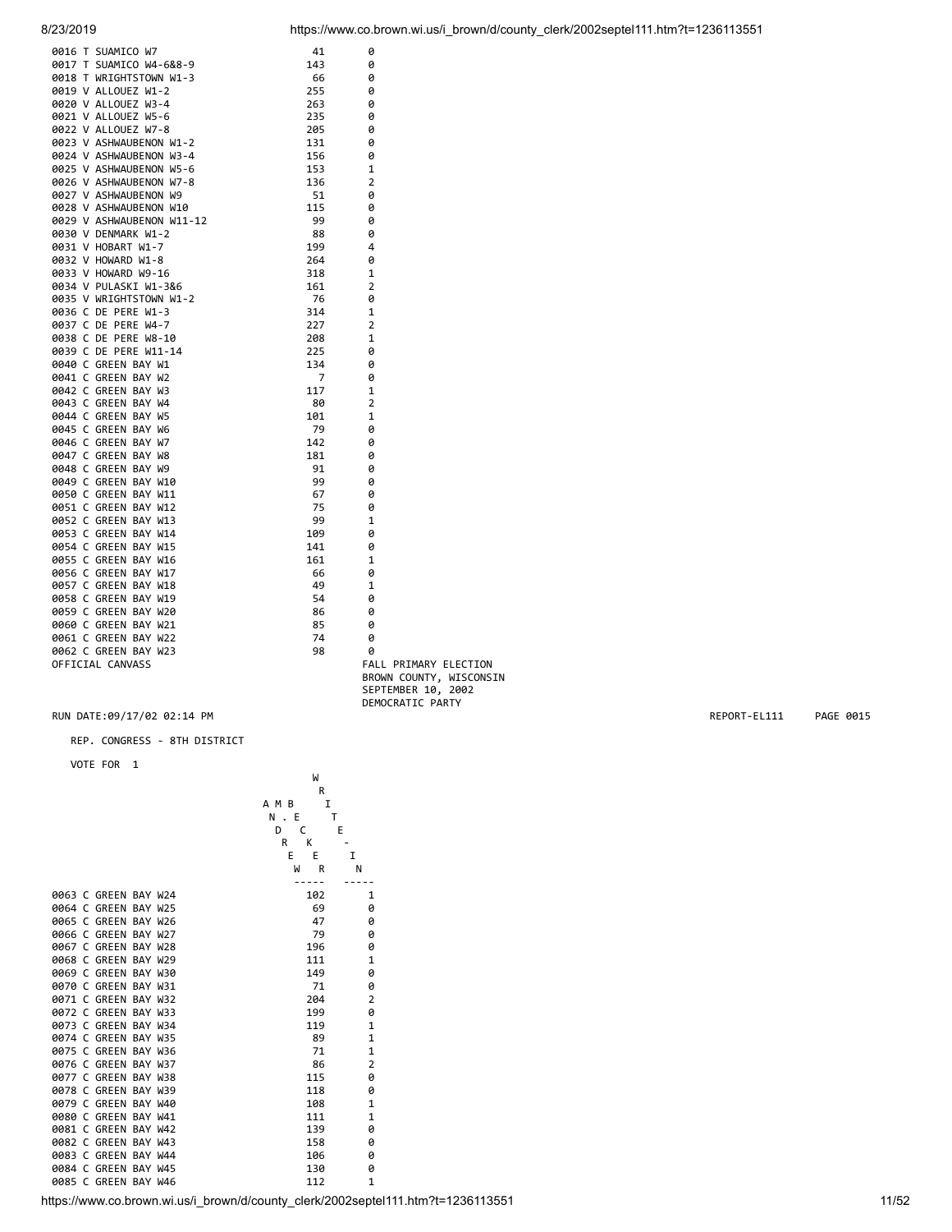| 0016 T SUAMICO W7         | 41  | 0              |
|---------------------------|-----|----------------|
| 0017 T SUAMICO W4-6&8-9   | 143 | 0              |
| 0018 T WRIGHTSTOWN W1-3   | 66  | 0              |
| 0019 V ALLOUEZ W1-2       | 255 | 0              |
| 0020 V ALLOUEZ W3-4       | 263 | 0              |
| 0021 V ALLOUEZ W5-6       | 235 | 0              |
| 0022 V ALLOUEZ W7-8       | 205 | 0              |
| 0023 V ASHWAUBENON W1-2   | 131 | 0              |
| 0024 V ASHWAUBENON W3-4   | 156 | 0              |
| 0025 V ASHWAUBENON W5-6   | 153 | 1              |
| 0026 V ASHWAUBENON W7-8   | 136 | 2              |
| 0027 V ASHWAUBENON W9     | 51  | 0              |
| 0028 V ASHWAUBENON W10    | 115 | 0              |
| 0029 V ASHWAUBENON W11-12 | 99  | 0              |
| 0030 V DENMARK W1-2       | 88  | 0              |
| 0031 V HOBART W1-7        | 199 | 4              |
| 0032 V HOWARD W1-8        | 264 | 0              |
| 0033 V HOWARD W9-16       | 318 | 1              |
| 0034 V PULASKI W1-3&6     | 161 | $\overline{2}$ |
| 0035 V WRIGHTSTOWN W1-2   | 76  | 0              |
| 0036 C DE PERE W1-3       | 314 | 1              |
| 0037 C DE PERE W4-7       | 227 | $\overline{2}$ |
| 0038 C DE PERE W8-10      | 208 | 1              |
| 0039 C DE PERE W11-14     | 225 | 0              |
| 0040 C GREEN BAY W1       | 134 | 0              |
| 0041 C GREEN BAY W2       | 7   | 0              |
| 0042 C GREEN BAY W3       | 117 | 1              |
| 0043 C GREEN BAY W4       | 80  | 2              |
| 0044 C GREEN BAY W5       | 101 | $\mathbf{1}$   |
| 0045 C GREEN BAY W6       | 79  | 0              |
| 0046 C GREEN BAY W7       | 142 | 0              |
| 0047 C GREEN BAY W8       | 181 | 0              |
| 0048 C GREEN BAY W9       | 91  | 0              |
| 0049 C GREEN BAY W10      | 99  | 0              |
| 0050 C GREEN BAY W11      | 67  | 0              |
| 0051 C GREEN BAY W12      | 75  | 0              |
| 0052 C GREEN BAY W13      | 99  | $\mathbf{1}$   |
| 0053 C GREEN BAY W14      | 109 | 0              |
| 0054 C GREEN BAY W15      | 141 | 0              |
| 0055 C GREEN BAY W16      | 161 | 1              |
| 0056 C GREEN BAY W17      | 66  | 0              |
| 0057 C GREEN BAY W18      | 49  | 1              |
| 0058 C GREEN BAY W19      | 54  | 0              |
| 0059 C GREEN BAY W20      | 86  | 0              |
| 0060 C GREEN BAY W21      | 85  | 0              |
| 0061 C GREEN BAY W22      | 74  | 0              |
| 0062 C GREEN BAY W23      | 98  | 0              |
| OFFICIAL CANVASS          |     | FALL PF        |
|                           |     |                |

RIMARY ELECTION BROWN COUNTY, WISCONSIN SEPTEMBER 10, 2002 DEMOCRATIC PARTY

### RUN DATE:09/17/02 02:14 PM REPORT-EL111 PAGE 0015

REP. CONGRESS - 8TH DISTRICT

VOTE FOR 1

|                                              | W          |                |
|----------------------------------------------|------------|----------------|
|                                              | R          |                |
|                                              | I<br>A M B |                |
|                                              | N . E<br>т |                |
|                                              | D<br>C     | E              |
|                                              | R<br>K     |                |
|                                              | E<br>E     | I              |
|                                              | W<br>R     | N              |
|                                              |            |                |
| 0063 C GREEN BAY W24                         | 102        | $\mathbf{1}$   |
| 0064 C GREEN BAY W25                         | 69         | 0              |
| 0065 C GREEN BAY W26                         | 47         | 0              |
| 0066 C GREEN BAY W27                         | 79         | 0              |
| C GREEN BAY W28<br>0067                      | 196        | 0              |
| 0068 C GREEN BAY W29                         | 111        | $\mathbf{1}$   |
| 0069 C GREEN BAY W30                         | 149        | 0              |
| 0070 C GREEN BAY W31                         | 71         | 0              |
| C GREEN BAY W32<br>0071                      | 204        | $\overline{2}$ |
| 0072 C GREEN BAY W33                         | 199        | 0              |
| 0073 C GREEN BAY W34                         | 119        | $\mathbf{1}$   |
| 0074 C GREEN BAY W35                         | 89         | $\mathbf{1}$   |
| 0075 C GREEN BAY W36                         | 71         | $\mathbf{1}$   |
| 0076 C GREEN BAY W37                         | 86         | $\overline{2}$ |
| <b>GREEN BAY W38</b><br>9977<br>$\mathsf{C}$ | 115        | 0              |
| 0078 C GREEN BAY W39                         | 118        | 0              |
| 0079 C GREEN BAY W40                         | 108        | $\mathbf{1}$   |
| GREEN BAY W41<br>9989<br>$\mathcal{C}$       | 111        | $\mathbf{1}$   |
| 0081<br>C GREEN BAY W42                      | 139        | 0              |
| 0082 C GREEN BAY W43                         | 158        | 0              |
| GREEN BAY W44<br>0083<br>$\epsilon$          | 106        | ø              |
| GREEN BAY W45<br>0084<br>C                   | 130        | 0              |
| 0085 C GREEN BAY W46                         | 112        | $\mathbf{1}$   |
|                                              |            |                |

https://www.co.brown.wi.us/i\_brown/d/county\_clerk/2002septel111.htm?t=1236113551 11/52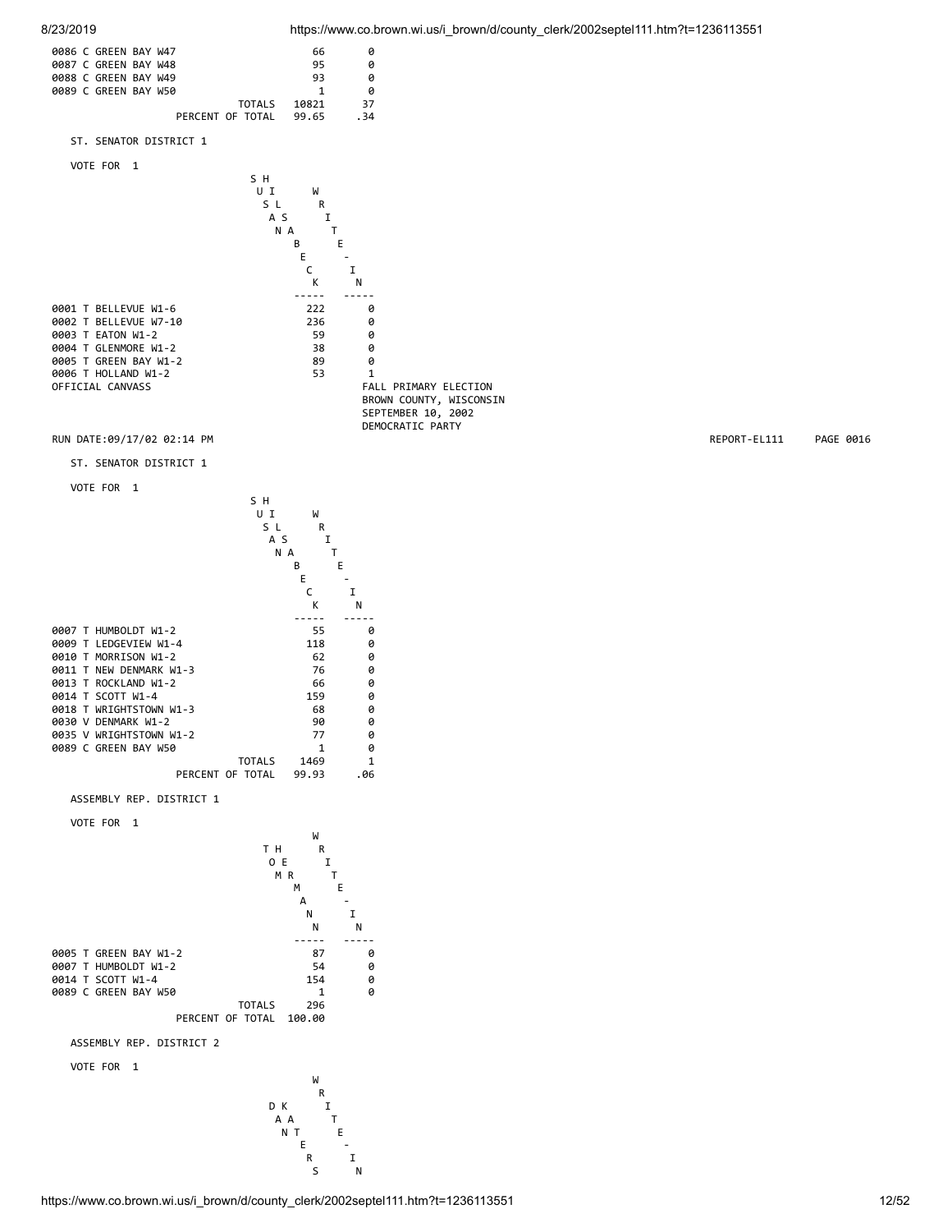



S N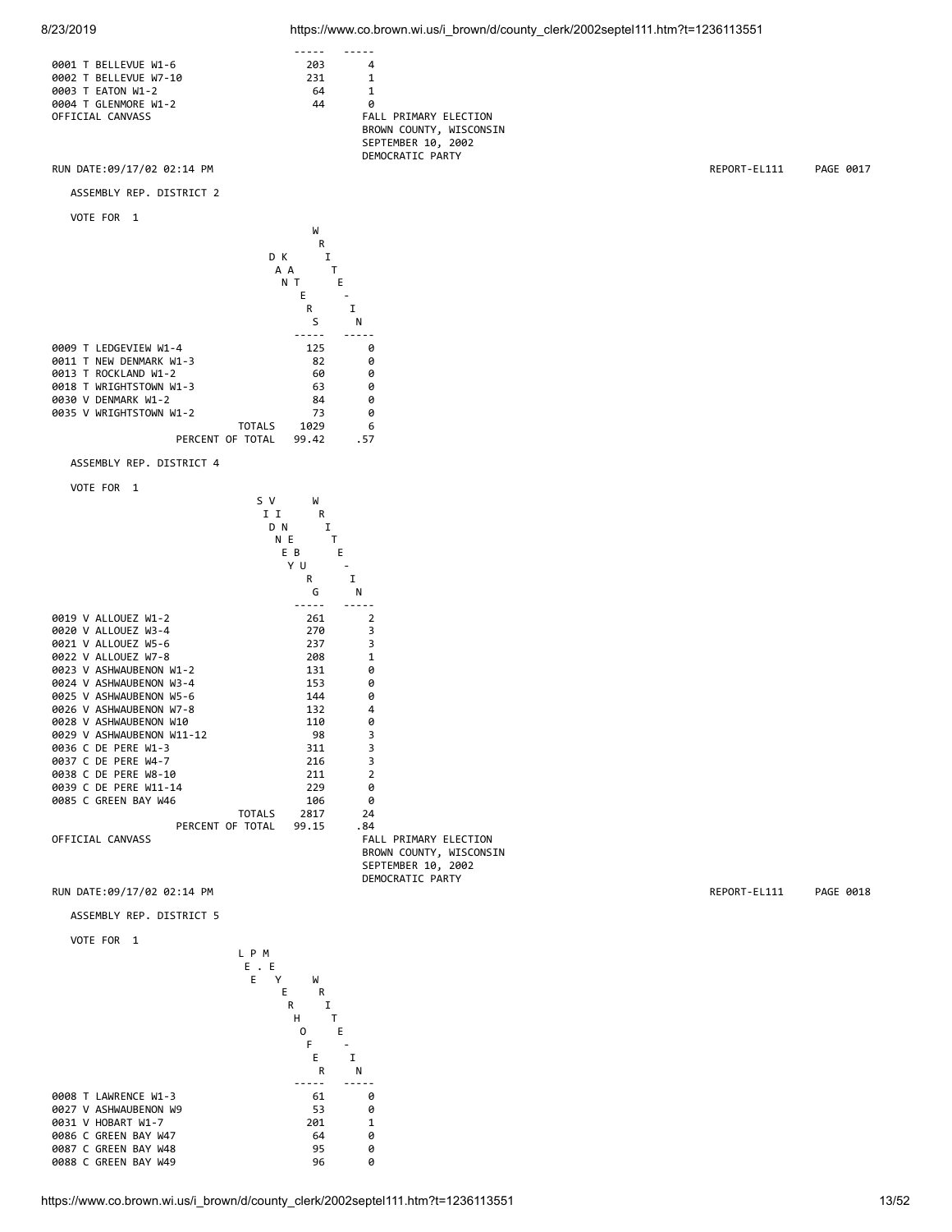







ASSEMBLY REP. DISTRICT 4



DEMOCRATIC PARTY

### RUN DATE:09/17/02 02:14 PM REPORT-EL111 PAGE 0018

ASSEMBLY REP. DISTRICT 5

```
 VOTE FOR 1
```
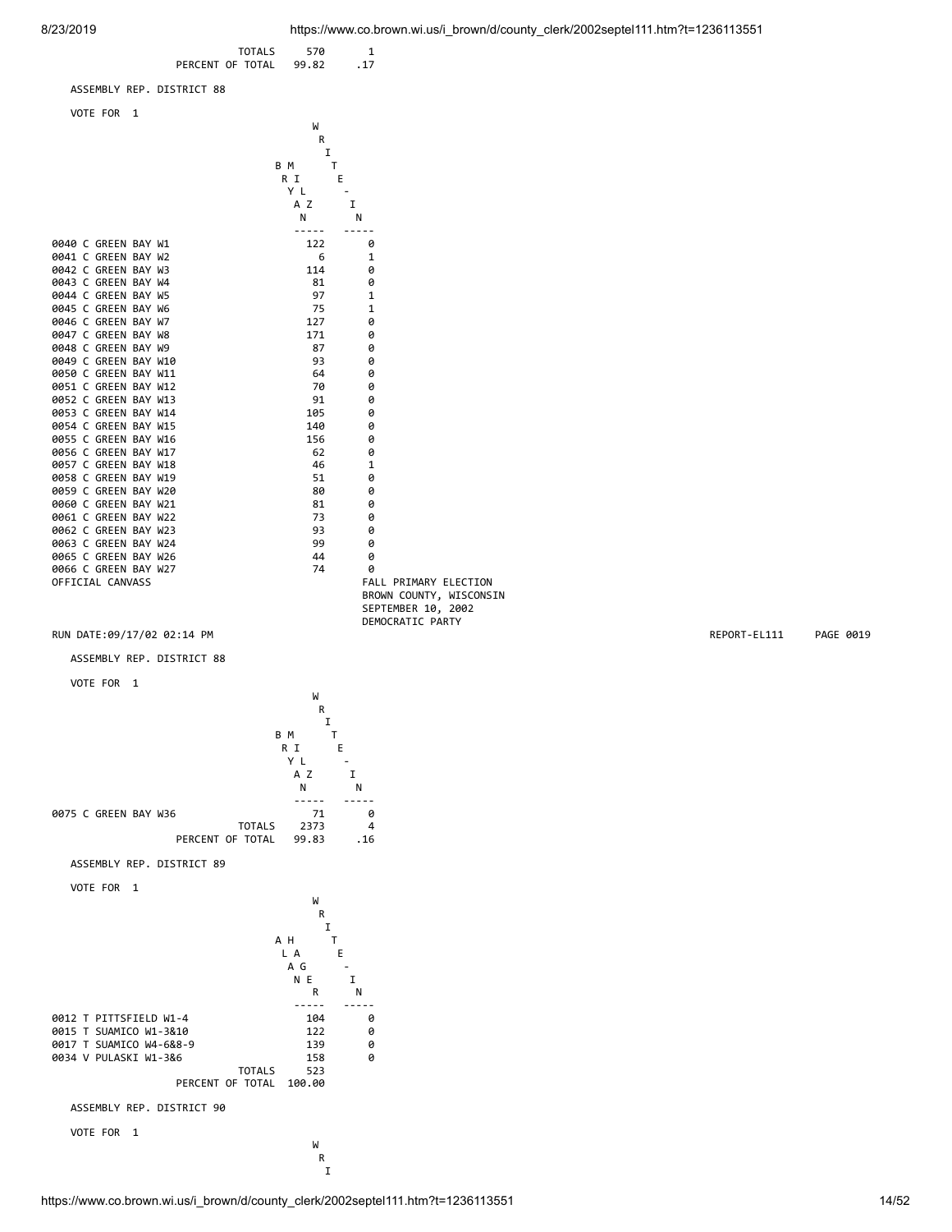

I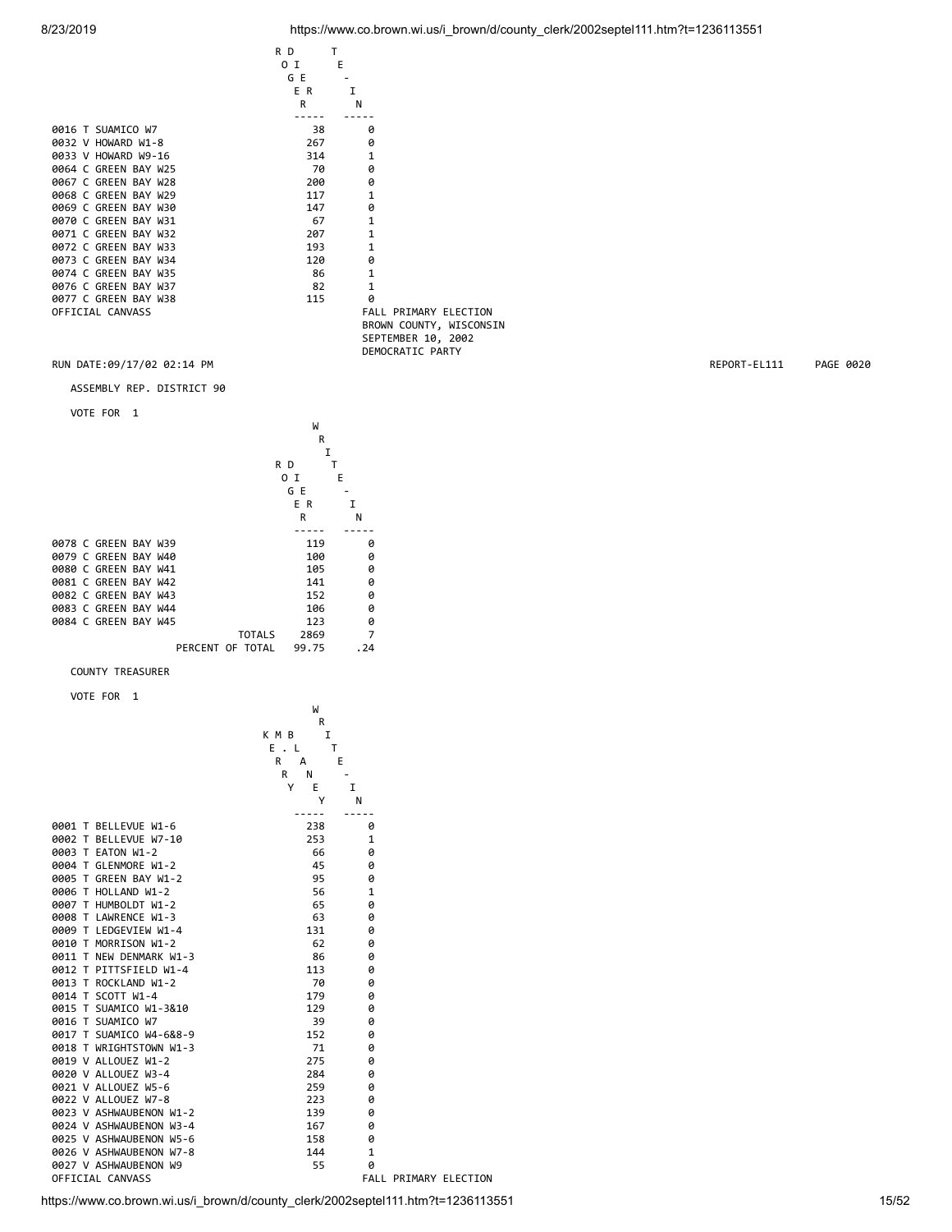| 8/23/2019 | https://www.co.brown.wi.us/i brown/d/county clerk/2002septel111.htm?t=1236113551 |  |
|-----------|----------------------------------------------------------------------------------|--|
|           |                                                                                  |  |

|                      | R D            | т                            |
|----------------------|----------------|------------------------------|
|                      | 0 <sub>I</sub> | E                            |
|                      | G E            |                              |
|                      | E R            | I                            |
|                      | $\mathsf{R}$   | N                            |
|                      |                |                              |
| 0016 T SUAMICO W7    | 38             | ø                            |
| 0032 V HOWARD W1-8   | 267            | ø                            |
| 0033 V HOWARD W9-16  | 314            | 1                            |
| 0064 C GREEN BAY W25 | 70             | ø                            |
| 0067 C GREEN BAY W28 | 200            | 0                            |
| 0068 C GREEN BAY W29 | 117            | 1                            |
| 0069 C GREEN BAY W30 | 147            | 0                            |
| 0070 C GREEN BAY W31 | 67             | 1                            |
| 0071 C GREEN BAY W32 | 207            | 1                            |
| 0072 C GREEN BAY W33 | 193            | 1                            |
| 0073 C GREEN BAY W34 | 120            | 0                            |
| 0074 C GREEN BAY W35 | 86             | $\mathbf{1}$                 |
| 0076 C GREEN BAY W37 | 82             | $\mathbf{1}$                 |
| 0077 C GREEN BAY W38 | 115            | ø                            |
| OFFICIAL CANVASS     |                | <b>FALL PRIMARY ELECTION</b> |
|                      |                | BROWN COUNTY, WISCONSIN      |
|                      |                | SEPTEMBER 10, 2002           |

DEMOCRATIC PARTY RUN DATE:09/17/02 02:14 PM REPORT-EL111 PAGE 0020

ASSEMBLY REP. DISTRICT 90

VOTE FOR 1

| -                    |                           |          |  |  |  |
|----------------------|---------------------------|----------|--|--|--|
|                      |                           | W        |  |  |  |
|                      |                           | R        |  |  |  |
|                      |                           | I        |  |  |  |
|                      | R D                       |          |  |  |  |
|                      |                           |          |  |  |  |
|                      | ΟI                        | E        |  |  |  |
|                      | G E                       |          |  |  |  |
|                      | E R                       | I        |  |  |  |
|                      | R                         | Ν        |  |  |  |
|                      |                           |          |  |  |  |
| 0078 C GREEN BAY W39 |                           | 119<br>0 |  |  |  |
| 0079 C GREEN BAY W40 |                           | 100<br>0 |  |  |  |
| 0080 C GREEN BAY W41 |                           | 105<br>ø |  |  |  |
| 0081 C GREEN BAY W42 |                           | ø<br>141 |  |  |  |
| 0082 C GREEN BAY W43 |                           | 152<br>ø |  |  |  |
| 0083 C GREEN BAY W44 |                           | 106<br>ø |  |  |  |
| 0084 C GREEN BAY W45 |                           | ø<br>123 |  |  |  |
|                      | <b>TOTALS</b><br>2869     | 7        |  |  |  |
|                      | PERCENT OF TOTAL<br>99.75 | . 24     |  |  |  |

COUNTY TREASURER

VOTE FOR 1

|                         | W<br>R<br>K M B<br>I<br>$E \cdot L$ | T            |                              |
|-------------------------|-------------------------------------|--------------|------------------------------|
|                         | R<br>A                              | Ε            |                              |
|                         | R<br>N                              |              |                              |
|                         | Y<br>E                              | I            |                              |
|                         | Υ                                   | N            |                              |
| 0001 T BELLEVUE W1-6    | 238                                 | 0            |                              |
| 0002 T BELLEVUE W7-10   | 253                                 | 1            |                              |
| 0003 T EATON W1-2       | 66                                  | 0            |                              |
| 0004 T GLENMORE W1-2    | 45                                  | ø            |                              |
| 0005 T GREEN BAY W1-2   | 95                                  | 0            |                              |
| 0006 T HOLLAND W1-2     | 56                                  | 1            |                              |
| 0007 T HUMBOLDT W1-2    | 65                                  | Ø            |                              |
| 0008 T LAWRENCE W1-3    | 63                                  | 0            |                              |
| 0009 T LEDGEVIEW W1-4   | 131                                 | 0            |                              |
| 0010 T MORRISON W1-2    | 62                                  | ø            |                              |
| 0011 T NEW DENMARK W1-3 | 86                                  | ø            |                              |
| 0012 T PITTSFIELD W1-4  | 113                                 | 0            |                              |
| 0013 T ROCKLAND W1-2    | 70                                  | ø            |                              |
| 0014 T SCOTT W1-4       | 179                                 | ø            |                              |
| 0015 T SUAMICO W1-3&10  | 129                                 | 0            |                              |
| 0016 T SUAMICO W7       | 39                                  | Ø            |                              |
| 0017 T SUAMICO W4-6&8-9 | 152                                 | 0            |                              |
| 0018 T WRIGHTSTOWN W1-3 | 71                                  | 0            |                              |
| 0019 V ALLOUEZ W1-2     | 275                                 | Ø            |                              |
| 0020 V ALLOUEZ W3-4     | 284                                 | 0            |                              |
| 0021 V ALLOUEZ W5-6     | 259                                 | Ø            |                              |
| 0022 V ALLOUEZ W7-8     | 223                                 | Ø            |                              |
| 0023 V ASHWAUBENON W1-2 | 139                                 | 0            |                              |
| 0024 V ASHWAUBENON W3-4 | 167                                 | Ø            |                              |
| 0025 V ASHWAUBENON W5-6 | 158                                 | 0            |                              |
| 0026 V ASHWAUBENON W7-8 | 144                                 | $\mathbf{1}$ |                              |
| 0027 V ASHWAUBENON W9   | 55                                  | Ø            |                              |
| OFFICIAL CANVASS        |                                     |              | <b>FALL PRIMARY ELECTION</b> |

https://www.co.brown.wi.us/i\_brown/d/county\_clerk/2002septel111.htm?t=1236113551 15/52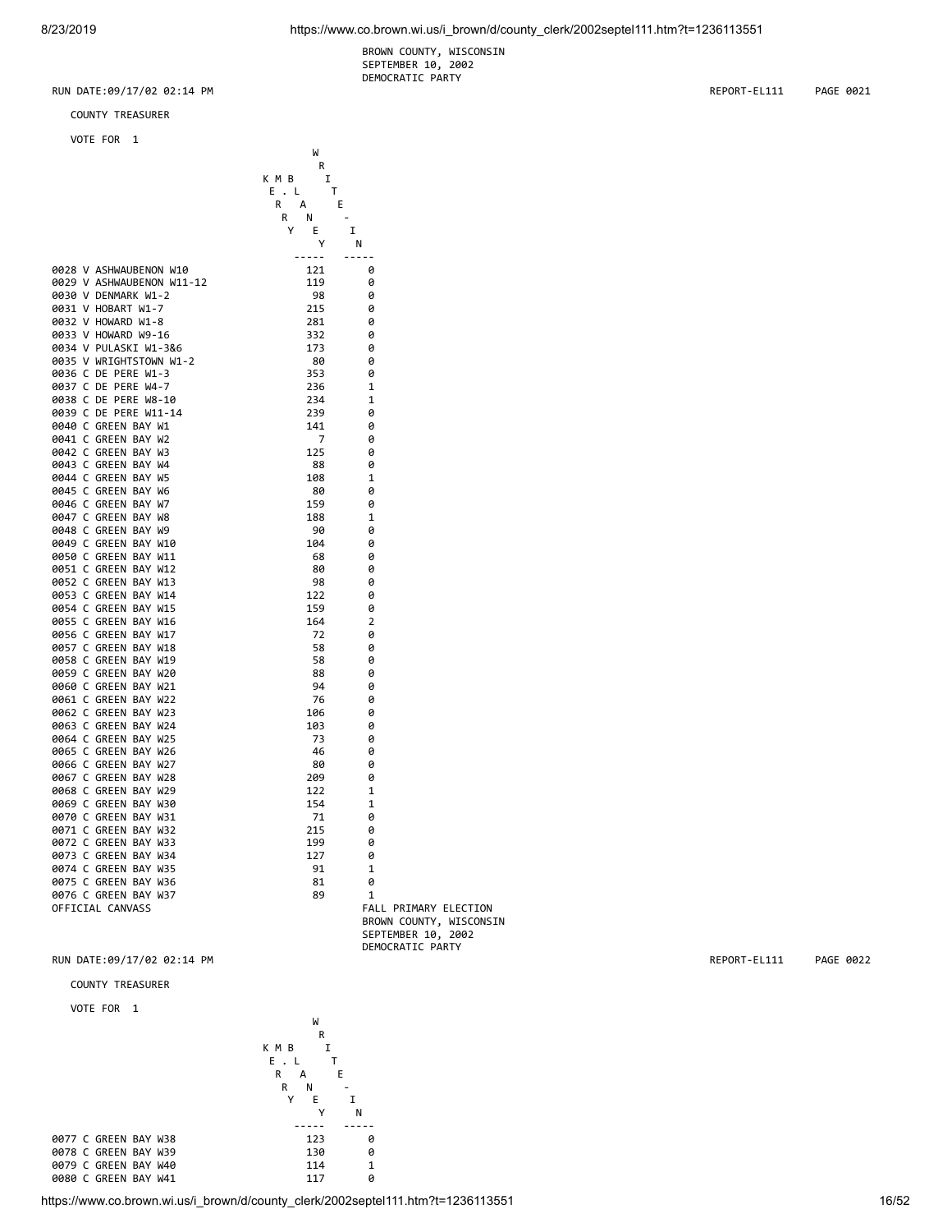BROWN COUNTY, WISCONSIN SEPTEMBER 10, 2002 DEMOCRATIC PARTY

W<sub>1</sub> **R R R** 

K M B I

COUNTY TREASURER

VOTE FOR 1

|                           | E.L<br>т                           |                         |
|---------------------------|------------------------------------|-------------------------|
|                           | R<br>A<br>Ε                        |                         |
|                           | N<br>R<br>$\overline{\phantom{a}}$ |                         |
|                           | Y<br>E                             | I                       |
|                           | Υ                                  | N                       |
|                           | -----                              | -----                   |
| 0028 V ASHWAUBENON W10    | 121                                | 0                       |
| 0029 V ASHWAUBENON W11-12 | 119                                | 0                       |
| 0030 V DENMARK W1-2       | 98                                 | 0                       |
| 0031 V HOBART W1-7        | 215                                | 0                       |
| 0032 V HOWARD W1-8        | 281                                | 0                       |
| 0033 V HOWARD W9-16       | 332                                | ø                       |
| 0034 V PULASKI W1-3&6     | 173                                | 0                       |
| 0035 V WRIGHTSTOWN W1-2   | 80                                 | 0                       |
| 0036 C DE PERE W1-3       |                                    |                         |
|                           | 353                                | 0                       |
| 0037 C DE PERE W4-7       | 236                                | 1                       |
| 0038 C DE PERE W8-10      | 234                                | 1                       |
| 0039 C DE PERE W11-14     | 239                                | 0                       |
| 0040 C GREEN BAY W1       | 141                                | 0                       |
| 0041 C GREEN BAY W2       | 7                                  | ø                       |
| 0042 C GREEN BAY W3       | 125                                | 0                       |
| 0043 C GREEN BAY W4       | 88                                 | 0                       |
| 0044 C GREEN BAY W5       | 108                                | 1                       |
| 0045 C GREEN BAY W6       | 80                                 | 0                       |
| 0046 C GREEN BAY W7       | 159                                | 0                       |
| 0047 C GREEN BAY W8       | 188                                | 1                       |
| 0048 C GREEN BAY W9       | 90                                 | ø                       |
| 0049 C GREEN BAY W10      | 104                                | 0                       |
| 0050 C GREEN BAY W11      | 68                                 | 0                       |
| 0051 C GREEN BAY W12      | 80                                 | 0                       |
| 0052 C GREEN BAY W13      | 98                                 | 0                       |
| 0053 C GREEN BAY W14      | 122                                | 0                       |
| 0054 C GREEN BAY W15      | 159                                | 0                       |
| 0055 C GREEN BAY W16      | 164                                | 2                       |
| 0056 C GREEN BAY W17      | 72                                 | ø                       |
| 0057 C GREEN BAY W18      | 58                                 | 0                       |
| 0058 C GREEN BAY W19      | 58                                 | 0                       |
| 0059 C GREEN BAY W20      | 88                                 | 0                       |
| 0060 C GREEN BAY W21      | 94                                 | 0                       |
| 0061 C GREEN BAY W22      | 76                                 | 0                       |
| 0062 C GREEN BAY W23      |                                    |                         |
|                           | 106                                | 0                       |
| 0063 C GREEN BAY W24      | 103                                | 0                       |
| 0064 C GREEN BAY W25      | 73                                 | 0                       |
| 0065 C GREEN BAY W26      | 46                                 | 0                       |
| 0066 C GREEN BAY W27      | 80                                 | 0                       |
| 0067 C GREEN BAY W28      | 209                                | ø                       |
| 0068 C GREEN BAY W29      | 122                                | $\mathbf{1}$            |
| 0069 C GREEN BAY W30      | 154                                | 1                       |
| 0070 C GREEN BAY W31      | 71                                 | 0                       |
| 0071 C GREEN BAY W32      | 215                                | 0                       |
| 0072 C GREEN BAY W33      | 199                                | 0                       |
| 0073 C GREEN BAY W34      | 127                                | 0                       |
| 0074 C GREEN BAY W35      | 91                                 | 1                       |
| 0075 C GREEN BAY W36      | 81                                 | 0                       |
| 0076 C GREEN BAY W37      | 89                                 | 1                       |
| OFFICIAL CANVASS          |                                    | FALL PRIMARY ELECTION   |
|                           |                                    | BROWN COUNTY, WISCONSIN |

RUN DATE:09/17/02 02:14 PM REPORT-EL111 PAGE 0022

# COUNTY TREASURER

### VOTE FOR 1



https://www.co.brown.wi.us/i\_brown/d/county\_clerk/2002septel111.htm?t=1236113551 16/52

SEPTEMBER 10, 2002

DEMOCRATIC PARTY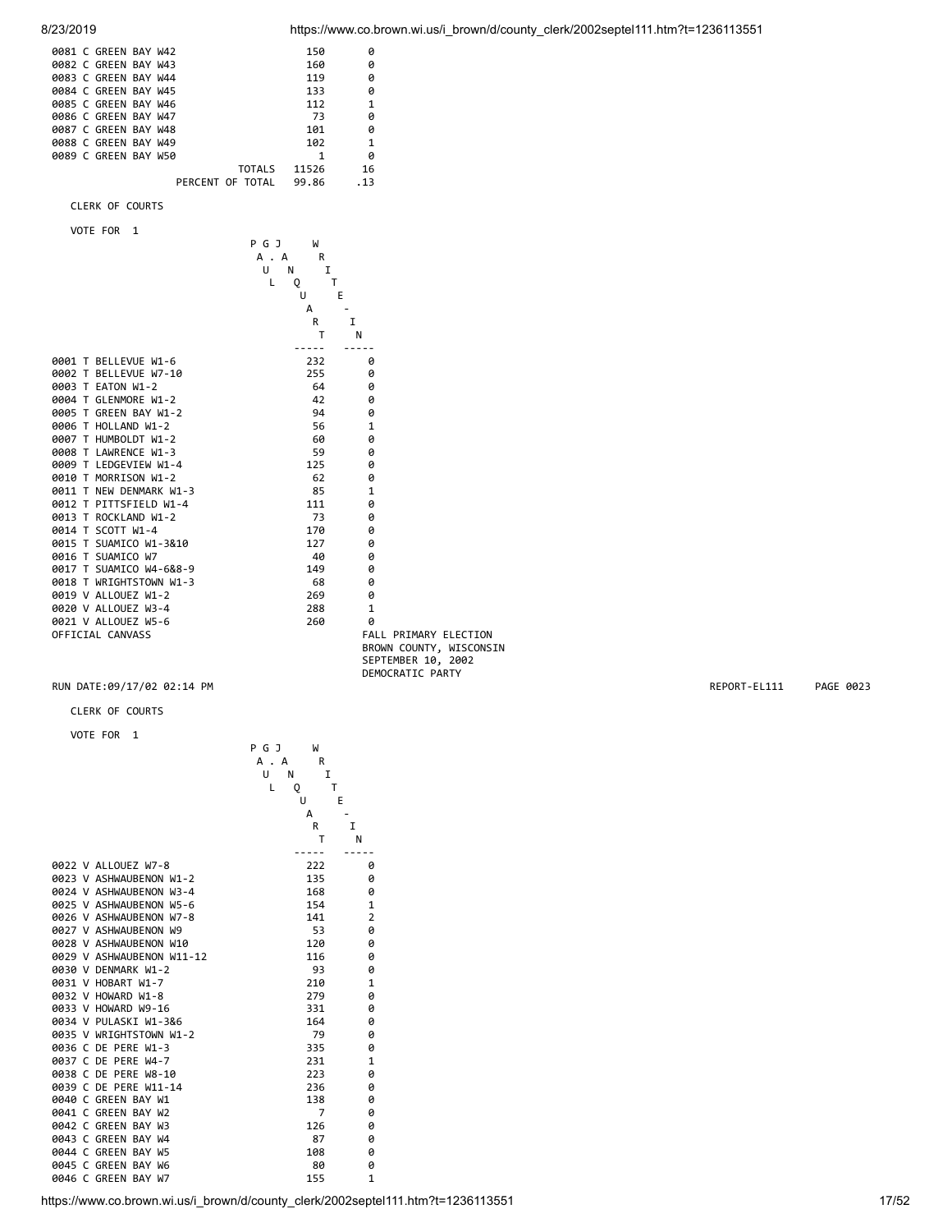| 0081 C GREEN BAY W42<br>0082 C GREEN BAY W43<br>0083 C GREEN BAY W44<br>0084 C GREEN BAY W45<br>0085 C GREEN BAY W46<br>0086 C GREEN BAY W47<br>0087 C GREEN BAY W48<br>0088 C GREEN BAY W49<br>0089 C GREEN BAY W50 | 150<br>160<br>119<br>133<br>112<br>73<br>101<br>102<br>1<br><b>TOTALS</b><br>11526          | 0<br>0<br>0<br>0<br>$\mathbf{1}$<br>0<br>0<br>$\mathbf{1}$<br>0<br>16                      |              |           |
|----------------------------------------------------------------------------------------------------------------------------------------------------------------------------------------------------------------------|---------------------------------------------------------------------------------------------|--------------------------------------------------------------------------------------------|--------------|-----------|
| PERCENT OF TOTAL                                                                                                                                                                                                     | 99.86                                                                                       | .13                                                                                        |              |           |
| CLERK OF COURTS                                                                                                                                                                                                      |                                                                                             |                                                                                            |              |           |
| VOTE FOR 1                                                                                                                                                                                                           | P G J<br>W<br>R<br>A . A<br>U<br>Ν<br>Ι.<br>L<br>Q<br>T<br>U<br>Е<br>А<br>R<br>$\mathsf{T}$ | $\mathbf I$<br>N                                                                           |              |           |
| 0001 T BELLEVUE W1-6                                                                                                                                                                                                 | -----<br>232                                                                                | $- - - - -$<br>0                                                                           |              |           |
| 0002 T BELLEVUE W7-10                                                                                                                                                                                                | 255                                                                                         | 0                                                                                          |              |           |
| 0003 T EATON W1-2                                                                                                                                                                                                    | 64                                                                                          | 0                                                                                          |              |           |
| 0004 T GLENMORE W1-2                                                                                                                                                                                                 | 42                                                                                          | 0                                                                                          |              |           |
| 0005 T GREEN BAY W1-2                                                                                                                                                                                                | 94                                                                                          | 0                                                                                          |              |           |
| 0006 T HOLLAND W1-2<br>0007 T HUMBOLDT W1-2                                                                                                                                                                          | 56<br>60                                                                                    | 1<br>0                                                                                     |              |           |
| 0008 T LAWRENCE W1-3                                                                                                                                                                                                 | 59                                                                                          | 0                                                                                          |              |           |
| 0009 T LEDGEVIEW W1-4                                                                                                                                                                                                | 125                                                                                         | 0                                                                                          |              |           |
| 0010 T MORRISON W1-2                                                                                                                                                                                                 | 62                                                                                          | 0                                                                                          |              |           |
| 0011 T NEW DENMARK W1-3                                                                                                                                                                                              | 85                                                                                          | 1                                                                                          |              |           |
| 0012 T PITTSFIELD W1-4                                                                                                                                                                                               | 111                                                                                         | 0                                                                                          |              |           |
| 0013 T ROCKLAND W1-2                                                                                                                                                                                                 | 73                                                                                          | 0                                                                                          |              |           |
| 0014 T SCOTT W1-4                                                                                                                                                                                                    | 170                                                                                         | 0                                                                                          |              |           |
| 0015 T SUAMICO W1-3&10                                                                                                                                                                                               | 127                                                                                         | 0                                                                                          |              |           |
| 0016 T SUAMICO W7                                                                                                                                                                                                    | 40                                                                                          | 0                                                                                          |              |           |
| 0017 T SUAMICO W4-6&8-9<br>0018 T WRIGHTSTOWN W1-3                                                                                                                                                                   | 149<br>68                                                                                   | 0<br>0                                                                                     |              |           |
| 0019 V ALLOUEZ W1-2                                                                                                                                                                                                  | 269                                                                                         | 0                                                                                          |              |           |
| 0020 V ALLOUEZ W3-4                                                                                                                                                                                                  | 288                                                                                         | $\mathbf{1}$                                                                               |              |           |
| 0021 V ALLOUEZ W5-6                                                                                                                                                                                                  | 260                                                                                         | 0                                                                                          |              |           |
| OFFICIAL CANVASS                                                                                                                                                                                                     |                                                                                             | FALL PRIMARY ELECTION<br>BROWN COUNTY, WISCONSIN<br>SEPTEMBER 10, 2002<br>DEMOCRATIC PARTY |              |           |
| RUN DATE:09/17/02 02:14 PM                                                                                                                                                                                           |                                                                                             |                                                                                            | REPORT-EL111 | PAGE 0023 |
| CLERK OF COURTS                                                                                                                                                                                                      |                                                                                             |                                                                                            |              |           |
| VOTE FOR 1                                                                                                                                                                                                           |                                                                                             |                                                                                            |              |           |

|  | VOTE FOR |  |
|--|----------|--|
|  |          |  |

|        |                           | P G J   | W   |                |
|--------|---------------------------|---------|-----|----------------|
|        |                           | Α.<br>A | R   |                |
|        |                           | U<br>N  | I   |                |
|        |                           | L       | Q   | T              |
|        |                           |         | U   | E              |
|        |                           |         | Α   |                |
|        |                           |         | R   | I              |
|        |                           |         | т   | N              |
|        | 0022 V ALLOUEZ W7-8       |         | 222 | ø              |
|        | 0023 V ASHWAUBENON W1-2   |         | 135 | 0              |
|        | 0024 V ASHWAUBENON W3-4   |         | 168 | 0              |
|        | 0025 V ASHWAUBENON W5-6   |         | 154 | 1              |
|        | 0026 V ASHWAUBENON W7-8   |         | 141 | $\overline{2}$ |
|        | 0027 V ASHWAUBENON W9     |         | 53  | 0              |
|        | 0028 V ASHWAUBENON W10    |         | 120 | 0              |
|        | 0029 V ASHWAUBENON W11-12 |         | 116 | 0              |
|        | 0030 V DENMARK W1-2       |         | 93  | 0              |
|        | 0031 V HOBART W1-7        |         | 210 | $\mathbf{1}$   |
|        | 0032 V HOWARD W1-8        |         | 279 | 0              |
|        | 0033 V HOWARD W9-16       |         | 331 | 0              |
|        | 0034 V PULASKI W1-3&6     |         | 164 | 0              |
|        | 0035 V WRIGHTSTOWN W1-2   |         | 79  | 0              |
|        | 0036 C DE PERE W1-3       |         | 335 | 0              |
| 0037   | C DE<br>PERE W4-7         |         | 231 | $\mathbf{1}$   |
|        | 0038 C DE PERE W8-10      |         | 223 | 0              |
|        | 0039 C DE PERE W11-14     |         | 236 | 0              |
|        | 0040 C GREEN BAY W1       |         | 138 | 0              |
| 0041 C | <b>GREEN BAY W2</b>       |         | 7   | 0              |
|        | 0042 C GREEN BAY W3       |         | 126 | 0              |
|        | 0043 C GREEN BAY W4       |         | 87  | 0              |
|        | 0044 C GREEN BAY W5       |         | 108 | 0              |
|        | 0045 C GREEN BAY W6       |         | 80  | 0              |
|        | 0046 C GREEN BAY W7       |         | 155 | $\mathbf{1}$   |

https://www.co.brown.wi.us/i\_brown/d/county\_clerk/2002septel111.htm?t=1236113551 17/52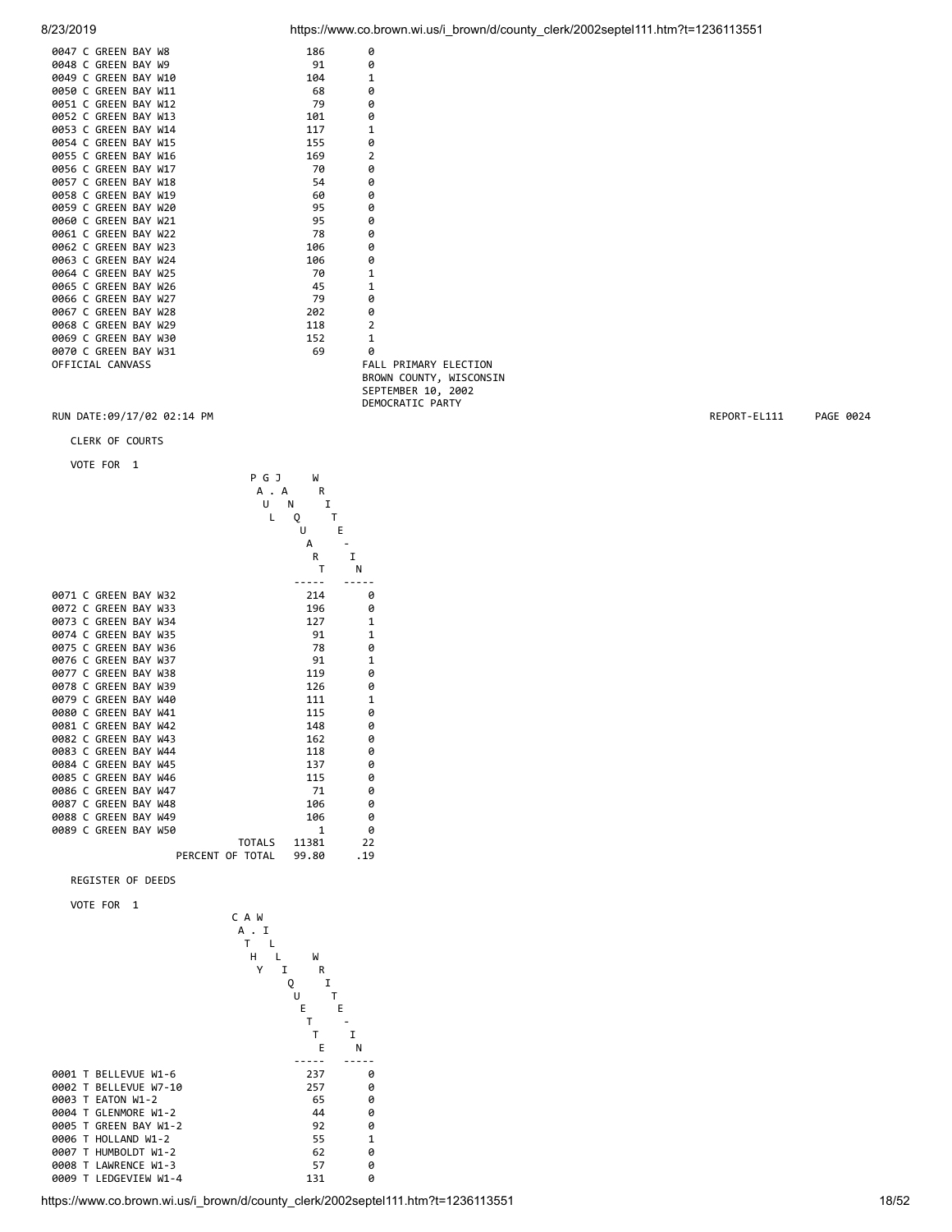|  | 0047 C GREEN BAY W8  |  | 186 | 0                  |
|--|----------------------|--|-----|--------------------|
|  | 0048 C GREEN BAY W9  |  | 91  | 0                  |
|  | 0049 C GREEN BAY W10 |  | 104 | $\mathbf{1}$       |
|  | 0050 C GREEN BAY W11 |  | 68  | 0                  |
|  | 0051 C GREEN BAY W12 |  | 79  | 0                  |
|  | 0052 C GREEN BAY W13 |  | 101 | 0                  |
|  | 0053 C GREEN BAY W14 |  | 117 | $\mathbf{1}$       |
|  | 0054 C GREEN BAY W15 |  | 155 | 0                  |
|  | 0055 C GREEN BAY W16 |  | 169 | $\overline{2}$     |
|  | 0056 C GREEN BAY W17 |  | 70  | 0                  |
|  | 0057 C GREEN BAY W18 |  | 54  | 0                  |
|  | 0058 C GREEN BAY W19 |  | 60  | 0                  |
|  | 0059 C GREEN BAY W20 |  | 95  | ø                  |
|  | 0060 C GREEN BAY W21 |  | 95  | 0                  |
|  | 0061 C GREEN BAY W22 |  | 78  | 0                  |
|  | 0062 C GREEN BAY W23 |  | 106 | 0                  |
|  | 0063 C GREEN BAY W24 |  | 106 | 0                  |
|  | 0064 C GREEN BAY W25 |  | 70  | $\mathbf{1}$       |
|  | 0065 C GREEN BAY W26 |  | 45  | $\mathbf{1}$       |
|  | 0066 C GREEN BAY W27 |  | 79  | 0                  |
|  | 0067 C GREEN BAY W28 |  | 202 | 0                  |
|  | 0068 C GREEN BAY W29 |  | 118 | $\overline{2}$     |
|  | 0069 C GREEN BAY W30 |  | 152 | $\mathbf{1}$       |
|  | 0070 C GREEN BAY W31 |  | 69  | 0                  |
|  | OFFICIAL CANVASS     |  |     | <b>FALL PRIN</b>   |
|  |                      |  |     | <b>DDOLINI COL</b> |

MARY ELECTION BROWN COUNTY, WISCONSIN SEPTEMBER 10, 2002 DEMOCRATIC PARTY

### RUN DATE:09/17/02 02:14 PM REPORT-EL111 PAGE 0024

CLERK OF COURTS

VOTE FOR 1



REGISTER OF DEEDS

VOTE FOR 1



8/23/2019 https://www.co.brown.wi.us/i\_brown/d/county\_clerk/2002septel111.htm?t=1236113551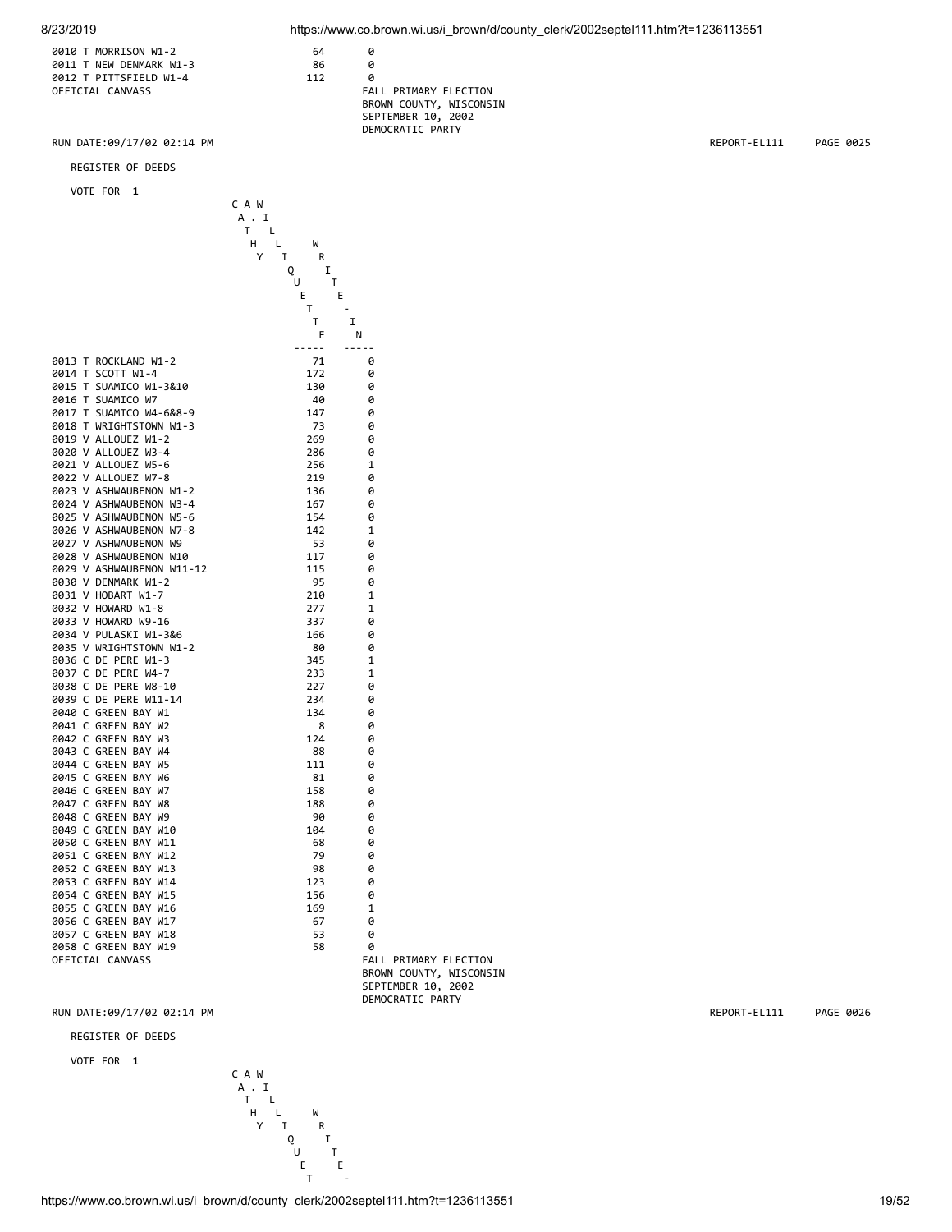8/23/2019 https://www.co.brown.wi.us/i\_brown/d/county\_clerk/2002septel111.htm?t=1236113551

| 0010 T MORRISON W1-2    | 64  |     |
|-------------------------|-----|-----|
| 0011 T NEW DENMARK W1-3 | 86  |     |
| 0012 T PITTSFIELD W1-4  | 112 |     |
| OFFICIAL CANVASS        |     | FAL |

| 0011 T NEW DENMARK W1-3 | 86  |                         |  |
|-------------------------|-----|-------------------------|--|
| 0012 T PITTSFIELD W1-4  | 112 |                         |  |
| OFFICIAL CANVASS        |     | FALL PRIMARY ELECTION   |  |
|                         |     | BROWN COUNTY, WISCONSIN |  |
|                         |     | SEPTEMBER 10, 2002      |  |
|                         |     | DEMOCRATIC PARTY        |  |
|                         |     |                         |  |

RUN DATE:09/17/02 02:14 PM REPORT-EL111 PAGE 0025

### REGISTER OF DEEDS

VOTE FOR 1

|                           | C A W        |                         |
|---------------------------|--------------|-------------------------|
|                           | A . I        |                         |
|                           | T.<br>L      |                         |
|                           | H<br>L.<br>W |                         |
|                           | Y<br>I<br>R  |                         |
|                           | Q<br>I       |                         |
|                           | U<br>Т       |                         |
|                           | E.<br>Е      |                         |
|                           | т            |                         |
|                           | т            | I                       |
|                           | Ε            | N                       |
|                           | -----        | $- - - - -$             |
| 0013 T ROCKLAND W1-2      | 71           | 0                       |
| 0014 T SCOTT W1-4         | 172          | ø                       |
| 0015 T SUAMICO W1-3&10    | 130          | 0                       |
| 0016 T SUAMICO W7         | 40           | 0                       |
| 0017 T SUAMICO W4-6&8-9   |              |                         |
| 0018 T WRIGHTSTOWN W1-3   | 147          | 0                       |
|                           | 73           | 0                       |
| 0019 V ALLOUEZ W1-2       | 269          | 0                       |
| 0020 V ALLOUEZ W3-4       | 286          | 0                       |
| 0021 V ALLOUEZ W5-6       | 256          | 1                       |
| 0022 V ALLOUEZ W7-8       | 219          | 0                       |
| 0023 V ASHWAUBENON W1-2   | 136          | 0                       |
| 0024 V ASHWAUBENON W3-4   | 167          | 0                       |
| 0025 V ASHWAUBENON W5-6   | 154          | 0                       |
| 0026 V ASHWAUBENON W7-8   | 142          | 1                       |
| 0027 V ASHWAUBENON W9     | 53           | ø                       |
| 0028 V ASHWAUBENON W10    | 117          | 0                       |
| 0029 V ASHWAUBENON W11-12 | 115          | ø                       |
| 0030 V DENMARK W1-2       | -95          | 0                       |
| 0031 V HOBART W1-7        | 210          | 1                       |
| 0032 V HOWARD W1-8        | 277          | $\mathbf{1}$            |
| 0033 V HOWARD W9-16       | 337          | 0                       |
| 0034 V PULASKI W1-3&6     | 166          | 0                       |
| 0035 V WRIGHTSTOWN W1-2   | 80           | 0                       |
| 0036 C DE PERE W1-3       | 345          | $\mathbf 1$             |
| 0037 C DE PERE W4-7       | 233          | 1                       |
| 0038 C DE PERE W8-10      | 227          | 0                       |
| 0039 C DE PERE W11-14     | 234          | 0                       |
| 0040 C GREEN BAY W1       | 134          | 0                       |
| 0041 C GREEN BAY W2       | 8            | 0                       |
| 0042 C GREEN BAY W3       | 124          | ø                       |
| 0043 C GREEN BAY W4       | 88           | 0                       |
| 0044 C GREEN BAY W5       | 111          | 0                       |
| 0045 C GREEN BAY W6       | 81           | 0                       |
| 0046 C GREEN BAY W7       | 158          | 0                       |
| 0047 C GREEN BAY W8       | 188          | 0                       |
| 0048 C GREEN BAY W9       | 90           | 0                       |
| 0049 C GREEN BAY W10      | 104          | 0                       |
| 0050 C GREEN BAY W11      | 68           | 0                       |
| 0051 C GREEN BAY W12      | 79           | 0                       |
| 0052 C GREEN BAY W13      | 98           | 0                       |
| 0053 C GREEN BAY W14      | 123          | 0                       |
| 0054 C GREEN BAY W15      | 156          | 0                       |
| 0055 C GREEN BAY W16      | 169          | 1                       |
| 0056 C GREEN BAY W17      | 67           | 0                       |
| 0057 C GREEN BAY W18      | 53           | 0                       |
| 0058 C GREEN BAY W19      | 58           | 0                       |
| OFFICIAL CANVASS          |              | FALL PRIMARY ELECTION   |
|                           |              | BROWN COUNTY, WISCONSIN |
|                           |              | SEPTEMBER 10, 2002      |

RUN DATE:09/17/02 02:14 PM REPORT-EL111 PAGE 0026

REGISTER OF DEEDS

VOTE FOR 1



DEMOCRATIC PARTY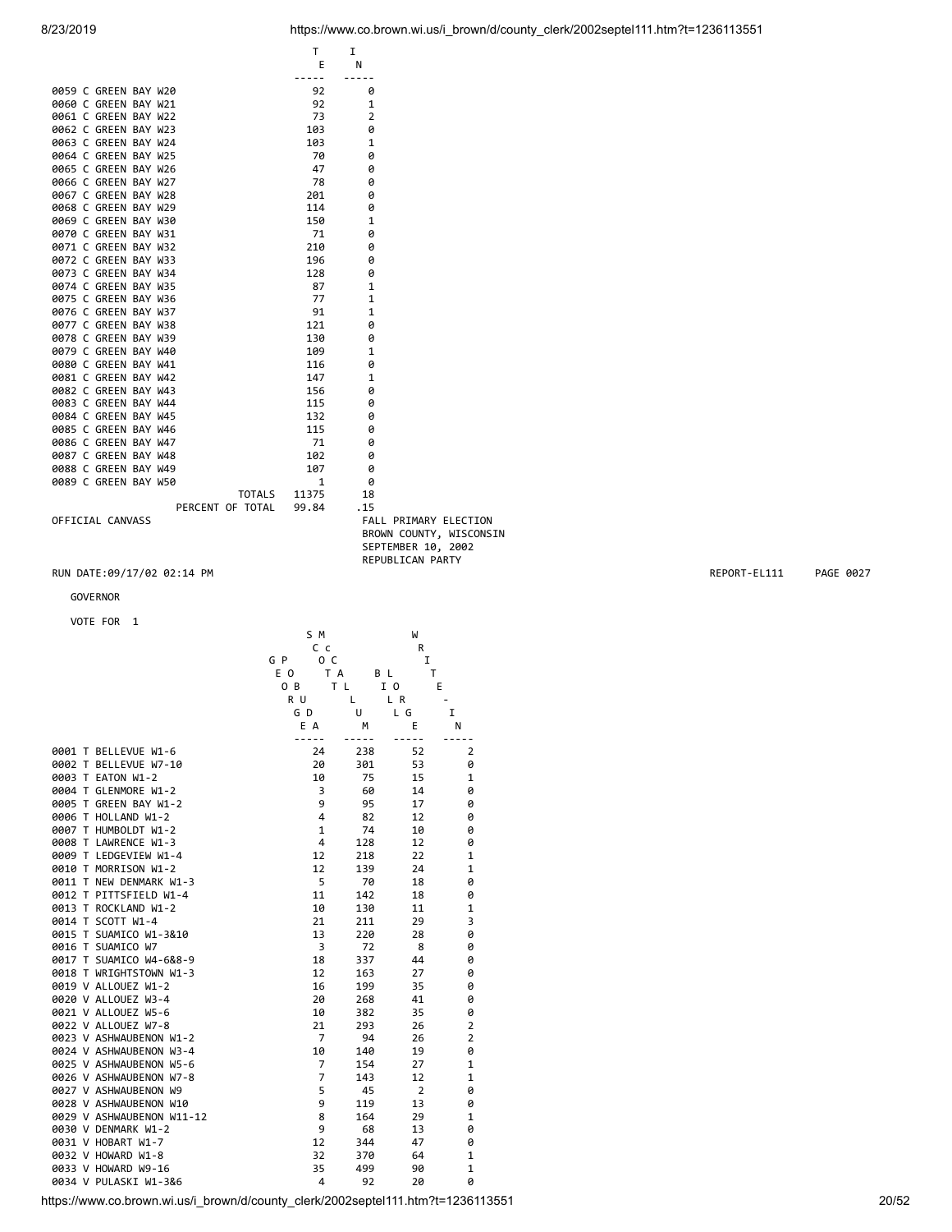|                                              |                    |                | REPUBLICAN PARTY |                         |              |           |
|----------------------------------------------|--------------------|----------------|------------------|-------------------------|--------------|-----------|
| RUN DATE:09/17/02 02:14 PM                   |                    |                |                  |                         | REPORT-EL111 | PAGE 0027 |
| GOVERNOR                                     |                    |                |                  |                         |              |           |
|                                              |                    |                |                  |                         |              |           |
| VOTE FOR 1                                   | S M                |                | W                |                         |              |           |
|                                              | C c                |                | R                |                         |              |           |
|                                              | G P<br>o c         |                | I                |                         |              |           |
|                                              | E O<br>T A         | B L            | T                |                         |              |           |
|                                              | 0 <sub>B</sub>     | T <sub>L</sub> | I 0              | E                       |              |           |
|                                              | R U                | Г              | L R              |                         |              |           |
|                                              | GD                 | U              | L G              | I                       |              |           |
|                                              | E A<br>$- - - - -$ | M<br>-----     | Ε<br>$-$<br>---  | N                       |              |           |
| 0001 T BELLEVUE W1-6                         | 24                 | 238            | 52               | $\overline{2}$          |              |           |
| 0002 T BELLEVUE W7-10                        | 20                 | 301            | 53               | 0                       |              |           |
| 0003 T EATON W1-2                            | 10                 | 75             | 15               | 1                       |              |           |
| 0004 T GLENMORE W1-2                         | 3                  | 60             | 14               | 0                       |              |           |
| 0005 T GREEN BAY W1-2                        | 9                  | 95             | 17               | 0                       |              |           |
| 0006 T HOLLAND W1-2                          | 4                  | 82             | 12               | 0                       |              |           |
| 0007 T HUMBOLDT W1-2                         | 1                  | 74             | 10               | 0                       |              |           |
| 0008 T LAWRENCE W1-3                         | 4                  | 128            | 12               | 0                       |              |           |
| 0009 T LEDGEVIEW W1-4                        | 12                 | 218            | 22               | 1                       |              |           |
| 0010 T MORRISON W1-2                         | 12                 | 139            | 24               | 1                       |              |           |
| 0011 T NEW DENMARK W1-3                      | 5                  | 70             | 18               | 0                       |              |           |
| 0012 T PITTSFIELD W1-4                       | 11                 | 142            | 18               | 0                       |              |           |
| 0013 T ROCKLAND W1-2                         | 10                 | 130            | 11               | 1                       |              |           |
| 0014 T SCOTT W1-4                            | 21                 | 211            | 29               | 3                       |              |           |
| 0015 T SUAMICO W1-3&10                       | 13<br>3            | 220            | 28<br>8          | 0<br>0                  |              |           |
| 0016 T SUAMICO W7<br>0017 T SUAMICO W4-6&8-9 | 18                 | 72<br>337      | 44               | 0                       |              |           |
| 0018 T WRIGHTSTOWN W1-3                      | 12                 | 163            | 27               | 0                       |              |           |
| 0019 V ALLOUEZ W1-2                          | 16                 | 199            | 35               | 0                       |              |           |
| 0020 V ALLOUEZ W3-4                          | 20                 | 268            | 41               | 0                       |              |           |
| 0021 V ALLOUEZ W5-6                          | 10                 | 382            | 35               | 0                       |              |           |
| 0022 V ALLOUEZ W7-8                          | 21                 | 293            | 26               | $\overline{\mathbf{c}}$ |              |           |
| 0023 V ASHWAUBENON W1-2                      | $\overline{7}$     | 94             | 26               | $\mathbf 2$             |              |           |
| 0024 V ASHWAUBENON W3-4                      | 10                 | 140            | 19               | 0                       |              |           |
| 0025 V ASHWAUBENON W5-6                      | 7                  | 154            | 27               | 1                       |              |           |
| 0026 V ASHWAUBENON W7-8                      | 7                  | 143            | 12               | 1                       |              |           |
| 0027 V ASHWAUBENON W9                        | 5                  | 45             | $\overline{2}$   | 0                       |              |           |
| 0028 V ASHWAUBENON W10                       | 9                  | 119            | 13               | 0                       |              |           |
| 0029 V ASHWAUBENON W11-12                    | 8                  | 164            | 29               | 1                       |              |           |
| 0030 V DENMARK W1-2                          | 9                  | 68             | 13               | 0                       |              |           |
| 0031 V HOBART W1-7                           | 12                 | 344            | 47               | 0                       |              |           |
| 0032 V HOWARD W1-8                           | 32                 | 370            | 64               | 1                       |              |           |
| 0033 V HOWARD W9-16                          | 35                 | 499            | 90               | $\mathbf 1$             |              |           |
| 0034 V PULASKI W1-3&6                        | 4                  | 92             | 20               | 0                       |              |           |

### GOVERNOR

### VOTE FOR 1

|  | 0063 C GREEN BAY W24 |  |         | 103   | 1            |  |
|--|----------------------|--|---------|-------|--------------|--|
|  | 0064 C GREEN BAY W25 |  |         | 70    | ø            |  |
|  | 0065 C GREEN BAY W26 |  |         | 47    | ø            |  |
|  | 0066 C GREEN BAY W27 |  |         | 78    | 0            |  |
|  | 0067 C GREEN BAY W28 |  |         | 201   | ø            |  |
|  | 0068 C GREEN BAY W29 |  |         | 114   | ø            |  |
|  | 0069 C GREEN BAY W30 |  |         | 150   | $\mathbf{1}$ |  |
|  | 0070 C GREEN BAY W31 |  |         | 71    | 0            |  |
|  | 0071 C GREEN BAY W32 |  |         | 210   | 0            |  |
|  | 0072 C GREEN BAY W33 |  |         | 196   | ø            |  |
|  | 0073 C GREEN BAY W34 |  |         | 128   | 0            |  |
|  | 0074 C GREEN BAY W35 |  |         | 87    | $\mathbf{1}$ |  |
|  | 0075 C GREEN BAY W36 |  |         | 77    | $\mathbf{1}$ |  |
|  | 0076 C GREEN BAY W37 |  |         | 91    | $\mathbf{1}$ |  |
|  | 0077 C GREEN BAY W38 |  |         | 121   | ø            |  |
|  | 0078 C GREEN BAY W39 |  |         | 130   | 0            |  |
|  | 0079 C GREEN BAY W40 |  |         | 109   | $\mathbf{1}$ |  |
|  | 0080 C GREEN BAY W41 |  |         | 116   | 0            |  |
|  | 0081 C GREEN BAY W42 |  |         | 147   | $\mathbf{1}$ |  |
|  | 0082 C GREEN BAY W43 |  |         | 156   | 0            |  |
|  | 0083 C GREEN BAY W44 |  |         | 115   | ø            |  |
|  | 0084 C GREEN BAY W45 |  |         | 132   | ø            |  |
|  | 0085 C GREEN BAY W46 |  |         | 115   | 0            |  |
|  | 0086 C GREEN BAY W47 |  |         | 71    | ø            |  |
|  | 0087 C GREEN BAY W48 |  |         | 102   | ø            |  |
|  | 0088 C GREEN BAY W49 |  |         | 107   | ø            |  |
|  | 0089 C GREEN BAY W50 |  |         | 1     | 0            |  |
|  |                      |  | TOTAL S | 11375 | 18           |  |

PERCENT OF TOTAL 99.84 .15

TOTALS 11375<br>TOTAL 99.84

FALL PRIMARY ELECTION BROWN COUNTY, WISCONSIN SEPTEMBER 10, 2002

 T I E N ----- ----- 0059 C GREEN BAY W20<br>0060 C GREEN BAY W21 92 1 0060 C GREEN BAY W21 92 1<br>0061 C GREEN BAY W22 73 2

0062 C GREEN BAY W23 103 0<br>0063 C GREEN BAY W24 103 1

0061 C GREEN BAY W22

8/23/2019 https://www.co.brown.wi.us/i\_brown/d/county\_clerk/2002septel111.htm?t=1236113551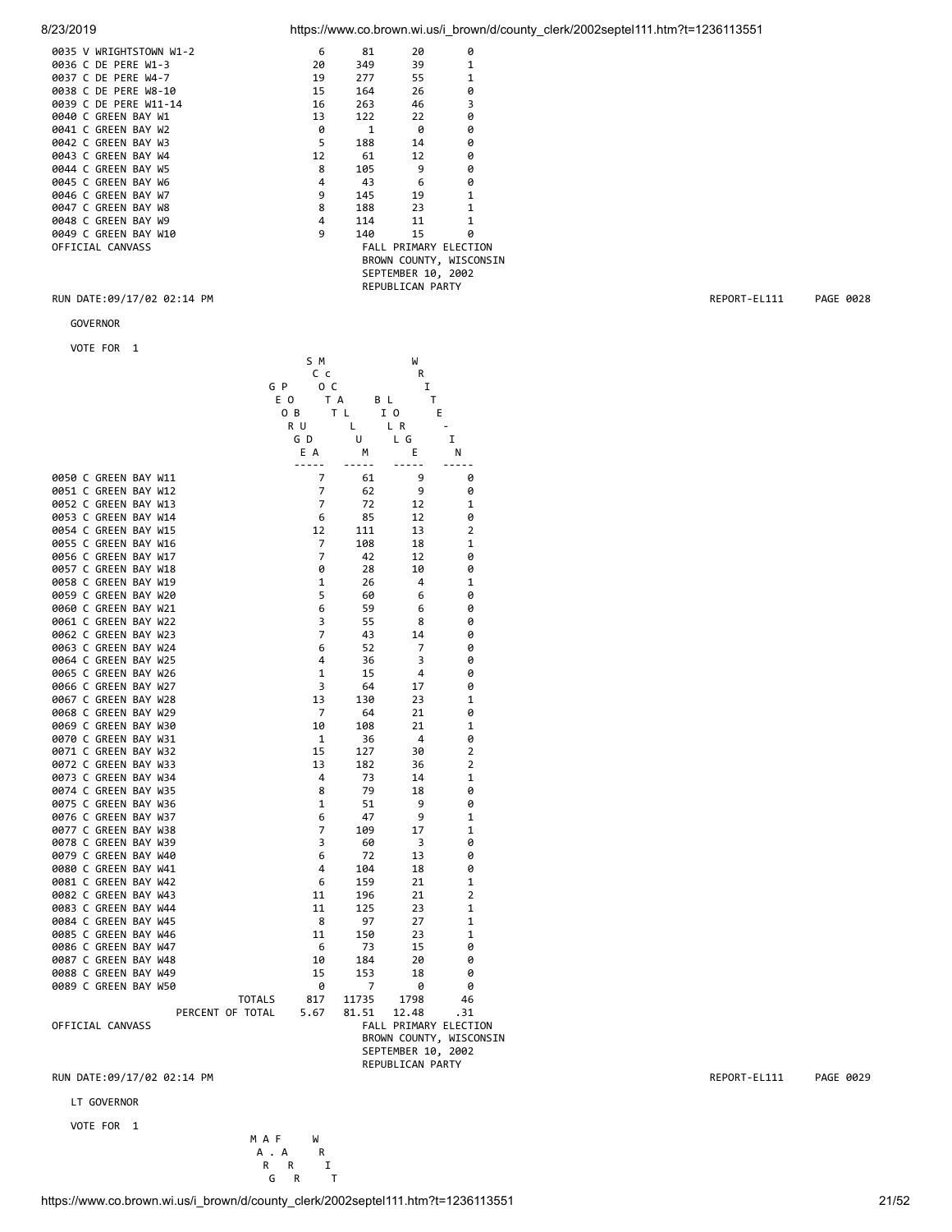| 8/23/2019 | https://www.co.brown.wi.us/i brown/d/county clerk/2002septel111.htm?t=1236113551 |
|-----------|----------------------------------------------------------------------------------|

| 0035 V WRIGHTSTOWN W1-2 | 6  | 81           | 20                           | ø                       |
|-------------------------|----|--------------|------------------------------|-------------------------|
| 0036 C DE PERE W1-3     | 20 | 349          | 39                           | 1                       |
| 0037 C DE PERE W4-7     | 19 | 277          | 55                           | 1                       |
| 0038 C DE PERE W8-10    | 15 | 164          | 26                           | 0                       |
| 0039 C DE PERE W11-14   | 16 | 263          | 46                           | 3                       |
| 0040 C GREEN BAY W1     | 13 | 122          | 22                           | 0                       |
| 0041 C GREEN BAY W2     | 0  | $\mathbf{1}$ | ø                            | 0                       |
| 0042 C GREEN BAY W3     | 5  | 188          | 14                           | ø                       |
| 0043 C GREEN BAY W4     | 12 | 61           | 12                           | 0                       |
| 0044 C GREEN BAY W5     | 8  | 105          | 9                            | 0                       |
| 0045 C GREEN BAY W6     | 4  | 43           | 6                            | 0                       |
| 0046 C GREEN BAY W7     | 9  | 145          | 19                           | 1                       |
| 0047 C GREEN BAY W8     | 8  | 188          | 23                           | 1                       |
| 0048 C GREEN BAY W9     | 4  | 114          | 11                           | 1                       |
| 0049 C GREEN BAY W10    | 9  | 140          | 15                           | 0                       |
| OFFICIAL CANVASS        |    |              | <b>FALL PRIMARY ELECTION</b> |                         |
|                         |    |              |                              | BROWN COUNTY, WISCONSIN |
|                         |    |              | SEPTEMBER 10, 2002           |                         |
|                         |    |              | REPUBLICAN PARTY             |                         |

GOVERNOR

VOTE FOR 1

|                      |  |                  |               |     | S M            |       | W                     |                         |
|----------------------|--|------------------|---------------|-----|----------------|-------|-----------------------|-------------------------|
|                      |  |                  |               |     | Сc             |       | R                     |                         |
|                      |  |                  |               | G P | o c            |       | I                     |                         |
|                      |  |                  |               | E O | T A            | B L   | т                     |                         |
|                      |  |                  |               | O B |                | T L   | E<br>1 O              |                         |
|                      |  |                  |               | R U |                | Г     | L R                   |                         |
|                      |  |                  |               |     | GD             | U     | L G                   | I                       |
|                      |  |                  |               |     | E A            | М     | Ε                     | Ν                       |
|                      |  |                  |               |     | -----          | ----- | -----                 |                         |
| 0050 C GREEN BAY W11 |  |                  |               |     | 7              | 61    | 9                     | 0                       |
| 0051 C GREEN BAY W12 |  |                  |               |     | 7              | 62    | 9                     | 0                       |
| 0052 C GREEN BAY W13 |  |                  |               |     | $\overline{7}$ | 72    | 12                    | 1                       |
| 0053 C GREEN BAY W14 |  |                  |               |     | 6              | 85    | 12                    | 0                       |
| 0054 C GREEN BAY W15 |  |                  |               |     | 12             | 111   | 13                    | 2                       |
| 0055 C GREEN BAY W16 |  |                  |               |     | 7              | 108   | 18                    | $\mathbf{1}$            |
| 0056 C GREEN BAY W17 |  |                  |               |     | 7              | 42    | 12                    | 0                       |
| 0057 C GREEN BAY W18 |  |                  |               |     | 0              | 28    | 10                    | 0                       |
| 0058 C GREEN BAY W19 |  |                  |               |     | 1              | 26    | 4                     | 1                       |
| 0059 C GREEN BAY W20 |  |                  |               |     | 5              | 60    | 6                     | 0                       |
| 0060 C GREEN BAY W21 |  |                  |               |     | 6              | 59    | 6                     | 0                       |
| 0061 C GREEN BAY W22 |  |                  |               |     | 3              | 55    | 8                     | 0                       |
| 0062 C GREEN BAY W23 |  |                  |               |     | $\overline{7}$ | 43    | 14                    | 0                       |
| 0063 C GREEN BAY W24 |  |                  |               |     | 6              | 52    | 7                     | 0                       |
| 0064 C GREEN BAY W25 |  |                  |               |     | 4              | 36    | 3                     | 0                       |
| 0065 C GREEN BAY W26 |  |                  |               |     | 1              | 15    | 4                     | 0                       |
| 0066 C GREEN BAY W27 |  |                  |               |     | 3              | 64    | 17                    | 0                       |
| 0067 C GREEN BAY W28 |  |                  |               |     | 13             | 130   | 23                    | 1                       |
|                      |  |                  |               |     |                |       |                       |                         |
| 0068 C GREEN BAY W29 |  |                  |               |     | 7              | 64    | 21                    | 0                       |
| 0069 C GREEN BAY W30 |  |                  |               |     | 10             | 108   | 21                    | 1                       |
| 0070 C GREEN BAY W31 |  |                  |               |     | 1              | 36    | 4                     | 0                       |
| 0071 C GREEN BAY W32 |  |                  |               |     | 15             | 127   | 30                    | 2                       |
| 0072 C GREEN BAY W33 |  |                  |               |     | 13             | 182   | 36                    | 2                       |
| 0073 C GREEN BAY W34 |  |                  |               |     | 4              | 73    | 14                    | 1                       |
| 0074 C GREEN BAY W35 |  |                  |               |     | 8              | 79    | 18                    | 0                       |
| 0075 C GREEN BAY W36 |  |                  |               |     | $\mathbf{1}$   | 51    | 9                     | ø                       |
| 0076 C GREEN BAY W37 |  |                  |               |     | 6              | 47    | 9                     | 1                       |
| 0077 C GREEN BAY W38 |  |                  |               |     | 7              | 109   | 17                    | 1                       |
| 0078 C GREEN BAY W39 |  |                  |               |     | 3              | 60    | 3                     | 0                       |
| 0079 C GREEN BAY W40 |  |                  |               |     | 6              | 72    | 13                    | 0                       |
| 0080 C GREEN BAY W41 |  |                  |               |     | 4              | 104   | 18                    | 0                       |
| 0081 C GREEN BAY W42 |  |                  |               |     | 6              | 159   | 21                    | 1                       |
| 0082 C GREEN BAY W43 |  |                  |               |     | 11             | 196   | 21                    | 2                       |
| 0083 C GREEN BAY W44 |  |                  |               |     | 11             | 125   | 23                    | 1                       |
| 0084 C GREEN BAY W45 |  |                  |               |     | 8              | 97    | 27                    | 1                       |
| 0085 C GREEN BAY W46 |  |                  |               |     | 11             | 150   | 23                    | 1                       |
| 0086 C GREEN BAY W47 |  |                  |               |     | 6              | 73    | 15                    | 0                       |
| 0087 C GREEN BAY W48 |  |                  |               |     | 10             | 184   | 20                    | 0                       |
| 0088 C GREEN BAY W49 |  |                  |               |     | 15             | 153   | 18                    | 0                       |
| 0089 C GREEN BAY W50 |  |                  |               |     | 0              | 7     | 0                     | 0                       |
|                      |  |                  | <b>TOTALS</b> |     | 817            | 11735 | 1798                  | 46                      |
|                      |  | PERCENT OF TOTAL |               |     | 5.67           | 81.51 | 12.48                 | . 31                    |
| OFFICIAL CANVASS     |  |                  |               |     |                |       | FALL PRIMARY ELECTION |                         |
|                      |  |                  |               |     |                |       |                       | BROWN COUNTY, WISCONSIN |
|                      |  |                  |               |     |                |       | SEPTEMBER 10, 2002    |                         |
|                      |  |                  |               |     |                |       | REPUBLICAN PARTY      |                         |

RUN DATE:09/17/02 02:14 PM REPORT-EL111 PAGE 0029

LT GOVERNOR

VOTE FOR 1

MAF W<br>A.A R<br>RRI A . A R R R I G R T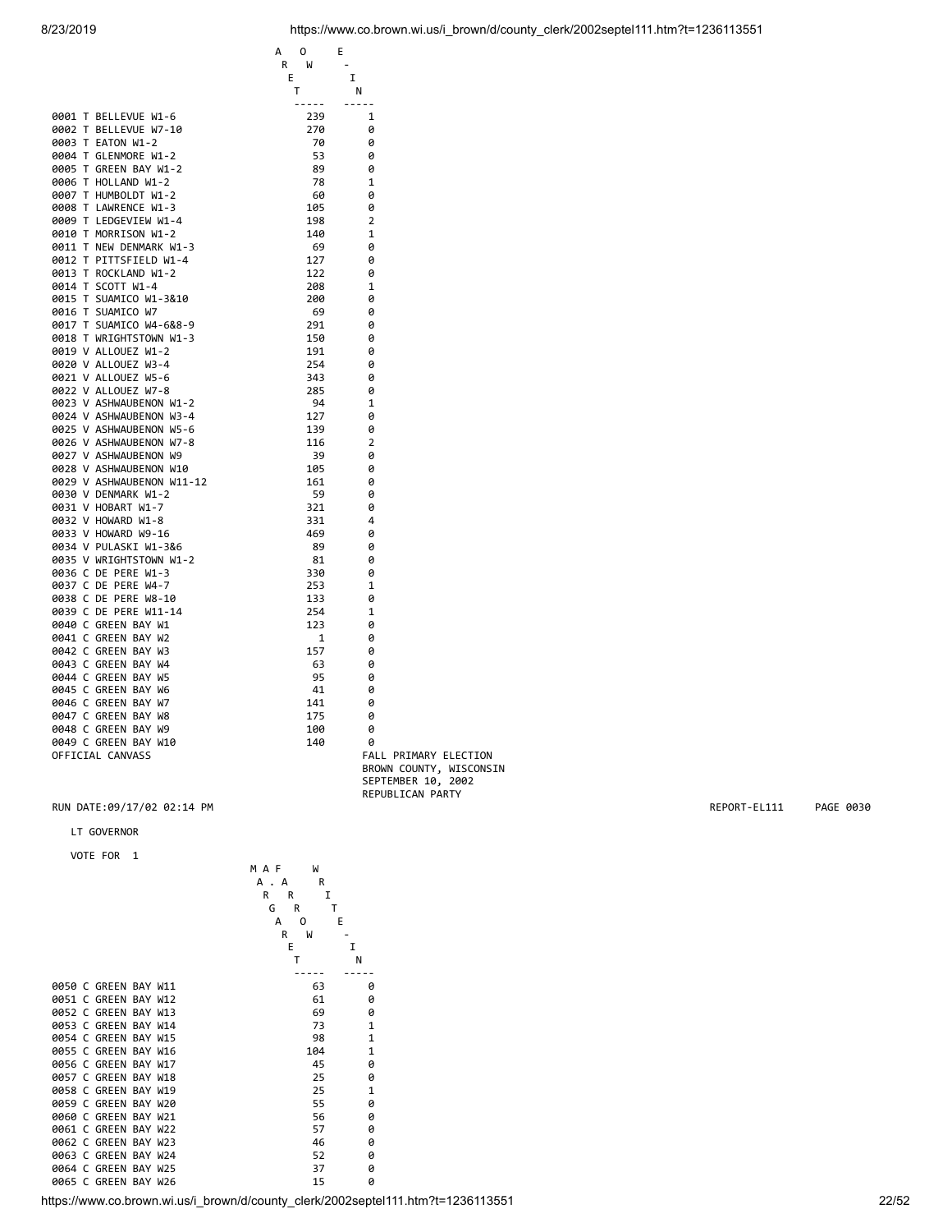| R<br>W<br>E<br>I<br>т<br>N<br>$- - - - -$<br>-----<br>0001 T BELLEVUE W1-6<br>239<br>1<br>270<br>0002 T BELLEVUE W7-10<br>0<br>0003 T EATON W1-2<br>70<br>0<br>0004 T GLENMORE W1-2<br>53<br>0<br>0005 T GREEN BAY W1-2<br>89<br>0<br>0006 T HOLLAND W1-2<br>78<br>$\mathbf{1}$<br>0007 T HUMBOLDT W1-2<br>60<br>0<br>0008 T LAWRENCE W1-3<br>105<br>0<br>0009 T LEDGEVIEW W1-4<br>198<br>2<br>0010 T MORRISON W1-2<br>140<br>1<br>0011 T NEW DENMARK W1-3<br>69<br>0<br>0012 T PITTSFIELD W1-4<br>127<br>0<br>0013 T ROCKLAND W1-2<br>122<br>0<br>0014 T SCOTT W1-4<br>208<br>1<br>0015 T SUAMICO W1-3&10<br>200<br>0<br>0016 T SUAMICO W7<br>69<br>0<br>0017 T SUAMICO W4-6&8-9<br>291<br>0<br>0018 T WRIGHTSTOWN W1-3<br>150<br>0<br>0019 V ALLOUEZ W1-2<br>191<br>0<br>0020 V ALLOUEZ W3-4<br>254<br>0<br>0021 V ALLOUEZ W5-6<br>343<br>0<br>0022 V ALLOUEZ W7-8<br>285<br>0<br>0023 V ASHWAUBENON W1-2<br>94<br>1<br>0024 V ASHWAUBENON W3-4<br>127<br>0<br>0025 V ASHWAUBENON W5-6<br>139<br>0<br>0026 V ASHWAUBENON W7-8<br>116<br>$\overline{2}$<br>0027 V ASHWAUBENON W9<br>39<br>0<br>0028 V ASHWAUBENON W10<br>105<br>0<br>0029 V ASHWAUBENON W11-12<br>161<br>0<br>0030 V DENMARK W1-2<br>59<br>0<br>0031 V HOBART W1-7<br>321<br>0<br>0032 V HOWARD W1-8<br>331<br>4<br>0033 V HOWARD W9-16<br>469<br>0<br>0034 V PULASKI W1-3&6<br>89<br>0<br>0035 V WRIGHTSTOWN W1-2<br>81<br>0<br>0036 C DE PERE W1-3<br>330<br>0<br>0037 C DE PERE W4-7<br>253<br>1<br>0038 C DE PERE W8-10<br>133<br>0<br>0039 C DE PERE W11-14<br>254<br>1<br>0040 C GREEN BAY W1<br>123<br>0<br>0041 C GREEN BAY W2<br>1<br>0<br>0042 C GREEN BAY W3<br>157<br>0<br>0043 C GREEN BAY W4<br>63<br>0<br>0044 C GREEN BAY W5<br>95<br>0<br>0045 C GREEN BAY W6<br>41<br>0<br>0046 C GREEN BAY W7<br>141<br>0<br>0047 C GREEN BAY W8<br>175<br>0<br>0048 C GREEN BAY W9<br>100<br>0<br>0049 C GREEN BAY W10<br>140<br>0<br>OFFICIAL CANVASS | А<br>0 | Е |  |
|-----------------------------------------------------------------------------------------------------------------------------------------------------------------------------------------------------------------------------------------------------------------------------------------------------------------------------------------------------------------------------------------------------------------------------------------------------------------------------------------------------------------------------------------------------------------------------------------------------------------------------------------------------------------------------------------------------------------------------------------------------------------------------------------------------------------------------------------------------------------------------------------------------------------------------------------------------------------------------------------------------------------------------------------------------------------------------------------------------------------------------------------------------------------------------------------------------------------------------------------------------------------------------------------------------------------------------------------------------------------------------------------------------------------------------------------------------------------------------------------------------------------------------------------------------------------------------------------------------------------------------------------------------------------------------------------------------------------------------------------------------------------------------------------------------------------------------------------------------------------------------------------------------------------------------|--------|---|--|
|                                                                                                                                                                                                                                                                                                                                                                                                                                                                                                                                                                                                                                                                                                                                                                                                                                                                                                                                                                                                                                                                                                                                                                                                                                                                                                                                                                                                                                                                                                                                                                                                                                                                                                                                                                                                                                                                                                                             |        |   |  |
|                                                                                                                                                                                                                                                                                                                                                                                                                                                                                                                                                                                                                                                                                                                                                                                                                                                                                                                                                                                                                                                                                                                                                                                                                                                                                                                                                                                                                                                                                                                                                                                                                                                                                                                                                                                                                                                                                                                             |        |   |  |
|                                                                                                                                                                                                                                                                                                                                                                                                                                                                                                                                                                                                                                                                                                                                                                                                                                                                                                                                                                                                                                                                                                                                                                                                                                                                                                                                                                                                                                                                                                                                                                                                                                                                                                                                                                                                                                                                                                                             |        |   |  |
|                                                                                                                                                                                                                                                                                                                                                                                                                                                                                                                                                                                                                                                                                                                                                                                                                                                                                                                                                                                                                                                                                                                                                                                                                                                                                                                                                                                                                                                                                                                                                                                                                                                                                                                                                                                                                                                                                                                             |        |   |  |
|                                                                                                                                                                                                                                                                                                                                                                                                                                                                                                                                                                                                                                                                                                                                                                                                                                                                                                                                                                                                                                                                                                                                                                                                                                                                                                                                                                                                                                                                                                                                                                                                                                                                                                                                                                                                                                                                                                                             |        |   |  |
|                                                                                                                                                                                                                                                                                                                                                                                                                                                                                                                                                                                                                                                                                                                                                                                                                                                                                                                                                                                                                                                                                                                                                                                                                                                                                                                                                                                                                                                                                                                                                                                                                                                                                                                                                                                                                                                                                                                             |        |   |  |
|                                                                                                                                                                                                                                                                                                                                                                                                                                                                                                                                                                                                                                                                                                                                                                                                                                                                                                                                                                                                                                                                                                                                                                                                                                                                                                                                                                                                                                                                                                                                                                                                                                                                                                                                                                                                                                                                                                                             |        |   |  |
|                                                                                                                                                                                                                                                                                                                                                                                                                                                                                                                                                                                                                                                                                                                                                                                                                                                                                                                                                                                                                                                                                                                                                                                                                                                                                                                                                                                                                                                                                                                                                                                                                                                                                                                                                                                                                                                                                                                             |        |   |  |
|                                                                                                                                                                                                                                                                                                                                                                                                                                                                                                                                                                                                                                                                                                                                                                                                                                                                                                                                                                                                                                                                                                                                                                                                                                                                                                                                                                                                                                                                                                                                                                                                                                                                                                                                                                                                                                                                                                                             |        |   |  |
|                                                                                                                                                                                                                                                                                                                                                                                                                                                                                                                                                                                                                                                                                                                                                                                                                                                                                                                                                                                                                                                                                                                                                                                                                                                                                                                                                                                                                                                                                                                                                                                                                                                                                                                                                                                                                                                                                                                             |        |   |  |
|                                                                                                                                                                                                                                                                                                                                                                                                                                                                                                                                                                                                                                                                                                                                                                                                                                                                                                                                                                                                                                                                                                                                                                                                                                                                                                                                                                                                                                                                                                                                                                                                                                                                                                                                                                                                                                                                                                                             |        |   |  |
|                                                                                                                                                                                                                                                                                                                                                                                                                                                                                                                                                                                                                                                                                                                                                                                                                                                                                                                                                                                                                                                                                                                                                                                                                                                                                                                                                                                                                                                                                                                                                                                                                                                                                                                                                                                                                                                                                                                             |        |   |  |
|                                                                                                                                                                                                                                                                                                                                                                                                                                                                                                                                                                                                                                                                                                                                                                                                                                                                                                                                                                                                                                                                                                                                                                                                                                                                                                                                                                                                                                                                                                                                                                                                                                                                                                                                                                                                                                                                                                                             |        |   |  |
|                                                                                                                                                                                                                                                                                                                                                                                                                                                                                                                                                                                                                                                                                                                                                                                                                                                                                                                                                                                                                                                                                                                                                                                                                                                                                                                                                                                                                                                                                                                                                                                                                                                                                                                                                                                                                                                                                                                             |        |   |  |
|                                                                                                                                                                                                                                                                                                                                                                                                                                                                                                                                                                                                                                                                                                                                                                                                                                                                                                                                                                                                                                                                                                                                                                                                                                                                                                                                                                                                                                                                                                                                                                                                                                                                                                                                                                                                                                                                                                                             |        |   |  |
|                                                                                                                                                                                                                                                                                                                                                                                                                                                                                                                                                                                                                                                                                                                                                                                                                                                                                                                                                                                                                                                                                                                                                                                                                                                                                                                                                                                                                                                                                                                                                                                                                                                                                                                                                                                                                                                                                                                             |        |   |  |
|                                                                                                                                                                                                                                                                                                                                                                                                                                                                                                                                                                                                                                                                                                                                                                                                                                                                                                                                                                                                                                                                                                                                                                                                                                                                                                                                                                                                                                                                                                                                                                                                                                                                                                                                                                                                                                                                                                                             |        |   |  |
|                                                                                                                                                                                                                                                                                                                                                                                                                                                                                                                                                                                                                                                                                                                                                                                                                                                                                                                                                                                                                                                                                                                                                                                                                                                                                                                                                                                                                                                                                                                                                                                                                                                                                                                                                                                                                                                                                                                             |        |   |  |
|                                                                                                                                                                                                                                                                                                                                                                                                                                                                                                                                                                                                                                                                                                                                                                                                                                                                                                                                                                                                                                                                                                                                                                                                                                                                                                                                                                                                                                                                                                                                                                                                                                                                                                                                                                                                                                                                                                                             |        |   |  |
|                                                                                                                                                                                                                                                                                                                                                                                                                                                                                                                                                                                                                                                                                                                                                                                                                                                                                                                                                                                                                                                                                                                                                                                                                                                                                                                                                                                                                                                                                                                                                                                                                                                                                                                                                                                                                                                                                                                             |        |   |  |
|                                                                                                                                                                                                                                                                                                                                                                                                                                                                                                                                                                                                                                                                                                                                                                                                                                                                                                                                                                                                                                                                                                                                                                                                                                                                                                                                                                                                                                                                                                                                                                                                                                                                                                                                                                                                                                                                                                                             |        |   |  |
|                                                                                                                                                                                                                                                                                                                                                                                                                                                                                                                                                                                                                                                                                                                                                                                                                                                                                                                                                                                                                                                                                                                                                                                                                                                                                                                                                                                                                                                                                                                                                                                                                                                                                                                                                                                                                                                                                                                             |        |   |  |
|                                                                                                                                                                                                                                                                                                                                                                                                                                                                                                                                                                                                                                                                                                                                                                                                                                                                                                                                                                                                                                                                                                                                                                                                                                                                                                                                                                                                                                                                                                                                                                                                                                                                                                                                                                                                                                                                                                                             |        |   |  |
|                                                                                                                                                                                                                                                                                                                                                                                                                                                                                                                                                                                                                                                                                                                                                                                                                                                                                                                                                                                                                                                                                                                                                                                                                                                                                                                                                                                                                                                                                                                                                                                                                                                                                                                                                                                                                                                                                                                             |        |   |  |
|                                                                                                                                                                                                                                                                                                                                                                                                                                                                                                                                                                                                                                                                                                                                                                                                                                                                                                                                                                                                                                                                                                                                                                                                                                                                                                                                                                                                                                                                                                                                                                                                                                                                                                                                                                                                                                                                                                                             |        |   |  |
|                                                                                                                                                                                                                                                                                                                                                                                                                                                                                                                                                                                                                                                                                                                                                                                                                                                                                                                                                                                                                                                                                                                                                                                                                                                                                                                                                                                                                                                                                                                                                                                                                                                                                                                                                                                                                                                                                                                             |        |   |  |
|                                                                                                                                                                                                                                                                                                                                                                                                                                                                                                                                                                                                                                                                                                                                                                                                                                                                                                                                                                                                                                                                                                                                                                                                                                                                                                                                                                                                                                                                                                                                                                                                                                                                                                                                                                                                                                                                                                                             |        |   |  |
|                                                                                                                                                                                                                                                                                                                                                                                                                                                                                                                                                                                                                                                                                                                                                                                                                                                                                                                                                                                                                                                                                                                                                                                                                                                                                                                                                                                                                                                                                                                                                                                                                                                                                                                                                                                                                                                                                                                             |        |   |  |
|                                                                                                                                                                                                                                                                                                                                                                                                                                                                                                                                                                                                                                                                                                                                                                                                                                                                                                                                                                                                                                                                                                                                                                                                                                                                                                                                                                                                                                                                                                                                                                                                                                                                                                                                                                                                                                                                                                                             |        |   |  |
|                                                                                                                                                                                                                                                                                                                                                                                                                                                                                                                                                                                                                                                                                                                                                                                                                                                                                                                                                                                                                                                                                                                                                                                                                                                                                                                                                                                                                                                                                                                                                                                                                                                                                                                                                                                                                                                                                                                             |        |   |  |
|                                                                                                                                                                                                                                                                                                                                                                                                                                                                                                                                                                                                                                                                                                                                                                                                                                                                                                                                                                                                                                                                                                                                                                                                                                                                                                                                                                                                                                                                                                                                                                                                                                                                                                                                                                                                                                                                                                                             |        |   |  |
|                                                                                                                                                                                                                                                                                                                                                                                                                                                                                                                                                                                                                                                                                                                                                                                                                                                                                                                                                                                                                                                                                                                                                                                                                                                                                                                                                                                                                                                                                                                                                                                                                                                                                                                                                                                                                                                                                                                             |        |   |  |
|                                                                                                                                                                                                                                                                                                                                                                                                                                                                                                                                                                                                                                                                                                                                                                                                                                                                                                                                                                                                                                                                                                                                                                                                                                                                                                                                                                                                                                                                                                                                                                                                                                                                                                                                                                                                                                                                                                                             |        |   |  |
|                                                                                                                                                                                                                                                                                                                                                                                                                                                                                                                                                                                                                                                                                                                                                                                                                                                                                                                                                                                                                                                                                                                                                                                                                                                                                                                                                                                                                                                                                                                                                                                                                                                                                                                                                                                                                                                                                                                             |        |   |  |
|                                                                                                                                                                                                                                                                                                                                                                                                                                                                                                                                                                                                                                                                                                                                                                                                                                                                                                                                                                                                                                                                                                                                                                                                                                                                                                                                                                                                                                                                                                                                                                                                                                                                                                                                                                                                                                                                                                                             |        |   |  |
|                                                                                                                                                                                                                                                                                                                                                                                                                                                                                                                                                                                                                                                                                                                                                                                                                                                                                                                                                                                                                                                                                                                                                                                                                                                                                                                                                                                                                                                                                                                                                                                                                                                                                                                                                                                                                                                                                                                             |        |   |  |
|                                                                                                                                                                                                                                                                                                                                                                                                                                                                                                                                                                                                                                                                                                                                                                                                                                                                                                                                                                                                                                                                                                                                                                                                                                                                                                                                                                                                                                                                                                                                                                                                                                                                                                                                                                                                                                                                                                                             |        |   |  |
|                                                                                                                                                                                                                                                                                                                                                                                                                                                                                                                                                                                                                                                                                                                                                                                                                                                                                                                                                                                                                                                                                                                                                                                                                                                                                                                                                                                                                                                                                                                                                                                                                                                                                                                                                                                                                                                                                                                             |        |   |  |
|                                                                                                                                                                                                                                                                                                                                                                                                                                                                                                                                                                                                                                                                                                                                                                                                                                                                                                                                                                                                                                                                                                                                                                                                                                                                                                                                                                                                                                                                                                                                                                                                                                                                                                                                                                                                                                                                                                                             |        |   |  |
|                                                                                                                                                                                                                                                                                                                                                                                                                                                                                                                                                                                                                                                                                                                                                                                                                                                                                                                                                                                                                                                                                                                                                                                                                                                                                                                                                                                                                                                                                                                                                                                                                                                                                                                                                                                                                                                                                                                             |        |   |  |
|                                                                                                                                                                                                                                                                                                                                                                                                                                                                                                                                                                                                                                                                                                                                                                                                                                                                                                                                                                                                                                                                                                                                                                                                                                                                                                                                                                                                                                                                                                                                                                                                                                                                                                                                                                                                                                                                                                                             |        |   |  |
|                                                                                                                                                                                                                                                                                                                                                                                                                                                                                                                                                                                                                                                                                                                                                                                                                                                                                                                                                                                                                                                                                                                                                                                                                                                                                                                                                                                                                                                                                                                                                                                                                                                                                                                                                                                                                                                                                                                             |        |   |  |
|                                                                                                                                                                                                                                                                                                                                                                                                                                                                                                                                                                                                                                                                                                                                                                                                                                                                                                                                                                                                                                                                                                                                                                                                                                                                                                                                                                                                                                                                                                                                                                                                                                                                                                                                                                                                                                                                                                                             |        |   |  |
|                                                                                                                                                                                                                                                                                                                                                                                                                                                                                                                                                                                                                                                                                                                                                                                                                                                                                                                                                                                                                                                                                                                                                                                                                                                                                                                                                                                                                                                                                                                                                                                                                                                                                                                                                                                                                                                                                                                             |        |   |  |
|                                                                                                                                                                                                                                                                                                                                                                                                                                                                                                                                                                                                                                                                                                                                                                                                                                                                                                                                                                                                                                                                                                                                                                                                                                                                                                                                                                                                                                                                                                                                                                                                                                                                                                                                                                                                                                                                                                                             |        |   |  |
|                                                                                                                                                                                                                                                                                                                                                                                                                                                                                                                                                                                                                                                                                                                                                                                                                                                                                                                                                                                                                                                                                                                                                                                                                                                                                                                                                                                                                                                                                                                                                                                                                                                                                                                                                                                                                                                                                                                             |        |   |  |
|                                                                                                                                                                                                                                                                                                                                                                                                                                                                                                                                                                                                                                                                                                                                                                                                                                                                                                                                                                                                                                                                                                                                                                                                                                                                                                                                                                                                                                                                                                                                                                                                                                                                                                                                                                                                                                                                                                                             |        |   |  |
|                                                                                                                                                                                                                                                                                                                                                                                                                                                                                                                                                                                                                                                                                                                                                                                                                                                                                                                                                                                                                                                                                                                                                                                                                                                                                                                                                                                                                                                                                                                                                                                                                                                                                                                                                                                                                                                                                                                             |        |   |  |
|                                                                                                                                                                                                                                                                                                                                                                                                                                                                                                                                                                                                                                                                                                                                                                                                                                                                                                                                                                                                                                                                                                                                                                                                                                                                                                                                                                                                                                                                                                                                                                                                                                                                                                                                                                                                                                                                                                                             |        |   |  |
|                                                                                                                                                                                                                                                                                                                                                                                                                                                                                                                                                                                                                                                                                                                                                                                                                                                                                                                                                                                                                                                                                                                                                                                                                                                                                                                                                                                                                                                                                                                                                                                                                                                                                                                                                                                                                                                                                                                             |        |   |  |
|                                                                                                                                                                                                                                                                                                                                                                                                                                                                                                                                                                                                                                                                                                                                                                                                                                                                                                                                                                                                                                                                                                                                                                                                                                                                                                                                                                                                                                                                                                                                                                                                                                                                                                                                                                                                                                                                                                                             |        |   |  |
|                                                                                                                                                                                                                                                                                                                                                                                                                                                                                                                                                                                                                                                                                                                                                                                                                                                                                                                                                                                                                                                                                                                                                                                                                                                                                                                                                                                                                                                                                                                                                                                                                                                                                                                                                                                                                                                                                                                             |        |   |  |
|                                                                                                                                                                                                                                                                                                                                                                                                                                                                                                                                                                                                                                                                                                                                                                                                                                                                                                                                                                                                                                                                                                                                                                                                                                                                                                                                                                                                                                                                                                                                                                                                                                                                                                                                                                                                                                                                                                                             |        |   |  |
| FALL PRIMARY ELECTION                                                                                                                                                                                                                                                                                                                                                                                                                                                                                                                                                                                                                                                                                                                                                                                                                                                                                                                                                                                                                                                                                                                                                                                                                                                                                                                                                                                                                                                                                                                                                                                                                                                                                                                                                                                                                                                                                                       |        |   |  |
| BROWN COUNTY, WISCONSIN                                                                                                                                                                                                                                                                                                                                                                                                                                                                                                                                                                                                                                                                                                                                                                                                                                                                                                                                                                                                                                                                                                                                                                                                                                                                                                                                                                                                                                                                                                                                                                                                                                                                                                                                                                                                                                                                                                     |        |   |  |
|                                                                                                                                                                                                                                                                                                                                                                                                                                                                                                                                                                                                                                                                                                                                                                                                                                                                                                                                                                                                                                                                                                                                                                                                                                                                                                                                                                                                                                                                                                                                                                                                                                                                                                                                                                                                                                                                                                                             |        |   |  |

# LT GOVERNOR

VOTE FOR 1

|                      | M<br>MAF     |              |
|----------------------|--------------|--------------|
|                      | А.<br>R<br>A |              |
|                      | R<br>I<br>R  |              |
|                      | R<br>G       | т            |
|                      | А<br>O       | E            |
|                      | R<br>W       |              |
|                      | E            | I            |
|                      | Т            | N            |
|                      |              |              |
| 0050 C GREEN BAY W11 | 63           | 0            |
| 0051 C GREEN BAY W12 | 61           | 0            |
| 0052 C GREEN BAY W13 | 69           | 0            |
| 0053 C GREEN BAY W14 | 73           | $\mathbf{1}$ |
| 0054 C GREEN BAY W15 | 98           | $\mathbf{1}$ |
| 0055 C GREEN BAY W16 | 104          | $\mathbf{1}$ |
| 0056 C GREEN BAY W17 | 45           | 0            |
| 0057 C GREEN BAY W18 | 25           | 0            |
| 0058 C GREEN BAY W19 | 25           | $\mathbf{1}$ |
| 0059 C GREEN BAY W20 | 55           | 0            |
| 0060 C GREEN BAY W21 | 56           | 0            |
| 0061 C GREEN BAY W22 | 57           | Ø            |
| 0062 C GREEN BAY W23 | 46           | 0            |
| 0063 C GREEN BAY W24 | 52           | 0            |
| 0064 C GREEN BAY W25 | 37           | 0            |
| 0065 C GREEN BAY W26 | 15           | Ø            |
|                      |              |              |

https://www.co.brown.wi.us/i\_brown/d/county\_clerk/2002septel111.htm?t=1236113551

SEPTEMBER 10, 2002 REPUBLICAN PARTY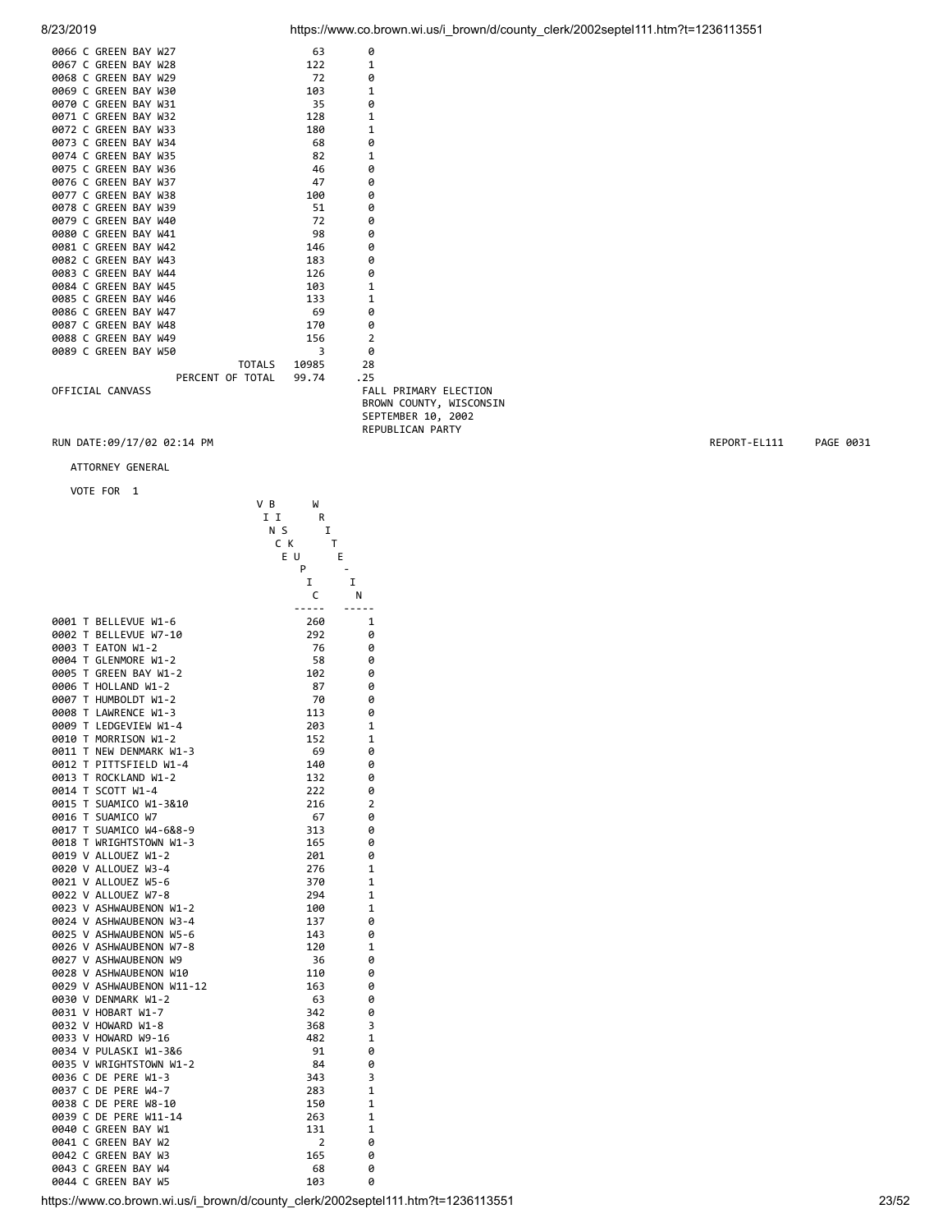| 8/23/2019 | https://www.co.brown.wi.us/i brown/d/county clerk/2002septel111.htm?t=1236113551 |  |
|-----------|----------------------------------------------------------------------------------|--|
|           |                                                                                  |  |

|  | 0066 C GREEN BAY W27 |                  |        | 63    | 0                            |  |
|--|----------------------|------------------|--------|-------|------------------------------|--|
|  | 0067 C GREEN BAY W28 |                  |        | 122   | $\mathbf{1}$                 |  |
|  | 0068 C GREEN BAY W29 |                  |        | 72    | 0                            |  |
|  | 0069 C GREEN BAY W30 |                  |        | 103   | $\mathbf{1}$                 |  |
|  | 0070 C GREEN BAY W31 |                  |        | 35    | Ø                            |  |
|  | 0071 C GREEN BAY W32 |                  |        | 128   | $\mathbf{1}$                 |  |
|  | 0072 C GREEN BAY W33 |                  |        | 180   | $\mathbf{1}$                 |  |
|  | 0073 C GREEN BAY W34 |                  |        | 68    | 0                            |  |
|  | 0074 C GREEN BAY W35 |                  |        | 82    | $\mathbf{1}$                 |  |
|  | 0075 C GREEN BAY W36 |                  |        | 46    | 0                            |  |
|  | 0076 C GREEN BAY W37 |                  |        | 47    | 0                            |  |
|  | 0077 C GREEN BAY W38 |                  |        | 100   | Ø                            |  |
|  | 0078 C GREEN BAY W39 |                  |        | 51    | 0                            |  |
|  | 0079 C GREEN BAY W40 |                  |        | 72    | 0                            |  |
|  | 0080 C GREEN BAY W41 |                  |        | 98    | 0                            |  |
|  | 0081 C GREEN BAY W42 |                  |        | 146   | Ø                            |  |
|  | 0082 C GREEN BAY W43 |                  |        | 183   | 0                            |  |
|  | 0083 C GREEN BAY W44 |                  |        | 126   | 0                            |  |
|  | 0084 C GREEN BAY W45 |                  |        | 103   | $\mathbf{1}$                 |  |
|  | 0085 C GREEN BAY W46 |                  |        | 133   | $\mathbf{1}$                 |  |
|  | 0086 C GREEN BAY W47 |                  |        | 69    | 0                            |  |
|  | 0087 C GREEN BAY W48 |                  |        | 170   | 0                            |  |
|  | 0088 C GREEN BAY W49 |                  |        | 156   | $\overline{2}$               |  |
|  | 0089 C GREEN BAY W50 |                  |        | 3     | 0                            |  |
|  |                      |                  | TOTALS | 10985 | 28                           |  |
|  |                      | PERCENT OF TOTAL |        | 99.74 | .25                          |  |
|  | OFFICIAL CANVASS     |                  |        |       | <b>FALL PRIMARY ELECTION</b> |  |
|  |                      |                  |        |       | BROWN COUNTY, WISCONSIN      |  |
|  |                      |                  |        |       | SEPTEMBER 10, 2002           |  |

REPUBLICAN PARTY

# RUN DATE:09/17/02 02:14 PM REPORT-EL111 PAGE 0031

ATTORNEY GENERAL

|              |    | VUIE FUR                     |     |                       |                |
|--------------|----|------------------------------|-----|-----------------------|----------------|
|              |    |                              | V B | W                     |                |
|              |    |                              | I I | R                     |                |
|              |    |                              | ΝS  | I                     |                |
|              |    |                              | ск  | Т                     |                |
|              |    |                              | ΕU  | E                     |                |
|              |    |                              |     | P                     |                |
|              |    |                              |     | I                     | I              |
|              |    |                              |     | c<br>.                | Ν              |
| 0001         | T  | BELLEVUE W1-6                |     | 260                   | 1              |
| 0002         | T  | BELLEVUE W7-10               |     | 292                   | 0              |
| 0003         | T. | EATON W1-2                   |     | 76                    | 0              |
| 0004         | T. | GLENMORE W1-2                |     | 58                    | 0              |
| 0005         | T. | GREEN BAY W1-2               |     | 102                   | 0              |
| 0006         | т  | HOLLAND W1-2                 |     | 87                    | 0              |
| 0007         | т  | HUMBOLDT W1-2                |     | 70                    | 0              |
| 0008         | т  | LAWRENCE W1-3                |     | 113                   | 0              |
| 0009         | T. | LEDGEVIEW W1-4               |     | 203                   | 1              |
| 0010         | T  | MORRISON W1-2                |     | 152                   | 1              |
| 0011         | T  | NEW DENMARK W1-3             |     | 69                    | 0              |
| 0012         | T. | PITTSFIELD W1-4              |     | 140                   | 0              |
| 0013         | T. | ROCKLAND W1-2                |     | 132                   | 0              |
| 0014         | T. | SCOTT W1-4                   |     | 222                   | 0              |
| 0015         | T. | SUAMICO W1-3&10              |     | 216                   | $\overline{2}$ |
| 0016         | т  | SUAMICO W7                   |     | 67                    | 0              |
| 0017         |    | T SUAMICO W4-6&8-9           |     | 313                   | 0              |
| 0018         |    | T WRIGHTSTOWN W1-3           |     | 165                   | 0              |
|              |    | 0019 V ALLOUEZ W1-2          |     | 201                   | 0              |
|              |    | 0020 V ALLOUEZ W3-4          |     | 276                   | 1              |
|              |    | 0021 V ALLOUEZ W5-6          |     | 370                   | 1              |
|              |    | 0022 V ALLOUEZ W7-8          |     | 294                   | 1              |
|              |    | 0023 V ASHWAUBENON W1-2      |     | 100                   | 1              |
|              |    | 0024 V ASHWAUBENON W3-4      |     | 137                   | 0              |
|              |    | 0025 V ASHWAUBENON W5-6      |     | 143                   | 0              |
|              |    | 0026 V ASHWAUBENON W7-8      |     | 120                   | 1              |
|              |    | 0027 V ASHWAUBENON W9        |     | 36                    | 0              |
|              |    | 0028 V ASHWAUBENON W10       |     | 110                   | 0              |
|              |    | 0029 V ASHWAUBENON W11-12    |     | 163                   | 0              |
|              |    | 0030 V DENMARK W1-2          |     | 63                    | 0              |
|              |    | 0031 V HOBART W1-7           |     | 342                   | 0              |
|              |    | 0032 V HOWARD W1-8           |     | 368                   | 3              |
|              |    | 0033 V HOWARD W9-16          |     | 482                   | 1              |
|              |    | 0034 V PULASKI W1-3&6        |     | 91                    | 0              |
|              |    | 0035 V WRIGHTSTOWN W1-2      |     | 84                    | 0              |
| 0036         |    | C DE<br>PERE W1-3            |     | 343                   | 3              |
| 0037         | C  | DE PERE W4-7                 |     | 283                   | 1              |
| 0038         | C  | DE PERE W8-10                |     | 150                   | 1              |
| 0039 C       |    | DE PERE W11-14               |     | 263                   | 1              |
| 0040 C       | C  | GREEN BAY W1                 |     | 131<br>$\overline{2}$ | 1              |
| 0041<br>0042 | C  | GREEN BAY W2<br>GREEN BAY W3 |     | 165                   | 0              |
| 0043         | С  | GREEN BAY W4                 |     | 68                    | 0<br>0         |
| 0044 C       |    | GREEN BAY W5                 |     | 103                   | 0              |
|              |    |                              |     |                       |                |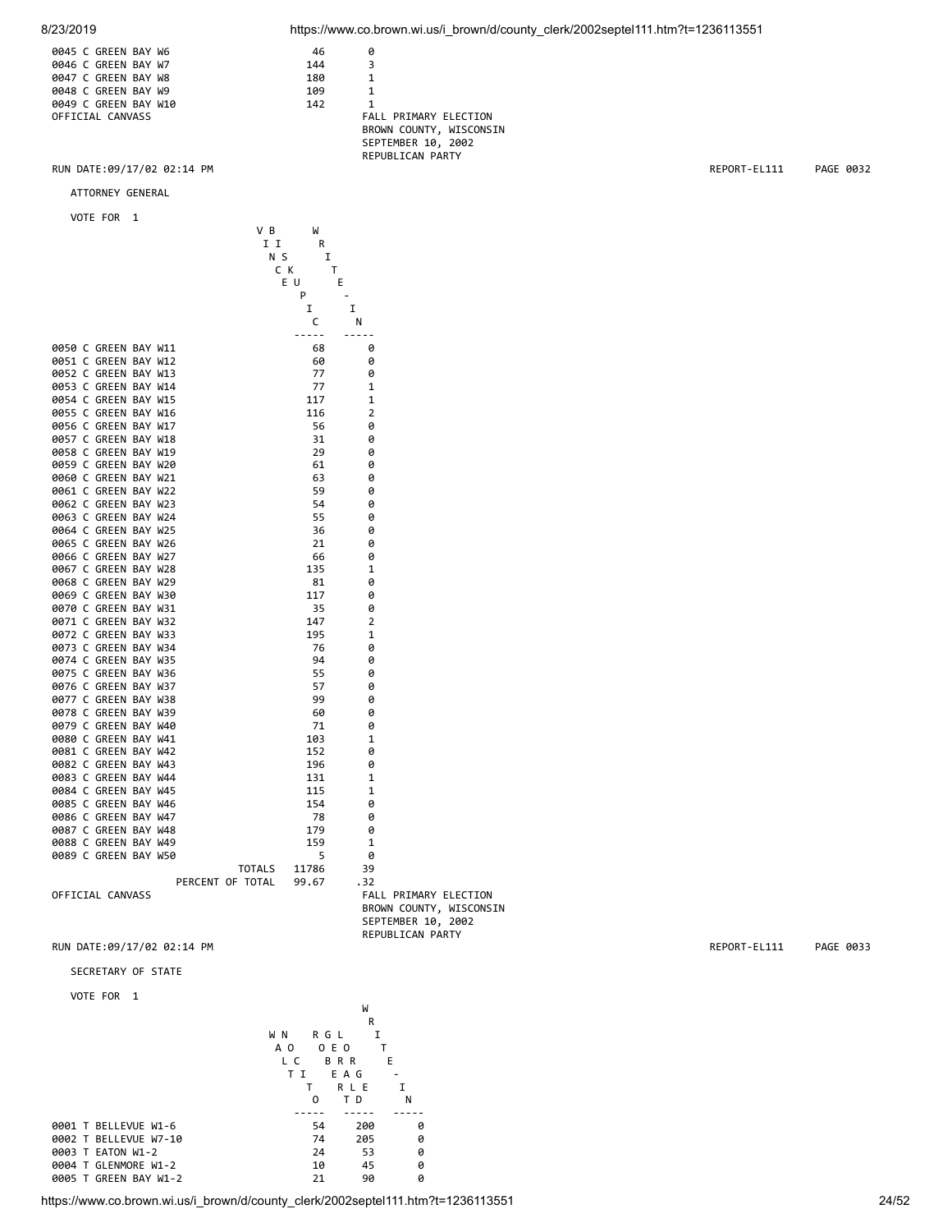8/23/2019 https://www.co.brown.wi.us/i\_brown/d/county\_clerk/2002septel111.htm?t=1236113551

|  | 0045 C GREEN BAY W6  |  | 46  |     |
|--|----------------------|--|-----|-----|
|  | 0046 C GREEN BAY W7  |  | 144 |     |
|  | 0047 C GREEN BAY W8  |  | 180 |     |
|  | 0048 C GREEN BAY W9  |  | 109 |     |
|  | 0049 C GREEN BAY W10 |  | 142 |     |
|  | OFFICIAL CANVASS     |  |     | FAL |

FALL PRIMARY ELECTION BROWN COUNTY, WISCONSIN SEPTEMBER 10, 2002 REPUBLICAN PARTY

RUN DATE:09/17/02 02:14 PM REPORT-EL111 PAGE 0032

ATTORNEY GENERAL

VOTE FOR 1

|  |                      |  | VВ               | W     |                |                              |                         |
|--|----------------------|--|------------------|-------|----------------|------------------------------|-------------------------|
|  |                      |  | II               | R     |                |                              |                         |
|  |                      |  | N S              | I     |                |                              |                         |
|  |                      |  | C K              | т     |                |                              |                         |
|  |                      |  |                  | ΕU    | Ε              |                              |                         |
|  |                      |  |                  | P     |                |                              |                         |
|  |                      |  |                  | I     | I              |                              |                         |
|  |                      |  |                  | C     | N              |                              |                         |
|  |                      |  |                  | ----- |                |                              |                         |
|  | 0050 C GREEN BAY W11 |  |                  | 68    | 0              |                              |                         |
|  | 0051 C GREEN BAY W12 |  |                  | 60    | 0              |                              |                         |
|  | 0052 C GREEN BAY W13 |  |                  | 77    | 0              |                              |                         |
|  | 0053 C GREEN BAY W14 |  |                  | 77    | 1              |                              |                         |
|  | 0054 C GREEN BAY W15 |  |                  | 117   | 1              |                              |                         |
|  | 0055 C GREEN BAY W16 |  |                  | 116   | $\overline{2}$ |                              |                         |
|  | 0056 C GREEN BAY W17 |  |                  | 56    | Ø              |                              |                         |
|  | 0057 C GREEN BAY W18 |  |                  | 31    | 0              |                              |                         |
|  | 0058 C GREEN BAY W19 |  |                  | 29    | ø              |                              |                         |
|  | 0059 C GREEN BAY W20 |  |                  | 61    | 0              |                              |                         |
|  | 0060 C GREEN BAY W21 |  |                  | 63    | 0              |                              |                         |
|  | 0061 C GREEN BAY W22 |  |                  | 59    | 0              |                              |                         |
|  | 0062 C GREEN BAY W23 |  |                  | 54    | 0              |                              |                         |
|  | 0063 C GREEN BAY W24 |  |                  | 55    | 0              |                              |                         |
|  | 0064 C GREEN BAY W25 |  |                  | 36    | 0              |                              |                         |
|  | 0065 C GREEN BAY W26 |  |                  | 21    | 0              |                              |                         |
|  | 0066 C GREEN BAY W27 |  |                  | 66    | 0              |                              |                         |
|  | 0067 C GREEN BAY W28 |  |                  | 135   | 1              |                              |                         |
|  | 0068 C GREEN BAY W29 |  |                  | 81    | 0              |                              |                         |
|  | 0069 C GREEN BAY W30 |  |                  | 117   | 0              |                              |                         |
|  | 0070 C GREEN BAY W31 |  |                  | 35    | 0              |                              |                         |
|  | 0071 C GREEN BAY W32 |  |                  | 147   | $\overline{2}$ |                              |                         |
|  | 0072 C GREEN BAY W33 |  |                  | 195   | $\mathbf{1}$   |                              |                         |
|  | 0073 C GREEN BAY W34 |  |                  | 76    | 0              |                              |                         |
|  | 0074 C GREEN BAY W35 |  |                  | 94    | ø              |                              |                         |
|  | 0075 C GREEN BAY W36 |  |                  | 55    | 0              |                              |                         |
|  | 0076 C GREEN BAY W37 |  |                  | 57    | 0              |                              |                         |
|  | 0077 C GREEN BAY W38 |  |                  | 99    | 0              |                              |                         |
|  | 0078 C GREEN BAY W39 |  |                  | 60    | 0              |                              |                         |
|  | 0079 C GREEN BAY W40 |  |                  | 71    | 0              |                              |                         |
|  | 0080 C GREEN BAY W41 |  |                  | 103   | 1              |                              |                         |
|  | 0081 C GREEN BAY W42 |  |                  | 152   | 0              |                              |                         |
|  | 0082 C GREEN BAY W43 |  |                  | 196   | 0              |                              |                         |
|  | 0083 C GREEN BAY W44 |  |                  | 131   | 1              |                              |                         |
|  | 0084 C GREEN BAY W45 |  |                  | 115   | 1              |                              |                         |
|  | 0085 C GREEN BAY W46 |  |                  | 154   | 0              |                              |                         |
|  | 0086 C GREEN BAY W47 |  |                  | 78    | 0              |                              |                         |
|  | 0087 C GREEN BAY W48 |  |                  | 179   | 0              |                              |                         |
|  | 0088 C GREEN BAY W49 |  |                  | 159   | $\mathbf{1}$   |                              |                         |
|  | 0089 C GREEN BAY W50 |  |                  | 5     | 0              |                              |                         |
|  |                      |  | <b>TOTALS</b>    | 11786 | 39             |                              |                         |
|  |                      |  | PERCENT OF TOTAL | 99.67 | . 32           |                              |                         |
|  | OFFICIAL CANVASS     |  |                  |       |                | <b>FALL PRIMARY ELECTION</b> |                         |
|  |                      |  |                  |       |                |                              | BROWN COUNTY, WISCONSIN |
|  |                      |  |                  |       |                | SEPTEMBER 10, 2002           |                         |

ARY ELECTION REPUBLICAN PARTY

RUN DATE:09/17/02 02:14 PM REPORT-EL111 PAGE 0033

SECRETARY OF STATE

|                       | W            |            |   |  |  |  |
|-----------------------|--------------|------------|---|--|--|--|
|                       | R            |            |   |  |  |  |
|                       | R G L<br>W N | I          |   |  |  |  |
|                       | 0 E 0<br>A O |            |   |  |  |  |
|                       | L C          | <b>BRR</b> | E |  |  |  |
|                       | ТI           | E A G      |   |  |  |  |
|                       |              | RLE        | т |  |  |  |
|                       | 0            | тD         | N |  |  |  |
|                       |              |            |   |  |  |  |
| 0001 T BELLEVUE W1-6  | 54           | 200        | 0 |  |  |  |
| 0002 T BELLEVUE W7-10 | 74           | 205        | 0 |  |  |  |
| 0003 T EATON W1-2     | 24           | 53         | 0 |  |  |  |
| 0004 T GLENMORE W1-2  | 10           | 45         | 0 |  |  |  |
| 0005 T GREEN BAY W1-2 | 21           | 90         | 0 |  |  |  |
|                       |              |            |   |  |  |  |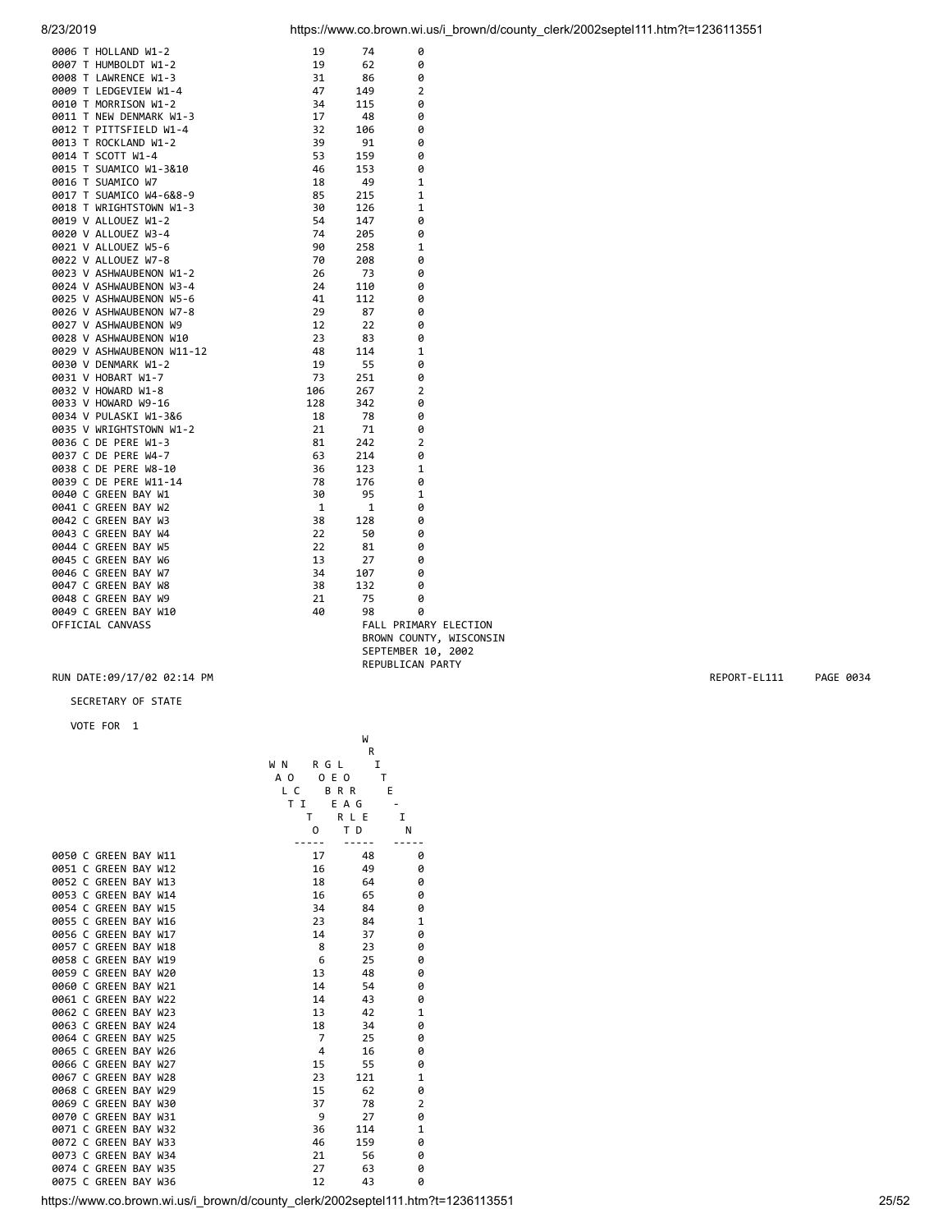| 8/23/2019 | https://www.co.brown.wi.us/i brown/d/county clerk/2002septel111.htm?t=1236113551 |  |
|-----------|----------------------------------------------------------------------------------|--|
|           |                                                                                  |  |

|                                                                                                                                                                                                                                                 |              | 74           | 0                       |  |
|-------------------------------------------------------------------------------------------------------------------------------------------------------------------------------------------------------------------------------------------------|--------------|--------------|-------------------------|--|
|                                                                                                                                                                                                                                                 |              | 62           | 0                       |  |
|                                                                                                                                                                                                                                                 |              | 86           | 0                       |  |
|                                                                                                                                                                                                                                                 |              | 149          | $\overline{2}$          |  |
|                                                                                                                                                                                                                                                 |              |              | 0                       |  |
|                                                                                                                                                                                                                                                 |              | 115          |                         |  |
|                                                                                                                                                                                                                                                 |              | -48          | 0                       |  |
|                                                                                                                                                                                                                                                 |              | 106          | 0                       |  |
|                                                                                                                                                                                                                                                 |              | 91           | ø                       |  |
|                                                                                                                                                                                                                                                 |              | 159          | 0                       |  |
|                                                                                                                                                                                                                                                 |              | 153          | 0                       |  |
|                                                                                                                                                                                                                                                 |              | 49           | 1                       |  |
|                                                                                                                                                                                                                                                 |              | 215          | $\mathbf{1}$            |  |
|                                                                                                                                                                                                                                                 |              | 126          | $\mathbf{1}$            |  |
|                                                                                                                                                                                                                                                 |              | 147          | 0                       |  |
|                                                                                                                                                                                                                                                 |              | 205          | 0                       |  |
|                                                                                                                                                                                                                                                 |              | 258          | $\mathbf{1}$            |  |
|                                                                                                                                                                                                                                                 |              | 208          | 0                       |  |
|                                                                                                                                                                                                                                                 |              | 73           | 0                       |  |
|                                                                                                                                                                                                                                                 |              | 110          | 0                       |  |
|                                                                                                                                                                                                                                                 |              | 112          | 0                       |  |
|                                                                                                                                                                                                                                                 |              | 87           | ø                       |  |
|                                                                                                                                                                                                                                                 |              | 22           | 0                       |  |
|                                                                                                                                                                                                                                                 |              | 83           | 0                       |  |
|                                                                                                                                                                                                                                                 |              | 114          | 1                       |  |
|                                                                                                                                                                                                                                                 |              | 55           | 0                       |  |
|                                                                                                                                                                                                                                                 |              | 251          | 0                       |  |
|                                                                                                                                                                                                                                                 |              | 267          | 2                       |  |
|                                                                                                                                                                                                                                                 |              | 342          | 0                       |  |
|                                                                                                                                                                                                                                                 |              | 78           | ø                       |  |
|                                                                                                                                                                                                                                                 |              | 71           | 0                       |  |
|                                                                                                                                                                                                                                                 |              | 242          | 2                       |  |
|                                                                                                                                                                                                                                                 |              | 214          | 0                       |  |
|                                                                                                                                                                                                                                                 |              | 123          | $\mathbf{1}$            |  |
|                                                                                                                                                                                                                                                 |              | 176          | 0                       |  |
|                                                                                                                                                                                                                                                 |              | 95           | 1                       |  |
|                                                                                                                                                                                                                                                 | $\mathbf{1}$ | $\mathbf{1}$ | 0                       |  |
|                                                                                                                                                                                                                                                 |              | 128          | 0                       |  |
|                                                                                                                                                                                                                                                 |              | 50           | 0                       |  |
|                                                                                                                                                                                                                                                 |              | 81           | 0                       |  |
|                                                                                                                                                                                                                                                 |              | 27           | 0                       |  |
|                                                                                                                                                                                                                                                 |              | 107          | 0                       |  |
|                                                                                                                                                                                                                                                 |              | 132          | 0                       |  |
|                                                                                                                                                                                                                                                 |              | 75           | 0                       |  |
| 0006 T HOLLAND W1-2<br>0007 T HUMBOLDT W1-2<br>0009 T LAMRENCE W1-3<br>0009 T LEADGEVIEW W1-4<br>0010 T LEADGEVIEW W1-4<br>0011 T NGR NESPANARK W1-3<br>0011 T NGR NESPANARK W1-3<br>0011 T NGR NESPANARK W1-2<br>0011 T NGR NESPANA W1-2<br>00 |              | 98           | ø                       |  |
| OFFICIAL CANVASS                                                                                                                                                                                                                                |              |              | FALL PRIMARY ELECTION   |  |
|                                                                                                                                                                                                                                                 |              |              | BROWN COUNTY, WISCONSIN |  |
|                                                                                                                                                                                                                                                 |              |              |                         |  |

 SEPTEMBER 10, 2002 REPUBLICAN PARTY

### RUN DATE:09/17/02 02:14 PM REPORT-EL111 PAGE 0034

SECRETARY OF STATE

|                                                                                  |                | W            |                |       |
|----------------------------------------------------------------------------------|----------------|--------------|----------------|-------|
|                                                                                  |                | R            |                |       |
|                                                                                  | R G L<br>W N   | $\mathbf I$  |                |       |
|                                                                                  | 0 E 0<br>A O   | $\mathsf{T}$ |                |       |
|                                                                                  | L C            | <b>BRR</b>   | E              |       |
|                                                                                  | T I            | E A G        |                |       |
|                                                                                  | T.             | R L E        | $\mathbf I$    |       |
|                                                                                  | 0              | T D          | N              |       |
|                                                                                  |                |              |                |       |
| 0050 C GREEN BAY W11                                                             | 17             | 48           | 0              |       |
| 0051 C GREEN BAY W12                                                             | 16             | 49           | 0              |       |
| 0052 C GREEN BAY W13                                                             | 18             | 64           | 0              |       |
| 0053 C GREEN BAY W14                                                             | 16             | 65           | 0              |       |
| 0054 C GREEN BAY W15                                                             | 34             | 84           | 0              |       |
| 0055 C GREEN BAY W16                                                             | 23             | 84           | 1              |       |
| 0056 C GREEN BAY W17                                                             | 14             | 37           | 0              |       |
| 0057 C GREEN BAY W18                                                             | 8              | 23           | 0              |       |
| 0058 C GREEN BAY W19                                                             | 6              | 25           | 0              |       |
| 0059 C GREEN BAY W20                                                             | 13             | 48           | 0              |       |
| 0060 C GREEN BAY W21                                                             | 14             | 54           | 0              |       |
| 0061 C GREEN BAY W22                                                             | 14             | 43           | 0              |       |
| 0062 C GREEN BAY W23                                                             | 13             | 42           | $\mathbf 1$    |       |
| 0063 C GREEN BAY W24                                                             | 18             | 34           | 0              |       |
| 0064 C GREEN BAY W25                                                             | 7              | 25           | 0              |       |
| 0065 C GREEN BAY W26                                                             | $\overline{4}$ | 16           | 0              |       |
| 0066 C GREEN BAY W27                                                             | 15             | 55           | 0              |       |
| 0067 C GREEN BAY W28                                                             | 23             | 121          | $\mathbf 1$    |       |
| 0068 C GREEN BAY W29                                                             | 15             | 62           | 0              |       |
| 0069 C GREEN BAY W30                                                             | 37             | 78           | $\overline{2}$ |       |
| 0070 C GREEN BAY W31                                                             | 9              | 27           | 0              |       |
| 0071 C GREEN BAY W32                                                             | 36             | 114          | $\mathbf 1$    |       |
| 0072 C GREEN BAY W33                                                             | 46             | 159          | 0              |       |
| 0073 C GREEN BAY W34                                                             | 21             | 56           | 0              |       |
| 0074 C GREEN BAY W35                                                             | 27             | 63           | 0              |       |
| 0075 C GREEN BAY W36                                                             | 12             | 43           | 0              |       |
| https://www.co.brown.wi.us/i brown/d/county clerk/2002septel111.htm?t=1236113551 |                |              |                | 25/52 |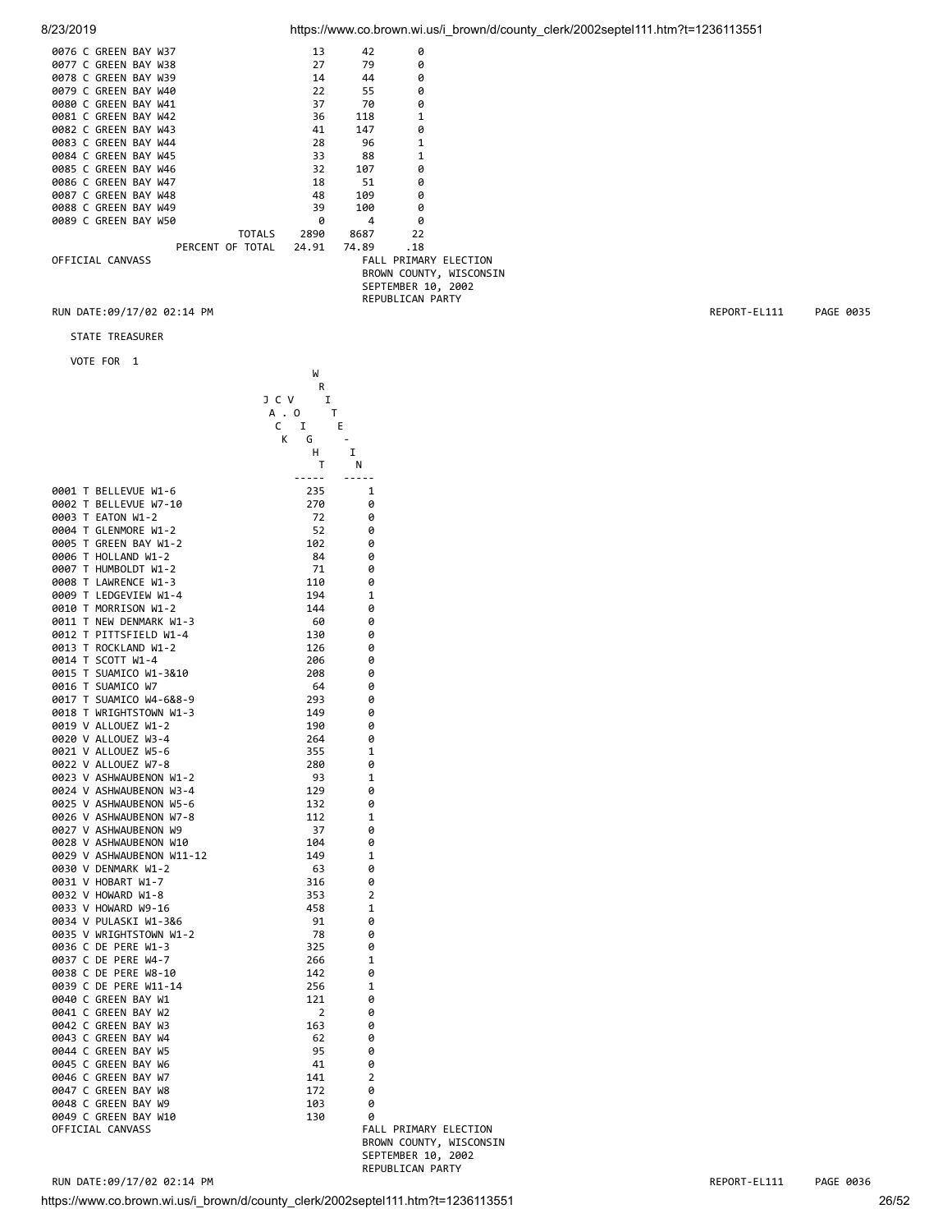8/23/2019 https://www.co.brown.wi.us/i\_brown/d/county\_clerk/2002septel111.htm?t=1236113551

|  | 0076 C GREEN BAY W37 |  |                        |  | 13 | 42               | 0                     |                         |
|--|----------------------|--|------------------------|--|----|------------------|-----------------------|-------------------------|
|  | 0077 C GREEN BAY W38 |  |                        |  | 27 | 79               | 0                     |                         |
|  | 0078 C GREEN BAY W39 |  |                        |  | 14 | 44               | 0                     |                         |
|  | 0079 C GREEN BAY W40 |  |                        |  | 22 | 55               | 0                     |                         |
|  | 0080 C GREEN BAY W41 |  |                        |  | 37 | 70               | 0                     |                         |
|  | 0081 C GREEN BAY W42 |  |                        |  | 36 | 118              | 1                     |                         |
|  | 0082 C GREEN BAY W43 |  |                        |  | 41 | 147              | 0                     |                         |
|  | 0083 C GREEN BAY W44 |  |                        |  | 28 | 96               | $\mathbf{1}$          |                         |
|  | 0084 C GREEN BAY W45 |  |                        |  | 33 | 88               | $\mathbf{1}$          |                         |
|  | 0085 C GREEN BAY W46 |  |                        |  | 32 | 107              | 0                     |                         |
|  | 0086 C GREEN BAY W47 |  |                        |  | 18 | - 51             | 0                     |                         |
|  | 0087 C GREEN BAY W48 |  |                        |  | 48 | 109              | 0                     |                         |
|  | 0088 C GREEN BAY W49 |  |                        |  | 39 | 100              | 0                     |                         |
|  | 0089 C GREEN BAY W50 |  |                        |  | ø  | 4                | 0                     |                         |
|  |                      |  |                        |  |    | TOTALS 2890 8687 | 22                    |                         |
|  |                      |  | PERCENT OF TOTAL 24.91 |  |    | 74.89            | .18                   |                         |
|  | OFFICIAL CANVASS     |  |                        |  |    |                  | FALL PRIMARY ELECTION |                         |
|  |                      |  |                        |  |    |                  |                       | BROWN COUNTY, WISCONSIN |
|  |                      |  |                        |  |    |                  | SEPTEMBER 10, 2002    |                         |

REPUBLICAN PARTY

where the contract of the contract of the contract of the contract of the contract of the contract of the contract of the contract of the contract of the contract of the contract of the contract of the contract of the cont

STATE TREASURER

VOTE FOR 1

|                           | R                      |                            |
|---------------------------|------------------------|----------------------------|
|                           | J C V<br>I             |                            |
|                           | A . O<br>т             |                            |
|                           | $\mathsf{C}$<br>I<br>E |                            |
|                           | К<br>G                 | $\overline{\phantom{a}}$   |
|                           | H.                     | I                          |
|                           | т                      | N                          |
|                           | -----                  |                            |
| 0001 T BELLEVUE W1-6      | 235                    | 1                          |
| 0002 T BELLEVUE W7-10     | 270                    | 0                          |
| 0003 T EATON W1-2         | 72                     | 0                          |
| 0004 T GLENMORE W1-2      | 52                     | 0                          |
| 0005 T GREEN BAY W1-2     | 102                    | 0                          |
| 0006 T HOLLAND W1-2       | 84                     | 0                          |
| 0007 T HUMBOLDT W1-2      | 71                     | 0                          |
| 0008 T LAWRENCE W1-3      | 110                    | 0                          |
| 0009 T LEDGEVIEW W1-4     | 194                    | 1                          |
| 0010 T MORRISON W1-2      | 144                    | ø                          |
| 0011 T NEW DENMARK W1-3   | 60                     | ø                          |
| 0012 T PITTSFIELD W1-4    | 130                    | ø                          |
| 0013 T ROCKLAND W1-2      | 126                    | 0                          |
| 0014 T SCOTT W1-4         | 206                    | 0                          |
| 0015 T SUAMICO W1-3&10    | 208                    | 0                          |
| 0016 T SUAMICO W7         | 64                     | 0                          |
| 0017 T SUAMICO W4-6&8-9   | 293                    | 0                          |
| 0018 T WRIGHTSTOWN W1-3   | 149                    | 0                          |
| 0019 V ALLOUEZ W1-2       | 190                    | 0                          |
| 0020 V ALLOUEZ W3-4       | 264                    | 0                          |
| 0021 V ALLOUEZ W5-6       | 355                    | 1                          |
| 0022 V ALLOUEZ W7-8       | 280                    | ø                          |
| 0023 V ASHWAUBENON W1-2   | 93                     | 1                          |
| 0024 V ASHWAUBENON W3-4   | 129                    | 0                          |
| 0025 V ASHWAUBENON W5-6   | 132                    | 0                          |
| 0026 V ASHWAUBENON W7-8   | 112                    | 1                          |
| 0027 V ASHWAUBENON W9     | 37                     | 0                          |
| 0028 V ASHWAUBENON W10    | 104                    | 0                          |
| 0029 V ASHWAUBENON W11-12 | 149                    | 1                          |
| 0030 V DENMARK W1-2       | 63                     | 0                          |
| 0031 V HOBART W1-7        | 316                    | 0                          |
| 0032 V HOWARD W1-8        | 353                    | 2                          |
| 0033 V HOWARD W9-16       | 458                    | 1                          |
| 0034 V PULASKI W1-3&6     | 91                     | 0                          |
| 0035 V WRIGHTSTOWN W1-2   | 78                     | 0                          |
| 0036 C DE PERE W1-3       | 325                    | 0                          |
| 0037 C DE PERE W4-7       | 266                    | 1                          |
| 0038 C DE PERE W8-10      | 142                    | 0                          |
| 0039 C DE PERE W11-14     | 256                    | 1                          |
| 0040 C GREEN BAY W1       | 121                    | 0                          |
| 0041 C GREEN BAY W2       | 2                      | 0                          |
| 0042 C GREEN BAY W3       | 163                    | 0                          |
| 0043 C GREEN BAY W4       | 62                     | ø                          |
| 0044 C GREEN BAY W5       | 95                     | ø                          |
| 0045 C GREEN BAY W6       | 41                     | ø                          |
| 0046 C GREEN BAY W7       | 141                    | 2                          |
| 0047 C GREEN BAY W8       | 172                    | 0                          |
| 0048 C GREEN BAY W9       |                        | 0                          |
| 0049 C GREEN BAY W10      | 103                    |                            |
| OFFICIAL CANVASS          | 130                    | 0<br>FALL PRIMARY ELECTION |
|                           |                        | BROWN COUNTY, WISCONSIN    |

https://www.co.brown.wi.us/i\_brown/d/county\_clerk/2002septel111.htm?t=1236113551 RUN DATE:09/17/02 02:14 PM REPORT-EL111 PAGE 0036

 SEPTEMBER 10, 2002 REPUBLICAN PARTY

RUN DATE:09/17/02 02:14 PM REPORT-EL111 PAGE 0035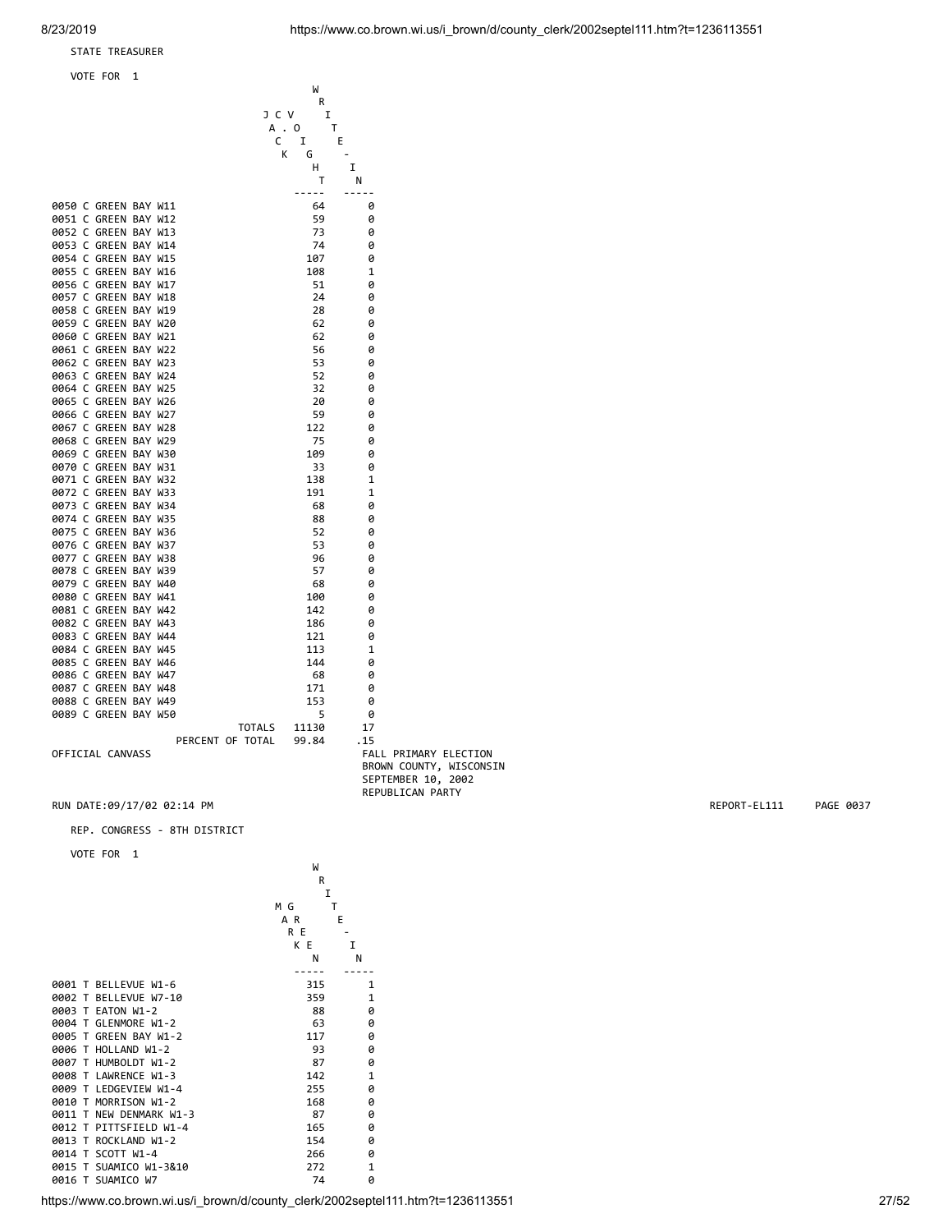STATE TREASURER

### VOTE FOR 1

|                      |  |                  | W      |              |                       |
|----------------------|--|------------------|--------|--------------|-----------------------|
|                      |  |                  | R      |              |                       |
|                      |  | J C V            | I      |              |                       |
|                      |  |                  | A . O  | T            |                       |
|                      |  | C                | I      | E            |                       |
|                      |  |                  | K<br>G |              |                       |
|                      |  |                  | н      | I            |                       |
|                      |  |                  | т      | N            |                       |
|                      |  |                  | -----  | -----        |                       |
| 0050 C GREEN BAY W11 |  |                  | 64     | 0            |                       |
| 0051 C GREEN BAY W12 |  |                  | 59     | 0            |                       |
| 0052 C GREEN BAY W13 |  |                  | 73     | 0            |                       |
| 0053 C GREEN BAY W14 |  |                  | 74     | ø            |                       |
| 0054 C GREEN BAY W15 |  |                  | 107    | 0            |                       |
| 0055 C GREEN BAY W16 |  |                  | 108    | 1            |                       |
| 0056 C GREEN BAY W17 |  |                  | 51     | 0            |                       |
| 0057 C GREEN BAY W18 |  |                  | 24     | 0            |                       |
| 0058 C GREEN BAY W19 |  |                  | 28     | ø            |                       |
| 0059 C GREEN BAY W20 |  |                  | 62     | 0            |                       |
| 0060 C GREEN BAY W21 |  |                  | 62     | 0            |                       |
| 0061 C GREEN BAY W22 |  |                  | 56     |              |                       |
| 0062 C GREEN BAY W23 |  |                  |        | 0            |                       |
|                      |  |                  | 53     | ø            |                       |
| 0063 C GREEN BAY W24 |  |                  | 52     | 0            |                       |
| 0064 C GREEN BAY W25 |  |                  | 32     | 0            |                       |
| 0065 C GREEN BAY W26 |  |                  | 20     | 0            |                       |
| 0066 C GREEN BAY W27 |  |                  | 59     | 0            |                       |
| 0067 C GREEN BAY W28 |  |                  | 122    | ø            |                       |
| 0068 C GREEN BAY W29 |  |                  | 75     | 0            |                       |
| 0069 C GREEN BAY W30 |  |                  | 109    | 0            |                       |
| 0070 C GREEN BAY W31 |  |                  | 33     | 0            |                       |
| 0071 C GREEN BAY W32 |  |                  | 138    | $\mathbf{1}$ |                       |
| 0072 C GREEN BAY W33 |  |                  | 191    | $\mathbf{1}$ |                       |
| 0073 C GREEN BAY W34 |  |                  | 68     | 0            |                       |
| 0074 C GREEN BAY W35 |  |                  | 88     | 0            |                       |
| 0075 C GREEN BAY W36 |  |                  | 52     | 0            |                       |
| 0076 C GREEN BAY W37 |  |                  | 53     | 0            |                       |
| 0077 C GREEN BAY W38 |  |                  | 96     | ø            |                       |
| 0078 C GREEN BAY W39 |  |                  | 57     | 0            |                       |
| 0079 C GREEN BAY W40 |  |                  | 68     | 0            |                       |
| 0080 C GREEN BAY W41 |  |                  | 100    | ø            |                       |
| 0081 C GREEN BAY W42 |  |                  | 142    | ø            |                       |
| 0082 C GREEN BAY W43 |  |                  | 186    | 0            |                       |
| 0083 C GREEN BAY W44 |  |                  | 121    | 0            |                       |
| 0084 C GREEN BAY W45 |  |                  | 113    | 1            |                       |
| 0085 C GREEN BAY W46 |  |                  | 144    | 0            |                       |
| 0086 C GREEN BAY W47 |  |                  | 68     | 0            |                       |
| 0087 C GREEN BAY W48 |  |                  | 171    | 0            |                       |
| 0088 C GREEN BAY W49 |  |                  | 153    | 0            |                       |
| 0089 C GREEN BAY W50 |  |                  | 5      | 0            |                       |
|                      |  | <b>TOTALS</b>    | 11130  | 17           |                       |
|                      |  | PERCENT OF TOTAL | 99.84  | .15          |                       |
| OFFICIAL CANVASS     |  |                  |        |              | FALL PRIMARY ELECTION |
|                      |  |                  |        |              |                       |

 BROWN COUNTY, WISCONSIN SEPTEMBER 10, 2002 REPUBLICAN PARTY

RUN DATE:09/17/02 02:14 PM **REPORT-EL111** PAGE 0037

REP. CONGRESS - 8TH DISTRICT

VOTE FOR 1

| VUIE FUR<br>÷.          | W<br>R<br>I<br>ΜG | т            |
|-------------------------|-------------------|--------------|
|                         | A R<br>R E        | Ε            |
|                         | K E               | T            |
|                         | N                 | N            |
|                         |                   |              |
| 0001 T BELLEVUE W1-6    | 315               | 1            |
| 0002 T BELLEVUE W7-10   | 359               | $\mathbf{1}$ |
| 0003 T EATON W1-2       | 88                | 0            |
| 0004 T GLENMORE W1-2    | 63                | 0            |
| 0005 T GREEN BAY W1-2   | 117               | 0            |
| 0006 T HOLLAND W1-2     | 93                | 0            |
| 0007 T HUMBOLDT W1-2    | 87                | 0            |
| 0008 T LAWRENCE W1-3    | 142               | $\mathbf{1}$ |
| 0009 T LEDGEVIEW W1-4   | 255               | ø            |
| 0010 T MORRISON W1-2    | 168               | 0            |
| 0011 T NEW DENMARK W1-3 | 87                | 0            |
| 0012 T PITTSFIELD W1-4  | 165               | 0            |
| 0013 T ROCKLAND W1-2    | 154               | ø            |
| 0014 T SCOTT W1-4       | 266               | 0            |
| 0015 T SUAMICO W1-3&10  | 272               | $\mathbf{1}$ |
| 0016 T SUAMICO W7       | 74                | ø            |

https://www.co.brown.wi.us/i\_brown/d/county\_clerk/2002septel111.htm?t=1236113551 27/52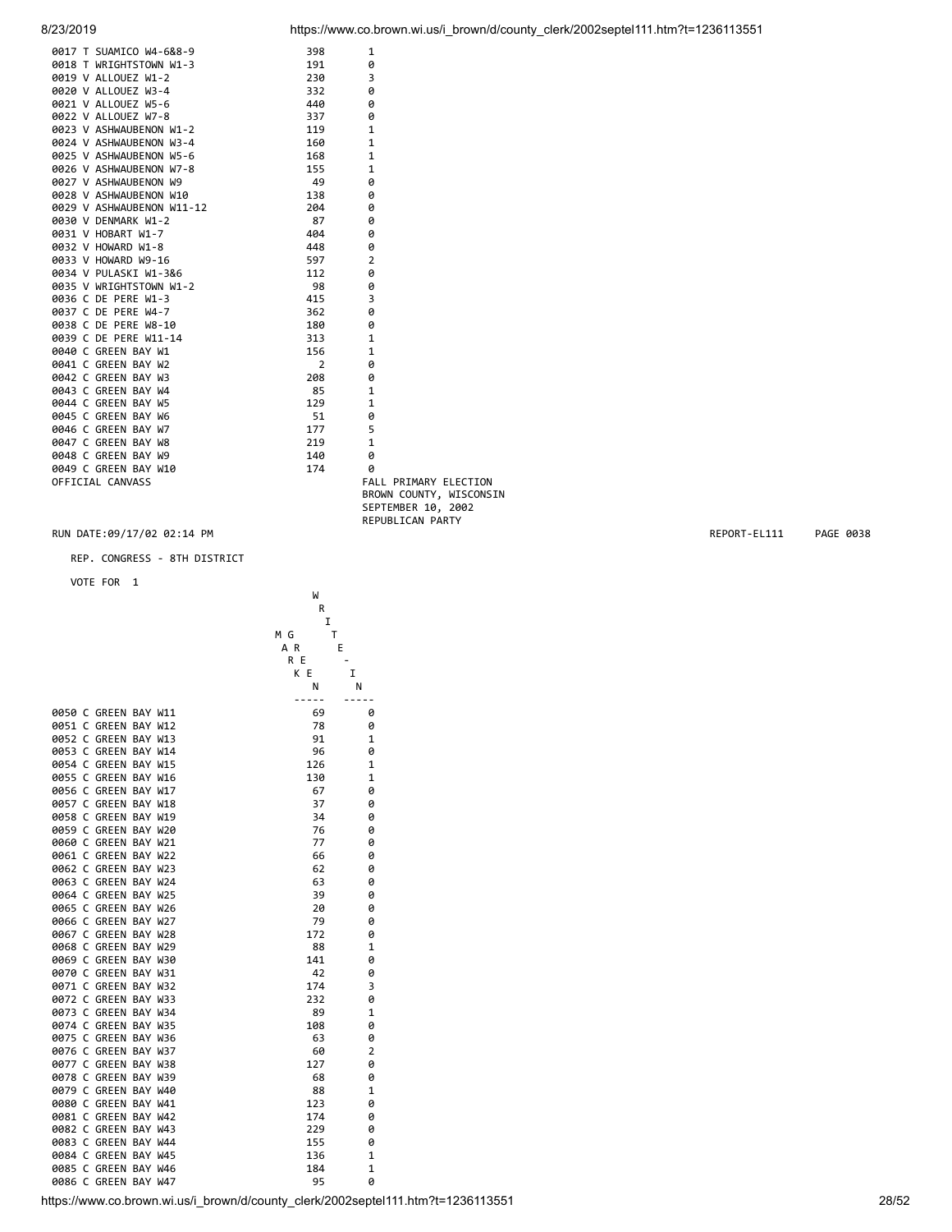| 0017 T SUAMICO W4-6&8-9                                                                                                                                                                                                                           | 398   | 1                       |
|---------------------------------------------------------------------------------------------------------------------------------------------------------------------------------------------------------------------------------------------------|-------|-------------------------|
|                                                                                                                                                                                                                                                   | 191   | 0                       |
|                                                                                                                                                                                                                                                   | 230   | 3                       |
| <b>0017 T SUAMICO W4-6&amp;8-9<br/> 0018 T WALOUEZ W1-2<br/> 0020 V ALLOUEZ W1-2<br/> 0020 V ALLOUEZ W3-4<br/> 0021 V ALLOUEZ W3-6<br/> 0022 V ALLOUEZ W7-8<br/> 0023 V ASHWAUBENON W1-2</b>                                                      | 332   | 0                       |
|                                                                                                                                                                                                                                                   | 440   | ø                       |
|                                                                                                                                                                                                                                                   | 337   | 0                       |
|                                                                                                                                                                                                                                                   | 119   | $\mathbf{1}$            |
| 0024 V ASHWAUBENON W3-4                                                                                                                                                                                                                           | 160   | $\mathbf{1}$            |
| 0025 V ASHWAUBENON W5-6                                                                                                                                                                                                                           | 168   | $\mathbf{1}$            |
| 0026 V ASHWAUBENON W7-8                                                                                                                                                                                                                           | 155   | $\mathbf{1}$            |
| 0027 V ASHWAUBENON W9                                                                                                                                                                                                                             | 49    | 0                       |
| 0028 V ASHWAUBENON W10                                                                                                                                                                                                                            | 138   | 0                       |
| 0029 V ASHWAUBENON W11-12                                                                                                                                                                                                                         | 204   | 0                       |
|                                                                                                                                                                                                                                                   | 87    | 0                       |
|                                                                                                                                                                                                                                                   | 404   | 0                       |
|                                                                                                                                                                                                                                                   | 448 0 |                         |
|                                                                                                                                                                                                                                                   | 597   | $\overline{2}$          |
|                                                                                                                                                                                                                                                   | 112   | 0                       |
|                                                                                                                                                                                                                                                   | 98    | 0                       |
| 0029 V ASHWAUBENON W11-12<br>0030 V DENMARK W1-2<br>0031 V HOBART W1-7<br>0032 V HOWARD W1-8<br>0033 V HOWARD W1-8<br>0033 V HOWARD W9-16<br>0033 V WRIGHTSTOWN W1-2<br>0036 C DE PERE W1-3<br>0037 C DE PERE W4-7<br>0037 C DE PERE W4-7<br>0039 | 415   | $\overline{3}$          |
|                                                                                                                                                                                                                                                   | 362   | 0                       |
|                                                                                                                                                                                                                                                   | 180   | 0                       |
|                                                                                                                                                                                                                                                   | 313   | $\mathbf{1}$            |
|                                                                                                                                                                                                                                                   | 156   | $\mathbf{1}$            |
|                                                                                                                                                                                                                                                   | 2     | 0                       |
|                                                                                                                                                                                                                                                   | 208   | 0                       |
|                                                                                                                                                                                                                                                   | 85    | $\mathbf{1}$            |
|                                                                                                                                                                                                                                                   | 129   | $\mathbf{1}$            |
|                                                                                                                                                                                                                                                   | 51    | 0                       |
|                                                                                                                                                                                                                                                   | 177   | 5                       |
| 0047 C GREEN BAY W8                                                                                                                                                                                                                               | 219   | $\mathbf{1}$            |
| 0048 C GREEN BAY W9                                                                                                                                                                                                                               | 140   | ø                       |
| 0049 C GREEN BAY W10                                                                                                                                                                                                                              | 174   | 0                       |
| OFFICIAL CANVASS                                                                                                                                                                                                                                  |       | FALL PRIMARY ELECTION   |
|                                                                                                                                                                                                                                                   |       | BROWN COUNTY, WISCONSIN |

SEPTEMBER 10, 2002 REPUBLICAN PARTY

### RUN DATE:09/17/02 02:14 PM REPORT-EL111 PAGE 0038

REP. CONGRESS - 8TH DISTRICT

|                      | W                                                                                |                          |
|----------------------|----------------------------------------------------------------------------------|--------------------------|
|                      | R                                                                                |                          |
|                      | $\mathbf I$                                                                      |                          |
|                      | T<br>M G                                                                         |                          |
|                      | A R                                                                              | E                        |
|                      | R E                                                                              | $\overline{\phantom{a}}$ |
|                      | K E                                                                              | Ι.                       |
|                      | Ν                                                                                | N                        |
|                      | -----                                                                            | $- - - - -$              |
| 0050 C GREEN BAY W11 |                                                                                  | 0                        |
|                      | 69                                                                               |                          |
| 0051 C GREEN BAY W12 | 78                                                                               | 0                        |
| 0052 C GREEN BAY W13 | 91                                                                               | $\mathbf{1}$             |
| 0053 C GREEN BAY W14 | 96                                                                               | 0                        |
| 0054 C GREEN BAY W15 | 126                                                                              | $\mathbf{1}$             |
| 0055 C GREEN BAY W16 | 130                                                                              | $\mathbf 1$              |
| 0056 C GREEN BAY W17 | 67                                                                               | 0                        |
| 0057 C GREEN BAY W18 | 37                                                                               | 0                        |
| 0058 C GREEN BAY W19 | 34                                                                               | 0                        |
| 0059 C GREEN BAY W20 | 76                                                                               | 0                        |
| 0060 C GREEN BAY W21 | 77                                                                               | 0                        |
| 0061 C GREEN BAY W22 | 66                                                                               | 0                        |
|                      | 62                                                                               | 0                        |
| 0062 C GREEN BAY W23 |                                                                                  |                          |
| 0063 C GREEN BAY W24 | 63                                                                               | 0                        |
| 0064 C GREEN BAY W25 | 39                                                                               | 0                        |
| 0065 C GREEN BAY W26 | 20                                                                               | 0                        |
| 0066 C GREEN BAY W27 | 79                                                                               | 0                        |
| 0067 C GREEN BAY W28 | 172                                                                              | 0                        |
| 0068 C GREEN BAY W29 | 88                                                                               | $\mathbf{1}$             |
| 0069 C GREEN BAY W30 | 141                                                                              | 0                        |
| 0070 C GREEN BAY W31 | 42                                                                               | 0                        |
| 0071 C GREEN BAY W32 | 174                                                                              | 3                        |
| 0072 C GREEN BAY W33 | 232                                                                              | 0                        |
| 0073 C GREEN BAY W34 | 89                                                                               | $\mathbf 1$              |
| 0074 C GREEN BAY W35 | 108                                                                              | 0                        |
|                      |                                                                                  |                          |
| 0075 C GREEN BAY W36 | 63                                                                               | 0                        |
| 0076 C GREEN BAY W37 | 60                                                                               | 2                        |
| 0077 C GREEN BAY W38 | 127                                                                              | 0                        |
| 0078 C GREEN BAY W39 | 68                                                                               | 0                        |
| 0079 C GREEN BAY W40 | 88                                                                               | $\mathbf 1$              |
| 0080 C GREEN BAY W41 | 123                                                                              | 0                        |
| 0081 C GREEN BAY W42 | 174                                                                              | 0                        |
| 0082 C GREEN BAY W43 | 229                                                                              | 0                        |
| 0083 C GREEN BAY W44 | 155                                                                              | 0                        |
| 0084 C GREEN BAY W45 | 136                                                                              | $\mathbf 1$              |
| 0085 C GREEN BAY W46 | 184                                                                              | $\mathbf 1$              |
| 0086 C GREEN BAY W47 | 95                                                                               | 0                        |
|                      |                                                                                  |                          |
|                      | https://www.co.brown.wi.us/i brown/d/county clerk/2002septel111.htm?t=1236113551 |                          |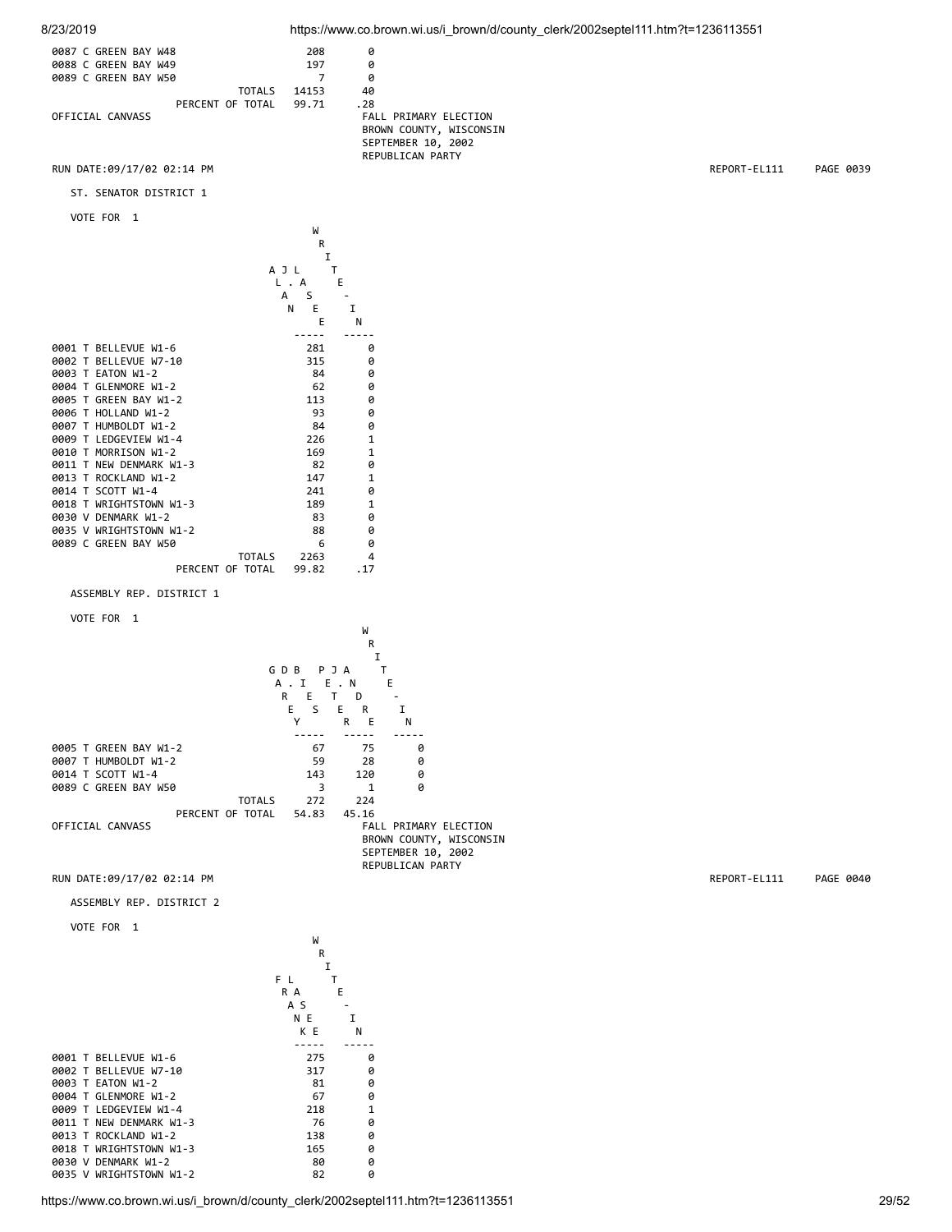



ST. SENATOR DISTRICT 1

```
 VOTE FOR 1
```

|                            |                  | W      |              |
|----------------------------|------------------|--------|--------------|
|                            |                  | R      |              |
|                            |                  | I      |              |
|                            |                  | A J L  | т            |
|                            | L                | A      | E            |
|                            |                  | S<br>A |              |
|                            |                  | N<br>E | т            |
|                            |                  | E      | N            |
|                            |                  |        |              |
| 0001 T BELLEVUE W1-6       |                  | 281    | ø            |
| BELLEVUE W7-10<br>0002 T   |                  | 315    | 0            |
| EATON W1-2<br>0003<br>т    |                  | 84     | 0            |
| 0004 T GLENMORE W1-2       |                  | 62     | 0            |
| GREEN BAY W1-2<br>0005 T   |                  | 113    | 0            |
| AAA6 T<br>HOLLAND W1-2     |                  | 93     | 0            |
| 0007 T HUMBOLDT W1-2       |                  | 84     | 0            |
| LEDGEVIEW W1-4<br>0009 T   |                  | 226    | $\mathbf{1}$ |
| MORRISON W1-2<br>0010 T    |                  | 169    | $\mathbf{1}$ |
| T NEW DENMARK W1-3<br>8811 |                  | 82     | 0            |
| ROCKLAND W1-2<br>0013 T    |                  | 147    | $\mathbf{1}$ |
| 0014 T SCOTT W1-4          |                  | 241    | 0            |
| 0018 T WRIGHTSTOWN W1-3    |                  | 189    | $\mathbf{1}$ |
| 0030 V DENMARK W1-2        |                  | 83     | 0            |
| 0035 V WRIGHTSTOWN W1-2    |                  | 88     | 0            |
| 0089 C GREEN BAY W50       |                  | 6      | 0            |
|                            | <b>TOTALS</b>    | 2263   | 4            |
|                            | PERCENT OF TOTAL | 99.82  | . 17         |
|                            |                  |        |              |

ASSEMBLY REP. DISTRICT 1

VOTE FOR 1



https://www.co.brown.wi.us/i\_brown/d/county\_clerk/2002septel111.htm?t=1236113551 29/52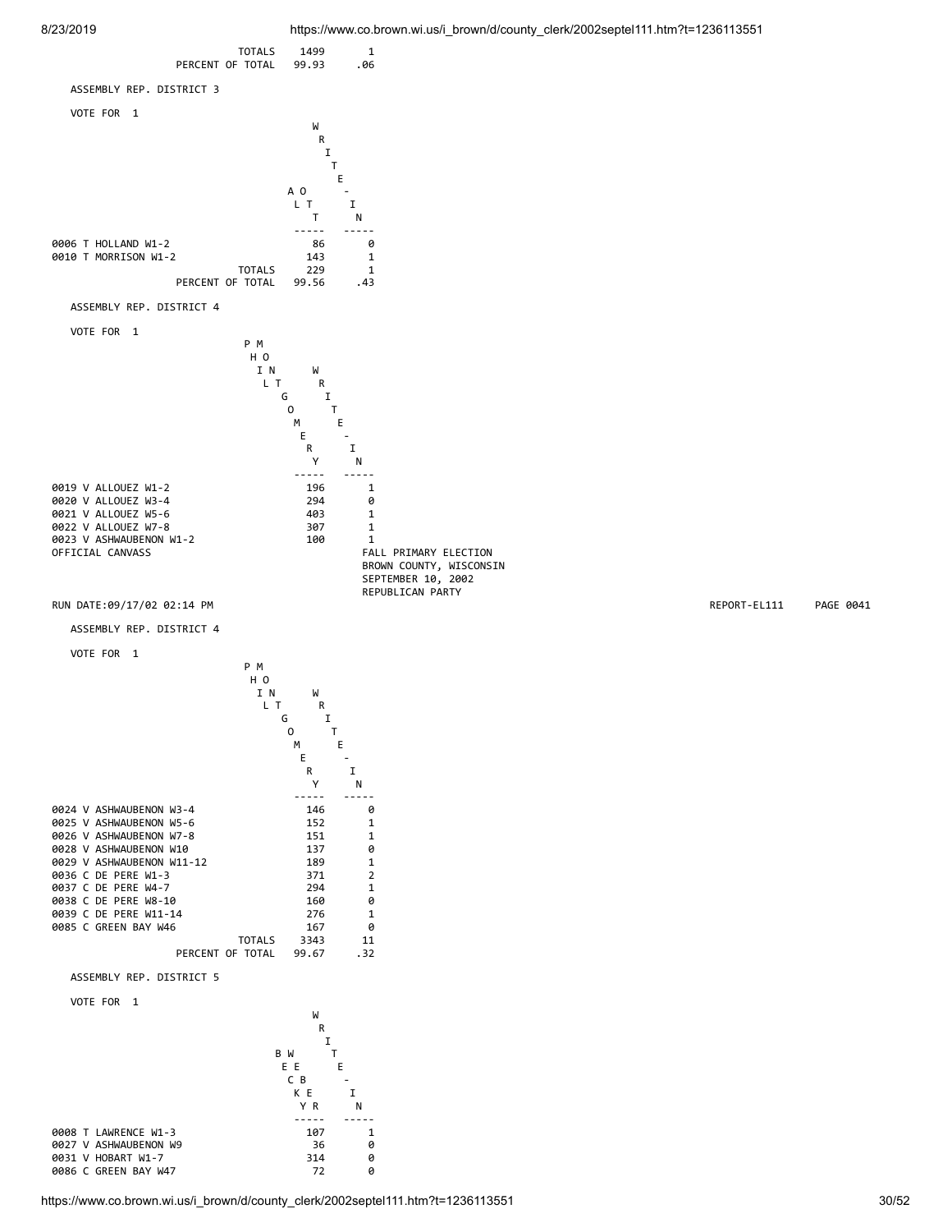

https://www.co.brown.wi.us/i\_brown/d/county\_clerk/2002septel111.htm?t=1236113551 30/52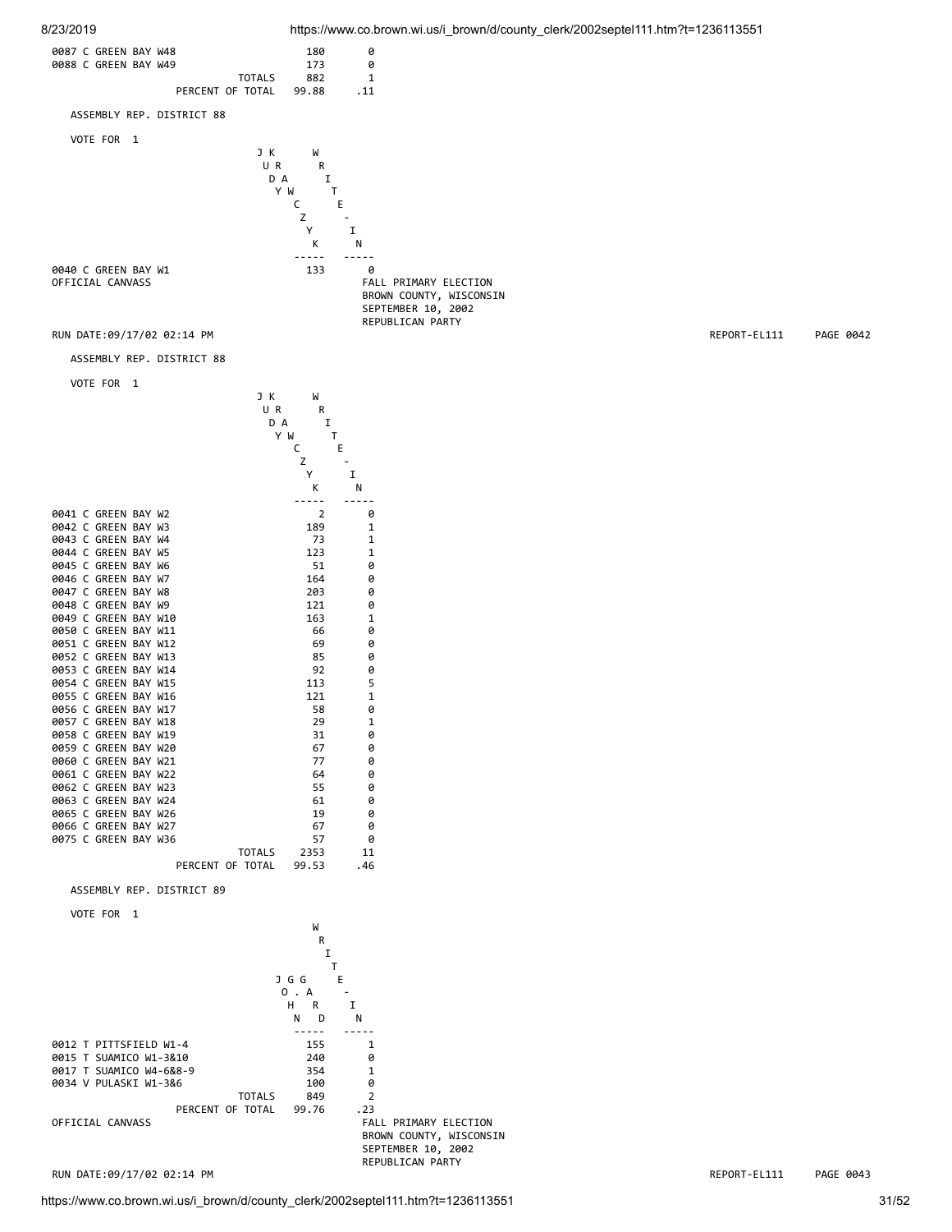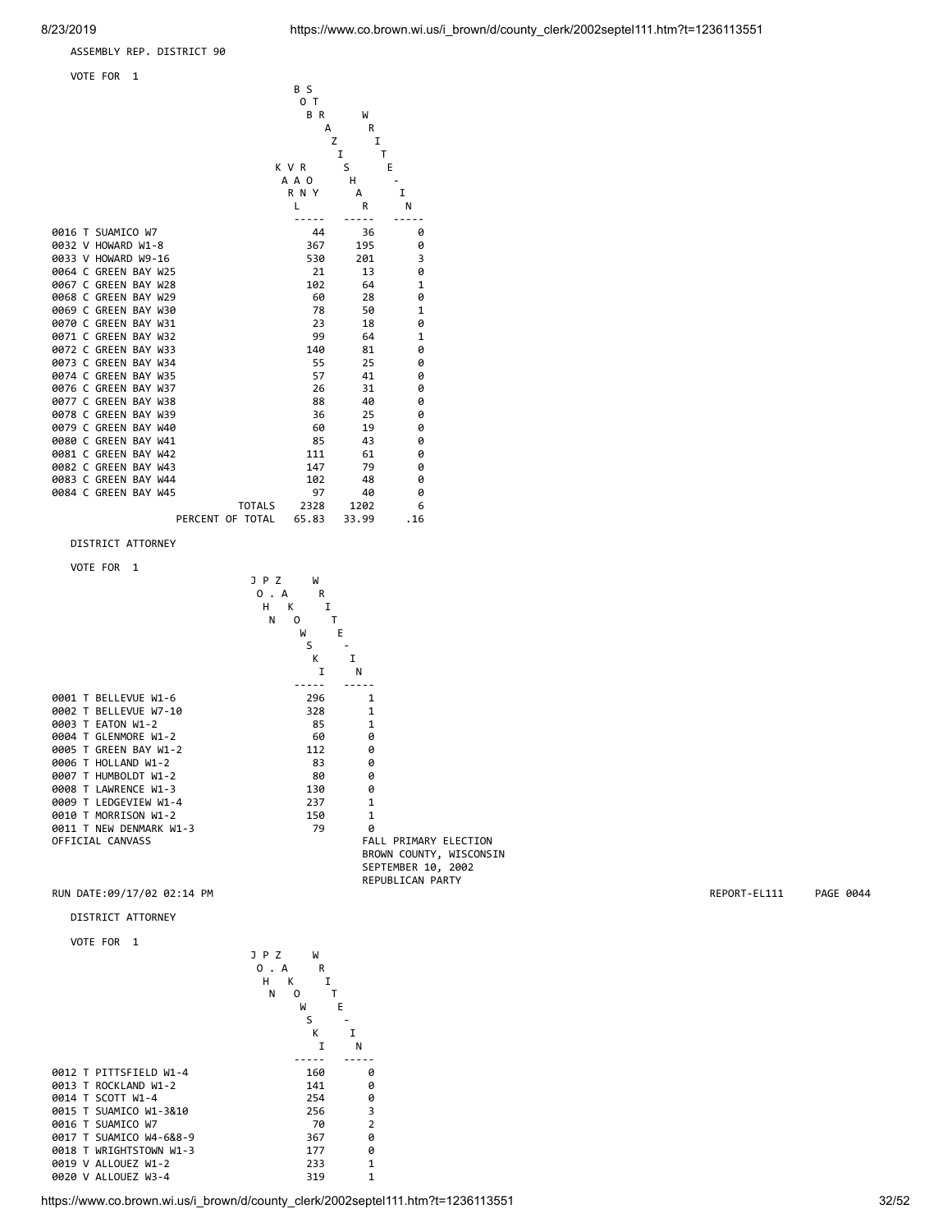ASSEMBLY REP. DISTRICT 90

VOTE FOR 1



https://www.co.brown.wi.us/i\_brown/d/county\_clerk/2002septel111.htm?t=1236113551 32/52

0019 V ALLOUEZ W1-2 233 1 0020 V ALLOUEZ W3-4 319 1

0018 T WRIGHTSTOWN W1-3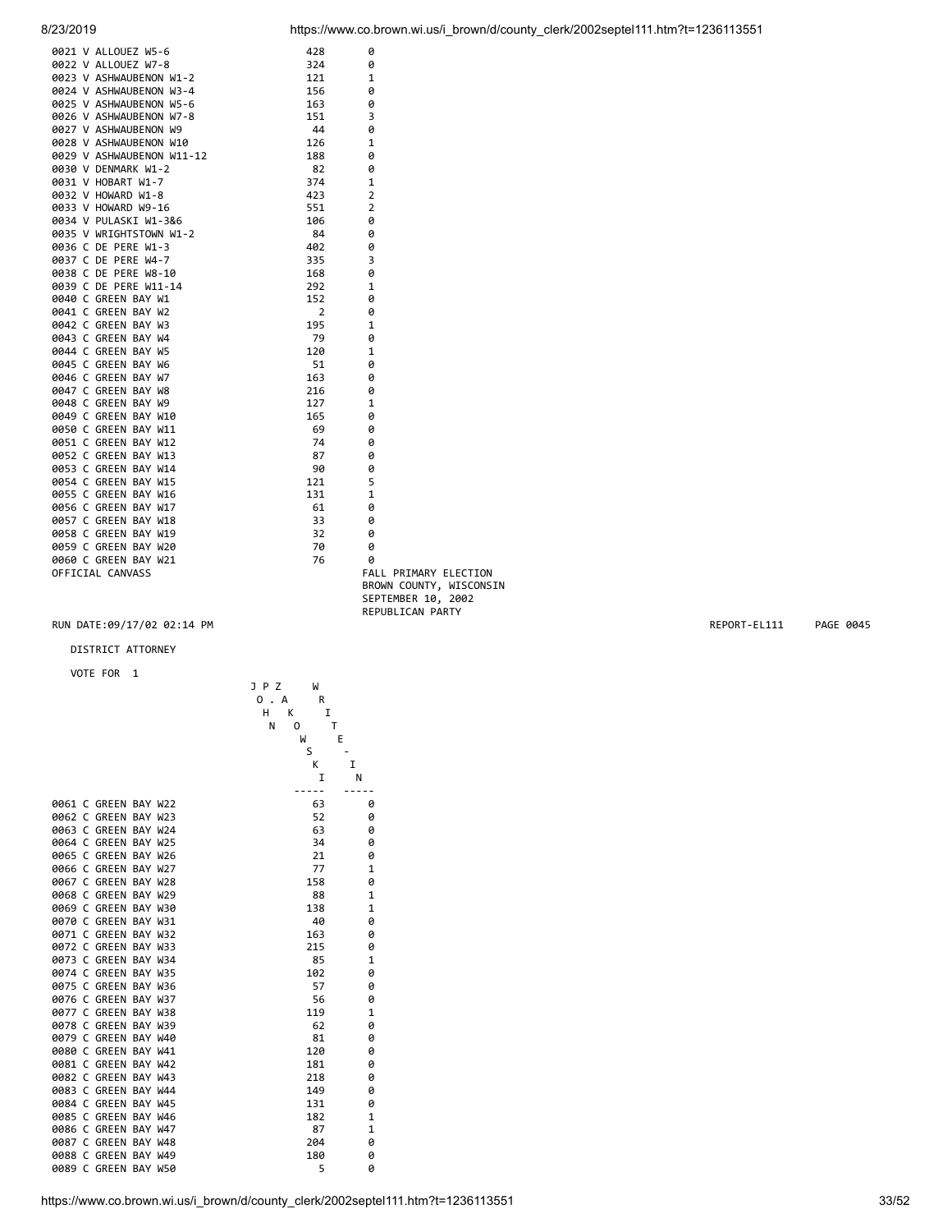| 0021 V ALLOUEZ W5-6       | 428            | 0              |
|---------------------------|----------------|----------------|
| 0022 V ALLOUEZ W7-8       | 324            | 0              |
| 0023 V ASHWAUBENON W1-2   | 121            | $\mathbf{1}$   |
| 0024 V ASHWAUBENON W3-4   | 156            | 0              |
| 0025 V ASHWAUBENON W5-6   | 163            | 0              |
| 0026 V ASHWAUBENON W7-8   | 151            | 3              |
| 0027 V ASHWAUBENON W9     | 44             | 0              |
| 0028 V ASHWAUBENON W10    | 126            | $\mathbf{1}$   |
| 0029 V ASHWAUBENON W11-12 | 188            | 0              |
| 0030 V DENMARK W1-2       | 82             | 0              |
| 0031 V HOBART W1-7        | 374            | $\mathbf{1}$   |
| 0032 V HOWARD W1-8        | 423            | $\overline{2}$ |
| 0033 V HOWARD W9-16       | 551            | $\overline{2}$ |
| 0034 V PULASKI W1-3&6     | 106            | 0              |
| 0035 V WRIGHTSTOWN W1-2   | 84             | 0              |
| 0036 C DE PERE W1-3       | 402            | 0              |
| 0037 C DE PERE W4-7       | 335            | 3              |
| 0038 C DE PERE W8-10      | 168            | 0              |
| 0039 C DE PERE W11-14     | 292            | $\mathbf{1}$   |
| 0040 C GREEN BAY W1       | 152            | 0              |
| 0041 C GREEN BAY W2       | $\overline{2}$ | 0              |
| 0042 C GREEN BAY W3       | 195            | $\mathbf{1}$   |
| 0043 C GREEN BAY W4       | 79             | 0              |
| 0044 C GREEN BAY W5       | 120            | $\mathbf{1}$   |
| 0045 C GREEN BAY W6       | 51             | 0              |
| 0046 C GREEN BAY W7       | 163            | 0              |
| 0047 C GREEN BAY W8       | 216            | 0              |
| 0048 C GREEN BAY W9       | 127            | $\mathbf{1}$   |
| 0049 C GREEN BAY W10      | 165            | 0              |
| 0050 C GREEN BAY W11      | 69             | 0              |
| 0051 C GREEN BAY W12      | 74             | 0              |
| 0052 C GREEN BAY W13      | 87             | 0              |
| 0053 C GREEN BAY W14      | 90             | 0              |
| 0054 C GREEN BAY W15      | 121            | 5              |
| 0055 C GREEN BAY W16      | 131            | $\mathbf{1}$   |
| 0056 C GREEN BAY W17      | 61             | 0              |
| 0057 C GREEN BAY W18      | 33             | 0              |
| 0058 C GREEN BAY W19      | 32             | 0              |
| 0059 C GREEN BAY W20      | 70             | ø              |
| 0060 C GREEN BAY W21      | 76             | ø              |
| OFFICIAL CANVASS          |                | FALL P         |
|                           |                | <b>DDOLINE</b> |

### RIMARY ELECTION BROWN COUNTY, WISCONSIN SEPTEMBER 10, 2002 REPUBLICAN PARTY

### RUN DATE:09/17/02 02:14 PM REPORT-EL111 PAGE 0045

## DISTRICT ATTORNEY

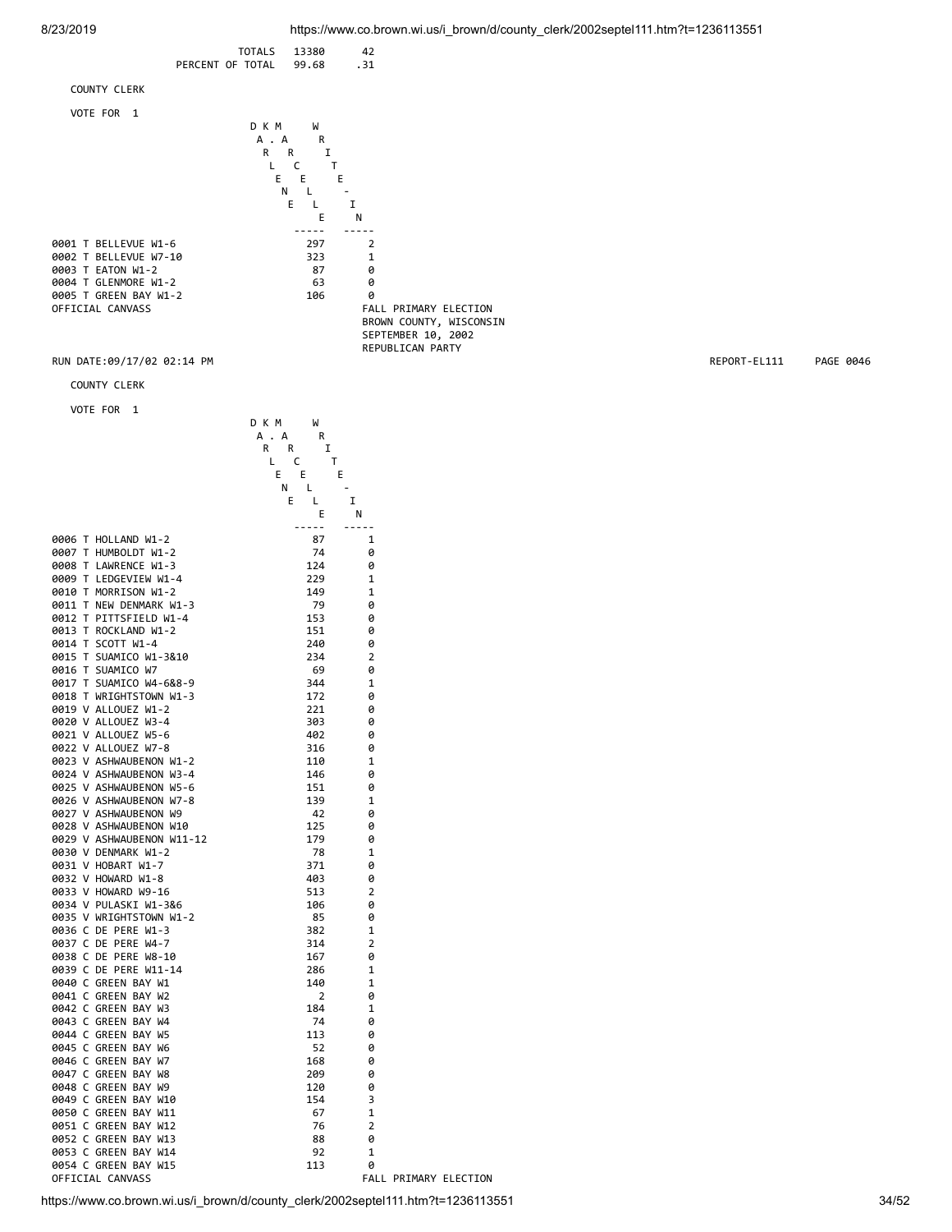

https://www.co.brown.wi.us/i\_brown/d/county\_clerk/2002septel111.htm?t=1236113551 34/52

FALL PRIMARY ELECTION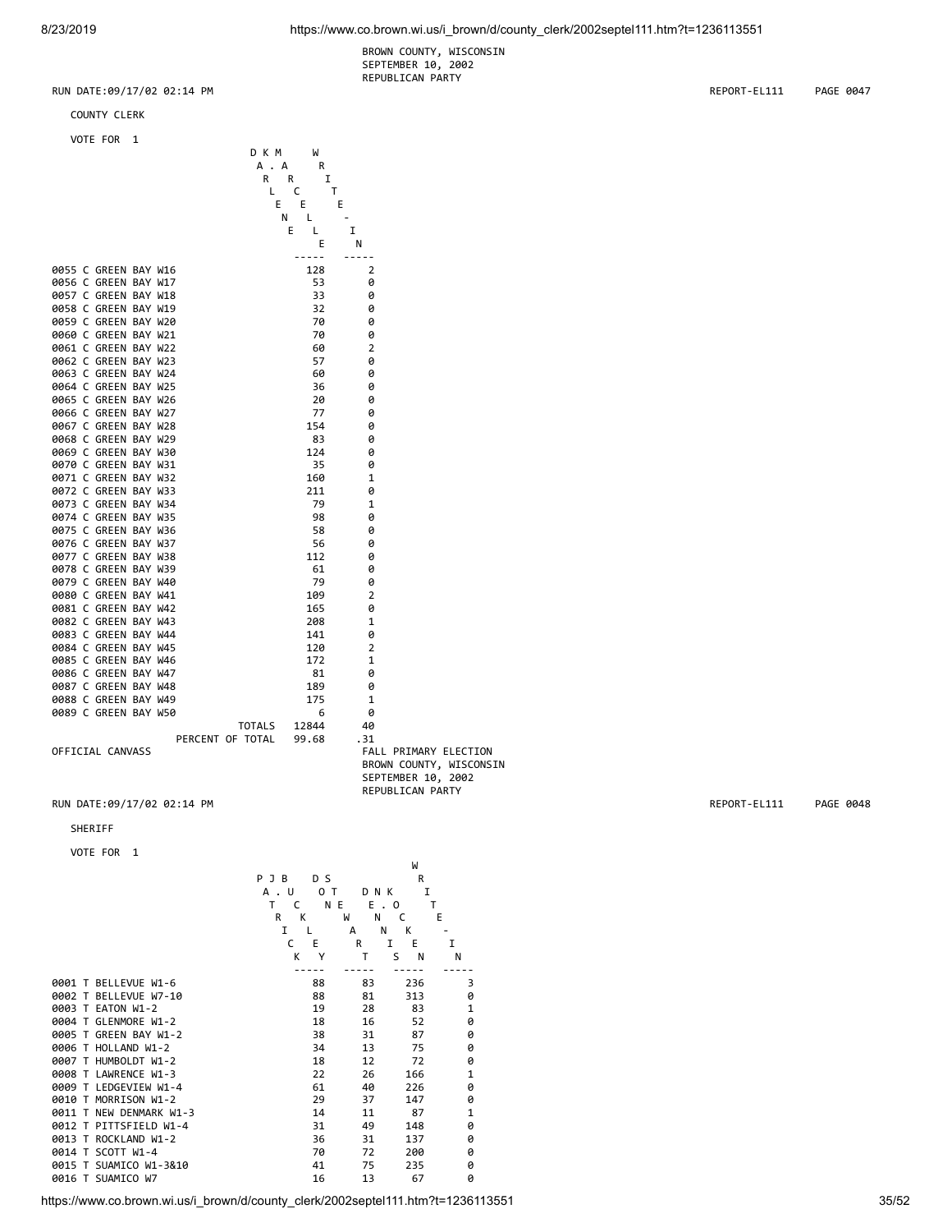BROWN COUNTY, WISCONSIN SEPTEMBER 10, 2002 REPUBLICAN PARTY

RUN DATE:09/17/02 02:14 PM REPORT-EL111 PAGE 0047

COUNTY CLERK

VOTE FOR 1

D K M W<br>
A . A R<br>
R R : A . A R R R I L C T E E E E E N L -E L I E N ----- ----- 0055 C GREEN BAY W16 128 2<br>0056 C GREEN BAY W17 53 0 0056 C GREEN BAY W17 53 0 0057 C GREEN BAY W18 33 0 0058 C GREEN BAY W19<br>0059 C GREEN BAY W20 32 70 0 0059 C GREEN BAY W20<br>0060 C GREEN BAY W21 70 70 0 0060 C GREEN BAY W21 70 0<br>0061 C GREEN BAY W22 60 2 0061 C GREEN BAY W22 60 2<br>0062 C GREEN BAY W23 57 6 0062 C GREEN BAY W23 57 0 0063 C GREEN BAY W24 60 60 0<br>0064 C GREEN BAY W25 36 0 0064 C GREEN BAY W25 36 0 0065 C GREEN BAY W26 20 20 0<br>0066 C GREEN BAY W27 20 27 20 0066 C GREEN BAY W27 77 0 0067 C GREEN BAY W28 154 0<br>0068 C GREEN BAY W29 183 0 0068 C GREEN BAY W29 83 0 0069 C GREEN BAY W30 124 0<br>0070 C GREEN BAY W31 35 0 0070 C GREEN BAY W31 35 0<br>0071 C GREEN BAY W32 35 160 1 0071 C GREEN BAY W32 160 1<br>0072 C GREEN BAY W33 211 0 0072 C GREEN BAY W33 211 0<br>0073 C GREEN BAY W34 20 79 1 0073 C GREEN BAY W34 79 1<br>0074 C GREEN BAY W35 98 0 0074 C GREEN BAY W35 98 0 0075 C GREEN BAY W36 58 0 0076 C GREEN BAY W37 56 0 0077 C GREEN BAY W38 112 0<br>112 0078 C GREEN BAY W39 1 0 1 0 1 0 0078 C GREEN BAY W39 61 0 0079 C GREEN BAY W40 79<br>0080 C GREEN BAY W41 109 0080 C GREEN BAY W41 109 2<br>0081 C GREEN BAY W42 165 0 0081 C GREEN BAY W42 165<br>0082 C GREEN BAY W43 208 0082 C GREEN BAY W43 208 1<br>0083 C GREEN BAY W44 2008 1141 0 0083 C GREEN BAY W44 141 141 0<br>141 0084 C GREEN BAY W45 120 2 0084 C GREEN BAY W45 120 2<br>120 122 120 2 122 12 0085 C GREEN BAY W46 172 1<br>0086 C GREEN BAY W47 181 0 0086 C GREEN BAY W47 81 0 0087 C GREEN BAY W48 189<br>175 0088 C GREEN BAY W49 0088 C GREEN BAY W49 175 1<br>0089 C GREEN BAY W50 1 6 0 0 0089 C GREEN BAY W50 **6** 0<br>TOTALS 12844 40 TOTALS 12844 40 PERCENT OF TOTAL 99.68 .31 FALL PRIMARY ELECTION BROWN COUNTY, WISCONSIN SEPTEMBER 10, 2002 REPUBLICAN PARTY

RUN DATE:09/17/02 02:14 PM REPORT-EL111 PAGE 0048

### SHERIFF

VOTE FOR 1

|                         | D S<br>PJB        |        | R      |              |
|-------------------------|-------------------|--------|--------|--------------|
|                         | A<br>U<br>0<br>T  | DNK    | I      |              |
|                         | T<br>N E<br>C     | Ε.     | T<br>0 |              |
|                         | R<br>K            | W<br>N | C      | E            |
|                         | I<br>$\mathbf{I}$ | N<br>A | К      |              |
|                         | C<br>E            | R      | E<br>I | I            |
|                         | K<br>Υ            | T      | S<br>N | N            |
|                         |                   |        |        |              |
| 0001 T BELLEVUE W1-6    | 88                | 83     | 236    | 3            |
| 0002 T BELLEVUE W7-10   | 88                | 81     | 313    | 0            |
| 0003 T EATON W1-2       | 19                | 28     | 83     | 1            |
| 0004 T GLENMORE W1-2    | 18                | 16     | 52     | 0            |
| 0005 T GREEN BAY W1-2   | 38                | 31     | 87     | 0            |
| 0006 T HOLLAND W1-2     | 34                | 13     | 75     | 0            |
| 0007 T HUMBOLDT W1-2    | 18                | 12     | 72     | 0            |
| 0008 T LAWRENCE W1-3    | 22                | 26     | 166    | $\mathbf{1}$ |
| 0009 T LEDGEVIEW W1-4   | 61                | 40     | 226    | 0            |
| 0010 T MORRISON W1-2    | 29                | 37     | 147    | 0            |
| 0011 T NEW DENMARK W1-3 | 14                | 11     | 87     | $\mathbf{1}$ |
| 0012 T PITTSFIELD W1-4  | 31                | 49     | 148    | 0            |
| 0013 T ROCKLAND W1-2    | 36                | 31     | 137    | 0            |
| 0014 T SCOTT W1-4       | 70                | 72     | 200    | 0            |
| 0015 T SUAMICO W1-3&10  | 41                | 75     | 235    | 0            |
| 0016 T SUAMICO W7       | 16                | 13     | 67     | 0            |
|                         |                   |        |        |              |

W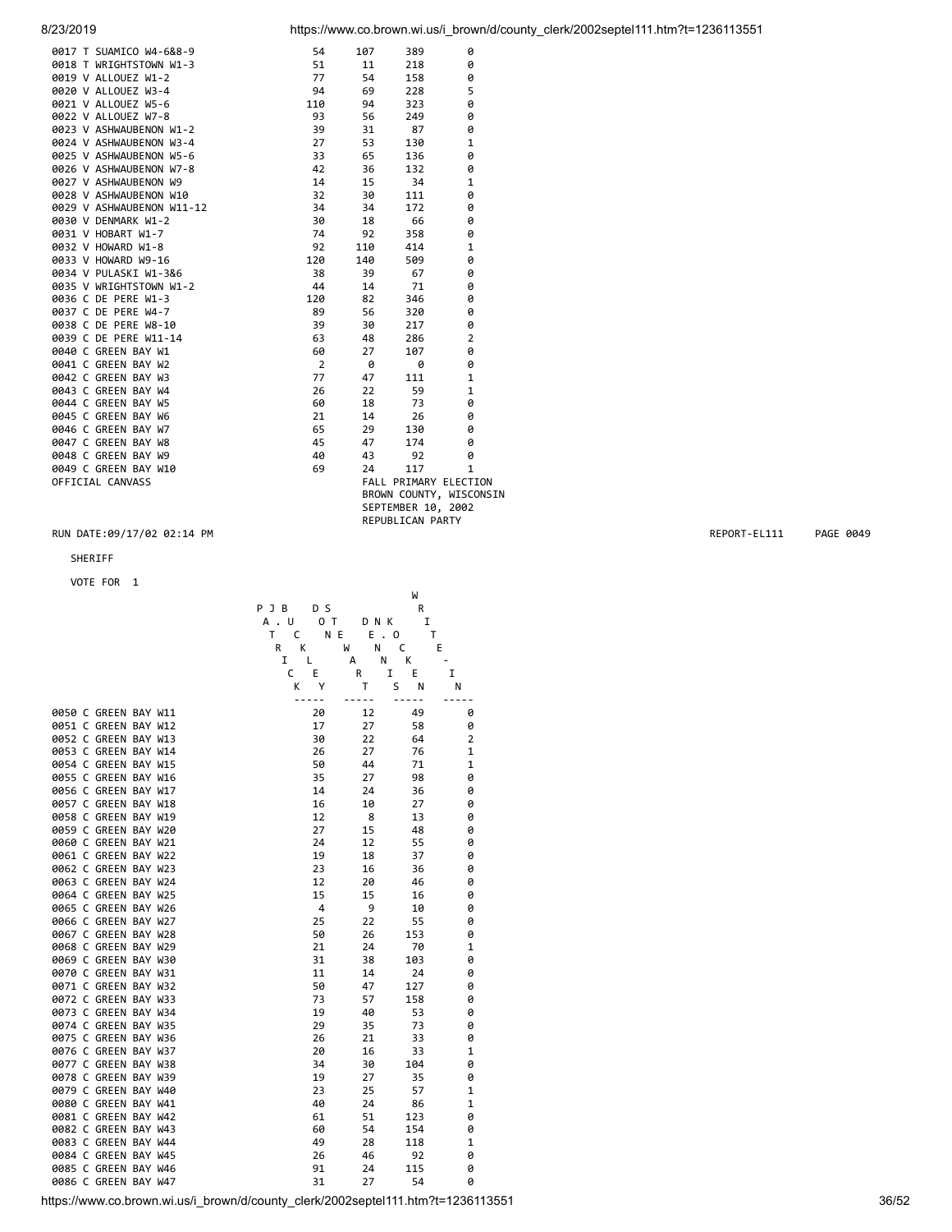| 0017 T SUAMICO W4-6&8-9   | 54             | 107 | 389                | 0                       |
|---------------------------|----------------|-----|--------------------|-------------------------|
| 0018 T WRIGHTSTOWN W1-3   | 51             | 11  | 218                | 0                       |
| 0019 V ALLOUEZ W1-2       | 77             | 54  | 158                | 0                       |
| 0020 V ALLOUEZ W3-4       | 94             | 69  | 228                | 5                       |
| 0021 V ALLOUEZ W5-6       | 110            | 94  | 323                | 0                       |
| 0022 V ALLOUEZ W7-8       | 93             | 56  | 249                | 0                       |
| 0023 V ASHWAUBENON W1-2   | 39             | 31  | 87                 | 0                       |
| 0024 V ASHWAUBENON W3-4   | 27             | 53  | 130                | $\mathbf{1}$            |
| 0025 V ASHWAUBENON W5-6   | 33             | 65  | 136                | 0                       |
| 0026 V ASHWAUBENON W7-8   | 42             | 36  | 132                | 0                       |
| 0027 V ASHWAUBENON W9     | 14             | 15  | 34                 | $\mathbf{1}$            |
| 0028 V ASHWAUBENON W10    | 32             | 30  | 111                | 0                       |
| 0029 V ASHWAUBENON W11-12 | 34             | 34  | 172                | 0                       |
| 0030 V DENMARK W1-2       | 30             | 18  | 66                 | 0                       |
| 0031 V HOBART W1-7        | 74             | 92  | 358                | 0                       |
| 0032 V HOWARD W1-8        | 92             | 110 | 414                | $\mathbf{1}$            |
| 0033 V HOWARD W9-16       | 120            | 140 | 509                | 0                       |
| 0034 V PULASKI W1-3&6     | 38             | 39  | 67                 | 0                       |
| 0035 V WRIGHTSTOWN W1-2   | 44             | 14  | 71                 | 0                       |
| 0036 C DE PERE W1-3       | 120            | 82  | 346                | 0                       |
| 0037 C DE PERE W4-7       | 89             | 56  | 320                | 0                       |
| 0038 C DE PERE W8-10      | 39             | 30  | 217                | 0                       |
| 0039 C DE PERE W11-14     | 63             | 48  | 286                | $\overline{2}$          |
| 0040 C GREEN BAY W1       | 60             | 27  | 107                | 0                       |
| 0041 C GREEN BAY W2       | $\overline{2}$ | 0   | 0                  | 0                       |
| 0042 C GREEN BAY W3       | 77             | 47  | 111                | $\mathbf{1}$            |
| 0043 C GREEN BAY W4       | 26             | 22  | 59                 | $\mathbf{1}$            |
| 0044 C GREEN BAY W5       | 60             | 18  | 73                 | 0                       |
| 0045 C GREEN BAY W6       | 21             | 14  | 26                 | 0                       |
| 0046 C GREEN BAY W7       | 65             | 29  | 130                | 0                       |
| 0047 C GREEN BAY W8       | 45             | 47  | 174                | 0                       |
| 0048 C GREEN BAY W9       | 40             | 43  | 92                 | 0                       |
| 0049 C GREEN BAY W10      | 69             | 24  | 117                | 1                       |
| OFFICIAL CANVASS          |                |     |                    | FALL PRIMARY ELECTION   |
|                           |                |     |                    | BROWN COUNTY, WISCONSIN |
|                           |                |     | SEPTEMBER 10, 2002 |                         |
|                           |                |     | REPUBLICAN PARTY   |                         |

### SHERIFF

# VOTE FOR 1

|  |                      |  | PJB     | D S    |                                | R      |                |
|--|----------------------|--|---------|--------|--------------------------------|--------|----------------|
|  |                      |  | U<br>А. | O T    | DNK                            | I      |                |
|  |                      |  | T<br>C  | N E    | Е<br>0<br>$\ddot{\phantom{a}}$ | Т      |                |
|  |                      |  | R<br>К  | W      | N                              | C<br>E |                |
|  |                      |  | I       | L<br>А | N                              | K      |                |
|  |                      |  | C       | E      | I<br>R                         | E      | I              |
|  |                      |  | K       | Υ      | T<br>S                         | Ν      | N              |
|  |                      |  |         |        |                                |        |                |
|  | 0050 C GREEN BAY W11 |  |         | 20     | 12                             | 49     | 0              |
|  | 0051 C GREEN BAY W12 |  |         | 17     | 27                             | 58     | 0              |
|  | 0052 C GREEN BAY W13 |  |         | 30     | 22                             | 64     | $\overline{2}$ |
|  | 0053 C GREEN BAY W14 |  |         | 26     | 27                             | 76     | $\mathbf 1$    |
|  | 0054 C GREEN BAY W15 |  |         | 50     | 44                             | 71     | $\mathbf{1}$   |
|  | 0055 C GREEN BAY W16 |  |         | 35     | 27                             | 98     | 0              |
|  | 0056 C GREEN BAY W17 |  |         | 14     | 24                             | 36     | 0              |
|  | 0057 C GREEN BAY W18 |  |         | 16     | 10                             | 27     | 0              |
|  | 0058 C GREEN BAY W19 |  |         | 12     | 8                              | 13     | 0              |
|  | 0059 C GREEN BAY W20 |  |         | 27     | 15                             | 48     | 0              |
|  | 0060 C GREEN BAY W21 |  |         | 24     | 12                             | 55     | 0              |
|  | 0061 C GREEN BAY W22 |  |         | 19     | 18                             | 37     | 0              |
|  | 0062 C GREEN BAY W23 |  |         | 23     | 16                             | 36     | 0              |
|  | 0063 C GREEN BAY W24 |  |         | 12     | 20                             | 46     | 0              |
|  | 0064 C GREEN BAY W25 |  |         | 15     | 15                             | 16     | 0              |
|  | 0065 C GREEN BAY W26 |  |         | 4      | 9                              | 10     | 0              |
|  | 0066 C GREEN BAY W27 |  |         | 25     | 22                             | 55     | 0              |
|  | 0067 C GREEN BAY W28 |  |         | 50     | 26                             | 153    | 0              |
|  | 0068 C GREEN BAY W29 |  |         | 21     | 24                             | 70     | $\mathbf 1$    |
|  | 0069 C GREEN BAY W30 |  |         | 31     | 38                             | 103    | 0              |
|  | 0070 C GREEN BAY W31 |  |         | 11     | 14                             | 24     | 0              |
|  | 0071 C GREEN BAY W32 |  |         | 50     | 47                             | 127    | 0              |
|  | 0072 C GREEN BAY W33 |  |         | 73     | 57                             | 158    | 0              |
|  | 0073 C GREEN BAY W34 |  |         | 19     | 40                             | 53     | 0              |
|  | 0074 C GREEN BAY W35 |  |         | 29     | 35                             | 73     | 0              |
|  | 0075 C GREEN BAY W36 |  |         | 26     | 21                             | 33     | 0              |
|  | 0076 C GREEN BAY W37 |  |         | 20     | 16                             | 33     | 1              |
|  | 0077 C GREEN BAY W38 |  |         | 34     | 30                             | 104    | 0              |
|  | 0078 C GREEN BAY W39 |  |         | 19     | 27                             | 35     | 0              |
|  | 0079 C GREEN BAY W40 |  |         | 23     | 25                             | 57     | 1              |
|  | 0080 C GREEN BAY W41 |  |         | 40     | 24                             | 86     | 1              |
|  | 0081 C GREEN BAY W42 |  |         | 61     | 51                             | 123    | 0              |
|  | 0082 C GREEN BAY W43 |  |         | 60     | 54                             | 154    | 0              |
|  | 0083 C GREEN BAY W44 |  |         | 49     | 28                             | 118    | $\mathbf 1$    |
|  | 0084 C GREEN BAY W45 |  |         | 26     | 46                             | 92     | 0              |
|  | 0085 C GREEN BAY W46 |  |         | 91     | 24                             | 115    | 0              |
|  | 0086 C GREEN BAY W47 |  |         | 31     | 27                             | 54     | 0              |
|  |                      |  |         |        |                                |        |                |

W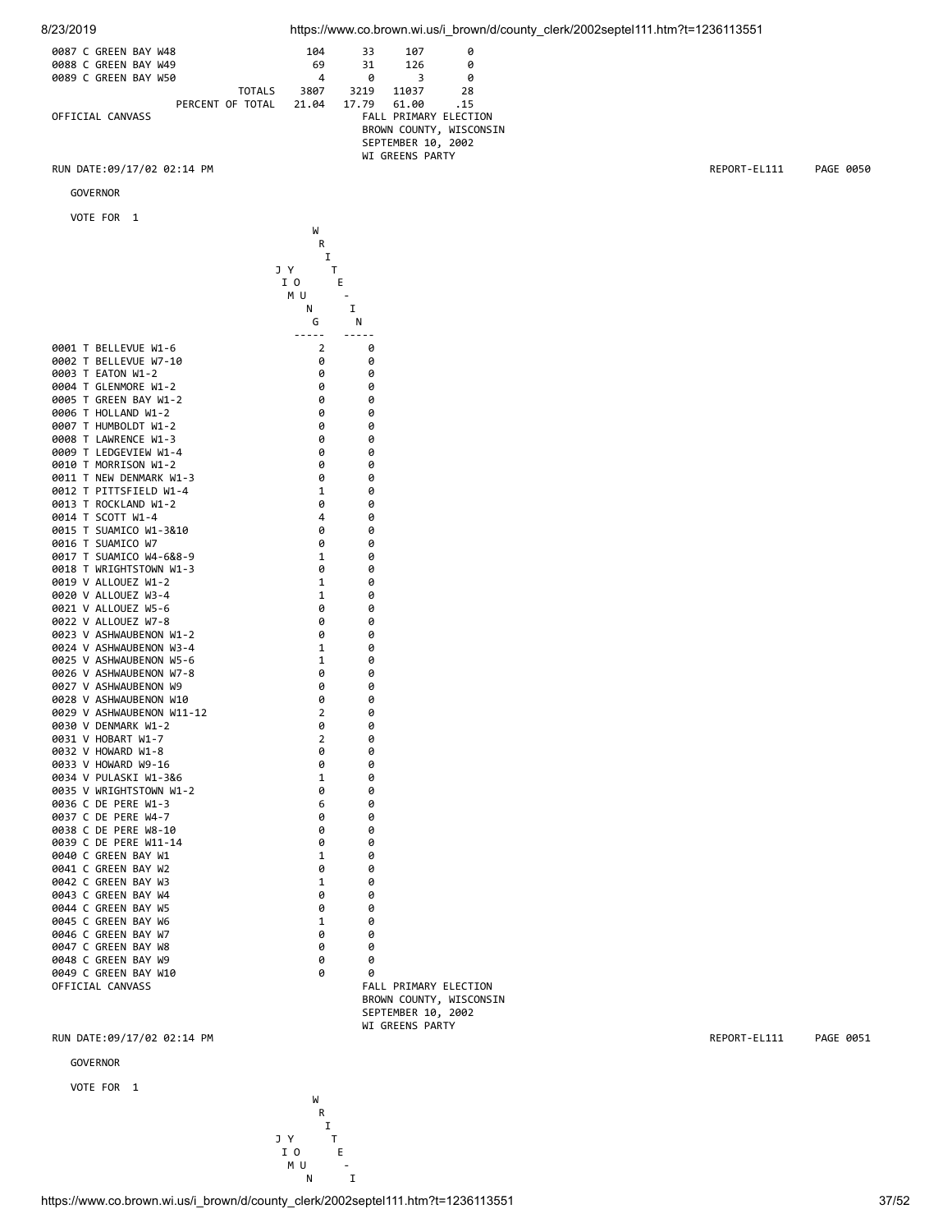| 0087 C GREEN BAY W48 |                  | 104   | 33    | 107                | ø                            |
|----------------------|------------------|-------|-------|--------------------|------------------------------|
| 0088 C GREEN BAY W49 |                  | 69    | 31    | 126                | 0                            |
| 0089 C GREEN BAY W50 |                  | 4     | ø     |                    | 0                            |
|                      | <b>TOTALS</b>    | 3807  | 3219  | 11037              | 28                           |
|                      | PERCENT OF TOTAL | 21.04 | 17.79 | 61.00              | .15                          |
| OFFICIAL CANVASS     |                  |       |       |                    | <b>FALL PRIMARY ELECTION</b> |
|                      |                  |       |       |                    | BROWN COUNTY, WISCONSIN      |
|                      |                  |       |       | SEPTEMBER 10, 2002 |                              |
|                      |                  |       |       | WI GREENS PARTY    |                              |

GOVERNOR

VOTE FOR 1

|                           | W              |                         |
|---------------------------|----------------|-------------------------|
|                           | R              |                         |
|                           | I              |                         |
|                           | J Y<br>т       |                         |
|                           | I O<br>Е       |                         |
|                           | M U            |                         |
|                           | N              | I                       |
|                           | G              | N                       |
|                           | .              | -----                   |
| 0001 T BELLEVUE W1-6      | 2              | 0                       |
| 0002 T BELLEVUE W7-10     | 0              | 0                       |
| 0003 T EATON W1-2         | 0              | 0                       |
| 0004 T GLENMORE W1-2      | 0              | 0                       |
| 0005 T GREEN BAY W1-2     | 0              | 0                       |
| 0006 T HOLLAND W1-2       | 0              | ø                       |
| 0007 T HUMBOLDT W1-2      | 0              | 0                       |
| 0008 T LAWRENCE W1-3      | 0              | 0                       |
| 0009 T LEDGEVIEW W1-4     | 0              | 0                       |
| 0010 T MORRISON W1-2      | 0              | 0                       |
| 0011 T NEW DENMARK W1-3   | 0              | 0                       |
| 0012 T PITTSFIELD W1-4    | $\mathbf{1}$   | 0                       |
| 0013 T ROCKLAND W1-2      | 0              | 0                       |
| 0014 T SCOTT W1-4         | 4              | 0                       |
| 0015 T SUAMICO W1-3&10    | 0              | 0                       |
| 0016 T SUAMICO W7         | 0              | 0                       |
| 0017 T SUAMICO W4-6&8-9   | 1              | 0                       |
| 0018 T WRIGHTSTOWN W1-3   | 0              | 0                       |
| 0019 V ALLOUEZ W1-2       | 1              | 0                       |
| 0020 V ALLOUEZ W3-4       | 1              | 0                       |
| 0021 V ALLOUEZ W5-6       | 0              | 0                       |
| 0022 V ALLOUEZ W7-8       | 0              | 0                       |
| 0023 V ASHWAUBENON W1-2   | 0              | 0                       |
| 0024 V ASHWAUBENON W3-4   | $\mathbf{1}$   | 0                       |
| 0025 V ASHWAUBENON W5-6   | 1              | 0                       |
| 0026 V ASHWAUBENON W7-8   | 0              | 0                       |
| 0027 V ASHWAUBENON W9     | 0              | 0                       |
| 0028 V ASHWAUBENON W10    | 0              | 0                       |
| 0029 V ASHWAUBENON W11-12 | $\overline{2}$ | 0                       |
| 0030 V DENMARK W1-2       | 0              | 0                       |
| 0031 V HOBART W1-7        | $\overline{2}$ | 0                       |
| 0032 V HOWARD W1-8        | 0              | 0                       |
| 0033 V HOWARD W9-16       | 0              | 0                       |
| 0034 V PULASKI W1-3&6     | 1              | 0                       |
| 0035 V WRIGHTSTOWN W1-2   | 0              | 0                       |
| 0036 C DE PERE W1-3       | 6              | 0                       |
| 0037 C DE PERE W4-7       | 0              | 0                       |
| 0038 C DE PERE W8-10      | 0              | 0                       |
| 0039 C DE PERE W11-14     | 0              | 0                       |
| 0040 C GREEN BAY W1       | 1              | 0                       |
| 0041 C GREEN BAY W2       | 0              | 0                       |
| 0042 C GREEN BAY W3       | $\mathbf 1$    | 0                       |
| 0043 C GREEN BAY W4       | 0              | 0                       |
| 0044 C GREEN BAY W5       | 0              | 0                       |
| 0045 C GREEN BAY W6       | 1              | 0                       |
| 0046 C GREEN BAY W7       | 0              | 0                       |
| 0047 C GREEN BAY W8       | 0              | 0                       |
| 0048 C GREEN BAY W9       | 0              | 0                       |
| 0049 C GREEN BAY W10      | 0              | a                       |
| OFFICIAL CANVASS          |                | FALL PRIMARY ELECTION   |
|                           |                | BROWN COUNTY, WISCONSIN |
|                           |                | SEPTEMBER 10, 2002      |
|                           |                | WI GREENS PARTY         |

RUN DATE:09/17/02 02:14 PM **REPORT-EL111** PAGE 0051

GOVERNOR

VOTE FOR 1



https://www.co.brown.wi.us/i\_brown/d/county\_clerk/2002septel111.htm?t=1236113551 37/52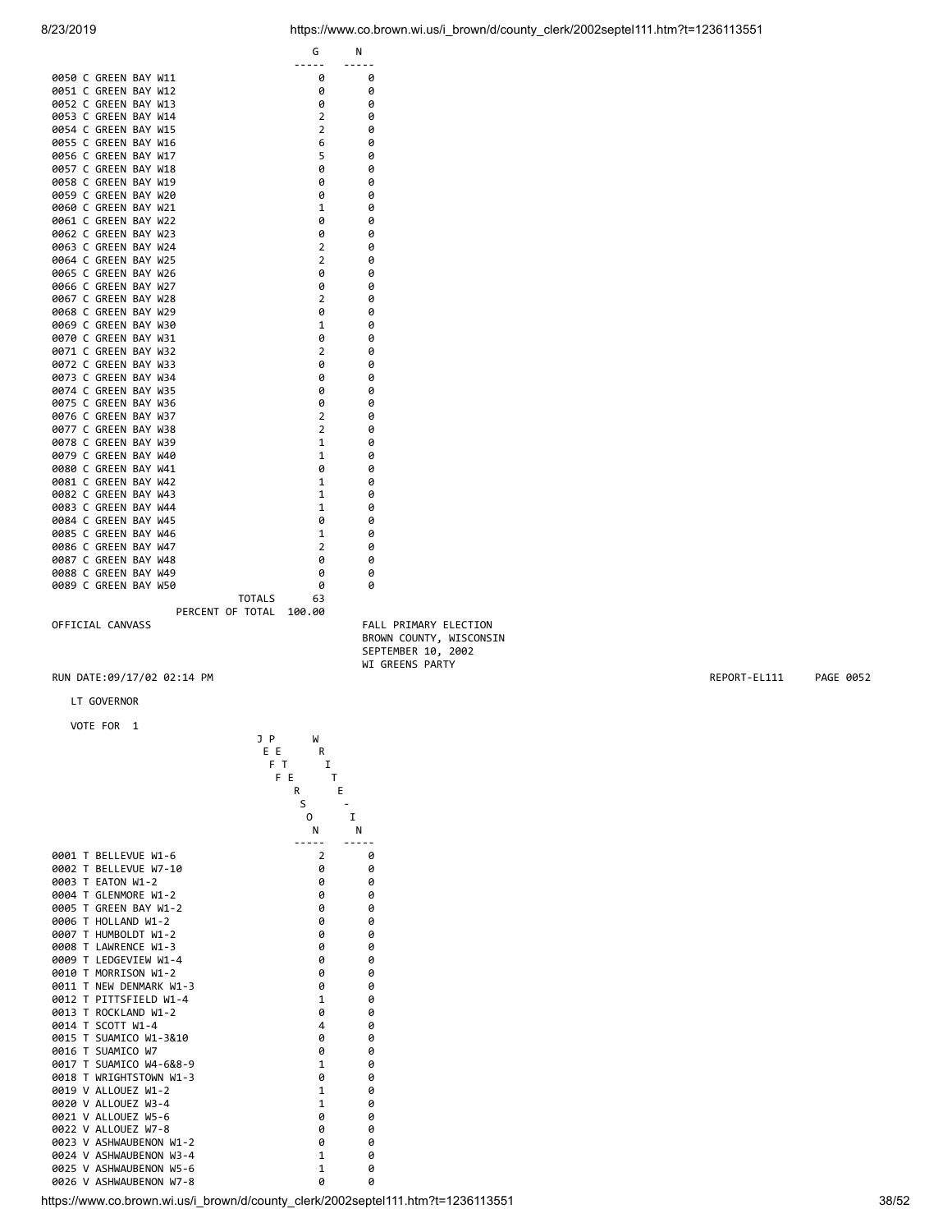|                                                    | $- - - - - -$                   | $- - - - -$                           |           |
|----------------------------------------------------|---------------------------------|---------------------------------------|-----------|
| 0050 C GREEN BAY W11                               | 0                               | 0                                     |           |
| 0051 C GREEN BAY W12                               | 0                               | 0                                     |           |
| 0052 C GREEN BAY W13<br>0053 C GREEN BAY W14       | 0<br>2                          | 0<br>0                                |           |
| 0054 C GREEN BAY W15                               | $\overline{2}$                  | 0                                     |           |
| 0055 C GREEN BAY W16                               | 6                               | 0                                     |           |
| 0056 C GREEN BAY W17                               | 5                               | 0                                     |           |
| 0057 C GREEN BAY W18                               | 0                               | 0                                     |           |
| 0058 C GREEN BAY W19<br>0059 C GREEN BAY W20       | 0<br>0                          | 0<br>0                                |           |
| 0060 C GREEN BAY W21                               | $\mathbf{1}$                    | 0                                     |           |
| 0061 C GREEN BAY W22                               | 0                               | 0                                     |           |
| 0062 C GREEN BAY W23                               | 0                               | 0                                     |           |
| 0063 C GREEN BAY W24                               | $\overline{2}$                  | 0                                     |           |
| 0064 C GREEN BAY W25<br>0065 C GREEN BAY W26       | $\overline{2}$<br>0             | 0<br>0                                |           |
| 0066 C GREEN BAY W27                               | 0                               | 0                                     |           |
| 0067 C GREEN BAY W28                               | $\overline{2}$                  | 0                                     |           |
| 0068 C GREEN BAY W29                               | 0                               | 0                                     |           |
| 0069 C GREEN BAY W30<br>0070 C GREEN BAY W31       | $\mathbf{1}$<br>0               | 0<br>0                                |           |
| 0071 C GREEN BAY W32                               | $\overline{2}$                  | 0                                     |           |
| 0072 C GREEN BAY W33                               | 0                               | 0                                     |           |
| 0073 C GREEN BAY W34                               | 0                               | 0                                     |           |
| 0074 C GREEN BAY W35                               | 0                               | 0                                     |           |
| 0075 C GREEN BAY W36<br>0076 C GREEN BAY W37       | 0<br>$\overline{2}$             | 0<br>0                                |           |
| 0077 C GREEN BAY W38                               | 2                               | 0                                     |           |
| 0078 C GREEN BAY W39                               | 1                               | 0                                     |           |
| 0079 C GREEN BAY W40                               | $\mathbf{1}$                    | 0                                     |           |
| 0080 C GREEN BAY W41                               | 0                               | 0                                     |           |
| 0081 C GREEN BAY W42<br>0082 C GREEN BAY W43       | 1<br>$\mathbf{1}$               | 0<br>0                                |           |
| 0083 C GREEN BAY W44                               | $\mathbf{1}$                    | 0                                     |           |
| 0084 C GREEN BAY W45                               | 0                               | 0                                     |           |
| 0085 C GREEN BAY W46                               | 1                               | 0                                     |           |
| 0086 C GREEN BAY W47                               | 2                               | 0                                     |           |
| 0087 C GREEN BAY W48<br>0088 C GREEN BAY W49       | 0<br>0                          | 0<br>0                                |           |
| 0089 C GREEN BAY W50                               | 0                               | 0                                     |           |
|                                                    | <b>TOTALS</b><br>63             |                                       |           |
|                                                    | PERCENT OF TOTAL 100.00         |                                       |           |
| OFFICIAL CANVASS                                   |                                 | FALL PRIMARY ELECTION                 |           |
|                                                    |                                 |                                       |           |
|                                                    |                                 | BROWN COUNTY, WISCONSIN               |           |
|                                                    |                                 | SEPTEMBER 10, 2002<br>WI GREENS PARTY |           |
| RUN DATE:09/17/02 02:14 PM                         |                                 | REPORT-EL111                          | PAGE 0052 |
|                                                    |                                 |                                       |           |
| LT GOVERNOR                                        |                                 |                                       |           |
| VOTE FOR 1                                         |                                 |                                       |           |
|                                                    | J P<br>W                        |                                       |           |
|                                                    | E E<br>R                        |                                       |           |
|                                                    | F T<br>Ι.<br>$\mathsf T$<br>F E |                                       |           |
|                                                    | Е<br>R                          |                                       |           |
|                                                    | S                               |                                       |           |
|                                                    | 0<br>I                          |                                       |           |
|                                                    | Ν                               | N                                     |           |
| 0001 T BELLEVUE W1-6                               | 2                               | 0                                     |           |
| 0002 T BELLEVUE W7-10                              | 0                               | 0                                     |           |
| 0003 T EATON W1-2                                  | 0                               | 0                                     |           |
| 0004 T GLENMORE W1-2                               | 0                               | 0                                     |           |
| 0005 T GREEN BAY W1-2                              | 0                               | 0                                     |           |
| 0006 T HOLLAND W1-2<br>0007 T HUMBOLDT W1-2        | 0<br>0                          | 0<br>0                                |           |
| 0008 T LAWRENCE W1-3                               | 0                               | 0                                     |           |
| 0009 T LEDGEVIEW W1-4                              | 0                               | 0                                     |           |
| 0010 T MORRISON W1-2                               | 0                               | 0                                     |           |
| 0011 T NEW DENMARK W1-3                            | 0                               | 0                                     |           |
| 0012 T PITTSFIELD W1-4<br>0013 T ROCKLAND W1-2     | $\mathbf{1}$<br>0               | 0<br>0                                |           |
| 0014 T SCOTT W1-4                                  | 4                               | 0                                     |           |
| 0015 T SUAMICO W1-3&10                             | 0                               | 0                                     |           |
| 0016 T SUAMICO W7                                  | 0                               | 0                                     |           |
| 0017 T SUAMICO W4-6&8-9<br>0018 T WRIGHTSTOWN W1-3 | $\mathbf{1}$<br>0               | 0<br>0                                |           |
| 0019 V ALLOUEZ W1-2                                | 1                               | 0                                     |           |
| 0020 V ALLOUEZ W3-4                                | $\mathbf{1}$                    | 0                                     |           |
| 0021 V ALLOUEZ W5-6                                | 0                               | 0                                     |           |
| 0022 V ALLOUEZ W7-8                                | 0                               | 0                                     |           |
| 0023 V ASHWAUBENON W1-2<br>0024 V ASHWAUBENON W3-4 | 0<br>$\mathbf{1}$               | 0<br>0                                |           |
| 0025 V ASHWAUBENON W5-6<br>0026 V ASHWAUBENON W7-8 | 1<br>0                          | 0<br>0                                |           |

G N

https://www.co.brown.wi.us/i\_brown/d/county\_clerk/2002septel111.htm?t=1236113551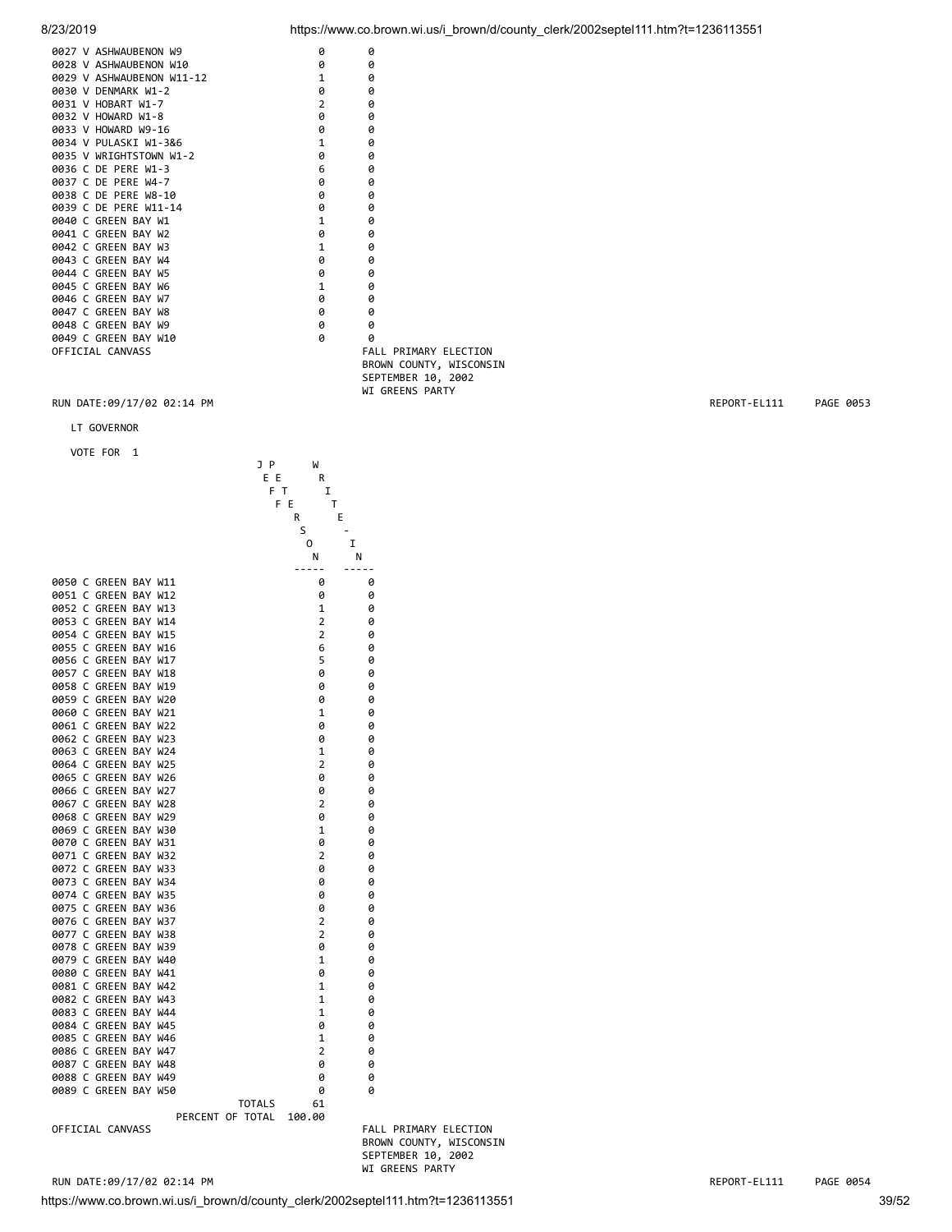| 0027 V ASHWAUBENON W9     | ø              | ø    |
|---------------------------|----------------|------|
| 0028 V ASHWAUBENON W10    | 0              | ø    |
| 0029 V ASHWAUBENON W11-12 | $\mathbf{1}$   | ø    |
| 0030 V DENMARK W1-2       | 0              | ø    |
| 0031 V HOBART W1-7        | $\overline{2}$ | ø    |
| 0032 V HOWARD W1-8        | 0              | ø    |
| 0033 V HOWARD W9-16       | 0              | ø    |
| 0034 V PULASKI W1-3&6     | $\mathbf{1}$   | ø    |
| 0035 V WRIGHTSTOWN W1-2   | 0              | ø    |
| 0036 C DE PERE W1-3       | 6              | ø    |
| 0037 C DE PERE W4-7       | 0              | 0    |
| 0038 C DE PERE W8-10      | ø              | ø    |
| 0039 C DE PERE W11-14     | ø              | ø    |
| 0040 C GREEN BAY W1       | $\mathbf{1}$   | ø    |
| 0041 C GREEN BAY W2       | 0              | ø    |
| 0042 C GREEN BAY W3       | $\mathbf{1}$   | ø    |
| 0043 C GREEN BAY W4       | 0              | ø    |
| 0044 C GREEN BAY W5       | 0              | 0    |
| 0045 C GREEN BAY W6       | $\mathbf{1}$   | ø    |
| 0046 C GREEN BAY W7       | 0              | ø    |
| 0047 C GREEN BAY W8       | ø              | ø    |
| 0048 C GREEN BAY W9       | ø              | ø    |
| 0049 C GREEN BAY W10      | ø              | 0    |
| OFFICIAL CANVASS          |                | FAL  |
|                           |                | pp.c |

LT GOVERNOR

VOTE FOR 1



FALL PRIMARY ELECTION BROWN COUNTY, WISCONSIN SEPTEMBER 10, 2002 WI GREENS PARTY

FALL PRIMARY ELECTION BROWN COUNTY, WISCONSIN SEPTEMBER 10, 2002 WI GREENS PARTY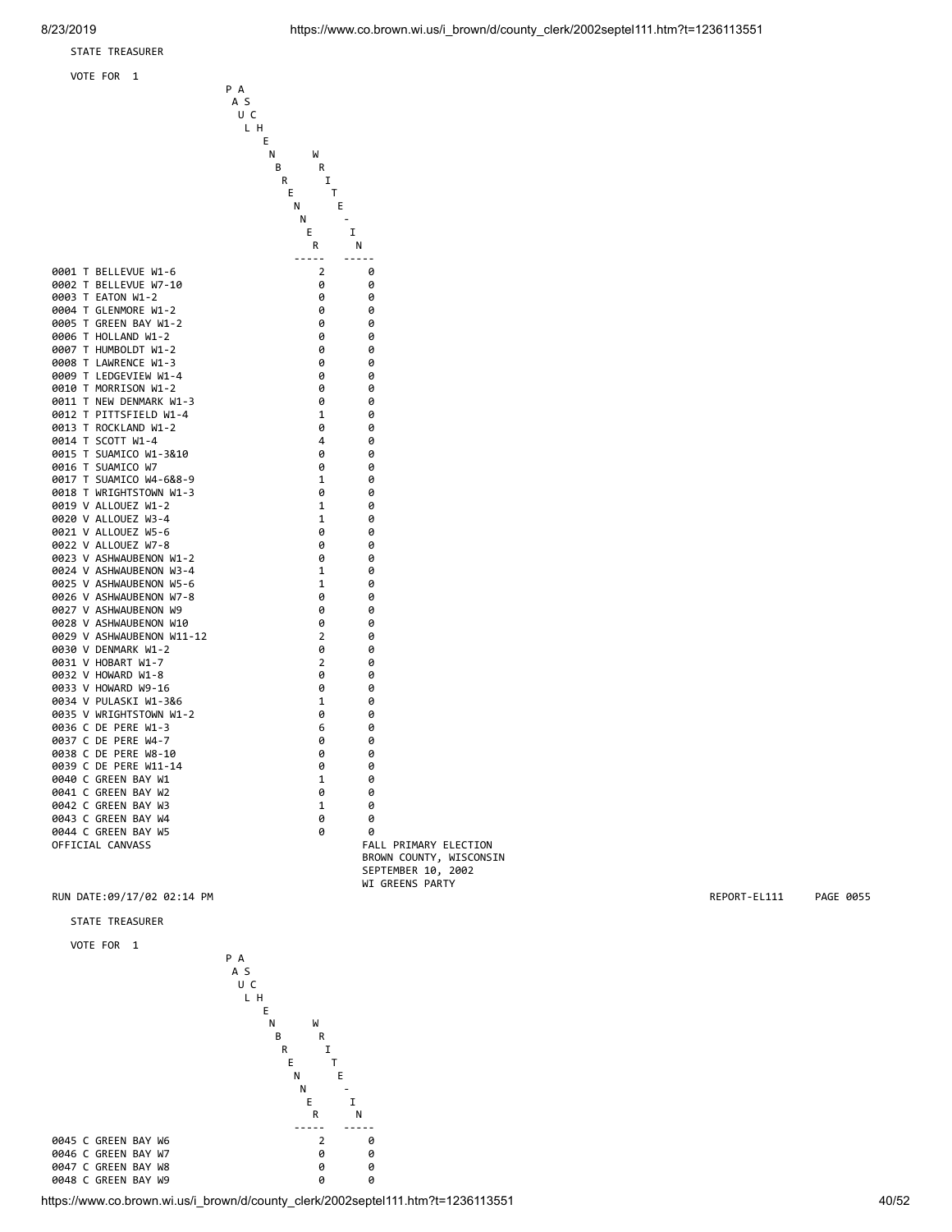### STATE TREASURER

**Experimental Contract Contract Contract Contract Contract Contract Contract Contract Contract Contract Contract** 

 P A A S U C L H

E I

VOTE FOR 1



FALL PRIMARY ELECTION BROWN COUNTY, WISCONSIN SEPTEMBER 10, 2002 WI GREENS PARTY

### RUN DATE:09/17/02 02:14 PM REPORT-EL111 PAGE 0055

STATE TREASURER

VOTE FOR 1

0047 C GREEN BAY W8



https://www.co.brown.wi.us/i\_brown/d/county\_clerk/2002septel111.htm?t=1236113551 40/52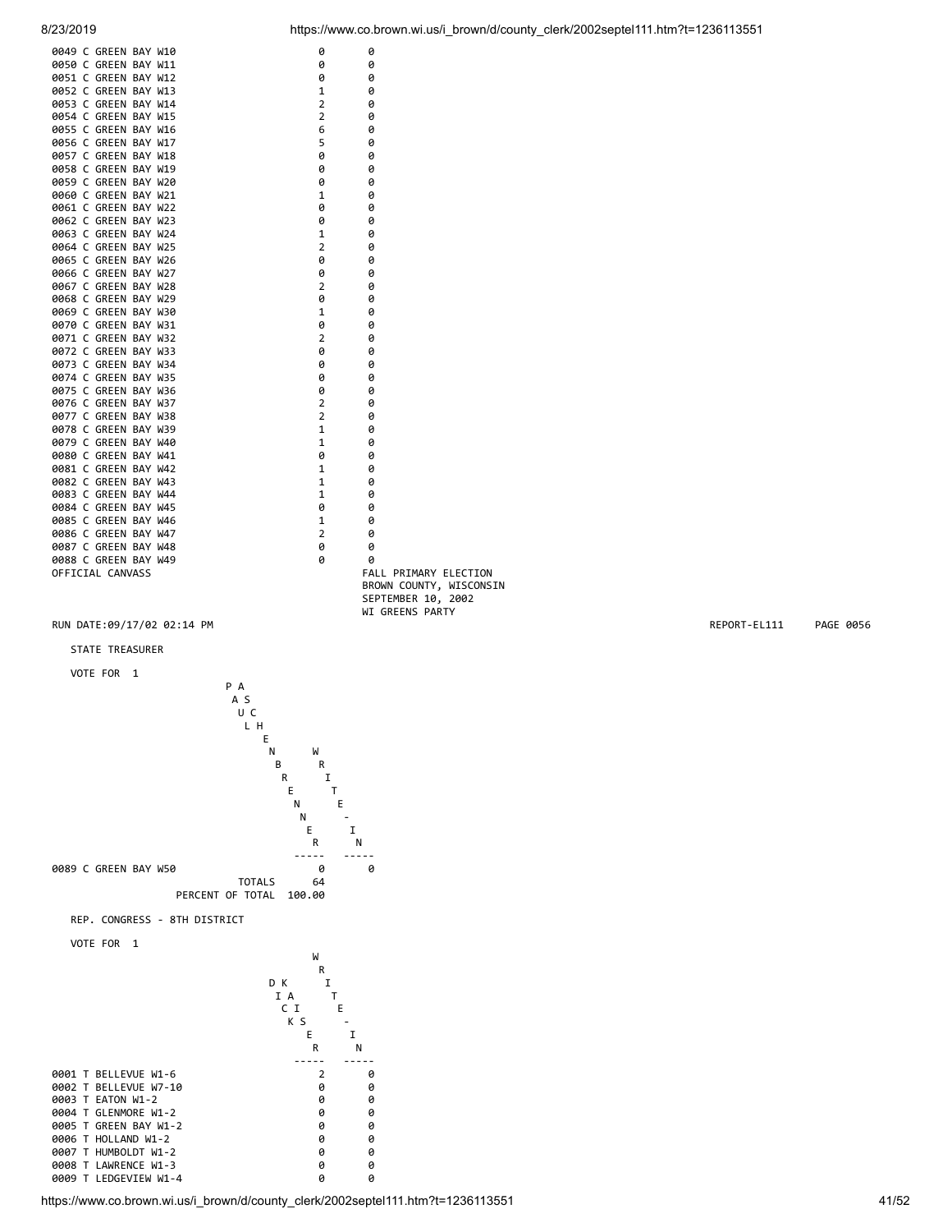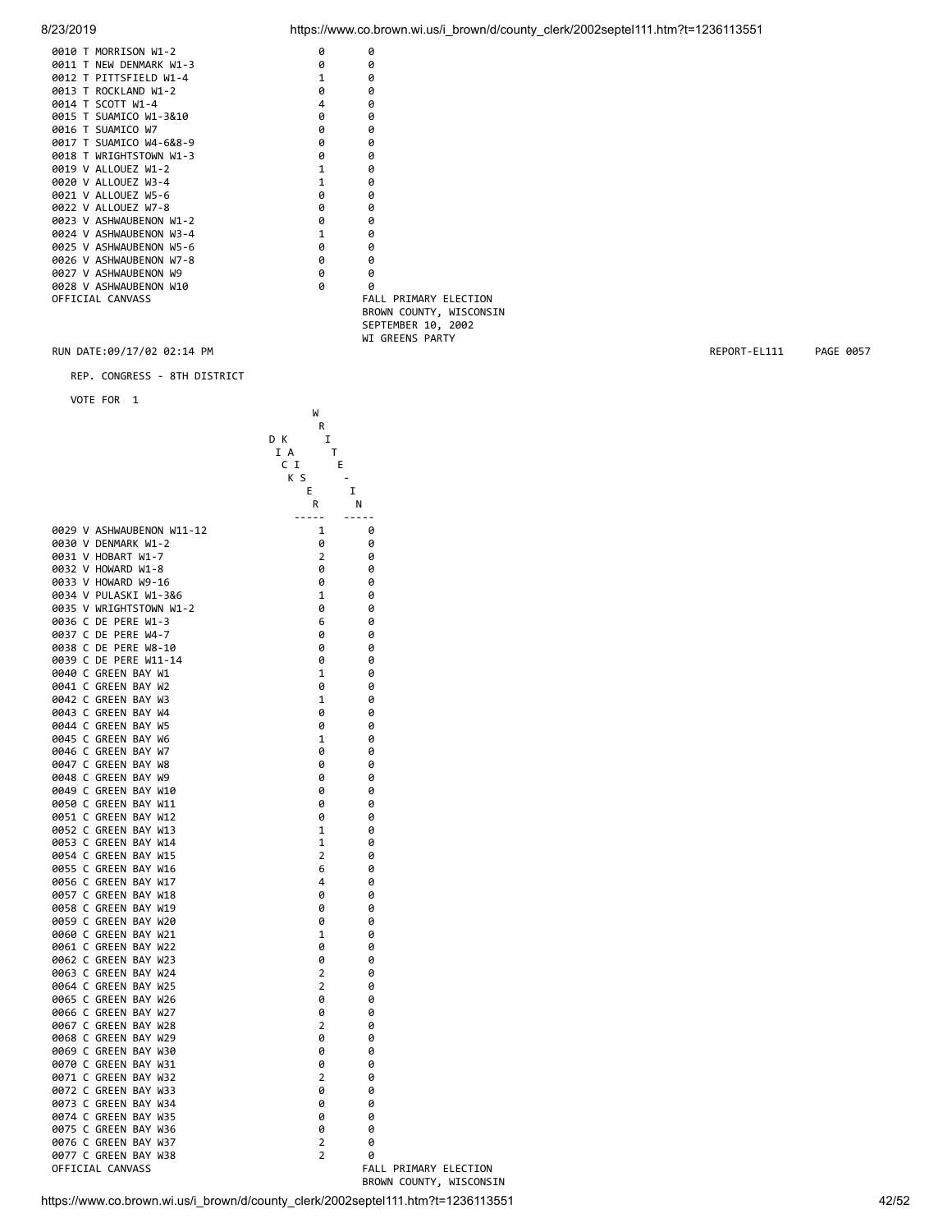| 0010 T MORRISON W1-2    | ø            | ø                       |
|-------------------------|--------------|-------------------------|
| 0011 T NEW DENMARK W1-3 | ø            | Ø                       |
| 0012 T PITTSFIELD W1-4  | 1            | 0                       |
| 0013 T ROCKLAND W1-2    | ø            | 0                       |
| 0014 T SCOTT W1-4       | 4            | 0                       |
| 0015 T SUAMICO W1-3&10  | ø            | Ø                       |
| 0016 T SUAMICO W7       | 0            | 0                       |
| 0017 T SUAMICO W4-6&8-9 | 0            | 0                       |
| 0018 T WRIGHTSTOWN W1-3 | 0            | 0                       |
| 0019 V ALLOUEZ W1-2     | $\mathbf{1}$ | Ø                       |
| 0020 V ALLOUEZ W3-4     | $\mathbf{1}$ | 0                       |
| 0021 V ALLOUEZ W5-6     | ø            | ø                       |
| 0022 V ALLOUEZ W7-8     | 0            | 0                       |
| 0023 V ASHWAUBENON W1-2 | ø            | ø                       |
| 0024 V ASHWAUBENON W3-4 | $\mathbf{1}$ | 0                       |
| 0025 V ASHWAUBENON W5-6 | 0            | 0                       |
| 0026 V ASHWAUBENON W7-8 | 0            | 0                       |
| 0027 V ASHWAUBENON W9   | ø            | ø                       |
| 0028 V ASHWAUBENON W10  | Ø            | Ø                       |
| OFFICIAL CANVASS        |              | FALL PRIMARY ELECTION   |
|                         |              | BROWN COUNTY, WISCONSIN |

8/23/2019 https://www.co.brown.wi.us/i\_brown/d/county\_clerk/2002septel111.htm?t=1236113551

 SEPTEMBER 10, 2002 WI GREENS PARTY

RUN DATE:09/17/02 02:14 PM **REPORT-EL111** PAGE 0057

REP. CONGRESS - 8TH DISTRICT

where the contract of the contract of the contract of the contract of the contract of the contract of the contract of the contract of the contract of the contract of the contract of the contract of the contract of the cont

|                                                  | R<br>D K<br>I<br>I A<br>T<br>C I<br>E<br>K S<br>I<br>E. |                            |
|--------------------------------------------------|---------------------------------------------------------|----------------------------|
| 0029 V ASHWAUBENON W11-12                        | R<br>- N<br>$- - - - -$<br>1                            | $- - - - -$<br>0           |
| 0030 V DENMARK W1-2                              | 0                                                       | 0                          |
| 0031 V HOBART W1-7                               | 2                                                       | 0                          |
| 0032 V HOWARD W1-8                               | 0                                                       | 0                          |
| 0033 V HOWARD W9-16                              | 0                                                       | 0                          |
| 0034 V PULASKI W1-3&6<br>0035 V WRIGHTSTOWN W1-2 | $\mathbf 1$<br>0                                        | 0<br>0                     |
| 0036 C DE PERE W1-3                              | 6                                                       | 0                          |
| 0037 C DE PERE W4-7                              | 0                                                       | 0                          |
| 0038 C DE PERE W8-10                             | 0                                                       | 0                          |
| 0039 C DE PERE W11-14                            | 0                                                       | 0                          |
| 0040 C GREEN BAY W1                              | $\mathbf{1}$                                            | 0                          |
| 0041 C GREEN BAY W2<br>0042 C GREEN BAY W3       | 0<br>1                                                  | 0<br>0                     |
| 0043 C GREEN BAY W4                              | 0                                                       | 0                          |
| 0044 C GREEN BAY W5                              | 0                                                       | 0                          |
| 0045 C GREEN BAY W6                              | 1                                                       | 0                          |
| 0046 C GREEN BAY W7                              | 0                                                       | 0                          |
| 0047 C GREEN BAY W8                              | 0                                                       | 0                          |
| 0048 C GREEN BAY W9<br>0049 C GREEN BAY W10      | 0<br>0                                                  | 0<br>0                     |
| 0050 C GREEN BAY W11                             | 0                                                       | 0                          |
| 0051 C GREEN BAY W12                             | 0                                                       | 0                          |
| 0052 C GREEN BAY W13                             | 1                                                       | 0                          |
| 0053 C GREEN BAY W14                             | 1                                                       | 0                          |
| 0054 C GREEN BAY W15                             | $\overline{2}$                                          | 0                          |
| 0055 C GREEN BAY W16<br>0056 C GREEN BAY W17     | 6<br>4                                                  | 0<br>0                     |
| 0057 C GREEN BAY W18                             | 0                                                       | 0                          |
| 0058 C GREEN BAY W19                             | 0                                                       | 0                          |
| 0059 C GREEN BAY W20                             | 0                                                       | 0                          |
| 0060 C GREEN BAY W21                             | 1                                                       | 0                          |
| 0061 C GREEN BAY W22                             | 0                                                       | 0                          |
| 0062 C GREEN BAY W23<br>0063 C GREEN BAY W24     | 0<br>$\overline{2}$                                     | 0<br>0                     |
| 0064 C GREEN BAY W25                             | $\overline{2}$                                          | 0                          |
| 0065 C GREEN BAY W26                             | 0                                                       | 0                          |
| 0066 C GREEN BAY W27                             | 0                                                       | 0                          |
| 0067 C GREEN BAY W28                             | $\overline{2}$                                          | 0                          |
| 0068 C GREEN BAY W29                             | 0                                                       | 0                          |
| 0069 C GREEN BAY W30<br>0070 C GREEN BAY W31     | 0<br>0                                                  | 0<br>0                     |
| 0071 C GREEN BAY W32                             | 2                                                       | 0                          |
| 0072 C GREEN BAY W33                             | 0                                                       | 0                          |
| 0073 C GREEN BAY W34                             | 0                                                       | 0                          |
| 0074 C GREEN BAY W35                             | 0                                                       | 0                          |
| 0075 C GREEN BAY W36                             | 0                                                       | 0                          |
| 0076 C GREEN BAY W37<br>0077 C GREEN BAY W38     | 2<br>$\overline{2}$                                     | 0                          |
| OFFICIAL CANVASS                                 |                                                         | 0<br>FALL PRIMARY ELECTION |
|                                                  |                                                         | BROWN COUNTY, WISCONSIN    |
| $\cdots$                                         | $\overline{\phantom{a}}$                                | .                          |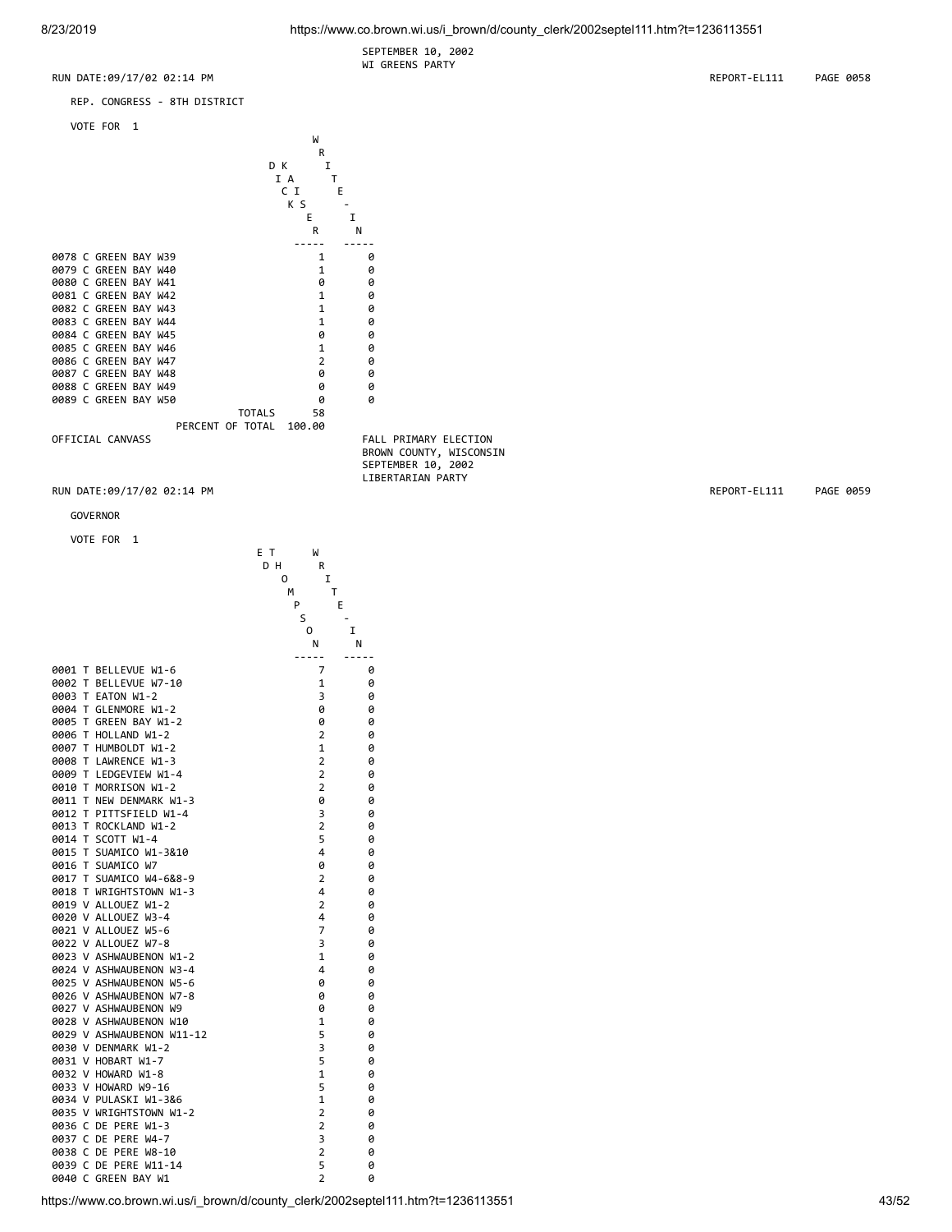SEPTEMBER 10, 2002 WI GREENS PARTY





where the contract of the contract of the contract of the contract of the contract of the contract of the contract of the contract of the contract of the contract of the contract of the contract of the contract of the cont **R R R** 

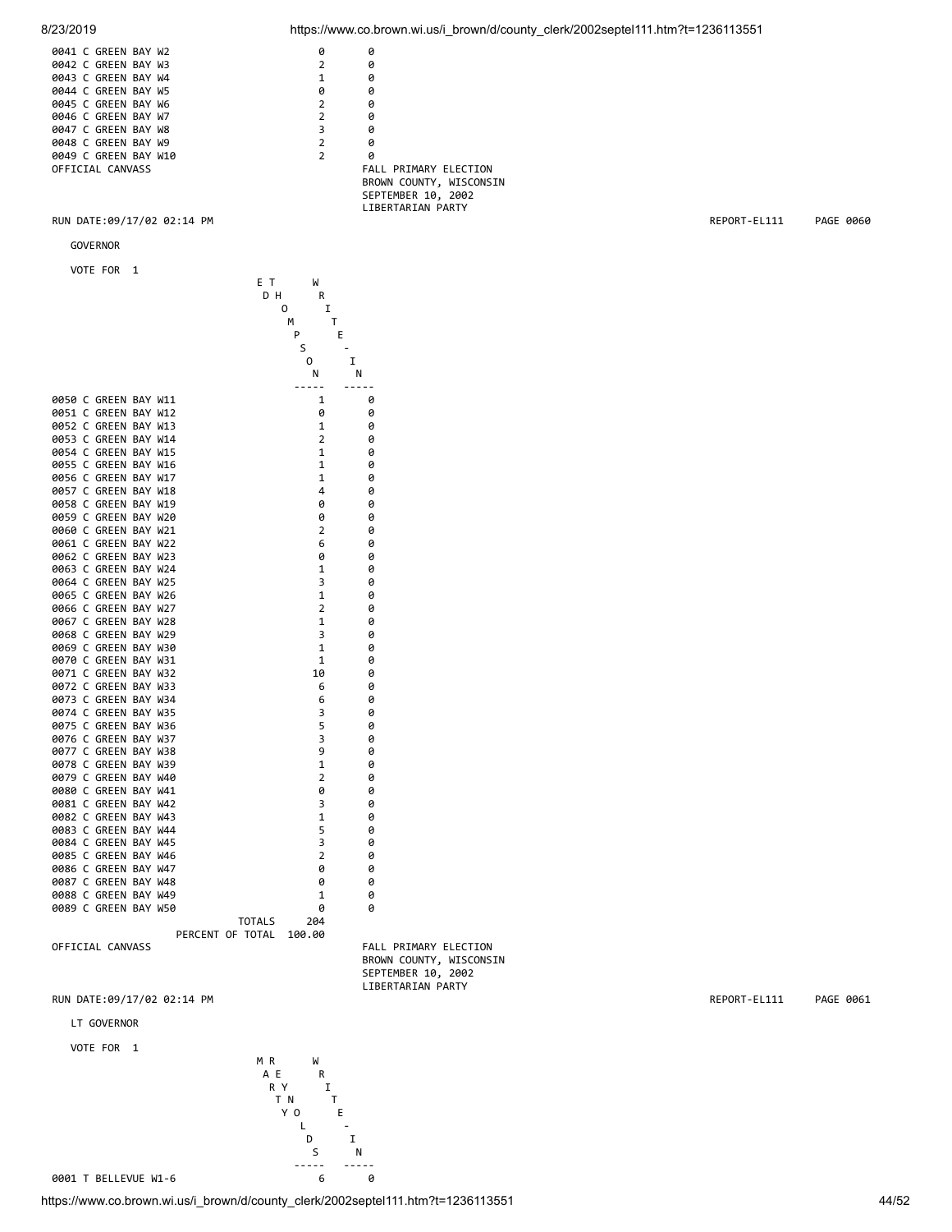

 ----- ----- 0001 T BELLEVUE W1-6 6 0

 Y O E L - D I S N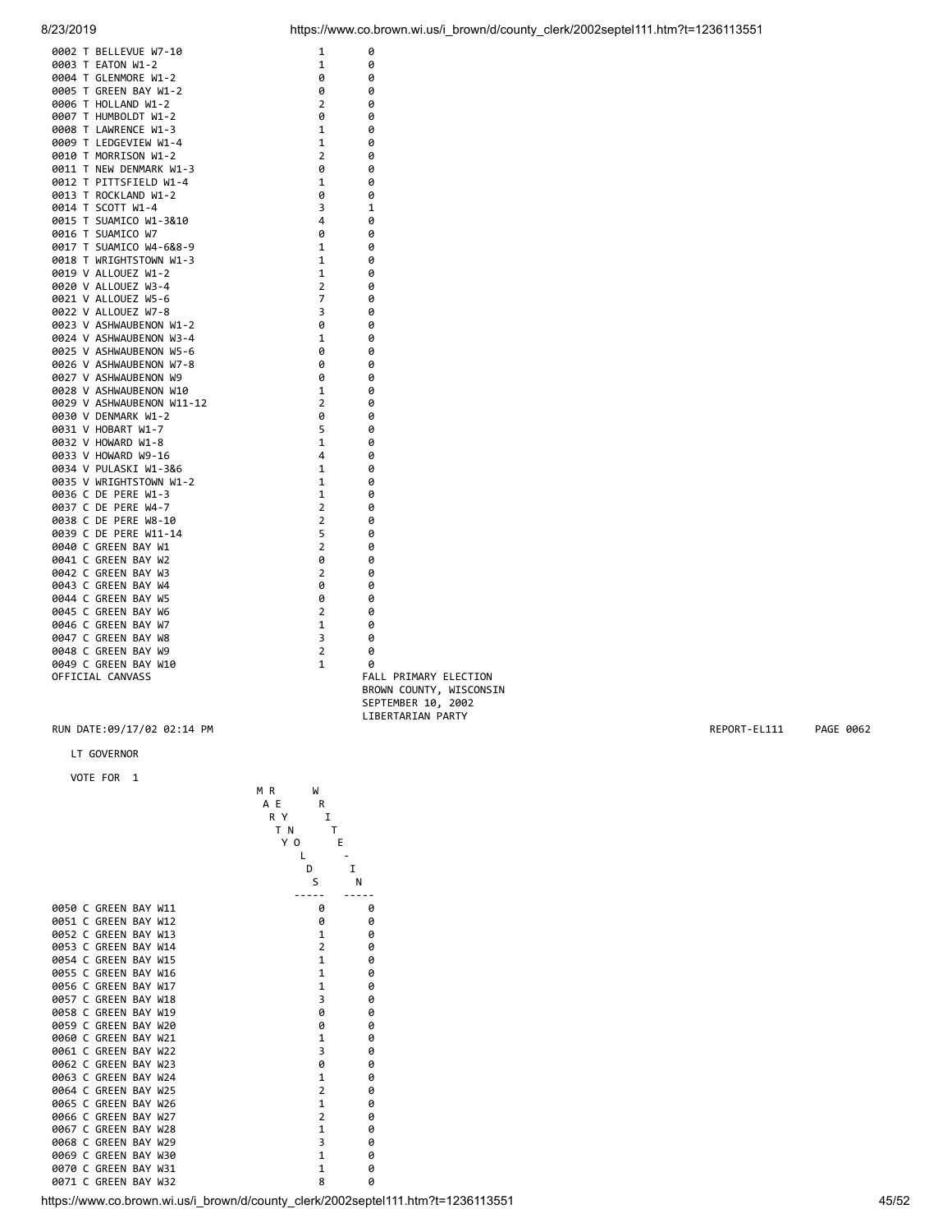| 0002 T BELLEVUE W7-10                           | 1                              | 0                            |
|-------------------------------------------------|--------------------------------|------------------------------|
| 0003 T EATON W1-2                               | $\mathbf{1}$                   | 0                            |
| 0004 T GLENMORE W1-2                            | 0                              | 0                            |
| 0005 T GREEN BAY W1-2                           | 0                              | 0                            |
| 0006 T HOLLAND W1-2                             | $\overline{2}$                 | 0                            |
| 0007 T HUMBOLDT W1-2                            | 0                              | 0                            |
| 0008 T LAWRENCE W1-3                            | 1                              | 0                            |
| 0009 T LEDGEVIEW W1-4                           | $\mathbf{1}$                   | 0                            |
| 0010 T MORRISON W1-2                            | $\overline{2}$                 | 0                            |
| 0011 T NEW DENMARK W1-3                         | 0                              | 0                            |
| 0012 T PITTSFIELD W1-4                          | $\mathbf{1}$                   | 0                            |
| 0013 T ROCKLAND W1-2                            | 0                              | 0                            |
| 0014 T SCOTT W1-4                               | 3                              | 1                            |
| 0015 T SUAMICO W1-3&10                          | 4                              | 0                            |
| 0016 T SUAMICO W7                               | ø                              | 0                            |
| 0017 T SUAMICO W4-6&8-9                         | 1                              | 0                            |
| 0018 T WRIGHTSTOWN W1-3                         | $\mathbf{1}$                   | 0                            |
| 0019 V ALLOUEZ W1-2                             | $\mathbf{1}$                   | 0                            |
| 0020 V ALLOUEZ W3-4                             | $\overline{2}$                 | 0                            |
| 0021 V ALLOUEZ W5-6                             | $\overline{7}$                 | 0                            |
| 0022 V ALLOUEZ W7-8                             | 3                              | 0                            |
| 0023 V ASHWAUBENON W1-2                         | 0                              | 0                            |
| 0024 V ASHWAUBENON W3-4                         | $\mathbf{1}$                   | 0                            |
| 0025 V ASHWAUBENON W5-6                         | 0                              | 0                            |
| 0026 V ASHWAUBENON W7-8                         | 0                              | 0                            |
|                                                 |                                |                              |
| 0027 V ASHWAUBENON W9<br>0028 V ASHWAUBENON W10 | 0                              | 0                            |
|                                                 | $\mathbf{1}$<br>$\overline{2}$ | 0                            |
| 0029 V ASHWAUBENON W11-12                       |                                | 0                            |
| 0030 V DENMARK W1-2                             | 0                              | 0                            |
| 0031 V HOBART W1-7                              | 5                              | 0                            |
| 0032 V HOWARD W1-8                              | $\mathbf{1}$                   | 0                            |
| 0033 V HOWARD W9-16                             | 4                              | 0                            |
| 0034 V PULASKI W1-3&6                           | 1                              | 0                            |
| 0035 V WRIGHTSTOWN W1-2                         | $\mathbf{1}$                   | 0                            |
| 0036 C DE PERE W1-3                             | $\mathbf{1}$                   | 0                            |
| 0037 C DE PERE W4-7                             | $\overline{2}$                 | 0                            |
| 0038 C DE PERE W8-10                            | $\overline{2}$                 | 0                            |
| 0039 C DE PERE W11-14                           | 5                              | 0                            |
| 0040 C GREEN BAY W1                             | $\overline{2}$                 | 0                            |
| 0041 C GREEN BAY W2                             | 0                              | 0                            |
| 0042 C GREEN BAY W3                             | $\overline{2}$                 | 0                            |
| 0043 C GREEN BAY W4                             | 0                              | 0                            |
| 0044 C GREEN BAY W5                             | 0                              | 0                            |
| 0045 C GREEN BAY W6                             | $\overline{2}$                 | 0                            |
| 0046 C GREEN BAY W7                             | $\mathbf{1}$                   | 0                            |
| 0047 C GREEN BAY W8                             | 3                              | 0                            |
| 0048 C GREEN BAY W9                             | 2                              | 0                            |
| 0049 C GREEN BAY W10                            | 1                              | 0                            |
| OFFICIAL CANVASS                                |                                | <b>FALL PRIMARY ELECTION</b> |
|                                                 |                                | BROWN COUNTY, WISCONSIN      |

# LT GOVERNOR

VOTE FOR 1

| VUIE FUK<br>Ŧ           | M R<br>W<br>A E<br>R<br>R Y<br>I<br>T N<br>т<br>E<br>Y O<br>I<br>D<br>S<br>N |   |
|-------------------------|------------------------------------------------------------------------------|---|
| 0050 C GREEN BAY W11    | 0                                                                            | 0 |
| 0051 C GREEN BAY W12    | 0                                                                            | 0 |
| 0052 C GREEN BAY W13    | $\mathbf{1}$                                                                 | 0 |
| 0053 C GREEN BAY W14    | $\overline{2}$                                                               | 0 |
| 0054 C GREEN BAY W15    | $\mathbf{1}$                                                                 | 0 |
| 0055 C GREEN BAY W16    | $\mathbf{1}$                                                                 | 0 |
| 0056 C GREEN BAY W17    | $\mathbf{1}$                                                                 | 0 |
| 0057<br>C GREEN BAY W18 | 3                                                                            | 0 |
| 0058 C GREEN BAY W19    | 0                                                                            | 0 |
| 0059 C GREEN BAY W20    | 0                                                                            | 0 |
| 0060 C GREEN BAY W21    | $\mathbf{1}$                                                                 | 0 |
| 0061 C GREEN BAY W22    | 3                                                                            | 0 |
| 0062 C GREEN BAY W23    | 0                                                                            | 0 |
| 0063 C GREEN BAY W24    | 1                                                                            | 0 |
| 0064 C GREEN BAY W25    | $\overline{2}$                                                               | 0 |
| 0065 C GREEN BAY W26    | $\overline{1}$                                                               | 0 |
| 0066 C GREEN BAY W27    | $\overline{2}$                                                               | 0 |
| 0067 C GREEN BAY W28    | $\mathbf{1}$                                                                 | 0 |
| 0068 C GREEN BAY W29    | 3                                                                            | 0 |
| 0069 C GREEN<br>BAY W30 | $\mathbf{1}$                                                                 | 0 |
| 0070 C GREEN BAY W31    | 1                                                                            | 0 |
| 0071 C GREEN BAY W32    | 8                                                                            | 0 |

SEPTEMBER 10, 2002 LIBERTARIAN PARTY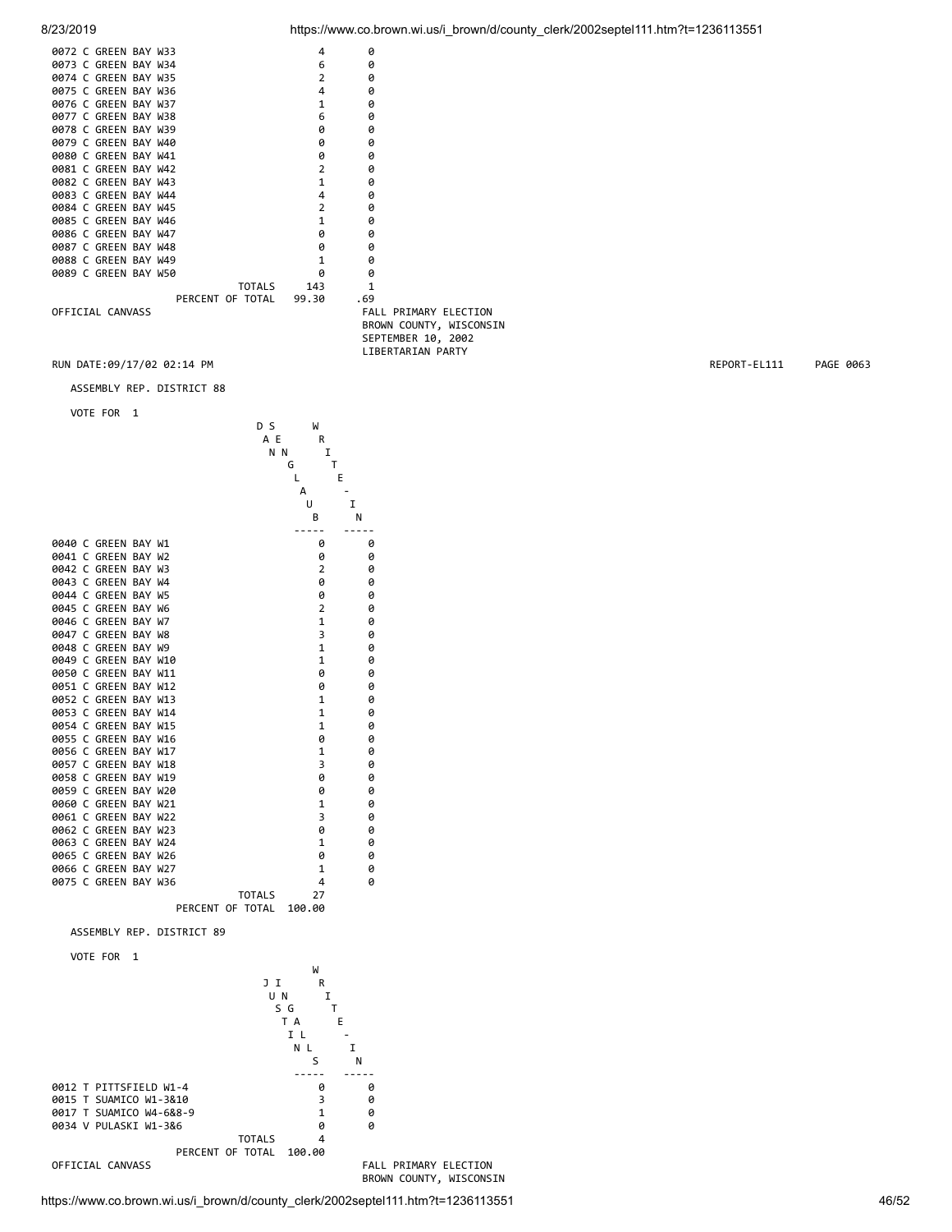| 0072 C GREEN BAY W33 | 4                    | ø           |
|----------------------|----------------------|-------------|
| 0073 C GREEN BAY W34 | 6                    | ø           |
| 0074 C GREEN BAY W35 | $\overline{2}$       | ø           |
| 0075 C GREEN BAY W36 | 4                    | ø           |
| 0076 C GREEN BAY W37 | $\mathbf{1}$         | ø           |
| 0077 C GREEN BAY W38 | 6                    | ø           |
| 0078 C GREEN BAY W39 | ø                    | ø           |
| 0079 C GREEN BAY W40 | ø                    | ø           |
| 0080 C GREEN BAY W41 | 0                    | ø           |
| 0081 C GREEN BAY W42 | $\overline{2}$       | ø           |
| 0082 C GREEN BAY W43 | $\mathbf{1}$         | ø           |
| 0083 C GREEN BAY W44 | 4                    | ø           |
| 0084 C GREEN BAY W45 | $\overline{2}$       | ø           |
| 0085 C GREEN BAY W46 | $\mathbf{1}$         | ø           |
| 0086 C GREEN BAY W47 | 0                    | ø           |
| 0087 C GREEN BAY W48 | ø                    | ø           |
| 0088 C GREEN BAY W49 | $\mathbf{1}$         | ø           |
| 0089 C GREEN BAY W50 | ø                    | ø           |
|                      | <b>TOTALS</b><br>143 | 1           |
| PERCENT OF TOTAL     | 99.30                | .69         |
| OFFICIAL CANVASS     |                      | FALL<br>PR: |

IMARY ELECTION BROWN COUNTY, WISCONSIN SEPTEMBER 10, 2002 LIBERTARIAN PARTY

RUN DATE:09/17/02 02:14 PM REPORT-EL111 PAGE 0063

ASSEMBLY REP. DISTRICT 88

VOTE FOR 1



8/23/2019 https://www.co.brown.wi.us/i\_brown/d/county\_clerk/2002septel111.htm?t=1236113551

BROWN COUNTY, WISCONSIN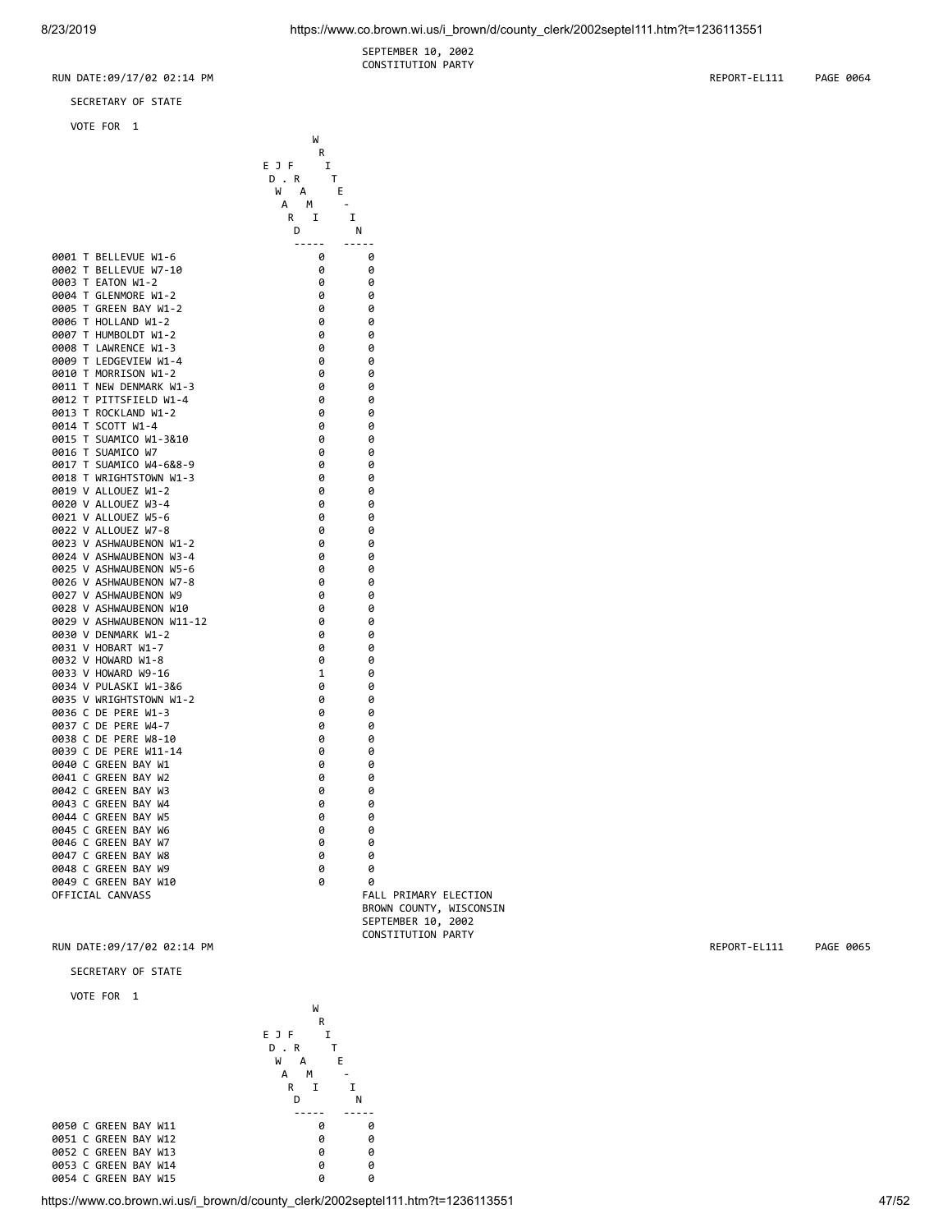SEPTEMBER 10, 2002 CONSTITUTION PARTY

SECRETARY OF STATE

where the contract of the contract of the contract of the contract of the contract of the contract of the contract of the contract of the contract of the contract of the contract of the contract of the contract of the cont

VOTE FOR 1

|                                             | R<br>EJF<br>I<br>D.R<br>T<br>W A<br>E<br>А<br>M |                         |
|---------------------------------------------|-------------------------------------------------|-------------------------|
|                                             | R<br>I<br>I<br>D                                | N                       |
| 0001 T BELLEVUE W1-6                        | -----<br>ø                                      | -----<br>ø              |
| 0002 T BELLEVUE W7-10                       | 0                                               | 0                       |
| 0003 T EATON W1-2                           | 0                                               | 0                       |
| 0004 T GLENMORE W1-2                        | 0                                               | 0                       |
| 0005 T GREEN BAY W1-2                       | ø                                               | ø                       |
| 0006 T HOLLAND W1-2<br>0007 T HUMBOLDT W1-2 | 0<br>0                                          | 0                       |
| 0008 T LAWRENCE W1-3                        | 0                                               | 0<br>0                  |
| 0009 T LEDGEVIEW W1-4                       | 0                                               | 0                       |
| 0010 T MORRISON W1-2                        | 0                                               | 0                       |
| 0011 T NEW DENMARK W1-3                     | 0                                               | 0                       |
| 0012 T PITTSFIELD W1-4                      | 0                                               | 0                       |
| 0013 T ROCKLAND W1-2                        | 0                                               | 0                       |
| 0014 T SCOTT W1-4                           | 0                                               | 0                       |
| 0015 T SUAMICO W1-3&10                      | 0                                               | 0                       |
| 0016 T SUAMICO W7                           | 0                                               | 0                       |
| 0017 T SUAMICO W4-6&8-9                     | 0                                               | 0                       |
| 0018 T WRIGHTSTOWN W1-3                     | 0                                               | 0                       |
| 0019 V ALLOUEZ W1-2<br>0020 V ALLOUEZ W3-4  | 0<br>0                                          | 0<br>0                  |
| 0021 V ALLOUEZ W5-6                         | 0                                               | 0                       |
| 0022 V ALLOUEZ W7-8                         | 0                                               | 0                       |
| 0023 V ASHWAUBENON W1-2                     | 0                                               | 0                       |
| 0024 V ASHWAUBENON W3-4                     | 0                                               | 0                       |
| 0025 V ASHWAUBENON W5-6                     | 0                                               | 0                       |
| 0026 V ASHWAUBENON W7-8                     | 0                                               | 0                       |
| 0027 V ASHWAUBENON W9                       | 0                                               | 0                       |
| 0028 V ASHWAUBENON W10                      | 0                                               | 0                       |
| 0029 V ASHWAUBENON W11-12                   | 0                                               | 0                       |
| 0030 V DENMARK W1-2                         | 0                                               | 0                       |
| 0031 V HOBART W1-7<br>0032 V HOWARD W1-8    | 0<br>0                                          | 0<br>0                  |
| 0033 V HOWARD W9-16                         | $\mathbf{1}$                                    | 0                       |
| 0034 V PULASKI W1-3&6                       | 0                                               | 0                       |
| 0035 V WRIGHTSTOWN W1-2                     | 0                                               | 0                       |
| 0036 C DE PERE W1-3                         | 0                                               | 0                       |
| 0037 C DE PERE W4-7                         | 0                                               | 0                       |
| 0038 C DE PERE W8-10                        | 0                                               | 0                       |
| 0039 C DE PERE W11-14                       | 0                                               | 0                       |
| 0040 C GREEN BAY W1                         | 0                                               | 0                       |
| 0041 C GREEN BAY W2                         | 0                                               | 0                       |
| 0042 C GREEN BAY W3                         | 0                                               | 0                       |
| 0043 C GREEN BAY W4<br>0044 C GREEN BAY W5  | 0                                               | 0                       |
| 0045 C GREEN BAY W6                         | 0<br>0                                          | 0<br>0                  |
| 0046 C GREEN BAY W7                         | 0                                               | 0                       |
| 0047 C GREEN BAY W8                         | 0                                               | 0                       |
| 0048 C GREEN BAY W9                         | 0                                               | 0                       |
| 0049 C GREEN BAY W10                        | 0                                               | 0                       |
| OFFICIAL CANVASS                            |                                                 | FALL PRIMARY ELECTION   |
|                                             |                                                 | BROWN COUNTY, WISCONSIN |
|                                             |                                                 | SEPTEMBER 10, 2002      |

CONSTITUTION PARTY RUN DATE:09/17/02 02:14 PM **REPORT-EL111** PAGE 0065

SECRETARY OF STATE

VOTE FOR 1



https://www.co.brown.wi.us/i\_brown/d/county\_clerk/2002septel111.htm?t=1236113551 47/52

RUN DATE:09/17/02 02:14 PM REPORT-EL111 PAGE 0064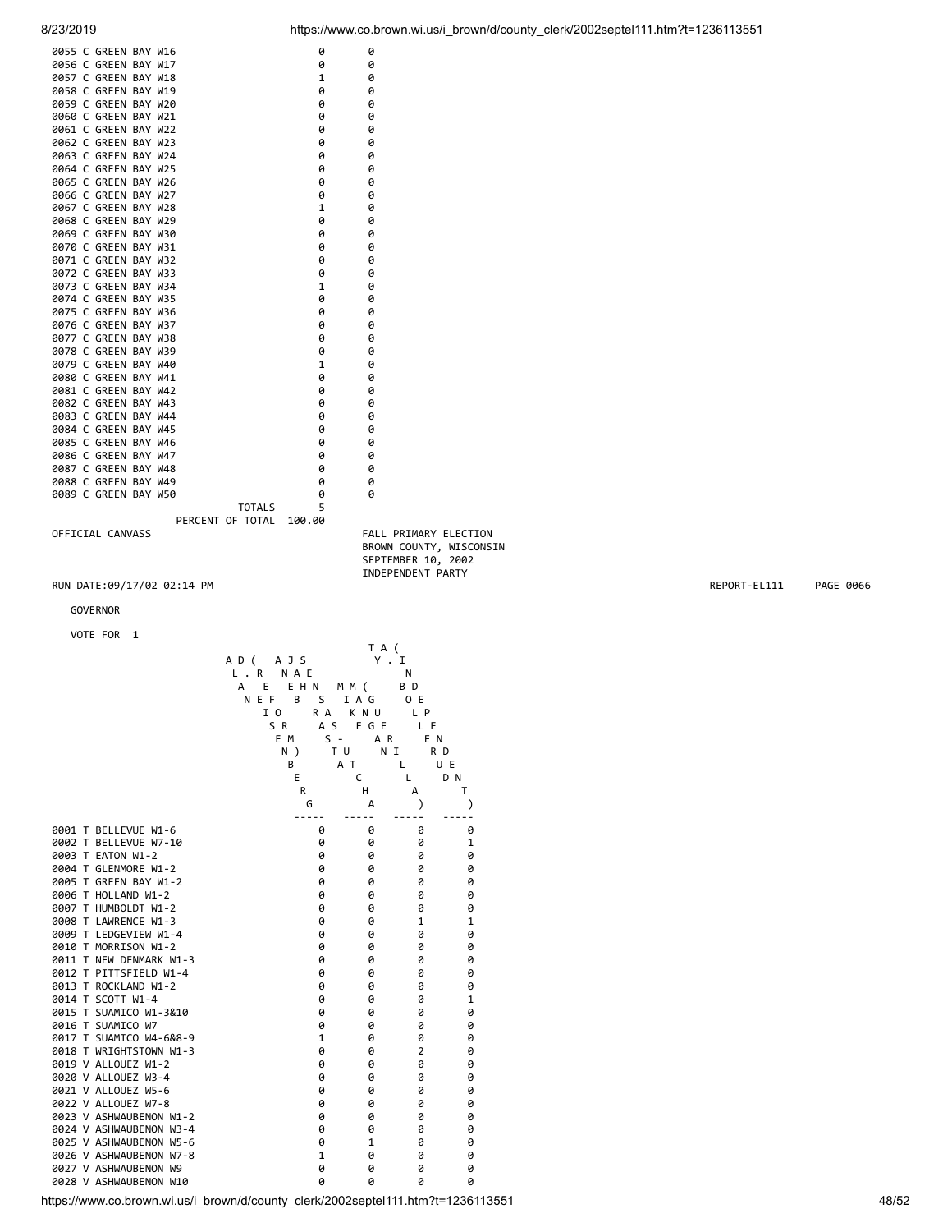| 0055 C GREEN BAY W16 | 0                  | 0 |
|----------------------|--------------------|---|
| 0056 C GREEN BAY W17 | 0                  | 0 |
| 0057 C GREEN BAY W18 | $\mathbf{1}$       | ø |
| 0058 C GREEN BAY W19 | 0                  | 0 |
| 0059 C GREEN BAY W20 | 0                  | 0 |
| 0060 C GREEN BAY W21 | 0                  | ø |
| 0061 C GREEN BAY W22 | 0                  | 0 |
| 0062 C GREEN BAY W23 | 0                  | 0 |
| 0063 C GREEN BAY W24 | 0                  | ø |
| 0064 C GREEN BAY W25 | 0                  | 0 |
| 0065 C GREEN BAY W26 | 0                  | 0 |
| 0066 C GREEN BAY W27 | 0                  | 0 |
| 0067 C GREEN BAY W28 | $\mathbf{1}$       | 0 |
| 0068 C GREEN BAY W29 | 0                  | 0 |
| 0069 C GREEN BAY W30 | 0                  | 0 |
| 0070 C GREEN BAY W31 | 0                  | 0 |
| 0071 C GREEN BAY W32 | 0                  | 0 |
| 0072 C GREEN BAY W33 | 0                  | 0 |
| 0073 C GREEN BAY W34 | $\mathbf{1}$       | 0 |
| 0074 C GREEN BAY W35 | 0                  | 0 |
| 0075 C GREEN BAY W36 | 0                  | 0 |
| 0076 C GREEN BAY W37 | 0                  | 0 |
| 0077 C GREEN BAY W38 | 0                  | 0 |
| 0078 C GREEN BAY W39 | 0                  | 0 |
| 0079 C GREEN BAY W40 | $\mathbf{1}$       | 0 |
| 0080 C GREEN BAY W41 | 0                  | 0 |
| 0081 C GREEN BAY W42 | 0                  | 0 |
| 0082 C GREEN BAY W43 | 0                  | 0 |
| 0083 C GREEN BAY W44 | 0                  | 0 |
| 0084 C GREEN BAY W45 | 0                  | 0 |
| 0085 C GREEN BAY W46 | 0                  | ø |
| 0086 C GREEN BAY W47 | 0                  | 0 |
| 0087 C GREEN BAY W48 | 0                  | 0 |
| 0088 C GREEN BAY W49 | 0                  | 0 |
| 0089 C GREEN BAY W50 | 0                  | 0 |
|                      | 5<br><b>TOTALS</b> |   |
| PERCENT OF TOTAL     | 100.00             |   |

OFFICIAL CANVASS FALL PRIMARY ELECTION BROWN COUNTY, WISCONSIN SEPTEMBER 10, 2002 INDEPENDENT PARTY

RUN DATE:09/17/02 02:14 PM REPORT-EL111 PAGE 0066

### GOVERNOR

### VOTE FOR 1

 T A ( A D (A J S Y . I<br>L . R N A E N L . R N A E N A E EHN MM (BD N E F B S I A G O E I O RAK NU LP S R A S E G E L E E M S - A R E N N ) T U N I R D B A T L UE E C L D N R H A T  $G$  and  $A$  ) is the contract of  $A$  and  $A$  and  $A$  and  $A$  and  $A$  and  $A$  and  $A$  and  $A$  and  $A$  and  $A$  and  $A$  and  $A$  and  $A$  and  $A$  and  $A$  and  $A$  and  $A$  and  $A$  and  $A$  and  $A$  and  $A$  and  $A$  and  $A$  and  $A$  ----- ----- ----- ----- 0001 T BELLEVUE W1-6 0 0 0 0 0 0 0 0002 T BELLEVUE W7-10 0 0 0 0 1 0003 T EATON W1-2 0 0 0 0 0004 T GLENMORE W1-2 0 0 0 0 0005 T GREEN BAY W1-2 0 0 0 0 0006 T HOLLAND W1-2 0 0 0 0 0007 THUMBOLDT W1-2 0 0 0<br>0008 TIAWRENCE W1-3 0 0 0 0008 T LAWRENCE W1-3 0 0 0 1 1 0009 T LEDGEVIEW W1-4<br>0010 T MORRISON W1-2 0 0 0 0 0 0 0 0010 T MORRISON W1-2 0 0 0 0 0011 T NEW DENMARK W1-3 0 0 0 0 0012 T PITTSFIELD W1-4 0 0 0 0 0 0<br>0013 T ROCKLAND W1-2 0 0 0 0 0 0013 T ROCKLAND W1-2 0014 T SCOTT W1-4 0 0 0 0 1 0015 T SUAMICO W1-3&10 0 0 0 0 0016 T SUAMICO W7 0 0 0 0 0017 T SUAMICO W4-6&8-9 1 0 0 0 0018 T WRIGHTSTOWN W1-3 0<br>0019 V ALLOUEZ W1-2 0 0019 V ALLOUEZ W1-2 0 0 0 0 0020 V ALLOUEZ W3-4 0 0 0 0 0 0 0 0021 V ALLOUEZ W5-6 0 0 0 0 0022 V ALLOUEZ W7-8 0 0 0 0 0023 V ASHWAUBENON W1-2 0 0 0 0 0024 V ASHWAUBENON W3-4 0 0 0 0 0025 V ASHWAUBENON W5-6 0 0 1 0026 V ASHWAUBENON W7-8 1 0 0 0 0 0027 V ASHWAUBENON W9 0 0 0 0 0028 V ASHWAUBENON W10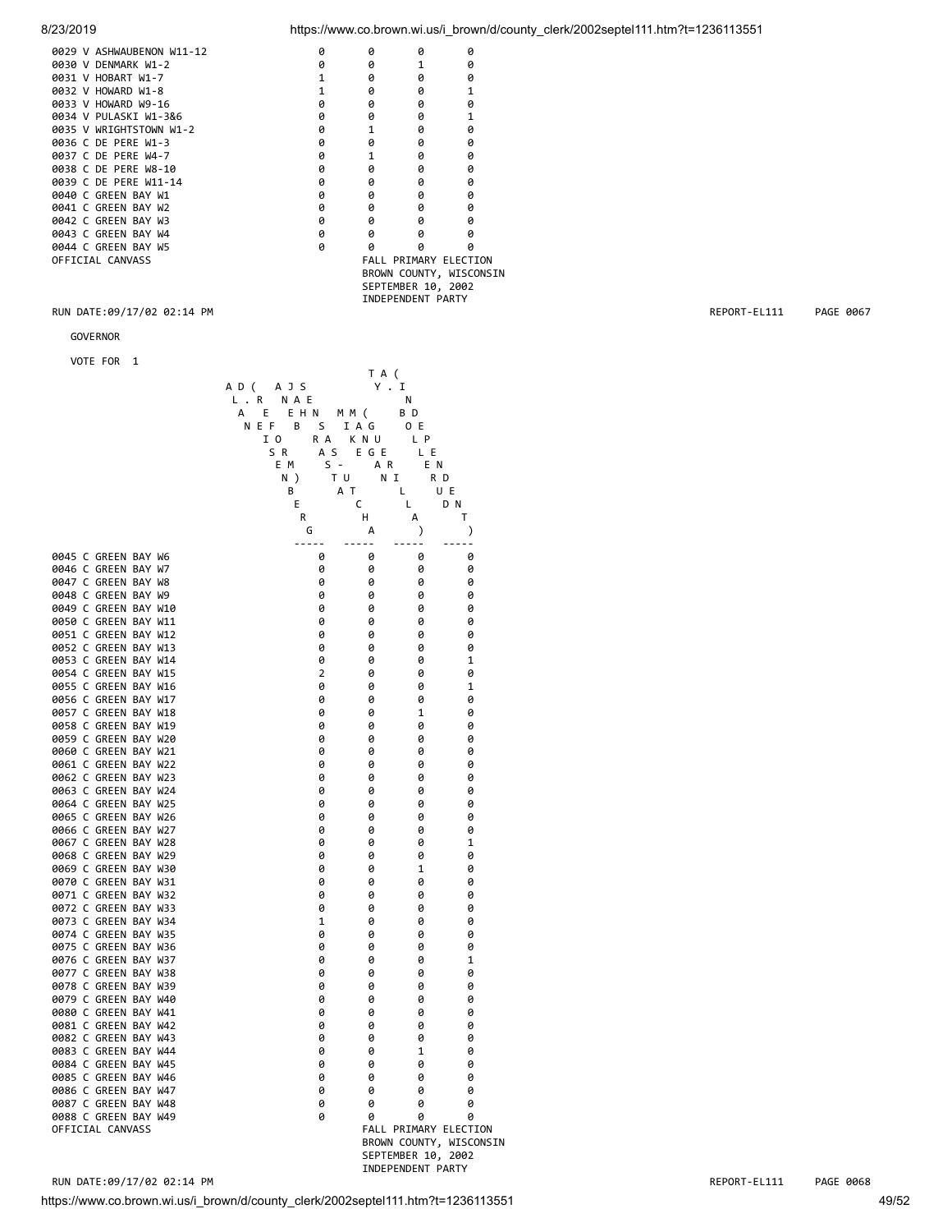8/23/2019 https://www.co.brown.wi.us/i\_brown/d/county\_clerk/2002septel111.htm?t=1236113551

| 0029 V ASHWAUBENON W11-12 | a | A | ø                            | ø                       |
|---------------------------|---|---|------------------------------|-------------------------|
| 0030 V DENMARK W1-2       | ø | ø | 1                            | ø                       |
| 0031 V HOBART W1-7        |   | ø | ø                            | ø                       |
| 0032 V HOWARD W1-8        |   | ø | ø                            |                         |
| 0033 V HOWARD W9-16       | 0 | 0 | ø                            | ø                       |
| 0034 V PULASKI W1-3&6     | 0 | ø | ø                            |                         |
| 0035 V WRIGHTSTOWN W1-2   | 0 |   | ø                            | ø                       |
| 0036 C DE PERE W1-3       | 0 | ø | ø                            | 0                       |
| 0037 C DE PERE W4-7       | 0 |   | ø                            | 0                       |
| 0038 C DE PERE W8-10      | 0 | ø | ø                            | ø                       |
| 0039 C DE PERE W11-14     | 0 | ø | Ø                            | ø                       |
| 0040 C GREEN BAY W1       | 0 | ø | ø                            | ø                       |
| 0041 C GREEN BAY W2       | 0 | ø | ø                            | ø                       |
| 0042 C GREEN BAY W3       | 0 | ø | ø                            | ø                       |
| 0043 C GREEN BAY W4       | ø | ø | ø                            | ø                       |
| 0044 C GREEN BAY W5       | ø | ø | ø                            | ø                       |
| OFFICIAL CANVASS          |   |   | <b>FALL PRIMARY ELECTION</b> |                         |
|                           |   |   |                              | BROWN COUNTY, WISCONSIN |
|                           |   |   | SEPTEMBER 10, 2002           |                         |
|                           |   |   | INDEPENDENT PARTY            |                         |
|                           |   |   |                              |                         |

### RUN DATE:09/17/02 02:14 PM REPORT-EL111 PAGE 0067

GOVERNOR

|                                              |                   | T A (       |                    |                            |
|----------------------------------------------|-------------------|-------------|--------------------|----------------------------|
|                                              | AD (<br>A J S     | Υ.          | I                  |                            |
|                                              | L.R<br><b>NAE</b> |             | N                  |                            |
|                                              | E H N<br>А<br>Е   | M M (       | B D                |                            |
|                                              | NEF<br>В<br>S     | IAG         | 0 E                |                            |
|                                              | I O<br>R A        | K N U       | L P                |                            |
|                                              | S R<br>A S        | EGE         | L E                |                            |
|                                              | E M               | $S -$<br>AR | E N                |                            |
|                                              | N)                | T U<br>N I  | R D                |                            |
|                                              | В                 | A T         | L                  | U E                        |
|                                              | Е                 | C           | Г                  | D N                        |
|                                              | R                 | н           | А                  | т                          |
|                                              | G                 | А           | $\mathcal{C}$      | ⟩                          |
|                                              | -----             | .           | -----              | -----                      |
| 0045 C GREEN BAY W6                          | 0                 | 0           | 0                  | 0                          |
| 0046 C GREEN BAY W7                          | 0                 | 0           | 0                  | 0                          |
| 0047 C GREEN BAY W8                          | 0                 | 0           | 0                  | 0                          |
| 0048 C GREEN BAY W9                          | 0                 | 0           | 0                  | 0                          |
| 0049 C GREEN BAY W10                         | 0                 | 0           | 0                  | 0                          |
| 0050 C GREEN BAY W11                         | 0                 | 0           | 0                  | 0                          |
| 0051 C GREEN BAY W12                         | 0                 | 0           | 0                  | 0                          |
| 0052 C GREEN BAY W13                         | 0                 | 0           | 0                  | 0                          |
| 0053 C GREEN BAY W14<br>0054 C GREEN BAY W15 | 0<br>2            | 0<br>0      | 0<br>0             | 1<br>0                     |
| 0055 C GREEN BAY W16                         | 0                 | 0           | 0                  | $\mathbf 1$                |
| 0056 C GREEN BAY W17                         | 0                 | 0           | 0                  | 0                          |
| 0057 C GREEN BAY W18                         | 0                 | 0           | 1                  | 0                          |
| 0058 C GREEN BAY W19                         | 0                 | 0           | 0                  | 0                          |
| 0059 C GREEN BAY W20                         | 0                 | 0           | 0                  | 0                          |
| 0060 C GREEN BAY W21                         | 0                 | 0           | 0                  | 0                          |
| 0061 C GREEN BAY W22                         | 0                 | 0           | 0                  | 0                          |
| 0062 C GREEN BAY W23                         | 0                 | 0           | 0                  | 0                          |
| 0063 C GREEN BAY W24                         | 0                 | 0           | 0                  | 0                          |
| 0064 C GREEN BAY W25                         | 0                 | 0           | 0                  | 0                          |
| 0065 C GREEN BAY W26                         | 0                 | 0           | 0                  | 0                          |
| 0066 C GREEN BAY W27                         | 0                 | 0           | 0                  | 0                          |
| 0067 C GREEN BAY W28                         | 0                 | 0           | 0                  | 1                          |
| 0068 C GREEN BAY W29                         | 0                 | 0           | 0                  | 0                          |
| 0069 C GREEN BAY W30                         | 0                 | 0           | 1                  | 0                          |
| 0070 C GREEN BAY W31                         | 0                 | 0           | 0                  | 0                          |
| 0071 C GREEN BAY W32                         | 0                 | 0           | 0                  | 0                          |
| 0072 C GREEN BAY W33                         | 0                 | 0           | 0                  | 0                          |
| 0073 C GREEN BAY W34                         | 1                 | 0           | 0                  | 0                          |
| 0074 C GREEN BAY W35                         | 0                 | 0           | 0                  | 0                          |
| 0075 C GREEN BAY W36                         | 0                 | 0           | 0                  | 0                          |
| 0076 C GREEN BAY W37                         | 0                 | 0           | 0                  | 1                          |
| 0077 C GREEN BAY W38                         | 0                 | 0           | 0                  | 0                          |
| 0078 C GREEN BAY W39                         | 0                 | 0           | 0                  | 0                          |
| 0079 C GREEN BAY W40                         | 0                 | 0           | 0                  | 0                          |
| 0080 C GREEN BAY W41                         | 0                 | 0           | 0                  | 0                          |
| 0081 C GREEN BAY W42                         | 0                 | 0           | 0                  | 0                          |
| 0082 C GREEN BAY W43                         | 0                 | 0           | 0                  | 0                          |
| 0083 C GREEN BAY W44                         | 0                 | 0           | $\mathbf 1$        | 0                          |
| 0084 C GREEN BAY W45                         | 0                 | 0           | 0                  | 0                          |
| 0085 C GREEN BAY W46                         | 0                 | 0           | 0                  | 0                          |
| 0086 C GREEN BAY W47<br>0087 C GREEN BAY W48 | 0                 | 0           | 0                  | 0                          |
|                                              | 0                 | 0           | 0                  | 0                          |
| 0088 C GREEN BAY W49<br>OFFICIAL CANVASS     | 0                 | 0           | 0                  | 0<br>FALL PRIMARY ELECTION |
|                                              |                   |             |                    | BROWN COUNTY, WISCONSIN    |
|                                              |                   |             | SEPTEMBER 10, 2002 |                            |
|                                              |                   |             |                    |                            |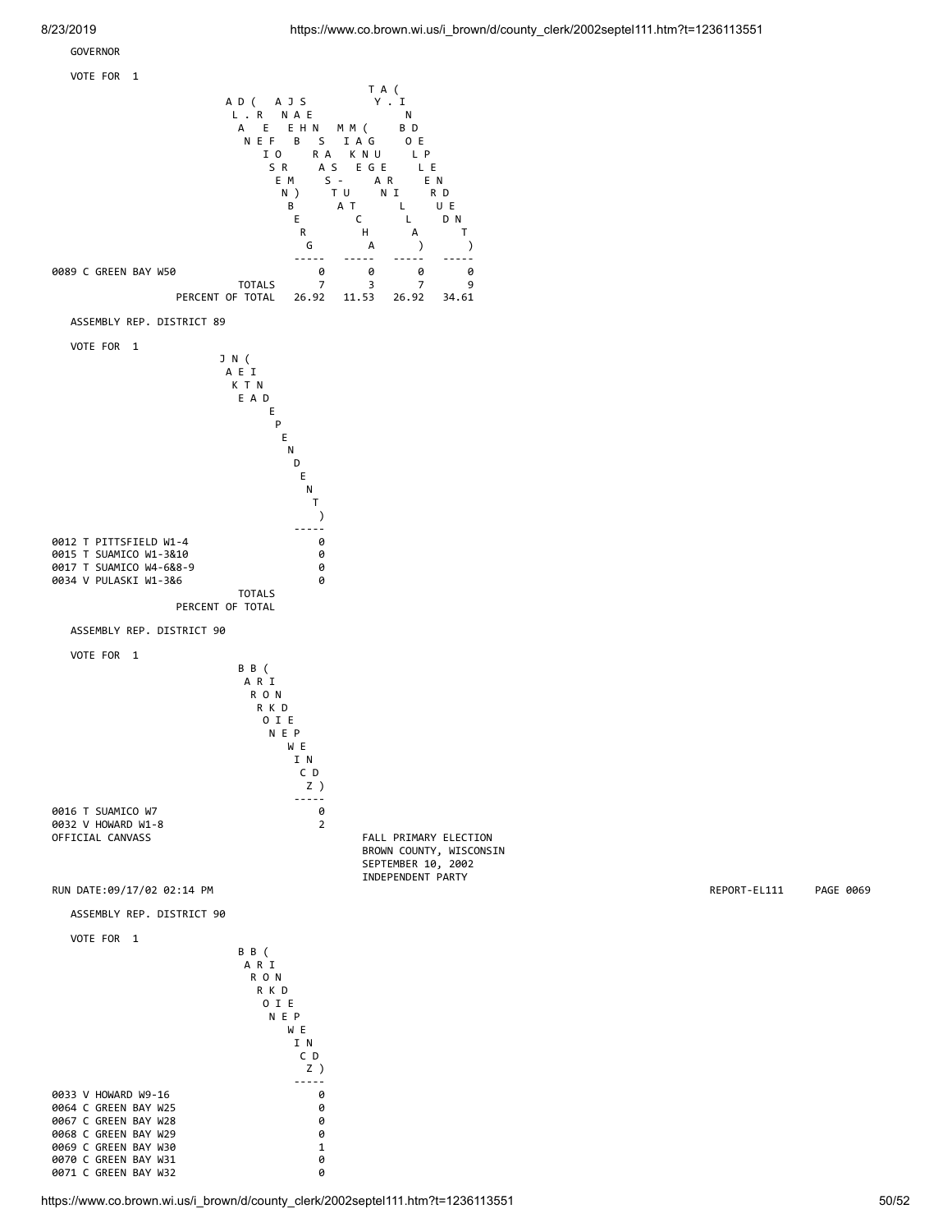### GOVERNOR



https://www.co.brown.wi.us/i\_brown/d/county\_clerk/2002septel111.htm?t=1236113551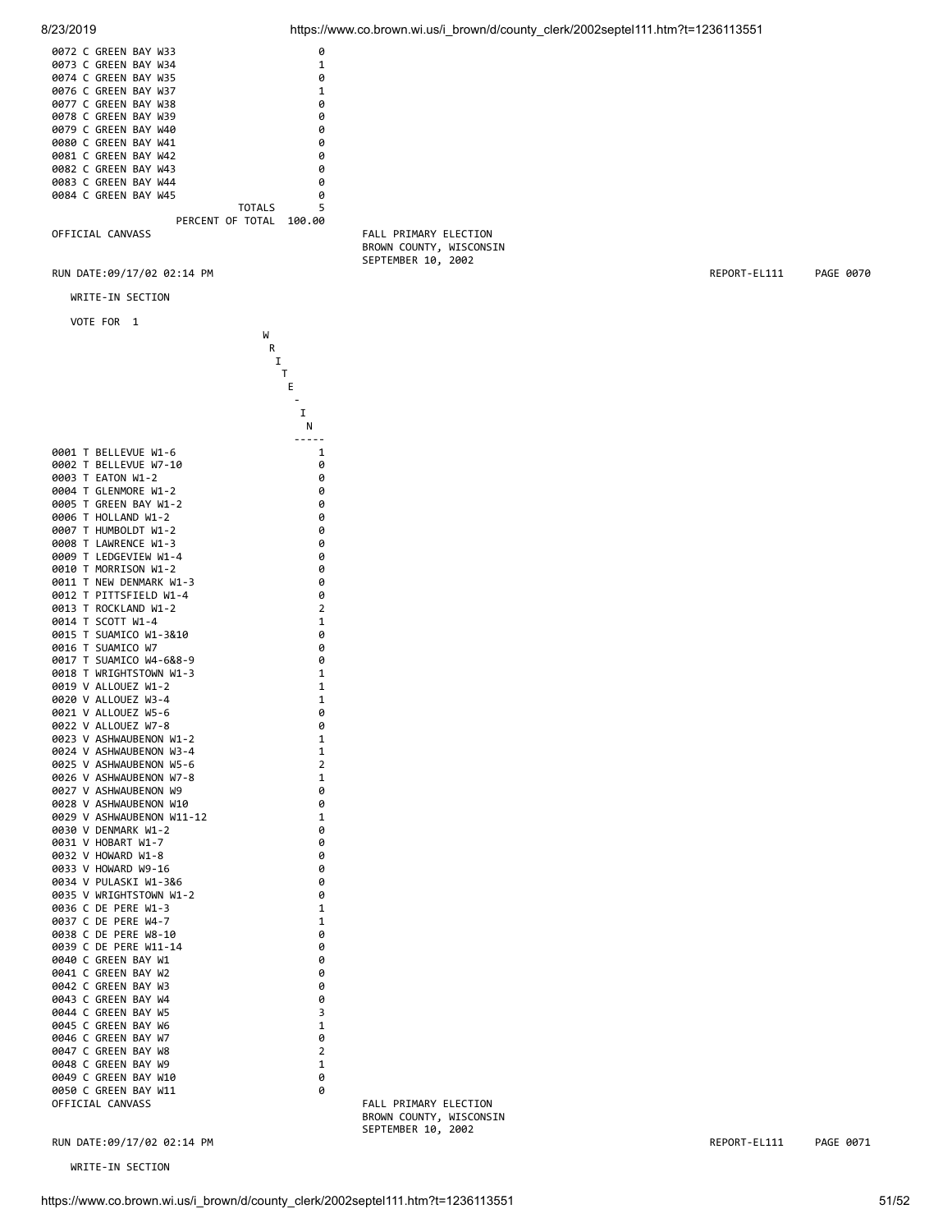| 0072 C GREEN BAY W33 |  |                  | ø      |  |                       |
|----------------------|--|------------------|--------|--|-----------------------|
| 0073 C GREEN BAY W34 |  |                  |        |  |                       |
| 0074 C GREEN BAY W35 |  |                  | ø      |  |                       |
| 0076 C GREEN BAY W37 |  |                  |        |  |                       |
| 0077 C GREEN BAY W38 |  |                  | ø      |  |                       |
| 0078 C GREEN BAY W39 |  |                  | ø      |  |                       |
| 0079 C GREEN BAY W40 |  |                  | ø      |  |                       |
| 0080 C GREEN BAY W41 |  |                  | ø      |  |                       |
| 0081 C GREEN BAY W42 |  |                  | ø      |  |                       |
| 0082 C GREEN BAY W43 |  |                  | ø      |  |                       |
| 0083 C GREEN BAY W44 |  |                  | ø      |  |                       |
| 0084 C GREEN BAY W45 |  |                  | ø      |  |                       |
|                      |  | <b>TOTALS</b>    | 5      |  |                       |
|                      |  | PERCENT OF TOTAL | 100.00 |  |                       |
| OFFICIAL CANVASS     |  |                  |        |  | FALL PRIMARY ELECTION |

WRITE-IN SECTION

VOTE FOR 1

|              |        |                                      | W              |
|--------------|--------|--------------------------------------|----------------|
|              |        |                                      | R              |
|              |        |                                      | I              |
|              |        |                                      | T              |
|              |        |                                      | E              |
|              |        |                                      |                |
|              |        |                                      | I              |
|              |        |                                      | Ν              |
|              |        |                                      |                |
| 0001         | T      | BELLEVUE W1-6                        | 1              |
| 0002         | т      | BELLEVUE W7-10                       | 0              |
| 0003         | Т      | EATON W1-2                           | 0              |
| 0004         | Т      | GLENMORE W1-2                        | 0              |
| 0005         | Т      | GREEN<br><b>BAY W1-2</b>             | 0              |
| 0006         | Т      | HOLLAND W1-2                         | 0              |
| 0007         | T      | HUMBOLDT W1-2                        | 0              |
| 0008         | Т      | LAWRENCE W1-3                        | 0              |
| 0009         | T      | LEDGEVIEW W1-4                       | 0              |
| 0010         | Т      | MORRISON W1-2                        | 0              |
| 0011         | Т      | NEW DENMARK W1-3                     | 0              |
| 0012         | Т      | PITTSFIELD W1-4                      | 0              |
| 0013         | Т      | ROCKLAND W1-2                        | 2              |
| 0014         | Т      | SCOTT W1-4                           | 1              |
| 0015         | Т      | SUAMICO W1-3&10                      | 0              |
| 0016         | Т      | SUAMICO W7                           | 0              |
| 0017         | Т      | SUAMICO W4-6&8-9                     | 0              |
| 0018         | т      | WRIGHTSTOWN W1-3                     | 1              |
| 0019         | v      | ALLOUEZ<br>$W1 - 2$                  | 1              |
| 0020         | v      | ALLOUEZ<br>$W3 - 4$                  | 1              |
| 0021         | v      | ALLOUEZ<br>W5-6                      | 0              |
| 0022         | v      | <b>ALLOUEZ</b><br>W7-8               | 0              |
| 0023         | v      | <b>ASHWAUBENON</b><br>$W1 - 2$       | 1              |
| 0024         | v      | <b>ASHWAUBENON</b><br>W3-4           | 1              |
| 0025         | V      | <b>ASHWAUBENON</b><br>$W5 - 6$       | $\overline{2}$ |
| 0026         | v      | <b>ASHWAUBENON</b><br>W7-8           | 1              |
| 0027         | v      | <b>ASHWAUBENON</b><br>W <sub>9</sub> | 0              |
| 0028         | v      | <b>ASHWAUBENON</b><br>W10            | 0              |
| 0029         | v      | ASHWAUBENON W11-12                   | 1              |
| 0030         | v      | DENMARK W1-2                         | 0              |
| 0031         | v      | <b>HOBART</b><br>W1-7                | 0              |
| 0032<br>0033 | V<br>v | HOWARD W1-8<br>HOWARD W9-16          | 0<br>0         |
| 0034         | V      | PULASKI<br>W1-3&6                    | 0              |
| 0035         | v      | WRIGHTSTOWN W1-2                     | 0              |
| 0036         | С      | DE<br>PERE<br>W1-3                   | 1              |
| 0037         | C      | DE<br>$W4 - 7$<br>PERE               | 1              |
| 0038         | c      | PERE<br>W8-10<br>DE                  | 0              |
| 0039         | c      | DE<br>PERE<br>$W11 - 14$             | 0              |
| 0040         | c      | GREEN<br>BAY<br>W1                   | 0              |
| 0041         | C      | BAY<br>GREEN<br>W <sub>2</sub>       | 0              |
| 0042         | c      | GREEN<br>BAY<br>WЗ                   | 0              |
| 0043         | c      | GREEN<br>BAY<br>W4                   | 0              |
| 0044         | c      | GREEN<br>BAY<br>W <sub>5</sub>       | 3              |
| 0045         | C      | GREEN<br>BAY<br>W <sub>6</sub>       | 1              |
| 0046         | C      | <b>GREEN</b><br>BAY<br>W7            | 0              |
| 0047         | c      | <b>GREEN</b><br>BAY<br>W8            | $\overline{2}$ |
| 0048         | c      | GREEN<br>BAY<br>W9                   | 1              |
| 0049         | c      | <b>GREEN</b><br>BAY<br>W10           | 0              |
| 0050         | c      | GREEN<br>BAY<br>W11                  | 0              |
|              |        |                                      |                |

WRITE-IN SECTION

 BROWN COUNTY, WISCONSIN SEPTEMBER 10, 2002

RUN DATE:09/17/02 02:14 PM REPORT-EL111 PAGE 0071